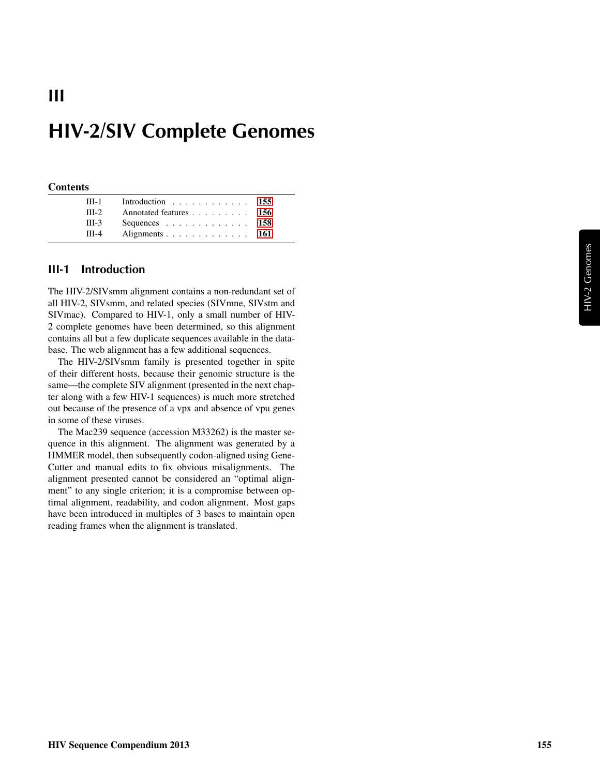# HIV-2/SIV Complete Genomes

#### **Contents**

III

| $III-1$ | Introduction 155                                  |  |
|---------|---------------------------------------------------|--|
| $III-2$ | Annotated features 156                            |  |
| $III-3$ | Sequences $\ldots$ $\ldots$ $\ldots$ $\ldots$ 158 |  |
| $III-4$ | Alignments 161                                    |  |

#### <span id="page-0-0"></span>III-1 Introduction

The HIV-2/SIVsmm alignment contains a non-redundant set of all HIV-2, SIVsmm, and related species (SIVmne, SIVstm and SIVmac). Compared to HIV-1, only a small number of HIV-2 complete genomes have been determined, so this alignment contains all but a few duplicate sequences available in the database. The web alignment has a few additional sequences.

The HIV-2/SIVsmm family is presented together in spite of their different hosts, because their genomic structure is the same—the complete SIV alignment (presented in the next chapter along with a few HIV-1 sequences) is much more stretched out because of the presence of a vpx and absence of vpu genes in some of these viruses.

The Mac239 sequence (accession M33262) is the master sequence in this alignment. The alignment was generated by a HMMER model, then subsequently codon-aligned using Gene-Cutter and manual edits to fix obvious misalignments. The alignment presented cannot be considered an "optimal alignment" to any single criterion; it is a compromise between optimal alignment, readability, and codon alignment. Most gaps have been introduced in multiples of 3 bases to maintain open reading frames when the alignment is translated.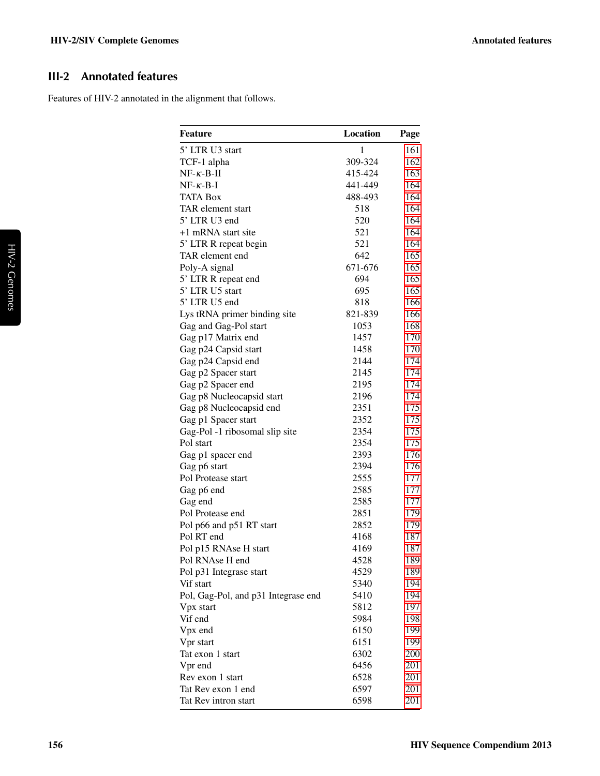# <span id="page-1-0"></span>III-2 Annotated features

Features of HIV-2 annotated in the alignment that follows.

| <b>Feature</b>                      | Location     | Page |
|-------------------------------------|--------------|------|
| 5' LTR U3 start                     | $\mathbf{1}$ | 161  |
| TCF-1 alpha                         | 309-324      | 162  |
| $NF-\kappa-B-H$                     | 415-424      | 163  |
| $NF - \kappa - B - I$               | 441-449      | 164  |
| <b>TATA Box</b>                     | 488-493      | 164  |
| TAR element start                   | 518          | 164  |
| 5' LTR U3 end                       | 520          | 164  |
| +1 mRNA start site                  | 521          | 164  |
| 5' LTR R repeat begin               | 521          | 164  |
| TAR element end                     | 642          | 165  |
| Poly-A signal                       | 671-676      | 165  |
| 5' LTR R repeat end                 | 694          | 165  |
| 5' LTR U5 start                     | 695          | 165  |
| 5' LTR U5 end                       | 818          | 166  |
| Lys tRNA primer binding site        | 821-839      | 166  |
| Gag and Gag-Pol start               | 1053         | 168  |
| Gag p17 Matrix end                  | 1457         | 170  |
| Gag p24 Capsid start                | 1458         | 170  |
| Gag p24 Capsid end                  | 2144         | 174  |
| Gag p2 Spacer start                 | 2145         | 174  |
| Gag p2 Spacer end                   | 2195         | 174  |
| Gag p8 Nucleocapsid start           | 2196         | 174  |
| Gag p8 Nucleocapsid end             | 2351         | 175  |
| Gag p1 Spacer start                 | 2352         | 175  |
| Gag-Pol -1 ribosomal slip site      | 2354         | 175  |
| Pol start                           | 2354         | 175  |
| Gag p1 spacer end                   | 2393         | 176  |
| Gag p6 start                        | 2394         | 176  |
| Pol Protease start                  | 2555         | 177  |
| Gag p6 end                          | 2585         | 177  |
| Gag end                             | 2585         | 177  |
| Pol Protease end                    | 2851         | 179  |
| Pol p66 and p51 RT start            | 2852         | 179  |
| Pol RT end                          | 4168         | 187  |
| Pol p15 RNAse H start               | 4169         | 187  |
| Pol RNAse H end                     | 4528         | 189  |
| Pol p31 Integrase start             | 4529         | 189  |
| Vif start                           | 5340         | 194  |
| Pol, Gag-Pol, and p31 Integrase end | 5410         | 194  |
| Vpx start                           | 5812         | 197  |
| Vif end                             | 5984         | 198  |
| Vpx end                             | 6150         | 199  |
| Vpr start                           | 6151         | 199  |
| Tat exon 1 start                    | 6302         | 200  |
| Vpr end                             | 6456         | 201  |
| Rev exon 1 start                    | 6528         | 201  |
| Tat Rev exon 1 end                  | 6597         | 201  |
| Tat Rev intron start                | 6598         | 201  |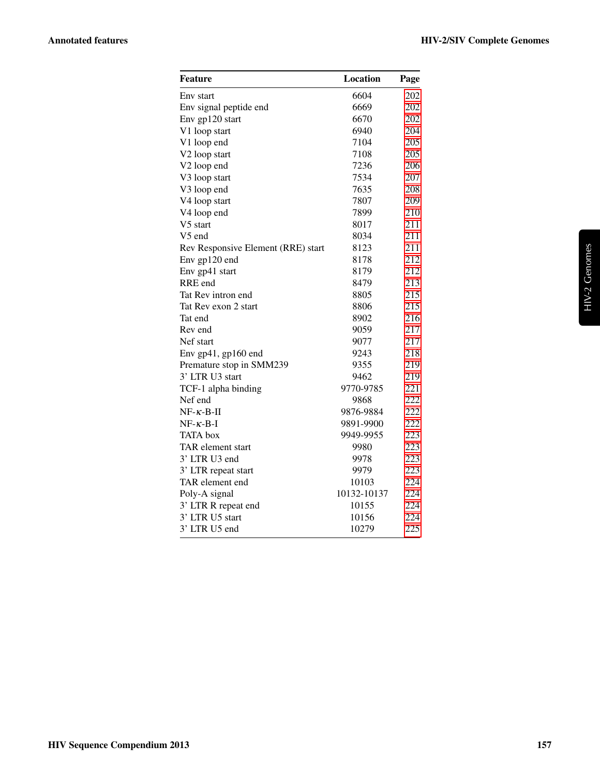| Feature                            | Location    | Page |
|------------------------------------|-------------|------|
| Env start                          | 6604        | 202  |
| Env signal peptide end             | 6669        | 202  |
| Env gp120 start                    | 6670        | 202  |
| V1 loop start                      | 6940        | 204  |
| V1 loop end                        | 7104        | 205  |
| V2 loop start                      | 7108        | 205  |
| V2 loop end                        | 7236        | 206  |
| V3 loop start                      | 7534        | 207  |
| V3 loop end                        | 7635        | 208  |
| V4 loop start                      | 7807        | 209  |
| V4 loop end                        | 7899        | 210  |
| V5 start                           | 8017        | 211  |
| V5 end                             | 8034        | 211  |
| Rev Responsive Element (RRE) start | 8123        | 211  |
| Env gp120 end                      | 8178        | 212  |
| Env gp41 start                     | 8179        | 212  |
| RRE end                            | 8479        | 213  |
| Tat Rev intron end                 | 8805        | 215  |
| Tat Rev exon 2 start               | 8806        | 215  |
| Tat end                            | 8902        | 216  |
| Rev end                            | 9059        | 217  |
| Nef start                          | 9077        | 217  |
| Env gp41, gp160 end                | 9243        | 218  |
| Premature stop in SMM239           | 9355        | 219  |
| 3' LTR U3 start                    | 9462        | 219  |
| TCF-1 alpha binding                | 9770-9785   | 221  |
| Nef end                            | 9868        | 222  |
| $NF-\kappa-B-II$                   | 9876-9884   | 222  |
| $NF - \kappa - B - I$              | 9891-9900   | 222  |
| <b>TATA</b> box                    | 9949-9955   | 223  |
| TAR element start                  | 9980        | 223  |
| 3' LTR U3 end                      | 9978        | 223  |
| 3' LTR repeat start                | 9979        | 223  |
| TAR element end                    | 10103       | 224  |
| Poly-A signal                      | 10132-10137 | 224  |
| 3' LTR R repeat end                | 10155       | 224  |
| 3' LTR U5 start                    | 10156       | 224  |
| 3' LTR U5 end                      | 10279       | 225  |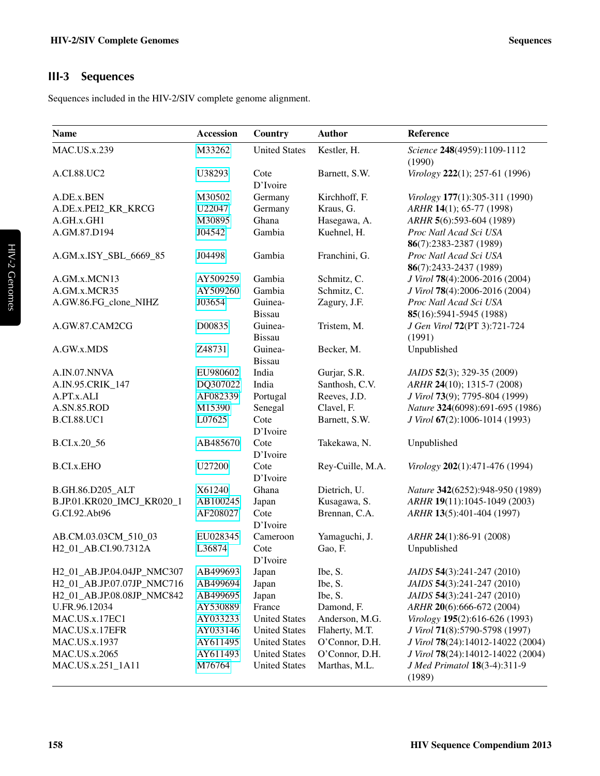# <span id="page-3-0"></span>III-3 Sequences

Sequences included in the HIV-2/SIV complete genome alignment.

| <b>Name</b>                | <b>Accession</b> | Country              | <b>Author</b>    | Reference                              |
|----------------------------|------------------|----------------------|------------------|----------------------------------------|
| <b>MAC.US.x.239</b>        | M33262           | <b>United States</b> | Kestler, H.      | Science 248(4959):1109-1112<br>(1990)  |
| A.CI.88.UC2                | U38293           | Cote<br>D'Ivoire     | Barnett, S.W.    | Virology 222(1); 257-61 (1996)         |
| A.DE.x.BEN                 | M30502           | Germany              | Kirchhoff, F.    | Virology 177(1):305-311 (1990)         |
| A.DE.x.PEI2_KR_KRCG        | U22047           | Germany              | Kraus, G.        | ARHR 14(1); 65-77 (1998)               |
| A.GH.x.GH1                 | M30895           | Ghana                | Hasegawa, A.     | ARHR 5(6):593-604 (1989)               |
| A.GM.87.D194               | J04542           | Gambia               | Kuehnel, H.      | Proc Natl Acad Sci USA                 |
|                            |                  |                      |                  | 86(7):2383-2387 (1989)                 |
| A.GM.x.ISY_SBL_6669_85     | J04498           | Gambia               | Franchini, G.    | Proc Natl Acad Sci USA                 |
|                            |                  |                      |                  | 86(7):2433-2437 (1989)                 |
| A.GM.x.MCN13               | AY509259         | Gambia               | Schmitz, C.      | J Virol 78(4):2006-2016 (2004)         |
| A.GM.x.MCR35               | AY509260         | Gambia               | Schmitz, C.      | J Virol 78(4):2006-2016 (2004)         |
| A.GW.86.FG_clone_NIHZ      | J03654           | Guinea-              | Zagury, J.F.     | Proc Natl Acad Sci USA                 |
|                            |                  | <b>Bissau</b>        |                  | 85(16):5941-5945 (1988)                |
| A.GW.87.CAM2CG             | D00835           | Guinea-              | Tristem, M.      | J Gen Virol 72(PT 3):721-724           |
|                            |                  | <b>Bissau</b>        |                  | (1991)                                 |
| A.GW.x.MDS                 | Z48731           | Guinea-              | Becker, M.       | Unpublished                            |
|                            |                  | <b>Bissau</b>        |                  |                                        |
| A.IN.07.NNVA               | EU980602         | India                | Gurjar, S.R.     | JAIDS 52(3); 329-35 (2009)             |
| A.IN.95.CRIK 147           | DQ307022         | India                | Santhosh, C.V.   | ARHR 24(10); 1315-7 (2008)             |
| A.PT.x.ALI                 | AF082339         | Portugal             | Reeves, J.D.     | J Virol 73(9); 7795-804 (1999)         |
| A.SN.85.ROD                | M15390           | Senegal              | Clavel, F.       | Nature 324(6098):691-695 (1986)        |
| <b>B.CI.88.UC1</b>         | L07625           | Cote<br>D'Ivoire     | Barnett, S.W.    | J Virol 67(2):1006-1014 (1993)         |
| B.CI.x.20_56               | AB485670         | Cote                 | Takekawa, N.     | Unpublished                            |
|                            |                  | D'Ivoire             |                  |                                        |
| <b>B.CI.x.EHO</b>          | U27200           | Cote                 | Rey-Cuille, M.A. | Virology 202(1):471-476 (1994)         |
|                            |                  | D'Ivoire             |                  |                                        |
| B.GH.86.D205_ALT           | X61240           | Ghana                | Dietrich, U.     | Nature 342(6252):948-950 (1989)        |
| B.JP.01.KR020_IMCJ_KR020_1 | AB100245         | Japan                | Kusagawa, S.     | ARHR 19(11):1045-1049 (2003)           |
| G.CI.92.Abt96              | AF208027         | Cote<br>D'Ivoire     | Brennan, C.A.    | ARHR 13(5):401-404 (1997)              |
| AB.CM.03.03CM_510_03       | EU028345         | Cameroon             | Yamaguchi, J.    | ARHR 24(1):86-91 (2008)                |
| H2_01_AB.CI.90.7312A       | L36874           | Cote                 | Gao, F.          | Unpublished                            |
|                            |                  | D'Ivoire             |                  |                                        |
| H2_01_AB.JP.04.04JP_NMC307 | AB499693         | Japan                | Ibe, S.          | JAIDS 54(3):241-247 (2010)             |
| H2_01_AB.JP.07.07JP_NMC716 | AB499694         | Japan                | Ibe, S.          | JAIDS 54(3):241-247 (2010)             |
| H2_01_AB.JP.08.08JP_NMC842 | AB499695         | Japan                | Ibe, S.          | JAIDS 54(3):241-247 (2010)             |
| U.FR.96.12034              | AY530889         | France               | Damond, F.       | ARHR 20(6):666-672 (2004)              |
| MAC.US.x.17EC1             | AY033233         | <b>United States</b> | Anderson, M.G.   | Virology 195(2):616-626 (1993)         |
| MAC.US.x.17EFR             | AY033146         | <b>United States</b> | Flaherty, M.T.   | J Virol 71(8):5790-5798 (1997)         |
| MAC.US.x.1937              | AY611495         | <b>United States</b> | O'Connor, D.H.   | J Virol 78(24):14012-14022 (2004)      |
| MAC.US.x.2065              | AY611493         | <b>United States</b> | O'Connor, D.H.   | J Virol 78(24):14012-14022 (2004)      |
| MAC.US.x.251_1A11          | M76764           | <b>United States</b> | Marthas, M.L.    | J Med Primatol 18(3-4):311-9<br>(1989) |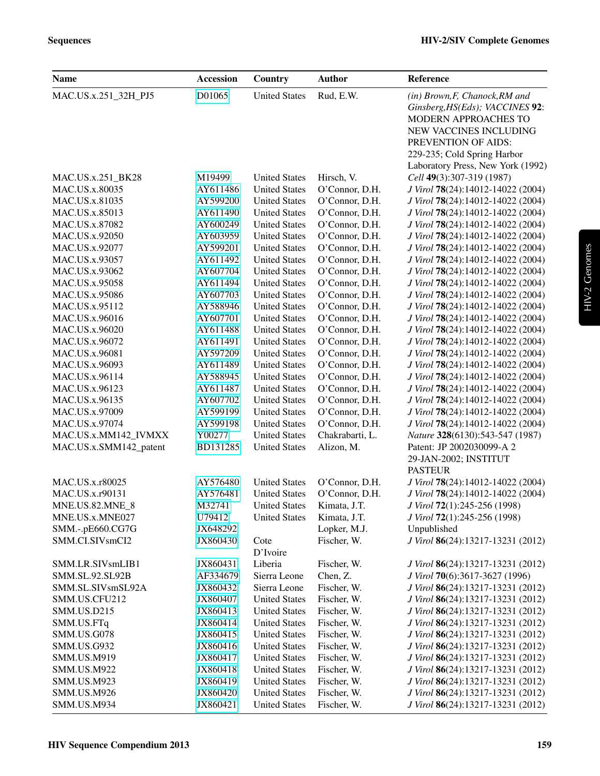| <b>Name</b>            | <b>Accession</b> | Country              | <b>Author</b>   | Reference                                                                                                                                                                 |
|------------------------|------------------|----------------------|-----------------|---------------------------------------------------------------------------------------------------------------------------------------------------------------------------|
| MAC.US.x.251_32H_PJ5   | D01065           | <b>United States</b> | Rud, E.W.       | (in) Brown, F, Chanock, RM and<br>Ginsberg, HS(Eds); VACCINES 92:<br>MODERN APPROACHES TO<br>NEW VACCINES INCLUDING<br>PREVENTION OF AIDS:<br>229-235; Cold Spring Harbor |
| MAC.US.x.251_BK28      | M19499           | <b>United States</b> | Hirsch, V.      | Laboratory Press, New York (1992)<br>Cell 49(3):307-319 (1987)                                                                                                            |
| MAC.US.x.80035         | AY611486         | <b>United States</b> | O'Connor, D.H.  | J Virol 78(24):14012-14022 (2004)                                                                                                                                         |
| MAC.US.x.81035         | AY599200         | <b>United States</b> | O'Connor, D.H.  | J Virol 78(24):14012-14022 (2004)                                                                                                                                         |
| MAC.US.x.85013         | AY611490         | <b>United States</b> | O'Connor, D.H.  | J Virol 78(24):14012-14022 (2004)                                                                                                                                         |
| MAC.US.x.87082         | AY600249         | <b>United States</b> | O'Connor, D.H.  | J Virol 78(24):14012-14022 (2004)                                                                                                                                         |
| MAC.US.x.92050         | AY603959         | <b>United States</b> | O'Connor, D.H.  | J Virol 78(24):14012-14022 (2004)                                                                                                                                         |
| MAC.US.x.92077         | AY599201         | <b>United States</b> | O'Connor, D.H.  | J Virol 78(24):14012-14022 (2004)                                                                                                                                         |
| MAC.US.x.93057         | AY611492         | <b>United States</b> | O'Connor, D.H.  | J Virol 78(24):14012-14022 (2004)                                                                                                                                         |
| MAC.US.x.93062         | AY607704         | <b>United States</b> | O'Connor, D.H.  | J Virol 78(24):14012-14022 (2004)                                                                                                                                         |
| MAC.US.x.95058         | AY611494         | <b>United States</b> | O'Connor, D.H.  | J Virol 78(24):14012-14022 (2004)                                                                                                                                         |
| <b>MAC.US.x.95086</b>  | AY607703         | <b>United States</b> | O'Connor, D.H.  | J Virol 78(24):14012-14022 (2004)                                                                                                                                         |
| MAC.US.x.95112         | AY588946         | <b>United States</b> | O'Connor, D.H.  | J Virol 78(24):14012-14022 (2004)                                                                                                                                         |
| <b>MAC.US.x.96016</b>  | AY607701         | <b>United States</b> | O'Connor, D.H.  | J Virol 78(24):14012-14022 (2004)                                                                                                                                         |
| <b>MAC.US.x.96020</b>  | AY611488         | <b>United States</b> | O'Connor, D.H.  | J Virol 78(24):14012-14022 (2004)                                                                                                                                         |
| MAC.US.x.96072         | AY611491         | <b>United States</b> | O'Connor, D.H.  | J Virol 78(24):14012-14022 (2004)                                                                                                                                         |
| MAC.US.x.96081         | AY597209         | <b>United States</b> | O'Connor, D.H.  | J Virol 78(24):14012-14022 (2004)                                                                                                                                         |
| MAC.US.x.96093         | AY611489         | <b>United States</b> | O'Connor, D.H.  | J Virol 78(24):14012-14022 (2004)                                                                                                                                         |
| MAC.US.x.96114         | AY588945         | <b>United States</b> | O'Connor, D.H.  | J Virol 78(24):14012-14022 (2004)                                                                                                                                         |
| MAC.US.x.96123         | AY611487         | <b>United States</b> | O'Connor, D.H.  | J Virol 78(24):14012-14022 (2004)                                                                                                                                         |
| MAC.US.x.96135         | AY607702         | <b>United States</b> | O'Connor, D.H.  | J Virol 78(24):14012-14022 (2004)                                                                                                                                         |
| MAC.US.x.97009         | AY599199         | <b>United States</b> | O'Connor, D.H.  | J Virol 78(24):14012-14022 (2004)                                                                                                                                         |
| MAC.US.x.97074         | AY599198         | <b>United States</b> | O'Connor, D.H.  | J Virol 78(24):14012-14022 (2004)                                                                                                                                         |
| MAC.US.x.MM142_IVMXX   | Y00277           | <b>United States</b> | Chakrabarti, L. | Nature 328(6130):543-547 (1987)                                                                                                                                           |
| MAC.US.x.SMM142_patent | BD131285         | <b>United States</b> | Alizon, M.      | Patent: JP 2002030099-A 2<br>29-JAN-2002; INSTITUT<br><b>PASTEUR</b>                                                                                                      |
| MAC.US.x.r80025        | AY576480         | <b>United States</b> | O'Connor, D.H.  | J Virol 78(24):14012-14022 (2004)                                                                                                                                         |
| MAC.US.x.r90131        | AY576481         | <b>United States</b> | O'Connor, D.H.  | J Virol 78(24):14012-14022 (2004)                                                                                                                                         |
| MNE.US.82.MNE_8        | M32741           | <b>United States</b> | Kimata, J.T.    | J Virol 72(1):245-256 (1998)                                                                                                                                              |
| MNE.US.x.MNE027        | U79412           | <b>United States</b> | Kimata, J.T.    | J Virol 72(1):245-256 (1998)                                                                                                                                              |
| SMM.-.pE660.CG7G       | JX648292         |                      | Lopker, M.J.    | Unpublished                                                                                                                                                               |
| SMM.CI.SIVsmCI2        | JX860430         | Cote<br>D'Ivoire     | Fischer, W.     | J Virol 86(24):13217-13231 (2012)                                                                                                                                         |
| SMM.LR.SIVsmLIB1       | JX860431         | Liberia              | Fischer, W.     | J Virol 86(24):13217-13231 (2012)                                                                                                                                         |
| <b>SMM.SL.92.SL92B</b> | AF334679         | Sierra Leone         | Chen, Z.        | J Virol 70(6):3617-3627 (1996)                                                                                                                                            |
| SMM.SL.SIVsmSL92A      | JX860432         | Sierra Leone         | Fischer, W.     | J Virol 86(24):13217-13231 (2012)                                                                                                                                         |
| SMM.US.CFU212          | JX860407         | <b>United States</b> | Fischer, W.     | J Virol 86(24):13217-13231 (2012)                                                                                                                                         |
| SMM.US.D215            | JX860413         | <b>United States</b> | Fischer, W.     | J Virol 86(24):13217-13231 (2012)                                                                                                                                         |
| SMM.US.FTq             | JX860414         | <b>United States</b> | Fischer, W.     | J Virol 86(24):13217-13231 (2012)                                                                                                                                         |
| SMM.US.G078            | JX860415         | <b>United States</b> | Fischer, W.     | J Virol 86(24):13217-13231 (2012)                                                                                                                                         |
| SMM.US.G932            | JX860416         | <b>United States</b> | Fischer, W.     | J Virol 86(24):13217-13231 (2012)                                                                                                                                         |
| SMM.US.M919            | JX860417         | <b>United States</b> | Fischer, W.     | J Virol 86(24):13217-13231 (2012)                                                                                                                                         |
| SMM.US.M922            | JX860418         | <b>United States</b> | Fischer, W.     | J Virol 86(24):13217-13231 (2012)                                                                                                                                         |
| SMM.US.M923            | JX860419         | <b>United States</b> | Fischer, W.     | J Virol 86(24):13217-13231 (2012)                                                                                                                                         |
| SMM.US.M926            | JX860420         | <b>United States</b> | Fischer, W.     | J Virol 86(24):13217-13231 (2012)                                                                                                                                         |
| SMM.US.M934            | JX860421         | <b>United States</b> | Fischer, W.     | J Virol 86(24):13217-13231 (2012)                                                                                                                                         |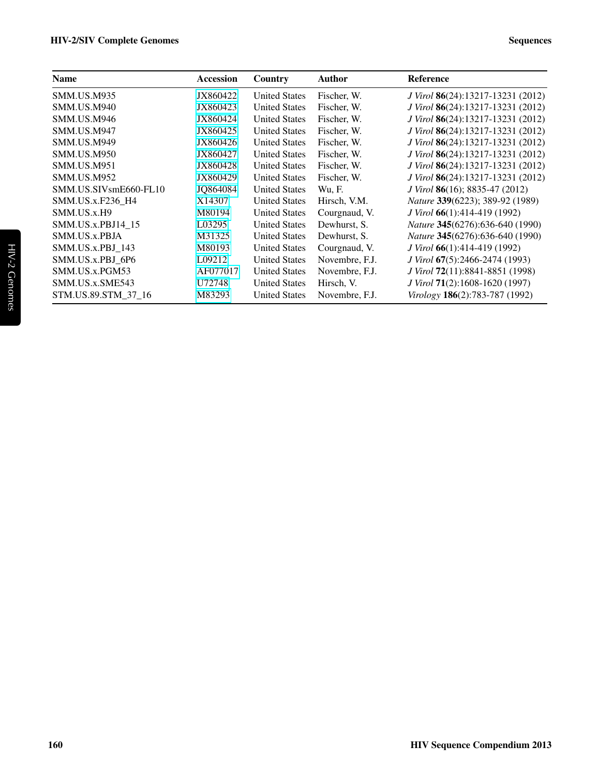| <b>Name</b>           | Accession | Country              | <b>Author</b>  | Reference                                      |
|-----------------------|-----------|----------------------|----------------|------------------------------------------------|
| <b>SMM.US.M935</b>    | JX860422  | <b>United States</b> | Fischer, W.    | J Virol 86(24):13217-13231 (2012)              |
| <b>SMM.US.M940</b>    | JX860423  | <b>United States</b> | Fischer, W.    | J Virol 86(24):13217-13231 (2012)              |
| SMM.US.M946           | JX860424  | <b>United States</b> | Fischer, W.    | J Virol 86(24):13217-13231 (2012)              |
| SMM.US.M947           | JX860425  | <b>United States</b> | Fischer, W.    | J Virol 86(24):13217-13231 (2012)              |
| <b>SMM.US.M949</b>    | JX860426  | <b>United States</b> | Fischer, W.    | J Virol 86(24):13217-13231 (2012)              |
| <b>SMM.US.M950</b>    | JX860427  | <b>United States</b> | Fischer, W.    | J Virol 86(24):13217-13231 (2012)              |
| <b>SMM.US.M951</b>    | JX860428  | <b>United States</b> | Fischer, W.    | J Virol 86(24):13217-13231 (2012)              |
| <b>SMM.US.M952</b>    | JX860429  | <b>United States</b> | Fischer, W.    | J Virol 86(24):13217-13231 (2012)              |
| SMM.US.SIVsmE660-FL10 | JQ864084  | <b>United States</b> | Wu, F.         | <i>J Virol</i> <b>86</b> (16); 8835-47 (2012)  |
| SMM.US.x.F236 H4      | X14307    | <b>United States</b> | Hirsch, V.M.   | <i>Nature</i> 339(6223); 389-92 (1989)         |
| SMM.US.x.H9           | M80194    | <b>United States</b> | Courgnaud, V.  | $J$ Virol 66(1):414-419 (1992)                 |
| SMM.US.x.PBJ14 15     | L03295    | <b>United States</b> | Dewhurst, S.   | <i>Nature</i> 345(6276):636-640 (1990)         |
| SMM.US.x.PBJA         | M31325    | <b>United States</b> | Dewhurst, S.   | <i>Nature</i> 345(6276):636-640 (1990)         |
| SMM.US.x.PBJ 143      | M80193    | <b>United States</b> | Courgnaud, V.  | <i>J Virol</i> <b>66</b> (1):414-419 (1992)    |
| SMM.US.x.PBJ 6P6      | L09212    | <b>United States</b> | Novembre, F.J. | <i>J Virol</i> <b>67</b> (5):2466-2474 (1993)  |
| SMM.US.x.PGM53        | AF077017  | <b>United States</b> | Novembre, F.J. | <i>J Virol</i> <b>72</b> (11):8841-8851 (1998) |
| SMM.US.x.SME543       | U72748    | <b>United States</b> | Hirsch, V.     | J Virol 71(2):1608-1620 (1997)                 |
| STM.US.89.STM 37 16   | M83293    | <b>United States</b> | Novembre, F.J. | Virology 186(2):783-787 (1992)                 |
|                       |           |                      |                |                                                |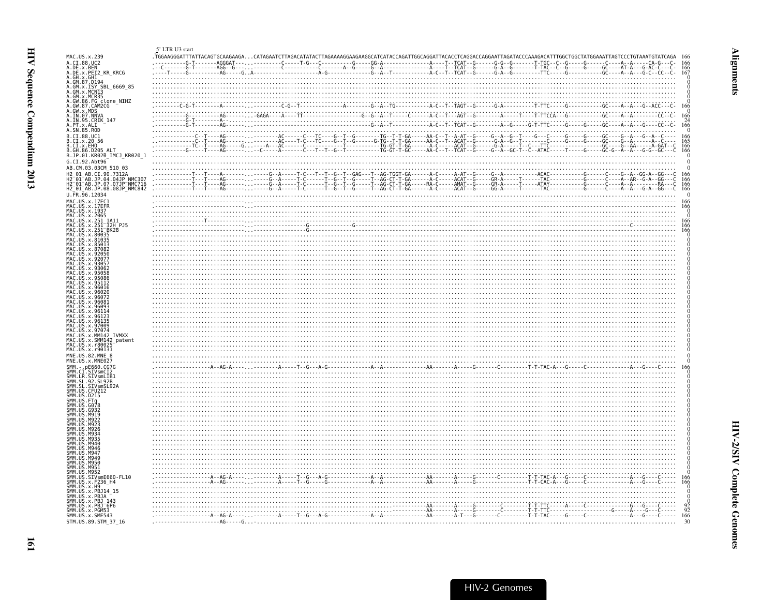<span id="page-6-1"></span><span id="page-6-0"></span>

|                                                                                                                                                                                           | 5' LTR U3 start |  |
|-------------------------------------------------------------------------------------------------------------------------------------------------------------------------------------------|-----------------|--|
| MAC.US.x.239                                                                                                                                                                              |                 |  |
| A.CI.88.UC2                                                                                                                                                                               |                 |  |
| A.DE.x.BEN                                                                                                                                                                                |                 |  |
| A.DE.x.PEI2_KR_KRCG<br>A.GH.x.GH1                                                                                                                                                         |                 |  |
| A.GM. x.GH1<br>A.GM. 87. D194<br>A.GM. x. ISY SBL_6669_85<br>A.GM. x. MCN13<br>A.GM. x. MCR35<br>A.GM. x. MCR35<br>A.GW. 86. FG_clone_NIHZ<br>A.GW. 86. FG_clone_NIHZ<br>A.GW. 87. CAM2CG |                 |  |
|                                                                                                                                                                                           |                 |  |
|                                                                                                                                                                                           |                 |  |
|                                                                                                                                                                                           |                 |  |
| A.GW.x.MDS                                                                                                                                                                                |                 |  |
| A. IN. 07. NNVA                                                                                                                                                                           |                 |  |
| A. IN. 95. CRIK_147<br>A. PT. x. ALI                                                                                                                                                      |                 |  |
|                                                                                                                                                                                           |                 |  |
| A.SN.85.ROD                                                                                                                                                                               |                 |  |
| B.CI.88.UC1                                                                                                                                                                               |                 |  |
| B.CI.x.20 56<br>B.CI.x.EHO<br>B.GH.86.D205_ALT                                                                                                                                            |                 |  |
|                                                                                                                                                                                           |                 |  |
| B.JP.01.KR020 IMCJ KR020 1                                                                                                                                                                |                 |  |
| G.CI.92.Abt96                                                                                                                                                                             |                 |  |
| AB.CM.03.03CM 510 03                                                                                                                                                                      |                 |  |
| H2 01 AB.CI.90.7312A                                                                                                                                                                      |                 |  |
|                                                                                                                                                                                           |                 |  |
| H2-01-AB.JP.04.04JP NMC307<br>H2-01-AB.JP.07.07JP NMC716<br>H2-01-AB.JP.08.08JP NMC842                                                                                                    |                 |  |
| U.FR.96.12034                                                                                                                                                                             |                 |  |
| MAC.US.x.17EC1                                                                                                                                                                            |                 |  |
| MAC.US.x.17EFR                                                                                                                                                                            |                 |  |
|                                                                                                                                                                                           |                 |  |
|                                                                                                                                                                                           |                 |  |
|                                                                                                                                                                                           |                 |  |
| MAC.US.x.1937<br>MAC.US.x.2065<br>MAC.US.x.251_1A11<br>MAC.US.x.251_32H_PJ5<br>MAC.US.x.251_8K28                                                                                          |                 |  |
| US.x.80035<br>MAC.US.x.81035                                                                                                                                                              |                 |  |
| .US.x.85013                                                                                                                                                                               |                 |  |
| MAC.US.x.87082                                                                                                                                                                            |                 |  |
|                                                                                                                                                                                           |                 |  |
| MAC.US.x.92077<br>.US.x.9305                                                                                                                                                              |                 |  |
| MAC.US.x.9306                                                                                                                                                                             |                 |  |
| US x 9505                                                                                                                                                                                 |                 |  |
| .US.x.9508                                                                                                                                                                                |                 |  |
| .US.x.96016                                                                                                                                                                               |                 |  |
| .US.x.9602                                                                                                                                                                                |                 |  |
| US.x.96072                                                                                                                                                                                |                 |  |
| US.x.9608<br>US.x.96093                                                                                                                                                                   |                 |  |
| US.x.96114                                                                                                                                                                                |                 |  |
| U.S. x. 9612                                                                                                                                                                              |                 |  |
| US.x.97009                                                                                                                                                                                |                 |  |
| MAC.US.x.97074                                                                                                                                                                            |                 |  |
| MAC.US.x.MM142 IVMXX<br>MAC.US.x.SMM142 patent                                                                                                                                            |                 |  |
|                                                                                                                                                                                           |                 |  |
| MAC.US.x.r80025<br>MAC.US.x.r90131                                                                                                                                                        |                 |  |
| MNE.US.82.MNE 8                                                                                                                                                                           |                 |  |
| MNE.US.x.MNE027                                                                                                                                                                           |                 |  |
| $-$ .pE660.CG7G                                                                                                                                                                           |                 |  |
|                                                                                                                                                                                           |                 |  |
|                                                                                                                                                                                           |                 |  |
| SMM. C.L.SIVSMCI2<br>SMM. LR. SIVSMLIB1<br>SMM. LR. SIVSMLIB1<br>SMM. SL. SIVSMSL928<br>SMM. US. CEU212                                                                                   |                 |  |
|                                                                                                                                                                                           |                 |  |
| SMM.US.D215                                                                                                                                                                               |                 |  |
| SMM.US.FTa<br>SMM. US. G078                                                                                                                                                               |                 |  |
| G932                                                                                                                                                                                      |                 |  |
|                                                                                                                                                                                           |                 |  |
| M921                                                                                                                                                                                      |                 |  |
| .M923<br>M926                                                                                                                                                                             |                 |  |
| M934                                                                                                                                                                                      |                 |  |
| M935                                                                                                                                                                                      |                 |  |
| M940<br>M946.                                                                                                                                                                             |                 |  |
| M947                                                                                                                                                                                      |                 |  |
| M949                                                                                                                                                                                      |                 |  |
| M950                                                                                                                                                                                      |                 |  |
| SMM.US.M951<br>SMM.US.M952                                                                                                                                                                |                 |  |
| SMM.US.SIVsmE660-FL10                                                                                                                                                                     |                 |  |
| SMM. US. x. F236_H4<br>SMM. US. x. H9                                                                                                                                                     |                 |  |
|                                                                                                                                                                                           |                 |  |
| SMM. US. x. PBJ14_15<br>SMM.US.x.PBJA                                                                                                                                                     |                 |  |
| SMM.US.x.PBJ 143<br>SMM.US.x.PBJ 6P6                                                                                                                                                      |                 |  |
|                                                                                                                                                                                           |                 |  |
| SMM.US.x.PGM53<br>SMM.US.x.SME543                                                                                                                                                         |                 |  |
|                                                                                                                                                                                           |                 |  |
| STM.US.89.STM 37 16                                                                                                                                                                       |                 |  |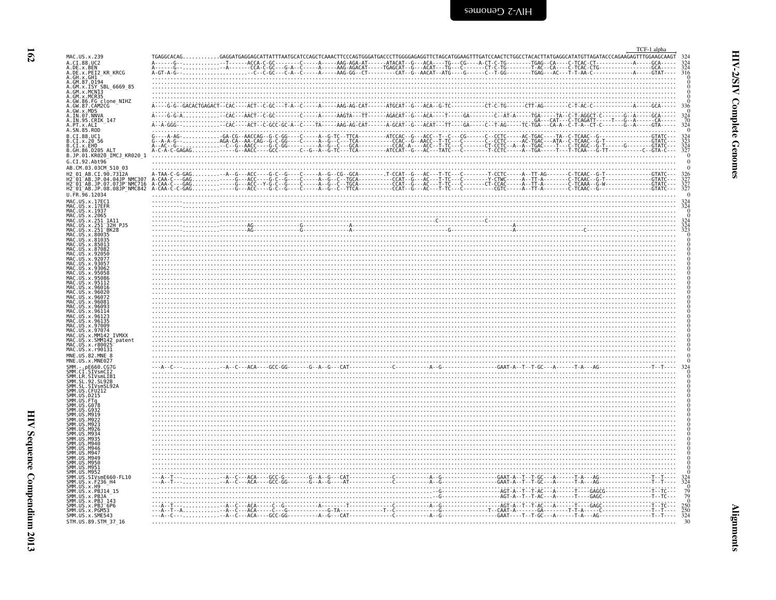<span id="page-7-0"></span>

| MAC.US.x.239                                                                                                                                              | TGAGGCACAGGAGGATGAGGAGCATTATTTAATGCATCCAGCTCAAACTTCCCAGTGGGATGACCCTTGGGGAGAGGTTCTAGCATGGAAGTTTGATCCAACTCTGGCCTACACTTATGAGGCATATGTTAGATACCCAGAAGAGTTTGGAAGCAAGT |  |  |  |                                                                                                                                                                                                                                   |  |  | TCF-1 alpha |
|-----------------------------------------------------------------------------------------------------------------------------------------------------------|----------------------------------------------------------------------------------------------------------------------------------------------------------------|--|--|--|-----------------------------------------------------------------------------------------------------------------------------------------------------------------------------------------------------------------------------------|--|--|-------------|
| A.CI.88.UC2<br>A.DE.x.BEN<br>A.DE.x.PEI2 KR KRCG<br>A.GH.x.GH1                                                                                            |                                                                                                                                                                |  |  |  |                                                                                                                                                                                                                                   |  |  |             |
| A.GM.87.D194                                                                                                                                              |                                                                                                                                                                |  |  |  |                                                                                                                                                                                                                                   |  |  |             |
| A.GM. 8. ISY SBL 6669 85<br>A.GM. x. ISY SBL 6669 85<br>A.GM. x. MCN13<br>A.GW. 86. FG clone NIHZ<br>A.GW. 87. CAM2CG<br>A.GW. 87. CAM2CG<br>A.GW. x. MDS |                                                                                                                                                                |  |  |  |                                                                                                                                                                                                                                   |  |  |             |
| A. IN. 07. NNVA<br>A. IN. 95. CRIK_147<br>A.PT.x.ALI                                                                                                      |                                                                                                                                                                |  |  |  |                                                                                                                                                                                                                                   |  |  |             |
| A.SN.85.ROD<br>B.CI.88.UC1<br>B.CI.x.20 56<br>B.CI.x.EHO<br>B.GH.86.D205 ALT                                                                              |                                                                                                                                                                |  |  |  |                                                                                                                                                                                                                                   |  |  |             |
| B.JP.01.KR020_IMCJ_KR020_1<br>G.CI.92.Abt96                                                                                                               |                                                                                                                                                                |  |  |  |                                                                                                                                                                                                                                   |  |  |             |
| AB.CM.03.03CM 510 03                                                                                                                                      |                                                                                                                                                                |  |  |  |                                                                                                                                                                                                                                   |  |  |             |
| U.FR.96.12034                                                                                                                                             |                                                                                                                                                                |  |  |  |                                                                                                                                                                                                                                   |  |  |             |
| MAC.US.x.17EC1<br>MAC.US.x.17EFR<br>MAC.US.x.1937                                                                                                         |                                                                                                                                                                |  |  |  |                                                                                                                                                                                                                                   |  |  |             |
| MAC.US.x.2065<br>∷US.x.251 1A11<br>MAC.US.x.251 <sup>-</sup> 32H PJ5                                                                                      |                                                                                                                                                                |  |  |  |                                                                                                                                                                                                                                   |  |  |             |
| US.x.251 <sup>-</sup> BK28<br>MAC.US.x.80035<br>MAC.US.x.81035                                                                                            |                                                                                                                                                                |  |  |  |                                                                                                                                                                                                                                   |  |  |             |
| MAC.US.x.85013<br>.us.x.87082<br>MAC.US.x.92056<br>MAC.US.x.92077                                                                                         |                                                                                                                                                                |  |  |  |                                                                                                                                                                                                                                   |  |  |             |
| MAC.US.x.9305                                                                                                                                             |                                                                                                                                                                |  |  |  |                                                                                                                                                                                                                                   |  |  |             |
| MAC.US.x.96016<br>.US.x.96020                                                                                                                             |                                                                                                                                                                |  |  |  |                                                                                                                                                                                                                                   |  |  |             |
| . US . x . 960.<br>MAC.US.x.96093                                                                                                                         |                                                                                                                                                                |  |  |  |                                                                                                                                                                                                                                   |  |  |             |
| MAC.US.x.96114<br>MAC.US.x.96123<br>MAC.US.x.96135<br>MAC.US.x.97009                                                                                      |                                                                                                                                                                |  |  |  |                                                                                                                                                                                                                                   |  |  |             |
| : US.x.97074<br>MAC.US.x.MM142 IVMXX<br>MAC.US.x.SMM142 patent                                                                                            |                                                                                                                                                                |  |  |  |                                                                                                                                                                                                                                   |  |  |             |
| MAC.US.x.r80025<br>MAC.US.x.r90131<br>MNE.US.82.MNE 8                                                                                                     |                                                                                                                                                                |  |  |  |                                                                                                                                                                                                                                   |  |  |             |
| MNE.US.x.MNE027<br>SMM. - . pE660.CG7G<br>SMM.CI.SIVsmCl2                                                                                                 |                                                                                                                                                                |  |  |  | $\frac{1}{2}$ . The contract of the contract of the contract of the contract of the contract of the contract of the contract of the contract of the contract of the contract of the contract of the contract of the contract of t |  |  |             |
| SMM.LR.SIVSMLIB1<br>SMM.SL.92.SL92B<br>SL.92.SL92B<br>SMM.SL.SIVsmSL92A                                                                                   |                                                                                                                                                                |  |  |  |                                                                                                                                                                                                                                   |  |  |             |
| SMM.US.CFU212<br>SMM.US.D215<br>SMM. US. FT <sub>0</sub><br><b>JIS GO78</b>                                                                               |                                                                                                                                                                |  |  |  |                                                                                                                                                                                                                                   |  |  |             |
| SMM IIS GORS<br>SMM.US.M919<br>SMM IIS M923                                                                                                               |                                                                                                                                                                |  |  |  |                                                                                                                                                                                                                                   |  |  |             |
| SMM. U.S. M93!                                                                                                                                            |                                                                                                                                                                |  |  |  |                                                                                                                                                                                                                                   |  |  |             |
| SMM.US.M940<br>SMM. US. M946<br>SMM IIS M941                                                                                                              |                                                                                                                                                                |  |  |  |                                                                                                                                                                                                                                   |  |  |             |
| SMM.US.M949<br>SMM. US. M950<br>SMM.US.M951                                                                                                               |                                                                                                                                                                |  |  |  |                                                                                                                                                                                                                                   |  |  |             |
| SMM.US.M952<br>SMM.US.SIVsmE660-FL10<br>SMM. US. x. F236_H4<br>SMM. US. x. H9                                                                             |                                                                                                                                                                |  |  |  |                                                                                                                                                                                                                                   |  |  |             |
| SMM.US.x.PBJ14 15<br>SMM.US.x.PBJA<br>SMM.US.x.PBJ 143<br>SMM.US.x.PBJ 6P6<br>SMM.US.x.PGM53                                                              |                                                                                                                                                                |  |  |  |                                                                                                                                                                                                                                   |  |  |             |
|                                                                                                                                                           |                                                                                                                                                                |  |  |  |                                                                                                                                                                                                                                   |  |  |             |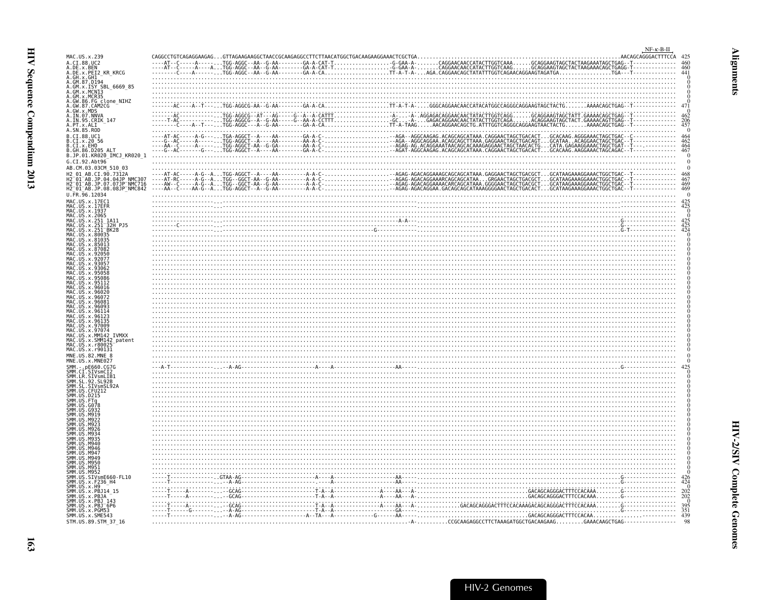<span id="page-8-0"></span>

| MAC.US.x.239<br>A.CI.88.UC2                                                                                                                                                              |  |                                                                                                                                                                                                                               |  | $NF-\kappa-B-\Pi$<br>AACAGCAGGGACTTTCCA |
|------------------------------------------------------------------------------------------------------------------------------------------------------------------------------------------|--|-------------------------------------------------------------------------------------------------------------------------------------------------------------------------------------------------------------------------------|--|-----------------------------------------|
| A.DE.x.BEN<br>A.DE.x.PEI2_KR_KRCG                                                                                                                                                        |  |                                                                                                                                                                                                                               |  |                                         |
| A.GH.x.GH1<br>A.GM.87.D194                                                                                                                                                               |  |                                                                                                                                                                                                                               |  |                                         |
| A.GM.x.ISY SBL 6669 85<br>A.GM.x.MCNI3                                                                                                                                                   |  |                                                                                                                                                                                                                               |  |                                         |
| A.GM.x.MCR35                                                                                                                                                                             |  |                                                                                                                                                                                                                               |  |                                         |
|                                                                                                                                                                                          |  |                                                                                                                                                                                                                               |  |                                         |
|                                                                                                                                                                                          |  |                                                                                                                                                                                                                               |  |                                         |
| A .GW.86.FG clone_NIHZ<br>A .GW.86.FG clone_NIHZ<br>A .GW.87.CAM2CG<br>A .IN .O.7.NNVA<br>A .IN .97.NNVA<br>A .IN .95 .CRIK_147<br>A .PT .x .ALI<br>A .SN .85 .R0D                       |  |                                                                                                                                                                                                                               |  |                                         |
| B.CI.88.UC1<br>B.CI.x.20 56                                                                                                                                                              |  |                                                                                                                                                                                                                               |  |                                         |
| B.CI.X.EHO<br>B.GH.86.D205 ALT                                                                                                                                                           |  |                                                                                                                                                                                                                               |  |                                         |
| B.JP.01.KR020 IMCJ KR020 1<br>G.CI.92.Abt96                                                                                                                                              |  |                                                                                                                                                                                                                               |  |                                         |
| AB.CM.03.03CM 510 03                                                                                                                                                                     |  |                                                                                                                                                                                                                               |  |                                         |
| H2 01 AB.CI.90.7312A                                                                                                                                                                     |  |                                                                                                                                                                                                                               |  |                                         |
| H2-01-AB.JP.04.0416<br>H2-01-AB.JP.07.07JP-NMC716<br>H2-01-AB.JP.08.08JP-NMC716<br>H2-01-AB.JP.08.08JP-NMC842                                                                            |  |                                                                                                                                                                                                                               |  |                                         |
| U.FR.96.12034<br>MAC.US.x.17EC1                                                                                                                                                          |  |                                                                                                                                                                                                                               |  |                                         |
| MAC.US.x.17EER<br>MAC. US. x. 1937                                                                                                                                                       |  |                                                                                                                                                                                                                               |  |                                         |
| MAC.US.x.2065<br>MAC.US.x.251 1A11                                                                                                                                                       |  |                                                                                                                                                                                                                               |  |                                         |
| MAC.US.x.251-32H-PJ5<br>MAC.US.x.251-BK28<br>MAC.US.x.80035                                                                                                                              |  |                                                                                                                                                                                                                               |  |                                         |
| US.x.81035                                                                                                                                                                               |  |                                                                                                                                                                                                                               |  |                                         |
|                                                                                                                                                                                          |  |                                                                                                                                                                                                                               |  |                                         |
|                                                                                                                                                                                          |  |                                                                                                                                                                                                                               |  |                                         |
| US.x.9306.                                                                                                                                                                               |  | <u> El seu de la construcción de la construcción de la construcción de la construcción de la construcción de la c</u>                                                                                                         |  |                                         |
|                                                                                                                                                                                          |  |                                                                                                                                                                                                                               |  |                                         |
| MAC.US.x.96016                                                                                                                                                                           |  |                                                                                                                                                                                                                               |  |                                         |
| MAC. US. x. 96020<br>MAC.US.x.96072                                                                                                                                                      |  |                                                                                                                                                                                                                               |  |                                         |
| MAC. US. x. 9608.<br>.US.x.96093                                                                                                                                                         |  |                                                                                                                                                                                                                               |  |                                         |
| US.x.961<br>US.x.96123                                                                                                                                                                   |  |                                                                                                                                                                                                                               |  |                                         |
| US.x.961<br>US.x.97009                                                                                                                                                                   |  |                                                                                                                                                                                                                               |  |                                         |
| US.x.97074<br>US.x.MM142 IVMXX                                                                                                                                                           |  |                                                                                                                                                                                                                               |  |                                         |
| MAC.US.x.SMM142_patent<br>MAC.US.x.r80025<br>.US.x.r80025                                                                                                                                |  |                                                                                                                                                                                                                               |  |                                         |
| MAC.US.x.r90131<br>MNE.US.82.MNE 8                                                                                                                                                       |  |                                                                                                                                                                                                                               |  |                                         |
| MNE.US.x.MNE027                                                                                                                                                                          |  |                                                                                                                                                                                                                               |  |                                         |
|                                                                                                                                                                                          |  | $A_1$ , $A_2$ , $A_3$ , $A_4$ , $A_5$ , $A_2$ , $A_3$ , $A_2$ , $A_3$ , $A_4$ , $A_5$ , $A_6$ , $A_7$ , $A_8$ , $A_9$ , $A_9$ , $A_9$ , $A_9$ , $A_9$ , $A_9$ , $A_9$ , $A_9$ , $A_9$ , $A_9$ , $A_9$ , $A_9$ , $A_9$ , $A_9$ |  |                                         |
|                                                                                                                                                                                          |  |                                                                                                                                                                                                                               |  |                                         |
| WHERE CONTROLLING SMITHS<br>SMM. CI. SIVSMCI2<br>SMM. LR. SIVSMLIB1<br>SMM. SL. SIVSMLIB1<br>SMM. SL. SIVSMSL92A<br>SMM. US. CFU212<br>SMM. US. CFU212<br>SMM. US. DZ15<br>SMM. US. DZ15 |  |                                                                                                                                                                                                                               |  |                                         |
|                                                                                                                                                                                          |  |                                                                                                                                                                                                                               |  |                                         |
| SMM.US<br>M919                                                                                                                                                                           |  |                                                                                                                                                                                                                               |  |                                         |
| <b>SMM 11S</b><br>M922<br><b>SMM.US.M923</b>                                                                                                                                             |  |                                                                                                                                                                                                                               |  |                                         |
| SMM.US<br>M926<br><b>SMM 11S</b><br>MQ34                                                                                                                                                 |  |                                                                                                                                                                                                                               |  |                                         |
| SMM.US<br>MQ3'<br>SMM.US                                                                                                                                                                 |  |                                                                                                                                                                                                                               |  |                                         |
| SMM.US<br>M946<br>SMM.US<br>M947                                                                                                                                                         |  |                                                                                                                                                                                                                               |  |                                         |
| SMM.US<br>M949<br>SMM. US. M950                                                                                                                                                          |  |                                                                                                                                                                                                                               |  |                                         |
|                                                                                                                                                                                          |  |                                                                                                                                                                                                                               |  |                                         |
| SMM: US. 19951<br>SMM. US. 19951<br>SMM. US. 19952<br>SMM. US. X. F236_H4<br>SMM. US. X. F236_H4<br>SMM. US. X. H9<br>SMM. US. X. BR114_15                                               |  |                                                                                                                                                                                                                               |  |                                         |
| SMM. US. x. PBJ14_15                                                                                                                                                                     |  |                                                                                                                                                                                                                               |  |                                         |
| SMM.US.x.PBJA<br>SMM.US.x.PBJ_143                                                                                                                                                        |  |                                                                                                                                                                                                                               |  |                                         |
| SMM.US.x.PBJ 6P6<br>SMM. US. x. PGM53                                                                                                                                                    |  |                                                                                                                                                                                                                               |  |                                         |
| SMM. US. x. SME543<br>STM.US.89.STM 37 16                                                                                                                                                |  |                                                                                                                                                                                                                               |  |                                         |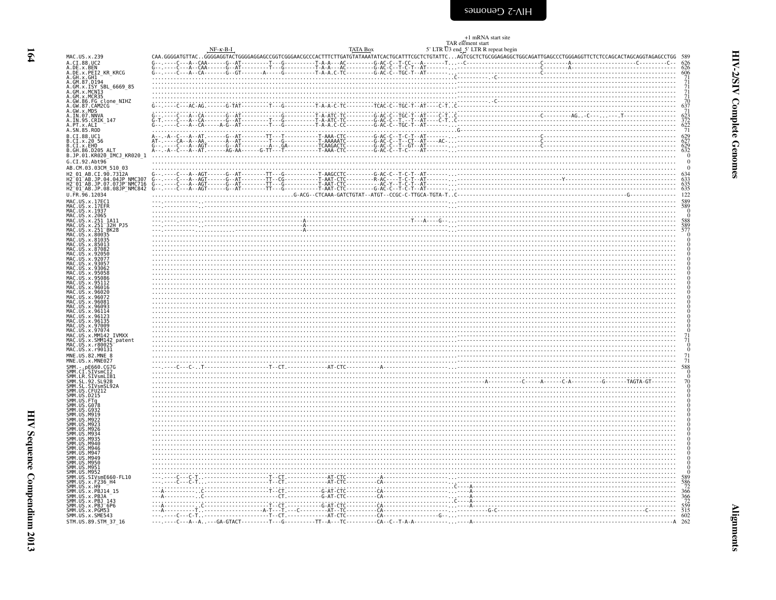<span id="page-9-0"></span>

|                                                                                                                                                                                                                                                                       |  |  | +1 mRNA start site                                                                                                                                                                                                                              |                                                                                                  |
|-----------------------------------------------------------------------------------------------------------------------------------------------------------------------------------------------------------------------------------------------------------------------|--|--|-------------------------------------------------------------------------------------------------------------------------------------------------------------------------------------------------------------------------------------------------|--------------------------------------------------------------------------------------------------|
|                                                                                                                                                                                                                                                                       |  |  | H-R-B-I<br>NF-R-B-I<br>NF-R-B-I<br>NF-R-B-I TATA Box<br>STR D3 end 5' LTR R repeat begin<br>STR D3 end 5' LTR R repeat begin<br>STR D3 end 5' LTR R repeat begin<br>STR D3 end 5' LTR R repeat begin<br>STR D3 end 5' LTR R repeat begin<br>STR |                                                                                                  |
| MAC.US.x.239<br>A.CI.88.UC2                                                                                                                                                                                                                                           |  |  |                                                                                                                                                                                                                                                 |                                                                                                  |
| A.DE.x.BEN<br>A.DE.x.PEI2 KR KRCG                                                                                                                                                                                                                                     |  |  |                                                                                                                                                                                                                                                 |                                                                                                  |
| A. DE. x. DEI 2 KR_KRCG<br>A. GH. x. GH1 2 KR_KRCG<br>A. GM. x. J. EY<br>A. GM. x. J. EY<br>A. GM. x. J. EY<br>A. GM. x. MCR35<br>A. GM. x. MCR35<br>A. GM. 87. CAM2CG<br>A. J. W. S. CAM2CG<br>A. J. N. 95. CRIK_147<br>A. IN. 95. CRIK_147<br>A. IN. 95. CRIK       |  |  |                                                                                                                                                                                                                                                 | $\begin{array}{c} 606 \\ 711 \\ 711 \\ 711 \\ 710 \\ 637 \\ 623 \\ 372 \\ 622 \\ 71 \end{array}$ |
|                                                                                                                                                                                                                                                                       |  |  |                                                                                                                                                                                                                                                 |                                                                                                  |
|                                                                                                                                                                                                                                                                       |  |  |                                                                                                                                                                                                                                                 |                                                                                                  |
|                                                                                                                                                                                                                                                                       |  |  |                                                                                                                                                                                                                                                 |                                                                                                  |
|                                                                                                                                                                                                                                                                       |  |  |                                                                                                                                                                                                                                                 |                                                                                                  |
|                                                                                                                                                                                                                                                                       |  |  |                                                                                                                                                                                                                                                 |                                                                                                  |
| B.CI.88.UC1<br>B.CI.x.20 56<br>B.CI.x.EHO                                                                                                                                                                                                                             |  |  |                                                                                                                                                                                                                                                 | $629$<br>$627$<br>$629$<br>$632$<br>$0$                                                          |
| B.GH.86.D205<br>ALT                                                                                                                                                                                                                                                   |  |  |                                                                                                                                                                                                                                                 |                                                                                                  |
| B.JP.01.KR020_IMCJ_KR020_1<br>G.CI.92.Abt96                                                                                                                                                                                                                           |  |  |                                                                                                                                                                                                                                                 | $\overline{0}$                                                                                   |
| AB.CM.03.03CM 510 03                                                                                                                                                                                                                                                  |  |  |                                                                                                                                                                                                                                                 | $\Omega$                                                                                         |
| H2 01 AB.CI.90.7312A                                                                                                                                                                                                                                                  |  |  |                                                                                                                                                                                                                                                 |                                                                                                  |
| H2-01-AB.JP.04.04JP<br>H2-01-AB.JP.04.04JP-NMC307<br>H2-01-AB.JP.07.07JP-NMC716<br>H2_01_AB.JP.08.08JP_NMC842                                                                                                                                                         |  |  |                                                                                                                                                                                                                                                 | $633$<br>$635$<br>$635$                                                                          |
| U.FR.96.12034                                                                                                                                                                                                                                                         |  |  |                                                                                                                                                                                                                                                 | 122                                                                                              |
| MAC.US.x.17EC1<br>MAC.US.x.17EFR<br>MAC.US.x.1937<br>MAC.US.x.2065                                                                                                                                                                                                    |  |  |                                                                                                                                                                                                                                                 | $\frac{589}{589}$<br>00                                                                          |
| MAC.US.x.251_1A11<br>MAC.US.x.251_32H_PJ5                                                                                                                                                                                                                             |  |  |                                                                                                                                                                                                                                                 | 588                                                                                              |
|                                                                                                                                                                                                                                                                       |  |  |                                                                                                                                                                                                                                                 | 589<br>577                                                                                       |
| MAC. US. x. 251–32H<br>MAC. US. x. 251–8K28<br>MAC. US. x. 80035<br>MAC. US. x. 85003<br>MAC. US. x. 87082<br>MAC. US. x. 92050<br>MAC. US. x. 92050<br>MAC. US. x. 92077                                                                                             |  |  |                                                                                                                                                                                                                                                 |                                                                                                  |
|                                                                                                                                                                                                                                                                       |  |  |                                                                                                                                                                                                                                                 |                                                                                                  |
|                                                                                                                                                                                                                                                                       |  |  |                                                                                                                                                                                                                                                 |                                                                                                  |
| MAC.US.x.93057<br>MAC. US. x. 93062                                                                                                                                                                                                                                   |  |  |                                                                                                                                                                                                                                                 |                                                                                                  |
| MAC.US.x.95058<br>MAC.US.x.95086<br>MAC.US.x.95112                                                                                                                                                                                                                    |  |  |                                                                                                                                                                                                                                                 |                                                                                                  |
| MAC.US.x.95112<br>MAC.US.x.96016<br>MAC.US.x.96020<br>MAC.US.x.96022<br>MAC.US.x.96093<br>MAC.US.x.96093<br>MAC.US.x.96114                                                                                                                                            |  |  |                                                                                                                                                                                                                                                 |                                                                                                  |
|                                                                                                                                                                                                                                                                       |  |  |                                                                                                                                                                                                                                                 |                                                                                                  |
|                                                                                                                                                                                                                                                                       |  |  |                                                                                                                                                                                                                                                 |                                                                                                  |
| MAC. US. x. 96123<br>MAC. US. x. 96135                                                                                                                                                                                                                                |  |  |                                                                                                                                                                                                                                                 |                                                                                                  |
| MAC.US.x.97009                                                                                                                                                                                                                                                        |  |  |                                                                                                                                                                                                                                                 |                                                                                                  |
| MAC.US.x.97074<br>MAC.US.x.MM142<br>US.x.MM142_IVMXX                                                                                                                                                                                                                  |  |  | <u> 1990 - Andrea Stadt British, fransk politik (f. 1981)</u>                                                                                                                                                                                   | $7^{0}_{71}_{00}$                                                                                |
| MAC.US.x.SMM142_patent<br>MAC.US.x.r80025<br>MAC.US.x.r90131                                                                                                                                                                                                          |  |  |                                                                                                                                                                                                                                                 |                                                                                                  |
| MNE.US.82.MNE 8<br>MNE.US.x.MNE027                                                                                                                                                                                                                                    |  |  |                                                                                                                                                                                                                                                 | $^{71}_{71}$                                                                                     |
|                                                                                                                                                                                                                                                                       |  |  |                                                                                                                                                                                                                                                 | 588                                                                                              |
| PINE. US. 2. FINERAL<br>SMM . CT_STVSITE12<br>SMM . IR. STVSITE12<br>SMM . IR. STVSITE12<br>SMM . SL. 32. STVSITE12<br>SMM . US. CFU212<br>SMM . US. CFU212<br>SMM . US. FTQ<br>SMM . US. 6032<br>SMM . US. 6032<br>SMM . US. 6032<br>SMM . US. 6032<br>SMM . US.     |  |  |                                                                                                                                                                                                                                                 |                                                                                                  |
|                                                                                                                                                                                                                                                                       |  |  |                                                                                                                                                                                                                                                 | $^{0}_{70}$                                                                                      |
|                                                                                                                                                                                                                                                                       |  |  |                                                                                                                                                                                                                                                 |                                                                                                  |
|                                                                                                                                                                                                                                                                       |  |  |                                                                                                                                                                                                                                                 |                                                                                                  |
| SMM.US<br>SMM.US<br>M92.                                                                                                                                                                                                                                              |  |  |                                                                                                                                                                                                                                                 |                                                                                                  |
| M923<br>SMM. US.M926<br>SMM. US.M934                                                                                                                                                                                                                                  |  |  |                                                                                                                                                                                                                                                 |                                                                                                  |
| SMM.US<br>MQ35                                                                                                                                                                                                                                                        |  |  |                                                                                                                                                                                                                                                 |                                                                                                  |
| SMM. US. M940                                                                                                                                                                                                                                                         |  |  |                                                                                                                                                                                                                                                 |                                                                                                  |
|                                                                                                                                                                                                                                                                       |  |  |                                                                                                                                                                                                                                                 |                                                                                                  |
|                                                                                                                                                                                                                                                                       |  |  |                                                                                                                                                                                                                                                 |                                                                                                  |
|                                                                                                                                                                                                                                                                       |  |  |                                                                                                                                                                                                                                                 |                                                                                                  |
|                                                                                                                                                                                                                                                                       |  |  |                                                                                                                                                                                                                                                 |                                                                                                  |
|                                                                                                                                                                                                                                                                       |  |  |                                                                                                                                                                                                                                                 |                                                                                                  |
| SMM: US: M946<br>SMM: US: M946<br>SMM: US: M949<br>SMM: US: M949<br>SMM: US: M959<br>SMM: US: M951<br>SMM: US: STV: STV: M560-<br>SMM: US: X: H9<br>SMM: US: X: H9314<br>SMM: US: X: PB314<br>SMM: US: X: PB314<br>SMM: US: X: PB3143<br>SMM: US: X: PB3143<br>SMM: U |  |  |                                                                                                                                                                                                                                                 | 0<br>589<br>586<br>572<br>366<br>366<br>515<br>515<br>602                                        |
| SMM.US.x.SME543                                                                                                                                                                                                                                                       |  |  |                                                                                                                                                                                                                                                 |                                                                                                  |
| STM.US.89.STM_37_16                                                                                                                                                                                                                                                   |  |  |                                                                                                                                                                                                                                                 | 262                                                                                              |

**Alignments**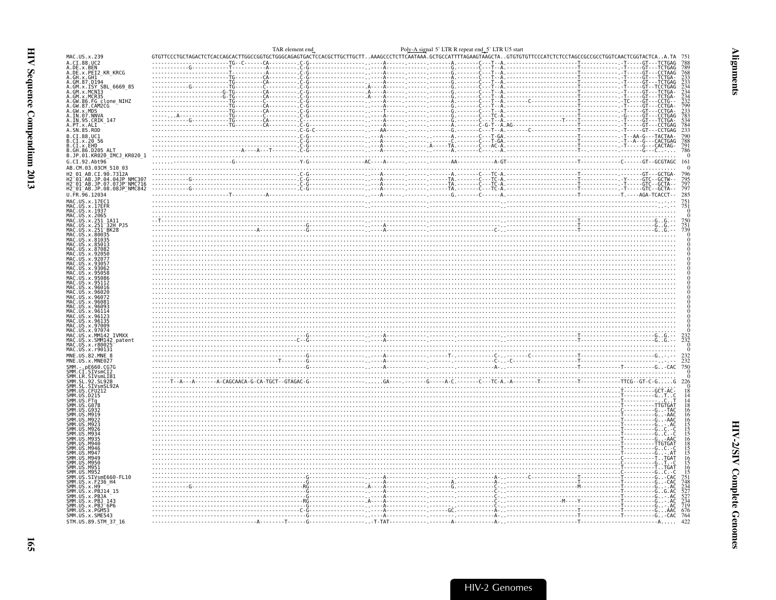<span id="page-10-0"></span>

|                                                                                                                                                                                                                                                                    |                                                                                                                                                                                                                                     | TAR element end | Poly-A signal 5' LTR R repeat end_5' LTR U5 start |  |                |
|--------------------------------------------------------------------------------------------------------------------------------------------------------------------------------------------------------------------------------------------------------------------|-------------------------------------------------------------------------------------------------------------------------------------------------------------------------------------------------------------------------------------|-----------------|---------------------------------------------------|--|----------------|
| MAC.US.x.239<br>A.CI.88.UC2                                                                                                                                                                                                                                        |                                                                                                                                                                                                                                     |                 |                                                   |  |                |
| A.DE.x.BEN<br>A.DE.x.PEI2_KR_KRCG<br>A.GH.x.GH1                                                                                                                                                                                                                    |                                                                                                                                                                                                                                     |                 |                                                   |  |                |
| A.GM.87.D194                                                                                                                                                                                                                                                       |                                                                                                                                                                                                                                     |                 |                                                   |  |                |
|                                                                                                                                                                                                                                                                    |                                                                                                                                                                                                                                     |                 |                                                   |  |                |
|                                                                                                                                                                                                                                                                    |                                                                                                                                                                                                                                     |                 |                                                   |  |                |
|                                                                                                                                                                                                                                                                    |                                                                                                                                                                                                                                     |                 |                                                   |  |                |
|                                                                                                                                                                                                                                                                    |                                                                                                                                                                                                                                     |                 |                                                   |  |                |
| A. GM. 87. D194<br>A. GM. x. ISY SBL_6669_85<br>A. GM. x. MCN13<br>A. GM. x. MCR35<br>A. GM. 86. FG. clone_NIHZ<br>A. GM. 87. CAM2CG<br>A. IN. 97. NNVA<br>A. IN. 97. NNVA<br>A. IN. 97. NNVA<br>A. IN. 97. NNVA<br>A. FU. 32. RDL<br>A. SN. 85. ROD<br>A. SN. 85. |                                                                                                                                                                                                                                     |                 |                                                   |  |                |
| B.CI.88.UC1                                                                                                                                                                                                                                                        |                                                                                                                                                                                                                                     |                 |                                                   |  |                |
| B.CI.x.20 56<br>B.CI.x.20 56<br>B.CI.x.EHO<br>B.GH.86.D205 ALT<br>B.JP.01.KR020_IMCJ_KR020_1                                                                                                                                                                       |                                                                                                                                                                                                                                     |                 |                                                   |  |                |
| G.CI.92.Abt96                                                                                                                                                                                                                                                      |                                                                                                                                                                                                                                     |                 |                                                   |  |                |
| AB.CM.03.03CM_510_03                                                                                                                                                                                                                                               |                                                                                                                                                                                                                                     |                 |                                                   |  |                |
| CI.90.7312A                                                                                                                                                                                                                                                        |                                                                                                                                                                                                                                     |                 |                                                   |  |                |
| H2_01_AB.JP.04.04JP_NMC307<br>H2_01_AB.JP.07.07JP_NMC716<br>H2_01_AB.JP.07.07JP_NMC716                                                                                                                                                                             |                                                                                                                                                                                                                                     |                 |                                                   |  | 797            |
| U.FR.96.12034                                                                                                                                                                                                                                                      |                                                                                                                                                                                                                                     |                 |                                                   |  | 285            |
|                                                                                                                                                                                                                                                                    |                                                                                                                                                                                                                                     |                 |                                                   |  |                |
|                                                                                                                                                                                                                                                                    |                                                                                                                                                                                                                                     |                 |                                                   |  |                |
| MAC.US.x.251 <sup>-</sup> 32H_PJ5<br>MAC.US.x.251 <sup>-</sup> BK28                                                                                                                                                                                                |                                                                                                                                                                                                                                     |                 |                                                   |  |                |
| MAC.US.x.80035<br>MAC. US. x. 81035                                                                                                                                                                                                                                |                                                                                                                                                                                                                                     |                 |                                                   |  |                |
| MAC.US.x.85013                                                                                                                                                                                                                                                     |                                                                                                                                                                                                                                     |                 |                                                   |  |                |
|                                                                                                                                                                                                                                                                    |                                                                                                                                                                                                                                     |                 |                                                   |  |                |
|                                                                                                                                                                                                                                                                    |                                                                                                                                                                                                                                     |                 |                                                   |  |                |
|                                                                                                                                                                                                                                                                    |                                                                                                                                                                                                                                     |                 |                                                   |  |                |
|                                                                                                                                                                                                                                                                    |                                                                                                                                                                                                                                     |                 |                                                   |  |                |
|                                                                                                                                                                                                                                                                    |                                                                                                                                                                                                                                     |                 |                                                   |  |                |
|                                                                                                                                                                                                                                                                    |                                                                                                                                                                                                                                     |                 |                                                   |  |                |
|                                                                                                                                                                                                                                                                    |                                                                                                                                                                                                                                     |                 |                                                   |  |                |
|                                                                                                                                                                                                                                                                    |                                                                                                                                                                                                                                     |                 |                                                   |  |                |
| MAC.US.x.MM142 IVMXX<br>MAC.US.x.SMM142 patent                                                                                                                                                                                                                     |                                                                                                                                                                                                                                     |                 |                                                   |  |                |
| MAC.US.x.r80025<br>MAC.US.x.r90131                                                                                                                                                                                                                                 |                                                                                                                                                                                                                                     |                 |                                                   |  |                |
| MNE.US.82.MNE 8<br>MNE.US.x.MNE027                                                                                                                                                                                                                                 |                                                                                                                                                                                                                                     |                 |                                                   |  | $^{232}_{232}$ |
|                                                                                                                                                                                                                                                                    |                                                                                                                                                                                                                                     |                 |                                                   |  | 750            |
|                                                                                                                                                                                                                                                                    |                                                                                                                                                                                                                                     |                 |                                                   |  | 226            |
|                                                                                                                                                                                                                                                                    |                                                                                                                                                                                                                                     |                 |                                                   |  |                |
|                                                                                                                                                                                                                                                                    |                                                                                                                                                                                                                                     |                 |                                                   |  |                |
|                                                                                                                                                                                                                                                                    | ה בלבל במה במה במה המורח בהתוכני המורח בהתוכני המורח בהתוכני המורח בהתוכני המורח בהתוכני המורח בהתוכני המורח ב<br>המורח בהתוכני המורח בהתוכני המורח בהתוכני המורח בהתוכני המורח בהתוכני המורח בהתוכני המורח בהתוכני המורח בהתוכנ    |                 |                                                   |  |                |
| ŠMM. I                                                                                                                                                                                                                                                             |                                                                                                                                                                                                                                     |                 |                                                   |  |                |
|                                                                                                                                                                                                                                                                    | האריה המוכרים במוכרים במוכרים במוכרים במוכרים במוכרים במוכרים במוכרים במוכרים במוכרים במוכרים במוכרים במוכרים<br>סיום במוכרים במוכרים במוכרים במוכרים במוכרים במוכרים במוכרים במוכרים במוכרים במוכרים במוכרים במוכרים במוכרים ב<br> |                 |                                                   |  |                |
|                                                                                                                                                                                                                                                                    |                                                                                                                                                                                                                                     |                 |                                                   |  |                |
|                                                                                                                                                                                                                                                                    |                                                                                                                                                                                                                                     |                 |                                                   |  |                |
|                                                                                                                                                                                                                                                                    |                                                                                                                                                                                                                                     |                 |                                                   |  |                |
|                                                                                                                                                                                                                                                                    |                                                                                                                                                                                                                                     |                 |                                                   |  |                |
|                                                                                                                                                                                                                                                                    |                                                                                                                                                                                                                                     |                 |                                                   |  |                |
|                                                                                                                                                                                                                                                                    |                                                                                                                                                                                                                                     |                 |                                                   |  |                |
|                                                                                                                                                                                                                                                                    |                                                                                                                                                                                                                                     |                 |                                                   |  |                |
| 35 MW UUS : 1992<br>SAME UUS : 1992<br>SAME UUS : 1993<br>SAME UUS : 1994<br>SAME UUS : 1994<br>SAME UUS : 1994<br>SAME UUS : 1994<br>SAME UUS : 1995<br>SAME UUS : 2 : 1995<br>SAME UUS : 2 : 1995<br>SAME UUS : 2 : 1993<br>SAME UUS : 2 : 1993<br>SAME UUS : 2  | radical contract of the contract of the contract of the contract of the contract of the contract of the contract of the contract of the contract of the contract of the contract of the contract of the contract of the contra      |                 |                                                   |  |                |
|                                                                                                                                                                                                                                                                    |                                                                                                                                                                                                                                     |                 |                                                   |  | 676<br>-764    |
| STM.US.89.STM_37_16                                                                                                                                                                                                                                                |                                                                                                                                                                                                                                     |                 |                                                   |  | 422            |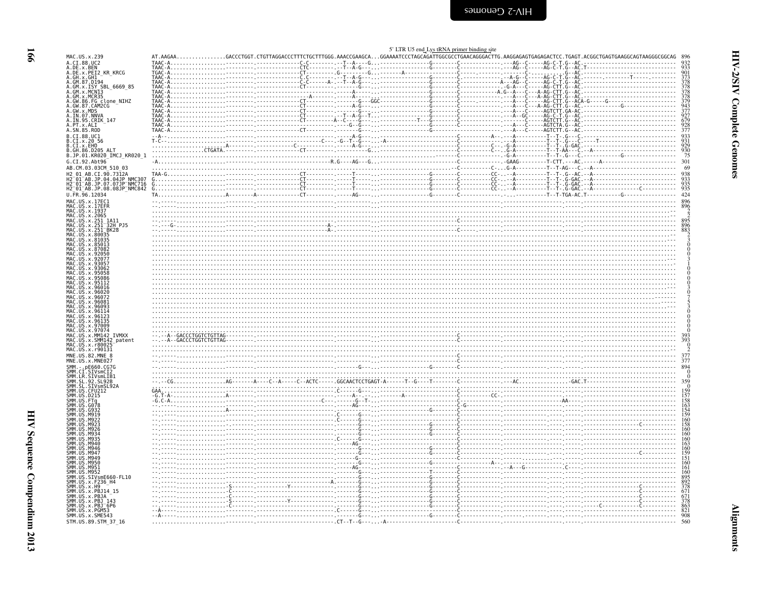<span id="page-11-0"></span>

| MAC. US. x. 239                                                                                                                                                                                                                                                       |  |  |  |                                                                                                                                                                                                                                                                                                                                                                                                                                                                                                                                                                                                                       |
|-----------------------------------------------------------------------------------------------------------------------------------------------------------------------------------------------------------------------------------------------------------------------|--|--|--|-----------------------------------------------------------------------------------------------------------------------------------------------------------------------------------------------------------------------------------------------------------------------------------------------------------------------------------------------------------------------------------------------------------------------------------------------------------------------------------------------------------------------------------------------------------------------------------------------------------------------|
|                                                                                                                                                                                                                                                                       |  |  |  | AT.AAGAACACCCTGGT.CTGTTAGGACCCTTTCTGCTTTGGG.AAACCGAAGCAGGAAAATCCCTAGCAGATTGGCGCCTGAACAGGGACTTG.AAGGAGAGTGAGAGACTCC.TGAGT.ACGGCTGAGTGAAGGCGGCAGTAGGGCGGCAG 896                                                                                                                                                                                                                                                                                                                                                                                                                                                         |
| A.CI.88.UC2                                                                                                                                                                                                                                                           |  |  |  |                                                                                                                                                                                                                                                                                                                                                                                                                                                                                                                                                                                                                       |
| A.DE.x.BEN                                                                                                                                                                                                                                                            |  |  |  |                                                                                                                                                                                                                                                                                                                                                                                                                                                                                                                                                                                                                       |
| A.DE.x.PEI2 KR KRCG<br>A.GH.x.GH1                                                                                                                                                                                                                                     |  |  |  |                                                                                                                                                                                                                                                                                                                                                                                                                                                                                                                                                                                                                       |
| A.GM.87.D194                                                                                                                                                                                                                                                          |  |  |  |                                                                                                                                                                                                                                                                                                                                                                                                                                                                                                                                                                                                                       |
| A GM. 87. D1994<br>A. GM. x. ISY SBL_6669_85<br>A. GM. x. MCR13<br>A. GM. x. MCR35<br>A. GM. 86. FG Clone_NIHZ<br>A. GM. 87. CAM2CG<br>A. IN. 97. CAM2CG<br>A. IN. 95. CRIK_147<br>A. IN. 97. CRIK_147<br>A. FU. 37. RSL<br>A. IN. 97. CRIK_147<br>A. SN. 85. R       |  |  |  | $\frac{1000 \text{ A}}{1000 \text{ A}} = \frac{1000 \text{ A}}{1000 \text{ A}} = \frac{1000 \text{ A}}{1000 \text{ A}} = \frac{1000 \text{ A}}{1000 \text{ A}} = \frac{1000 \text{ A}}{1000 \text{ A}} = \frac{1000 \text{ A}}{1000 \text{ A}} = \frac{1000 \text{ A}}{1000 \text{ A}} = \frac{1000 \text{ A}}{1000 \text{ A}} = \frac{1000 \text{ A}}{1000 \text{ A}} = \frac{1000 \text{ A}}{$                                                                                                                                                                                                                      |
|                                                                                                                                                                                                                                                                       |  |  |  |                                                                                                                                                                                                                                                                                                                                                                                                                                                                                                                                                                                                                       |
|                                                                                                                                                                                                                                                                       |  |  |  |                                                                                                                                                                                                                                                                                                                                                                                                                                                                                                                                                                                                                       |
|                                                                                                                                                                                                                                                                       |  |  |  |                                                                                                                                                                                                                                                                                                                                                                                                                                                                                                                                                                                                                       |
|                                                                                                                                                                                                                                                                       |  |  |  |                                                                                                                                                                                                                                                                                                                                                                                                                                                                                                                                                                                                                       |
|                                                                                                                                                                                                                                                                       |  |  |  |                                                                                                                                                                                                                                                                                                                                                                                                                                                                                                                                                                                                                       |
|                                                                                                                                                                                                                                                                       |  |  |  |                                                                                                                                                                                                                                                                                                                                                                                                                                                                                                                                                                                                                       |
|                                                                                                                                                                                                                                                                       |  |  |  |                                                                                                                                                                                                                                                                                                                                                                                                                                                                                                                                                                                                                       |
|                                                                                                                                                                                                                                                                       |  |  |  |                                                                                                                                                                                                                                                                                                                                                                                                                                                                                                                                                                                                                       |
| B.CI.88.UC1<br>B.CI.x.20 56<br>B.CI.x.EHO<br>B.GH.86.D205 ALT                                                                                                                                                                                                         |  |  |  |                                                                                                                                                                                                                                                                                                                                                                                                                                                                                                                                                                                                                       |
|                                                                                                                                                                                                                                                                       |  |  |  |                                                                                                                                                                                                                                                                                                                                                                                                                                                                                                                                                                                                                       |
|                                                                                                                                                                                                                                                                       |  |  |  |                                                                                                                                                                                                                                                                                                                                                                                                                                                                                                                                                                                                                       |
| B.JP.01.KR020_IMCJ_KR020_1                                                                                                                                                                                                                                            |  |  |  |                                                                                                                                                                                                                                                                                                                                                                                                                                                                                                                                                                                                                       |
|                                                                                                                                                                                                                                                                       |  |  |  |                                                                                                                                                                                                                                                                                                                                                                                                                                                                                                                                                                                                                       |
| G.CI.92.Abt96                                                                                                                                                                                                                                                         |  |  |  |                                                                                                                                                                                                                                                                                                                                                                                                                                                                                                                                                                                                                       |
| AB.CM.03.03CM 510 03                                                                                                                                                                                                                                                  |  |  |  |                                                                                                                                                                                                                                                                                                                                                                                                                                                                                                                                                                                                                       |
| H2 01 AB.CI.90.7312A                                                                                                                                                                                                                                                  |  |  |  |                                                                                                                                                                                                                                                                                                                                                                                                                                                                                                                                                                                                                       |
| H2 01 AB.JP.04.04JP NMC307<br>H2 01 AB.JP.07.07JP NMC716<br>H2 01 AB.JP.07.07JP NMC716                                                                                                                                                                                |  |  |  |                                                                                                                                                                                                                                                                                                                                                                                                                                                                                                                                                                                                                       |
|                                                                                                                                                                                                                                                                       |  |  |  |                                                                                                                                                                                                                                                                                                                                                                                                                                                                                                                                                                                                                       |
|                                                                                                                                                                                                                                                                       |  |  |  |                                                                                                                                                                                                                                                                                                                                                                                                                                                                                                                                                                                                                       |
| U.FR.96.12034                                                                                                                                                                                                                                                         |  |  |  |                                                                                                                                                                                                                                                                                                                                                                                                                                                                                                                                                                                                                       |
|                                                                                                                                                                                                                                                                       |  |  |  |                                                                                                                                                                                                                                                                                                                                                                                                                                                                                                                                                                                                                       |
|                                                                                                                                                                                                                                                                       |  |  |  |                                                                                                                                                                                                                                                                                                                                                                                                                                                                                                                                                                                                                       |
|                                                                                                                                                                                                                                                                       |  |  |  |                                                                                                                                                                                                                                                                                                                                                                                                                                                                                                                                                                                                                       |
|                                                                                                                                                                                                                                                                       |  |  |  |                                                                                                                                                                                                                                                                                                                                                                                                                                                                                                                                                                                                                       |
|                                                                                                                                                                                                                                                                       |  |  |  |                                                                                                                                                                                                                                                                                                                                                                                                                                                                                                                                                                                                                       |
|                                                                                                                                                                                                                                                                       |  |  |  |                                                                                                                                                                                                                                                                                                                                                                                                                                                                                                                                                                                                                       |
|                                                                                                                                                                                                                                                                       |  |  |  |                                                                                                                                                                                                                                                                                                                                                                                                                                                                                                                                                                                                                       |
| MAC.US.x.81035<br>MAC.US.x.85013                                                                                                                                                                                                                                      |  |  |  |                                                                                                                                                                                                                                                                                                                                                                                                                                                                                                                                                                                                                       |
|                                                                                                                                                                                                                                                                       |  |  |  |                                                                                                                                                                                                                                                                                                                                                                                                                                                                                                                                                                                                                       |
| MAC.US.x.87082<br>.US.x.92050                                                                                                                                                                                                                                         |  |  |  |                                                                                                                                                                                                                                                                                                                                                                                                                                                                                                                                                                                                                       |
| MAC.US.x.92077                                                                                                                                                                                                                                                        |  |  |  |                                                                                                                                                                                                                                                                                                                                                                                                                                                                                                                                                                                                                       |
| US.x.9305                                                                                                                                                                                                                                                             |  |  |  |                                                                                                                                                                                                                                                                                                                                                                                                                                                                                                                                                                                                                       |
| MAC.US.x.93062<br>MAC.US.x.95058                                                                                                                                                                                                                                      |  |  |  |                                                                                                                                                                                                                                                                                                                                                                                                                                                                                                                                                                                                                       |
| US.x.95058.                                                                                                                                                                                                                                                           |  |  |  |                                                                                                                                                                                                                                                                                                                                                                                                                                                                                                                                                                                                                       |
| MAC.US.x.95086<br>MAC.US.x.95112                                                                                                                                                                                                                                      |  |  |  |                                                                                                                                                                                                                                                                                                                                                                                                                                                                                                                                                                                                                       |
| US.x.95112                                                                                                                                                                                                                                                            |  |  |  |                                                                                                                                                                                                                                                                                                                                                                                                                                                                                                                                                                                                                       |
| .US.x.96016<br>.US.x.96020                                                                                                                                                                                                                                            |  |  |  |                                                                                                                                                                                                                                                                                                                                                                                                                                                                                                                                                                                                                       |
| .US.x.96072                                                                                                                                                                                                                                                           |  |  |  |                                                                                                                                                                                                                                                                                                                                                                                                                                                                                                                                                                                                                       |
| US.x.9608                                                                                                                                                                                                                                                             |  |  |  |                                                                                                                                                                                                                                                                                                                                                                                                                                                                                                                                                                                                                       |
|                                                                                                                                                                                                                                                                       |  |  |  |                                                                                                                                                                                                                                                                                                                                                                                                                                                                                                                                                                                                                       |
|                                                                                                                                                                                                                                                                       |  |  |  |                                                                                                                                                                                                                                                                                                                                                                                                                                                                                                                                                                                                                       |
|                                                                                                                                                                                                                                                                       |  |  |  |                                                                                                                                                                                                                                                                                                                                                                                                                                                                                                                                                                                                                       |
| MAC. US. x. 96093<br>MAC. US. x. 96114<br>. US . x . 96123                                                                                                                                                                                                            |  |  |  |                                                                                                                                                                                                                                                                                                                                                                                                                                                                                                                                                                                                                       |
| . US . x . 96135                                                                                                                                                                                                                                                      |  |  |  |                                                                                                                                                                                                                                                                                                                                                                                                                                                                                                                                                                                                                       |
| MAC.US.x.97009                                                                                                                                                                                                                                                        |  |  |  |                                                                                                                                                                                                                                                                                                                                                                                                                                                                                                                                                                                                                       |
| MAC. US. x. 97074                                                                                                                                                                                                                                                     |  |  |  |                                                                                                                                                                                                                                                                                                                                                                                                                                                                                                                                                                                                                       |
| MAC.US.x.MM142 IVMXX                                                                                                                                                                                                                                                  |  |  |  |                                                                                                                                                                                                                                                                                                                                                                                                                                                                                                                                                                                                                       |
| MAC.US.x.SMM142 patent                                                                                                                                                                                                                                                |  |  |  |                                                                                                                                                                                                                                                                                                                                                                                                                                                                                                                                                                                                                       |
|                                                                                                                                                                                                                                                                       |  |  |  | $\begin{minipage}{0.99\textwidth} \includegraphics{0.99\textwidth} \includegraphics{0.99\textwidth} \includegraphics{0.99\textwidth} \includegraphics{0.99\textwidth} \includegraphics{0.99\textwidth} \includegraphics{0.99\textwidth} \includegraphics{0.99\textwidth} \includegraphics{0.99\textwidth} \includegraphics{0.99\textwidth} \includegraphics{0.99\textwidth} \includegraphics{0.99\textwidth} \includegraphics{0.99\textwidth} \includegraphics{0.99\textwidth} \includegraphics{0.99\textwidth} \includegraphics{0.99\textwidth} \includegraphics{0.99\textwidth} \includegraphics{0.99\textwidth} \$ |
|                                                                                                                                                                                                                                                                       |  |  |  |                                                                                                                                                                                                                                                                                                                                                                                                                                                                                                                                                                                                                       |
|                                                                                                                                                                                                                                                                       |  |  |  |                                                                                                                                                                                                                                                                                                                                                                                                                                                                                                                                                                                                                       |
| MAC. US. x. r80025<br>MAC.US.x.r90131<br>MNE.US.82.MNE 8<br>MNE.US.x.MNE027<br>SMM. - . pE660.CG7G                                                                                                                                                                    |  |  |  |                                                                                                                                                                                                                                                                                                                                                                                                                                                                                                                                                                                                                       |
|                                                                                                                                                                                                                                                                       |  |  |  |                                                                                                                                                                                                                                                                                                                                                                                                                                                                                                                                                                                                                       |
|                                                                                                                                                                                                                                                                       |  |  |  |                                                                                                                                                                                                                                                                                                                                                                                                                                                                                                                                                                                                                       |
|                                                                                                                                                                                                                                                                       |  |  |  |                                                                                                                                                                                                                                                                                                                                                                                                                                                                                                                                                                                                                       |
|                                                                                                                                                                                                                                                                       |  |  |  |                                                                                                                                                                                                                                                                                                                                                                                                                                                                                                                                                                                                                       |
|                                                                                                                                                                                                                                                                       |  |  |  |                                                                                                                                                                                                                                                                                                                                                                                                                                                                                                                                                                                                                       |
|                                                                                                                                                                                                                                                                       |  |  |  |                                                                                                                                                                                                                                                                                                                                                                                                                                                                                                                                                                                                                       |
|                                                                                                                                                                                                                                                                       |  |  |  |                                                                                                                                                                                                                                                                                                                                                                                                                                                                                                                                                                                                                       |
|                                                                                                                                                                                                                                                                       |  |  |  |                                                                                                                                                                                                                                                                                                                                                                                                                                                                                                                                                                                                                       |
|                                                                                                                                                                                                                                                                       |  |  |  |                                                                                                                                                                                                                                                                                                                                                                                                                                                                                                                                                                                                                       |
|                                                                                                                                                                                                                                                                       |  |  |  |                                                                                                                                                                                                                                                                                                                                                                                                                                                                                                                                                                                                                       |
|                                                                                                                                                                                                                                                                       |  |  |  |                                                                                                                                                                                                                                                                                                                                                                                                                                                                                                                                                                                                                       |
|                                                                                                                                                                                                                                                                       |  |  |  |                                                                                                                                                                                                                                                                                                                                                                                                                                                                                                                                                                                                                       |
| NG3'                                                                                                                                                                                                                                                                  |  |  |  |                                                                                                                                                                                                                                                                                                                                                                                                                                                                                                                                                                                                                       |
| M946                                                                                                                                                                                                                                                                  |  |  |  |                                                                                                                                                                                                                                                                                                                                                                                                                                                                                                                                                                                                                       |
|                                                                                                                                                                                                                                                                       |  |  |  |                                                                                                                                                                                                                                                                                                                                                                                                                                                                                                                                                                                                                       |
| M94                                                                                                                                                                                                                                                                   |  |  |  |                                                                                                                                                                                                                                                                                                                                                                                                                                                                                                                                                                                                                       |
|                                                                                                                                                                                                                                                                       |  |  |  |                                                                                                                                                                                                                                                                                                                                                                                                                                                                                                                                                                                                                       |
|                                                                                                                                                                                                                                                                       |  |  |  |                                                                                                                                                                                                                                                                                                                                                                                                                                                                                                                                                                                                                       |
|                                                                                                                                                                                                                                                                       |  |  |  |                                                                                                                                                                                                                                                                                                                                                                                                                                                                                                                                                                                                                       |
|                                                                                                                                                                                                                                                                       |  |  |  |                                                                                                                                                                                                                                                                                                                                                                                                                                                                                                                                                                                                                       |
|                                                                                                                                                                                                                                                                       |  |  |  |                                                                                                                                                                                                                                                                                                                                                                                                                                                                                                                                                                                                                       |
|                                                                                                                                                                                                                                                                       |  |  |  |                                                                                                                                                                                                                                                                                                                                                                                                                                                                                                                                                                                                                       |
|                                                                                                                                                                                                                                                                       |  |  |  |                                                                                                                                                                                                                                                                                                                                                                                                                                                                                                                                                                                                                       |
|                                                                                                                                                                                                                                                                       |  |  |  |                                                                                                                                                                                                                                                                                                                                                                                                                                                                                                                                                                                                                       |
|                                                                                                                                                                                                                                                                       |  |  |  |                                                                                                                                                                                                                                                                                                                                                                                                                                                                                                                                                                                                                       |
| SMM.CI.SIVSMCI2<br>SMM.LR.SIVSMCI2<br>SMM.SL.92.SL92B<br>SMM.SL.SIVsmSL92A<br>SMM.US.CFU212<br>SMM. US . D215<br>SMM.US.FTq<br>SMM.US<br>SMM.US<br>SMM.US.M946<br>SMM.US<br>SMM. US. M949<br>SMM. US. M950                                                            |  |  |  |                                                                                                                                                                                                                                                                                                                                                                                                                                                                                                                                                                                                                       |
| SMM. US. M950<br>SMM. US. M951<br>SMM. US. STV<br>SMM. US. STV<br>SMM. US. STV<br>SMM. US. X. H9<br>SMM. US. X. H9<br>SMM. US. X. H9<br>SMM. US. X. PBB14<br>SMM. US. X. PBB14<br>SMM. US. X. PBB54<br>SMM. US. X. PBB543<br>SMM. US. X. PBB543<br>SMM. US. X. PBB543 |  |  |  |                                                                                                                                                                                                                                                                                                                                                                                                                                                                                                                                                                                                                       |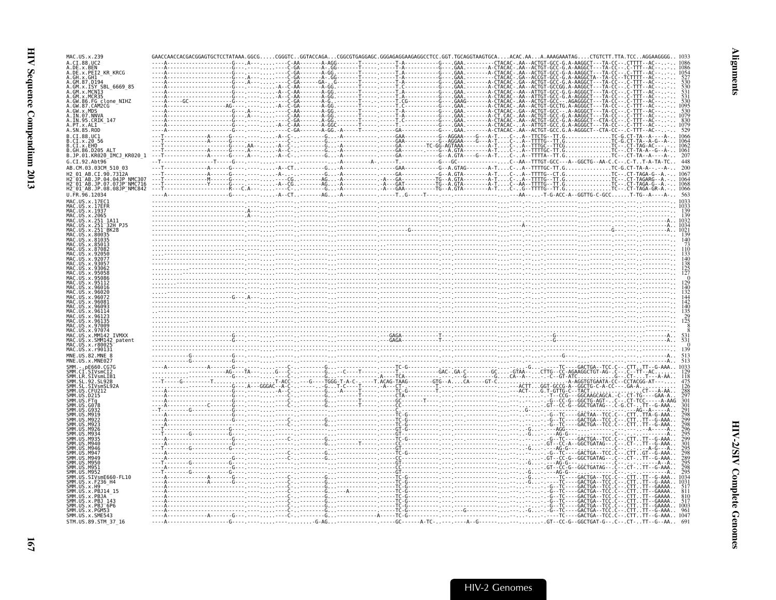| MAC.US.x.239                                                                                                 | GAACCAACCACGACGGAGTGCTCCTATAAA GGCG  CGGGTC GGTACCAGA  CGGCGTGAGGAGC GGGAGAGGAAGAGGCCTCC |  |                                                                                                           |                                                                                     |
|--------------------------------------------------------------------------------------------------------------|------------------------------------------------------------------------------------------|--|-----------------------------------------------------------------------------------------------------------|-------------------------------------------------------------------------------------|
| A. CT. 88. HC2<br>A.DE.X.BEN                                                                                 | $ A - -        A + -$                                                                    |  |                                                                                                           |                                                                                     |
| A.DE.x.PEI2 KR KRCG                                                                                          |                                                                                          |  | T.A-----------G---.GAA.-------A-CTACAC-.AA--ACTGT-GCC                                                     | `TTTT - - AC                                                                        |
| GM.x.ISY SBL 6669 85                                                                                         |                                                                                          |  |                                                                                                           | A-AAGGCTA--TA-CC<br>A-AAGGCT---TA-CC.<br>- TTT - - AC<br>A-AAGGCT---TA-CO<br>۰TTT - |
| GM.x.MCR35                                                                                                   |                                                                                          |  |                                                                                                           | TTT-<br>. ттт.                                                                      |
| .GW.86.FG clone_NIHZ                                                                                         |                                                                                          |  |                                                                                                           |                                                                                     |
| A.GW.87.CAM2CG<br>GW.x.MDS                                                                                   |                                                                                          |  | -----A-GG.--------†------------T.C------------G--- GAA.--------A-CIACAC-.AA--ACIGI-GCCTG.A-AGGGCI---IA-CC |                                                                                     |
| A.IN.07.NNVA<br>A.IN.95.CRIK 147                                                                             |                                                                                          |  |                                                                                                           |                                                                                     |
| A.PT.x.ALT<br>A.SN.85.ROD                                                                                    |                                                                                          |  |                                                                                                           |                                                                                     |
| R. CT. 88. HC1                                                                                               |                                                                                          |  |                                                                                                           |                                                                                     |
| CI.x.20 56<br>B.CI.x.EHO                                                                                     |                                                                                          |  |                                                                                                           |                                                                                     |
| B.GH.86.D205 ALT<br>KR020_IMCJ_KR020 1                                                                       |                                                                                          |  |                                                                                                           |                                                                                     |
| G.CT.92.Abt96                                                                                                |                                                                                          |  |                                                                                                           |                                                                                     |
| AB.CM.03.03CM 510 03                                                                                         |                                                                                          |  |                                                                                                           |                                                                                     |
| H2 <sup>-</sup> 01 <sup>-</sup> AB.JP.04.04JP NMC307<br>H2 <sup>-</sup> 01 <sup>-</sup> AB.JP.07.07JP NMC716 |                                                                                          |  |                                                                                                           |                                                                                     |
| H2 <sup>-</sup> 01 <sup>-</sup> AB.JP.08.08JP <sup>-</sup> NMC842                                            |                                                                                          |  |                                                                                                           |                                                                                     |
|                                                                                                              |                                                                                          |  |                                                                                                           |                                                                                     |
|                                                                                                              |                                                                                          |  |                                                                                                           |                                                                                     |
|                                                                                                              |                                                                                          |  |                                                                                                           |                                                                                     |
|                                                                                                              |                                                                                          |  |                                                                                                           |                                                                                     |
|                                                                                                              |                                                                                          |  |                                                                                                           |                                                                                     |
|                                                                                                              |                                                                                          |  |                                                                                                           |                                                                                     |
|                                                                                                              |                                                                                          |  |                                                                                                           |                                                                                     |
|                                                                                                              |                                                                                          |  |                                                                                                           |                                                                                     |
|                                                                                                              |                                                                                          |  |                                                                                                           |                                                                                     |
|                                                                                                              |                                                                                          |  |                                                                                                           |                                                                                     |
|                                                                                                              |                                                                                          |  |                                                                                                           |                                                                                     |
|                                                                                                              |                                                                                          |  |                                                                                                           |                                                                                     |
|                                                                                                              |                                                                                          |  |                                                                                                           |                                                                                     |
|                                                                                                              |                                                                                          |  |                                                                                                           |                                                                                     |
|                                                                                                              |                                                                                          |  |                                                                                                           |                                                                                     |
|                                                                                                              |                                                                                          |  |                                                                                                           |                                                                                     |
| patent                                                                                                       |                                                                                          |  |                                                                                                           |                                                                                     |
|                                                                                                              |                                                                                          |  |                                                                                                           |                                                                                     |
|                                                                                                              |                                                                                          |  |                                                                                                           |                                                                                     |
|                                                                                                              |                                                                                          |  |                                                                                                           |                                                                                     |
|                                                                                                              |                                                                                          |  |                                                                                                           |                                                                                     |
|                                                                                                              |                                                                                          |  |                                                                                                           |                                                                                     |
|                                                                                                              |                                                                                          |  |                                                                                                           |                                                                                     |
|                                                                                                              |                                                                                          |  |                                                                                                           |                                                                                     |
|                                                                                                              |                                                                                          |  |                                                                                                           |                                                                                     |
|                                                                                                              |                                                                                          |  |                                                                                                           |                                                                                     |
|                                                                                                              |                                                                                          |  |                                                                                                           |                                                                                     |
|                                                                                                              |                                                                                          |  |                                                                                                           |                                                                                     |
|                                                                                                              |                                                                                          |  |                                                                                                           |                                                                                     |
|                                                                                                              |                                                                                          |  |                                                                                                           |                                                                                     |
|                                                                                                              |                                                                                          |  |                                                                                                           |                                                                                     |
| SIVsmE660-FL10                                                                                               |                                                                                          |  |                                                                                                           |                                                                                     |
| x.F236 H4<br>SMM.US<br>x.H9                                                                                  |                                                                                          |  |                                                                                                           |                                                                                     |
| PR <sub>1</sub>                                                                                              |                                                                                          |  |                                                                                                           |                                                                                     |
| PR1 <sup>-</sup> 6P6                                                                                         |                                                                                          |  |                                                                                                           | GACTGA-                                                                             |
|                                                                                                              |                                                                                          |  |                                                                                                           |                                                                                     |
| SMM.US.x.SME543<br>STM.US.89.STM 37 16                                                                       |                                                                                          |  |                                                                                                           |                                                                                     |
|                                                                                                              |                                                                                          |  |                                                                                                           |                                                                                     |

**Alignments**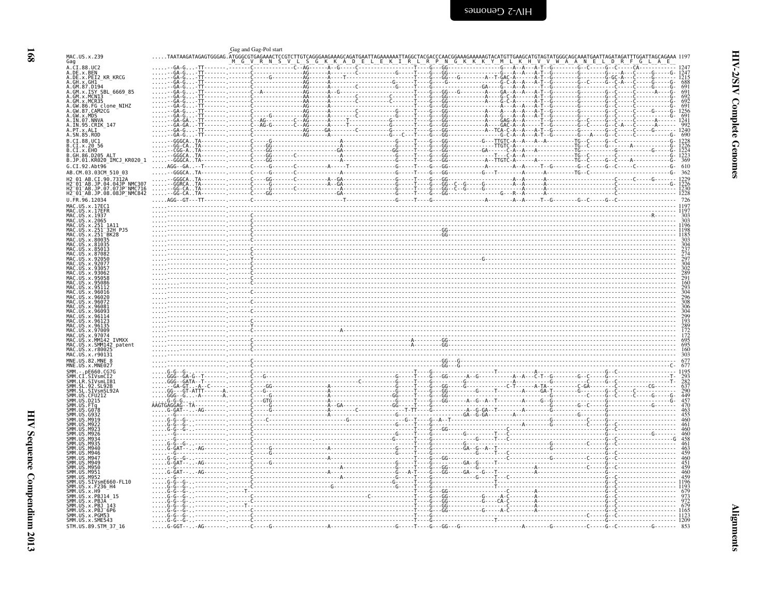<span id="page-13-0"></span>

|                                                                                                                                                                                           |                 | Gag and Gag-Pol start                                                                                                                                                                                                                                                                               |
|-------------------------------------------------------------------------------------------------------------------------------------------------------------------------------------------|-----------------|-----------------------------------------------------------------------------------------------------------------------------------------------------------------------------------------------------------------------------------------------------------------------------------------------------|
| MAC.US.x.239<br>Gag                                                                                                                                                                       |                 |                                                                                                                                                                                                                                                                                                     |
| A.CI.88.UC2<br>A.DE.x.BEN<br>A.DE.x.BEN<br>A.DE.x.PEI2 KR KRCG                                                                                                                            |                 |                                                                                                                                                                                                                                                                                                     |
| A.GH.X.GHI                                                                                                                                                                                |                 | 1215<br>688                                                                                                                                                                                                                                                                                         |
| A.GM.x.ISY SBL 6669 85                                                                                                                                                                    |                 | 691<br>691                                                                                                                                                                                                                                                                                          |
| A.GM.x.MCN13                                                                                                                                                                              |                 | $692$<br>$692$                                                                                                                                                                                                                                                                                      |
|                                                                                                                                                                                           |                 | - 691<br>- 1256                                                                                                                                                                                                                                                                                     |
|                                                                                                                                                                                           |                 | $\frac{691}{1241}$                                                                                                                                                                                                                                                                                  |
| A. GM. X. MCR35<br>A. GM. X. MCR35<br>A. GW. 87. CAM2CG<br>A. GW. 87. CAM2CG<br>A. GW. X. MDS<br>A. IN. 95. CRIK<br>A. IN. 95. CRIK<br>A. SM. 85. ROD<br>A. SM. 85. ROD<br>A. SM. 85. ROD |                 |                                                                                                                                                                                                                                                                                                     |
| B.CI.88.UC1                                                                                                                                                                               |                 |                                                                                                                                                                                                                                                                                                     |
| B.CI.x.20 56<br>B.CI.X.EHO<br>B.GH.86.D205 ALT                                                                                                                                            |                 | 1226<br>$\frac{1224}{1223}$                                                                                                                                                                                                                                                                         |
| B.JP.01.KR020_IMCJ_KR020_1                                                                                                                                                                |                 | - 1990)<br>- 1990) - 1990) - 1990) - 1990) - 1990) - 1990) - 1990) - 1990) - 1990) - 1990) - 1990) - 1990) - 1990) - 1990<br>- 1990) - 1990) - 1990) - 1990) - 1990) - 1990) - 1990) - 1990) - 1990) - 1990) - 1990) - 1990) - 1990)<br>-A - - - - - - - - - - - - - - - - TG - - C - - - - - - - - |
| G.CI.92.Abt96                                                                                                                                                                             |                 |                                                                                                                                                                                                                                                                                                     |
| AB.CM.03.03CM 510 03<br>H2 01 AB.CI.90.7312A                                                                                                                                              |                 |                                                                                                                                                                                                                                                                                                     |
| H2-01-AB.JP.04.04JP<br>H2-01-AB.JP.07.07JP-NMC716<br>H2-01-AB.JP.07.07JP-NMC716<br>H2-01-AB.JP.08.08JP_NMC842                                                                             |                 |                                                                                                                                                                                                                                                                                                     |
| U.FR.96.12034                                                                                                                                                                             |                 | $-660000$                                                                                                                                                                                                                                                                                           |
| MAC.US.x.17EC1<br>MAC.US.x.17EFR                                                                                                                                                          |                 | 1197                                                                                                                                                                                                                                                                                                |
| MAC.US.x.1937                                                                                                                                                                             |                 | 303                                                                                                                                                                                                                                                                                                 |
| MAC.US.x.2065                                                                                                                                                                             |                 | 1196                                                                                                                                                                                                                                                                                                |
| MAC.US.x.251_1A11<br>MAC.US.x.251_32H_PJ5<br>MAC.US.x.251_BK28                                                                                                                            |                 |                                                                                                                                                                                                                                                                                                     |
| US. x. 8003<br>US.x.810                                                                                                                                                                   |                 |                                                                                                                                                                                                                                                                                                     |
|                                                                                                                                                                                           |                 | 304<br>237<br>274                                                                                                                                                                                                                                                                                   |
| MAC<br>MAC<br>9305                                                                                                                                                                        |                 | $\frac{297}{304}$<br>$\frac{302}{289}$                                                                                                                                                                                                                                                              |
| <b>MAC</b>                                                                                                                                                                                |                 |                                                                                                                                                                                                                                                                                                     |
| MAC<br>MAC                                                                                                                                                                                |                 | 291<br>291<br>160<br>293<br>304                                                                                                                                                                                                                                                                     |
| MAC<br>MAC                                                                                                                                                                                |                 |                                                                                                                                                                                                                                                                                                     |
| MAC<br>MAC.US.x.96081                                                                                                                                                                     |                 | $\frac{296}{308}$<br>306                                                                                                                                                                                                                                                                            |
| MAC.US.<br>x.96097                                                                                                                                                                        |                 | $\mathcal{C}$                                                                                                                                                                                                                                                                                       |
| US. x. 9613!                                                                                                                                                                              |                 | 304<br>299<br>193<br>289<br>172<br>172<br>595                                                                                                                                                                                                                                                       |
| MAC.<br>x.97009<br>MAC.<br>US.x.97074                                                                                                                                                     |                 |                                                                                                                                                                                                                                                                                                     |
| MAC<br>MM142<br>IVMXX<br><b>MAC</b><br>US.x.SMM142 patent                                                                                                                                 |                 |                                                                                                                                                                                                                                                                                                     |
| MAC.US.<br>.x.r80025<br>MAC.US.x.r90131                                                                                                                                                   |                 | $\frac{695}{160}$<br>303                                                                                                                                                                                                                                                                            |
| MNE.US.82.MNE 8<br>MNE.US.x.MNE027                                                                                                                                                        |                 | 677                                                                                                                                                                                                                                                                                                 |
| SMM.<br>$-$ . $pE660.CG7G$                                                                                                                                                                |                 | 1195                                                                                                                                                                                                                                                                                                |
| SMM.CI.SIVSMCI2<br>SMM.LR.SIVsmLIB1                                                                                                                                                       |                 | 193<br>293<br>282<br>637<br>290<br>449                                                                                                                                                                                                                                                              |
| SMM. SL. 92. SL92B<br>SMM.SL.SIVsmSL92A                                                                                                                                                   |                 |                                                                                                                                                                                                                                                                                                     |
| SMM. US. CFU212<br>SMM. US. D215                                                                                                                                                          |                 | 457<br>470                                                                                                                                                                                                                                                                                          |
|                                                                                                                                                                                           |                 | 463<br>455                                                                                                                                                                                                                                                                                          |
|                                                                                                                                                                                           |                 | 460                                                                                                                                                                                                                                                                                                 |
| <b>SMM</b><br>M92                                                                                                                                                                         |                 | 461<br>460                                                                                                                                                                                                                                                                                          |
| <b>MQ3</b><br>MQ3                                                                                                                                                                         |                 | $\frac{460}{458}$                                                                                                                                                                                                                                                                                   |
| SMM<br>SMM<br>SMM<br>SMM<br>SMM<br>SMM<br>M946<br>M946                                                                                                                                    |                 |                                                                                                                                                                                                                                                                                                     |
| M <sub>94</sub><br>M940                                                                                                                                                                   |                 |                                                                                                                                                                                                                                                                                                     |
| SMM.<br><b>M950</b><br>ŚMM.<br>M951                                                                                                                                                       |                 |                                                                                                                                                                                                                                                                                                     |
| SMM. US. M952                                                                                                                                                                             |                 |                                                                                                                                                                                                                                                                                                     |
| SMM.US.SIVsmE660-FL10<br>SMM.US.x.F236_H4<br>SMM.US.x.H9                                                                                                                                  |                 |                                                                                                                                                                                                                                                                                                     |
| SMM.US.x.PBJ14 15<br>SMM.US.x.PBJA                                                                                                                                                        |                 | $\frac{973}{972}$                                                                                                                                                                                                                                                                                   |
| SMM. US. x. PBJ 143<br>SMM. US. x. PBJ 6P6                                                                                                                                                |                 |                                                                                                                                                                                                                                                                                                     |
| SMM. US. x. PGM53<br>SMM. US. x. SME543                                                                                                                                                   | . G - G - - G - | $-- 1209$                                                                                                                                                                                                                                                                                           |
| STM.US.89.STM_37_16                                                                                                                                                                       |                 | 853                                                                                                                                                                                                                                                                                                 |

**168** 

**Alignments**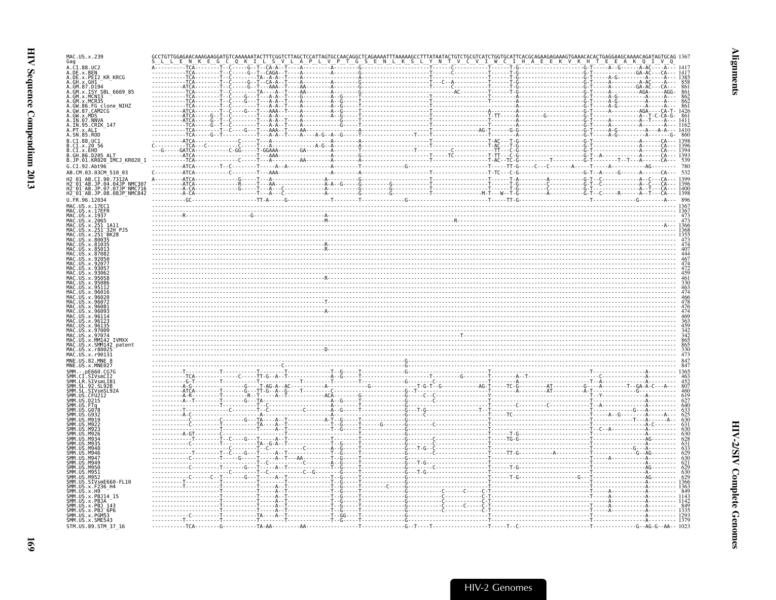| AC.US.x.239                                                                               |  |  |  |  |  |  |  |  |
|-------------------------------------------------------------------------------------------|--|--|--|--|--|--|--|--|
| ag<br>A.CI.88.UC2                                                                         |  |  |  |  |  |  |  |  |
| DE.x.BEN<br>.DE.x.PEI2 KR KRCG                                                            |  |  |  |  |  |  |  |  |
| GH.x.GH1<br>GM.87.D194                                                                    |  |  |  |  |  |  |  |  |
| GM.x.ISY SBL 6669 85<br>GM.x.MCN13                                                        |  |  |  |  |  |  |  |  |
| GM.x.MCR35                                                                                |  |  |  |  |  |  |  |  |
| FG clone NIHZ<br>GW.86<br>GW.87.CAM2CG                                                    |  |  |  |  |  |  |  |  |
| GW.x.MDS<br>.IN.07.NNVA                                                                   |  |  |  |  |  |  |  |  |
| .IN.95.CRIK 147<br>PT.x.ALI                                                               |  |  |  |  |  |  |  |  |
| .SN.85.ROD                                                                                |  |  |  |  |  |  |  |  |
| CI.88.UC1                                                                                 |  |  |  |  |  |  |  |  |
| .CI.x.20 56<br>.CI.x.EHO                                                                  |  |  |  |  |  |  |  |  |
| GH.86.D205 ALT<br>.JP.01.KR020_IMCJ_KR020 1                                               |  |  |  |  |  |  |  |  |
| .CI.92.Abt96                                                                              |  |  |  |  |  |  |  |  |
| AB.CM.03.03CM 510 03<br>01 AB CT 90 7312A                                                 |  |  |  |  |  |  |  |  |
| -01-AB.JP.04.04JP NMC307<br>-01-AB.JP.07.07JP NMC716                                      |  |  |  |  |  |  |  |  |
| 12_01_AB.JP.08.08JP_NMČ842                                                                |  |  |  |  |  |  |  |  |
| J.FR.96.12034                                                                             |  |  |  |  |  |  |  |  |
| 4AC US x 17FC1<br>1AC.US.x.17EFR                                                          |  |  |  |  |  |  |  |  |
| AAC.US.x.1937<br>MAC.US.x.2065                                                            |  |  |  |  |  |  |  |  |
| AAC.US.x.251<br>-1A11<br>-32H PJ5                                                         |  |  |  |  |  |  |  |  |
| US.x.251<br>4AC.US.x.251 <sup>-</sup> BK28                                                |  |  |  |  |  |  |  |  |
| 4AC.US.x.80035<br>4AC.US.x.81035                                                          |  |  |  |  |  |  |  |  |
|                                                                                           |  |  |  |  |  |  |  |  |
|                                                                                           |  |  |  |  |  |  |  |  |
|                                                                                           |  |  |  |  |  |  |  |  |
|                                                                                           |  |  |  |  |  |  |  |  |
|                                                                                           |  |  |  |  |  |  |  |  |
|                                                                                           |  |  |  |  |  |  |  |  |
|                                                                                           |  |  |  |  |  |  |  |  |
|                                                                                           |  |  |  |  |  |  |  |  |
|                                                                                           |  |  |  |  |  |  |  |  |
|                                                                                           |  |  |  |  |  |  |  |  |
|                                                                                           |  |  |  |  |  |  |  |  |
|                                                                                           |  |  |  |  |  |  |  |  |
|                                                                                           |  |  |  |  |  |  |  |  |
| <b>IVMXX</b>                                                                              |  |  |  |  |  |  |  |  |
| 4AC.US.x.r80<br>1AC.US.x.r90131                                                           |  |  |  |  |  |  |  |  |
| INE.US.82.MNE 8                                                                           |  |  |  |  |  |  |  |  |
| NE.US.x.MNE027                                                                            |  |  |  |  |  |  |  |  |
| CI.SIVsmCI2                                                                               |  |  |  |  |  |  |  |  |
|                                                                                           |  |  |  |  |  |  |  |  |
|                                                                                           |  |  |  |  |  |  |  |  |
|                                                                                           |  |  |  |  |  |  |  |  |
|                                                                                           |  |  |  |  |  |  |  |  |
|                                                                                           |  |  |  |  |  |  |  |  |
|                                                                                           |  |  |  |  |  |  |  |  |
|                                                                                           |  |  |  |  |  |  |  |  |
|                                                                                           |  |  |  |  |  |  |  |  |
|                                                                                           |  |  |  |  |  |  |  |  |
| мада                                                                                      |  |  |  |  |  |  |  |  |
| <b>M950</b>                                                                               |  |  |  |  |  |  |  |  |
| M951<br>M952                                                                              |  |  |  |  |  |  |  |  |
|                                                                                           |  |  |  |  |  |  |  |  |
|                                                                                           |  |  |  |  |  |  |  |  |
|                                                                                           |  |  |  |  |  |  |  |  |
| MM.US.SIVsmE660-FL10<br>MM.US.x.F236_H4<br>MM.US.x.H9<br>MM.US.x.PBJ14 15<br>MM.US.x.PBJA |  |  |  |  |  |  |  |  |
| SMM.US.x.PBJ_143<br>SMM.US.x.PBJ_6P6<br>SMM.US.x.PGM53<br>SMM.US.x.SME543                 |  |  |  |  |  |  |  |  |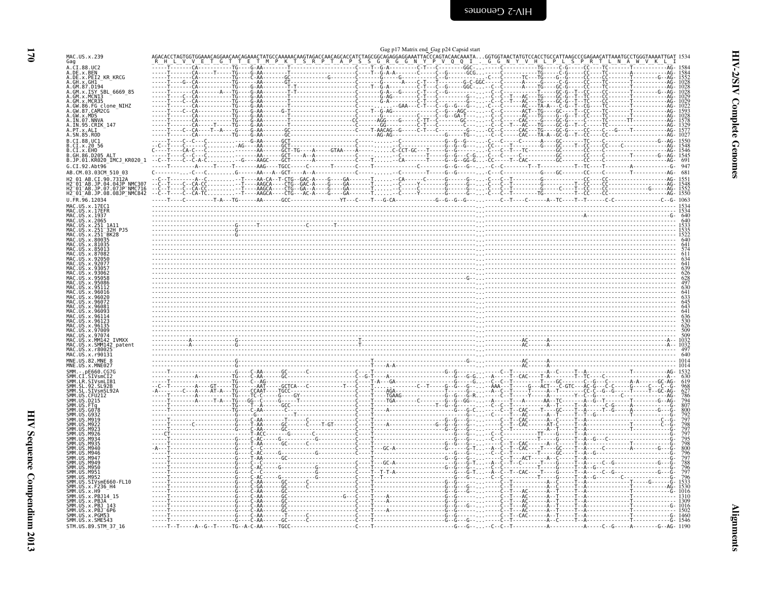| MAC.US.x.239                                                                                                                                                                                                                                                             |  |            |  |
|--------------------------------------------------------------------------------------------------------------------------------------------------------------------------------------------------------------------------------------------------------------------------|--|------------|--|
| Gag                                                                                                                                                                                                                                                                      |  |            |  |
|                                                                                                                                                                                                                                                                          |  |            |  |
| -- 3<br>A. CI. 88. UC2<br>A. DE. x. PEI2_KR_KRCG<br>A. DE. x. PEI2_KR_KRCG                                                                                                                                                                                               |  |            |  |
| A. DE. X: PET2 KR<br>A. GH. x: PET2 KR<br>A. GH. x. ISY SBL_6669_85<br>A. GM. x. ISY SBL_6669_85<br>A. GM. x. MCN13<br>A. GM. x. MCN35<br>A. GW. 86. FG CLORE<br>A. IN. 07. NNVA<br>A. PT. x. ALIT<br>A. IN. 07. NNVA<br>A. PT. x. ALIT<br>A. DT. NN. AP.<br>A. GW       |  |            |  |
|                                                                                                                                                                                                                                                                          |  |            |  |
|                                                                                                                                                                                                                                                                          |  |            |  |
|                                                                                                                                                                                                                                                                          |  |            |  |
|                                                                                                                                                                                                                                                                          |  |            |  |
|                                                                                                                                                                                                                                                                          |  |            |  |
|                                                                                                                                                                                                                                                                          |  |            |  |
|                                                                                                                                                                                                                                                                          |  |            |  |
|                                                                                                                                                                                                                                                                          |  |            |  |
|                                                                                                                                                                                                                                                                          |  |            |  |
| <b>B.CI.88.UCI<br/>B.CI.x.20 56<br/>B.CI.x.20 56<br/>B.GH.86.D205 ALT<br/>B.JP.01.KR020_IMCJ_KR020_1</b>                                                                                                                                                                 |  |            |  |
|                                                                                                                                                                                                                                                                          |  |            |  |
|                                                                                                                                                                                                                                                                          |  |            |  |
|                                                                                                                                                                                                                                                                          |  |            |  |
|                                                                                                                                                                                                                                                                          |  |            |  |
| G.CI.92.Abt96                                                                                                                                                                                                                                                            |  |            |  |
| AB.CM.03.03CM_510_03                                                                                                                                                                                                                                                     |  |            |  |
| H2 01 AB.CI.90.7312A<br>H2 01 AB.JP.04.04JP NMC307<br>H2 01 AB.JP.04.04JP NMC307<br>H2 01 AB.JP.08.08JP NMC842                                                                                                                                                           |  |            |  |
|                                                                                                                                                                                                                                                                          |  |            |  |
|                                                                                                                                                                                                                                                                          |  |            |  |
|                                                                                                                                                                                                                                                                          |  |            |  |
| U.FR.96.12034                                                                                                                                                                                                                                                            |  |            |  |
| HZ_01_AB.JP.033<br>U.FR. 96.12034<br>U.FR. 96.12034<br>MAC.US.x.17EER<br>MAC.US.x.17EER<br>MAC.US.x.2065<br>MAC.US.x.2065<br>MAC.US.x.2051<br>MAC.US.x.201328<br>MAC.US.x.201328<br>MAC.US.x.200932<br>MAC.US.x.200932<br>MAC.US.x.200932<br>MAC.US.x.200927<br>MAC.US.x |  |            |  |
|                                                                                                                                                                                                                                                                          |  |            |  |
|                                                                                                                                                                                                                                                                          |  |            |  |
|                                                                                                                                                                                                                                                                          |  |            |  |
|                                                                                                                                                                                                                                                                          |  |            |  |
|                                                                                                                                                                                                                                                                          |  |            |  |
|                                                                                                                                                                                                                                                                          |  |            |  |
|                                                                                                                                                                                                                                                                          |  |            |  |
|                                                                                                                                                                                                                                                                          |  |            |  |
|                                                                                                                                                                                                                                                                          |  |            |  |
|                                                                                                                                                                                                                                                                          |  |            |  |
|                                                                                                                                                                                                                                                                          |  |            |  |
|                                                                                                                                                                                                                                                                          |  |            |  |
|                                                                                                                                                                                                                                                                          |  |            |  |
|                                                                                                                                                                                                                                                                          |  |            |  |
|                                                                                                                                                                                                                                                                          |  |            |  |
|                                                                                                                                                                                                                                                                          |  |            |  |
|                                                                                                                                                                                                                                                                          |  |            |  |
|                                                                                                                                                                                                                                                                          |  |            |  |
|                                                                                                                                                                                                                                                                          |  |            |  |
|                                                                                                                                                                                                                                                                          |  |            |  |
|                                                                                                                                                                                                                                                                          |  |            |  |
|                                                                                                                                                                                                                                                                          |  |            |  |
|                                                                                                                                                                                                                                                                          |  |            |  |
|                                                                                                                                                                                                                                                                          |  |            |  |
|                                                                                                                                                                                                                                                                          |  |            |  |
| MAC.US.x.r90131                                                                                                                                                                                                                                                          |  |            |  |
| MNE.US.82.MNE 8<br>MNE.US.x.MNE027                                                                                                                                                                                                                                       |  |            |  |
| MNE.US. S. MNE627<br>SMM .CIT STORE CONSIDER<br>SMM .LR. STV SMM .LR. STV SML<br>SMM .LR. STV SML<br>SMM .LR. STV SML<br>SMM .LR. STV SMS .LR. STV SMS<br>SMM .US. D215<br>SMM .US. G0932<br>SMM .US. G0932<br>SMM .US. M9022<br>SMM .US. M9022<br>SMM .US. M90          |  | G--------- |  |
|                                                                                                                                                                                                                                                                          |  |            |  |
|                                                                                                                                                                                                                                                                          |  |            |  |
|                                                                                                                                                                                                                                                                          |  |            |  |
|                                                                                                                                                                                                                                                                          |  |            |  |
|                                                                                                                                                                                                                                                                          |  |            |  |
|                                                                                                                                                                                                                                                                          |  |            |  |
|                                                                                                                                                                                                                                                                          |  |            |  |
|                                                                                                                                                                                                                                                                          |  |            |  |
|                                                                                                                                                                                                                                                                          |  |            |  |
|                                                                                                                                                                                                                                                                          |  |            |  |
|                                                                                                                                                                                                                                                                          |  |            |  |
|                                                                                                                                                                                                                                                                          |  |            |  |
|                                                                                                                                                                                                                                                                          |  |            |  |
| SMM. US. M940<br>SMM. US. M946<br>SMM. US. M947<br>SMM. US. M949                                                                                                                                                                                                         |  |            |  |
|                                                                                                                                                                                                                                                                          |  |            |  |
|                                                                                                                                                                                                                                                                          |  |            |  |
|                                                                                                                                                                                                                                                                          |  |            |  |
|                                                                                                                                                                                                                                                                          |  |            |  |
|                                                                                                                                                                                                                                                                          |  |            |  |
|                                                                                                                                                                                                                                                                          |  |            |  |
|                                                                                                                                                                                                                                                                          |  |            |  |
|                                                                                                                                                                                                                                                                          |  |            |  |
|                                                                                                                                                                                                                                                                          |  |            |  |
| SMM. US. M949<br>SMM. US. M951<br>SMM. US. M951<br>SMM. US. M952<br>SMM. US. SMS<br>SMM. US. X. F236<br>MM. US. x. F236<br>MM. US. x. PB314<br>SMM. US. x. PB314<br>SMM. US. x. PB314<br>SMM. US. x. PB3143<br>SMM. US. x. PB316<br>SMM. US. x. PB3166<br>SMM. US. x.    |  |            |  |
|                                                                                                                                                                                                                                                                          |  |            |  |
|                                                                                                                                                                                                                                                                          |  |            |  |
|                                                                                                                                                                                                                                                                          |  |            |  |
| STM.US.89.STM_37_16                                                                                                                                                                                                                                                      |  |            |  |

<span id="page-15-0"></span>

|                                                                                                                                | one has signed the back has called signed                          |                             |                                  |          |
|--------------------------------------------------------------------------------------------------------------------------------|--------------------------------------------------------------------|-----------------------------|----------------------------------|----------|
|                                                                                                                                |                                                                    |                             |                                  |          |
|                                                                                                                                |                                                                    |                             |                                  |          |
|                                                                                                                                |                                                                    |                             |                                  |          |
| ----A---TG<br>G-AA---------T                                                                                                   |                                                                    |                             |                                  |          |
|                                                                                                                                |                                                                    |                             |                                  |          |
| $G - AA - - - - - - -$                                                                                                         |                                                                    |                             |                                  |          |
|                                                                                                                                |                                                                    |                             |                                  |          |
|                                                                                                                                | -----AGG----G-----<br>------GG----------                           |                             |                                  |          |
|                                                                                                                                |                                                                    |                             |                                  |          |
|                                                                                                                                |                                                                    |                             |                                  |          |
| ----GCT----------------------C<br>----GCT-TG----A-----GTAA----A                                                                |                                                                    |                             |                                  |          |
| $C \ldots \ldots \ldots -G \ldots -AAGC \ldots -GCT \ldots \ldots -A \ldots \ldots \ldots$                                     |                                                                    | $-G - GG - G \ldots - CC -$ |                                  | 691      |
| $- AAG - - - TGCC - - - - - C - - - - - - - T - - - -$                                                                         |                                                                    |                             |                                  | 947      |
| - AA - - - A - - GCT - - - - A - - A - - - - -                                                                                 |                                                                    |                             |                                  | 681      |
|                                                                                                                                |                                                                    |                             |                                  |          |
|                                                                                                                                |                                                                    |                             |                                  | AG- 1550 |
|                                                                                                                                | $YT - -C - - -T - -G - CA - - - - - - - - G - - G - - G - - G - -$ |                             |                                  | 1063     |
|                                                                                                                                |                                                                    |                             |                                  |          |
|                                                                                                                                |                                                                    |                             |                                  |          |
|                                                                                                                                |                                                                    |                             |                                  |          |
|                                                                                                                                |                                                                    |                             |                                  |          |
|                                                                                                                                |                                                                    |                             |                                  |          |
|                                                                                                                                |                                                                    |                             |                                  |          |
|                                                                                                                                |                                                                    |                             |                                  |          |
|                                                                                                                                |                                                                    |                             |                                  |          |
|                                                                                                                                |                                                                    |                             |                                  |          |
|                                                                                                                                |                                                                    |                             |                                  |          |
|                                                                                                                                |                                                                    |                             |                                  |          |
|                                                                                                                                |                                                                    |                             |                                  |          |
|                                                                                                                                |                                                                    |                             |                                  |          |
|                                                                                                                                |                                                                    |                             |                                  |          |
|                                                                                                                                |                                                                    |                             |                                  |          |
|                                                                                                                                |                                                                    |                             |                                  |          |
|                                                                                                                                |                                                                    |                             |                                  |          |
|                                                                                                                                |                                                                    |                             |                                  |          |
|                                                                                                                                |                                                                    |                             |                                  | 640      |
|                                                                                                                                |                                                                    |                             |                                  |          |
|                                                                                                                                |                                                                    |                             |                                  |          |
|                                                                                                                                |                                                                    |                             |                                  |          |
|                                                                                                                                |                                                                    |                             |                                  |          |
| -----AAT-----GCTCA---C------------T---C<br>---CCAAT----TGCC---------------------C<br>---_TC-C-----G----GY--------------------C |                                                                    |                             | C - GTC - - -                    |          |
|                                                                                                                                |                                                                    |                             |                                  |          |
|                                                                                                                                |                                                                    |                             |                                  |          |
|                                                                                                                                |                                                                    |                             |                                  |          |
|                                                                                                                                |                                                                    |                             | Т--САС------АТ<br>Т-----------А- |          |
|                                                                                                                                |                                                                    |                             |                                  |          |
|                                                                                                                                |                                                                    |                             |                                  |          |
| ---GC-----<br>- A -                                                                                                            |                                                                    |                             |                                  |          |
|                                                                                                                                |                                                                    |                             |                                  |          |
|                                                                                                                                | - GC - A - - - - - - - - - - -                                     |                             |                                  |          |
|                                                                                                                                |                                                                    |                             |                                  |          |
|                                                                                                                                |                                                                    |                             |                                  |          |
|                                                                                                                                |                                                                    |                             |                                  |          |
|                                                                                                                                |                                                                    |                             |                                  |          |
|                                                                                                                                |                                                                    |                             |                                  |          |
|                                                                                                                                |                                                                    |                             |                                  |          |
|                                                                                                                                |                                                                    |                             |                                  | - 1016   |
|                                                                                                                                |                                                                    |                             |                                  | 1460     |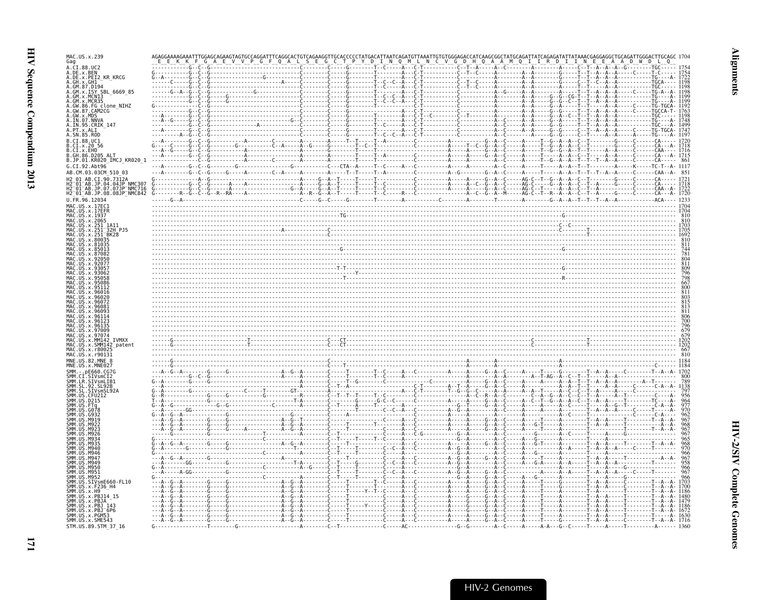| MAC.US.x.239<br>Gag                                                         |  |
|-----------------------------------------------------------------------------|--|
| A.CI.88.UC2                                                                 |  |
| A.DE.x.BEN<br>A.DE.x.PEI2_KR_KRCG<br>A.GH.X.GHI<br>A.GM.87.D194             |  |
| A.GM.x.ISY SBL 6669 85<br>A.GM.x.MCNI3                                      |  |
| A.GM.x.MCR35<br>.GW.86.FG clone NIHZ                                        |  |
| .GW.87.CAM2CG<br>$GW \times MDS$                                            |  |
| A.IN.95.CRIK 147                                                            |  |
| A.SN.85.ROD                                                                 |  |
| B.CI.88.UC1<br>$0.01 \times 20.56$                                          |  |
| B.CI.X.EHO<br>B.GH.86.D205 ALT<br>B.JP.01.KR020_IMCJ_KR020_1                |  |
| G.CI.92.Abt96<br>AB.CM.03.03CM 510 03                                       |  |
| 12 01 AB.CI.90.7312A<br>2 <sup>-</sup> 01 <sup>-</sup> AB.JP.04.04JP NMC307 |  |
| H2-01-AB.JP.07.07JP-NMC716<br>H2-01-AB.JP.08.08JP-NMC842 G-                 |  |
| J.FR.96.12034                                                               |  |
|                                                                             |  |
|                                                                             |  |
|                                                                             |  |
|                                                                             |  |
|                                                                             |  |
|                                                                             |  |
|                                                                             |  |
|                                                                             |  |
|                                                                             |  |
|                                                                             |  |
|                                                                             |  |
|                                                                             |  |
| MM142 TVMXX<br>US.x.SMM142 patent<br>MAC IIS x r800                         |  |
| MAC.US.x.r90131<br>MNE.US.82.MNE 8                                          |  |
| MNE.US.x.MNE02/                                                             |  |
|                                                                             |  |
|                                                                             |  |
|                                                                             |  |
|                                                                             |  |
|                                                                             |  |
|                                                                             |  |
|                                                                             |  |
| M94                                                                         |  |
| <b>M949</b><br>M950<br>SMM. US. M951                                        |  |
| SMM.US<br>M952                                                              |  |
| SMM.US.SIVsmE660-FL10<br>SMM.US.x.F236_H4<br>SMM.US.x.H9                    |  |
| SMM.US.x.PBJ14 15<br>SMM.US.x.PBJA                                          |  |
| SMM. US. x. PBJ 143<br>SMM. US. x. PBJ 6P6                                  |  |
| SMM. US. x. PGM53<br>SMM. US. x. SME543                                     |  |
| STM.US.89.STM 37 16                                                         |  |

 $\overline{\mathbf{17}}$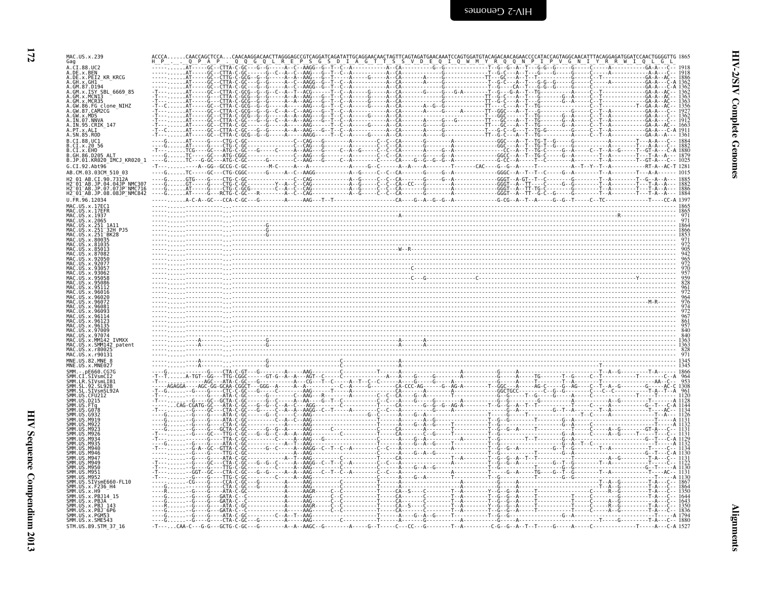| ī |
|---|
|   |

| MAC.US.x.239<br>Gag                                                |  |
|--------------------------------------------------------------------|--|
| A.CI.88.UC2<br>A.DE.x.BEN<br>A.DE.x.PEI2_KR_KRCG<br>-GC - -CTTA    |  |
| $\ldots$ $AT---GC--CTTG$                                           |  |
| A.GH.x.GH1<br>A.GM.87.D194<br>GC--CTTA-<br>A.GM.x.ISY SBL 6669 85  |  |
| A.GM.x.MCNI3<br>A.GM.x.MCR35                                       |  |
| 86.FG clone_NIHZ<br>A.GW.87.CAM2CG                                 |  |
|                                                                    |  |
| A.IN.07.NNV/<br>A.IN.95.CRIK 147                                   |  |
| A.PT.x.ALI<br>A.SN.85.ROD                                          |  |
| B.CT.88.UC1<br>.CI.x.20 56                                         |  |
| B.CI.x.EHO<br>B.GH.86.D205 ALT                                     |  |
| B.JP.01.KR020 IMCJ KR020 1                                         |  |
| G.CI.92.Abt96<br>AB.CM.03.03CM_510_03                              |  |
|                                                                    |  |
| <b>NMC307</b><br>AB.JP.07.07JP NMC716                              |  |
| H2_01_AB.JP.08.08JP_NMC842<br>U.FR.96.12034                        |  |
| MAC. US. x. 17FC1                                                  |  |
| .US.x.17EFR<br>MAC.US.x.1937                                       |  |
| MAC.US.x.2065<br>MAC.US.x.251 1A11                                 |  |
| MAC.US.x.251 <sup>-</sup> 32H PJ5                                  |  |
|                                                                    |  |
|                                                                    |  |
|                                                                    |  |
|                                                                    |  |
|                                                                    |  |
|                                                                    |  |
|                                                                    |  |
|                                                                    |  |
|                                                                    |  |
|                                                                    |  |
|                                                                    |  |
| <b>TVMXX</b><br>U.S. x. SMM147                                     |  |
| MAC.US.x.r90131                                                    |  |
| MNF. US. 82. MNF. 8                                                |  |
| MNE.US.x.MNE027                                                    |  |
| SMM.LR.SIVsmLIB1                                                   |  |
|                                                                    |  |
|                                                                    |  |
|                                                                    |  |
|                                                                    |  |
|                                                                    |  |
|                                                                    |  |
|                                                                    |  |
|                                                                    |  |
|                                                                    |  |
| M950<br>.M951                                                      |  |
| <b>SMM 11S</b><br>M952<br>SMM.US.SIVsmE660-FL10                    |  |
| SMM. US. x. F236_H4<br>SMM.US.x.H9                                 |  |
|                                                                    |  |
| .x.PBJ14_15<br>. x PR1A                                            |  |
| .<br>SMM.US.x.PBJ 143                                              |  |
| SMM.US.x.PBJ <sup>-</sup> 6P6<br>SMM.US.x.PGM53<br>SMM.US.x.SME543 |  |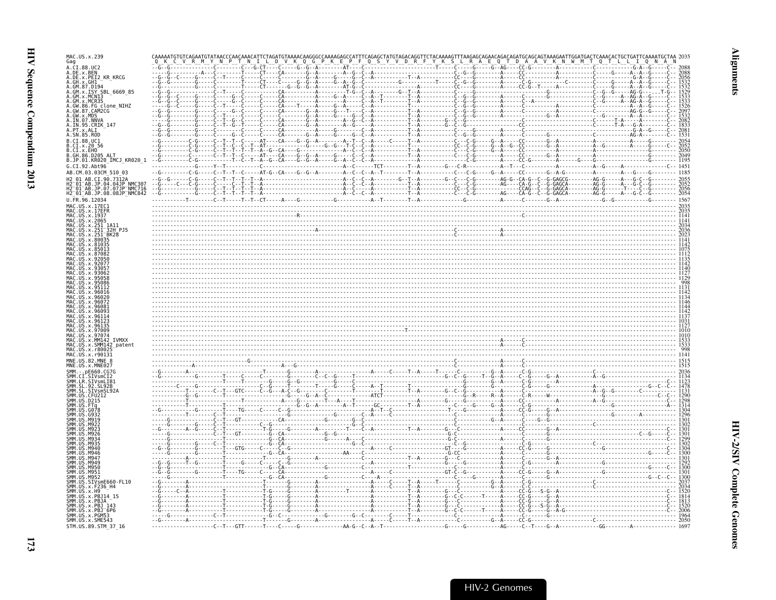| MAC.US.x.239<br>Gag                                                                                                                                                                                |  |
|----------------------------------------------------------------------------------------------------------------------------------------------------------------------------------------------------|--|
| CI.88.UC2<br>.DE.x.BEN                                                                                                                                                                             |  |
| .DE.x.PEI2 KR KRCG<br>GH.x.GH1                                                                                                                                                                     |  |
| GM.87.0194<br>ISY SBL 6669 85                                                                                                                                                                      |  |
|                                                                                                                                                                                                    |  |
| clone_NIHZ                                                                                                                                                                                         |  |
|                                                                                                                                                                                                    |  |
|                                                                                                                                                                                                    |  |
|                                                                                                                                                                                                    |  |
| CI.88.UC1<br>CI.x.2056                                                                                                                                                                             |  |
| CI.x.EHO<br>GH.86.D205 ALT                                                                                                                                                                         |  |
| JP.01.KR020_IMCJ_KR020_1<br>5. C1.92                                                                                                                                                               |  |
| AB.CM.03.03CM 510 03<br>AB.CI.90.7312A                                                                                                                                                             |  |
|                                                                                                                                                                                                    |  |
| H2 <sup>-</sup> 01 <sup>-</sup> AB.jP.04.04jP <sup>^</sup> NMC307<br>H2 <sup>-</sup> 01 <sup>-</sup> AB.jP.07.07jP <sup>-</sup> NMC716<br>H2-01-AB.jP.08.08JP-NMC842<br>''-R1-AB.jP.08.08JP-NMC842 |  |
| J.FR.96.12034                                                                                                                                                                                      |  |
| .US.x.1937                                                                                                                                                                                         |  |
| US.x.2065<br>-1A11<br>-32H PJ5                                                                                                                                                                     |  |
| BK28                                                                                                                                                                                               |  |
|                                                                                                                                                                                                    |  |
|                                                                                                                                                                                                    |  |
|                                                                                                                                                                                                    |  |
|                                                                                                                                                                                                    |  |
|                                                                                                                                                                                                    |  |
|                                                                                                                                                                                                    |  |
|                                                                                                                                                                                                    |  |
|                                                                                                                                                                                                    |  |
|                                                                                                                                                                                                    |  |
|                                                                                                                                                                                                    |  |
| <b>IVMXX</b><br>42 patent                                                                                                                                                                          |  |
|                                                                                                                                                                                                    |  |
| MNF.IIS.82.MNF.8                                                                                                                                                                                   |  |
|                                                                                                                                                                                                    |  |
|                                                                                                                                                                                                    |  |
|                                                                                                                                                                                                    |  |
|                                                                                                                                                                                                    |  |
|                                                                                                                                                                                                    |  |
|                                                                                                                                                                                                    |  |
|                                                                                                                                                                                                    |  |
|                                                                                                                                                                                                    |  |
|                                                                                                                                                                                                    |  |
|                                                                                                                                                                                                    |  |
|                                                                                                                                                                                                    |  |
| SIVsmE660-FL10                                                                                                                                                                                     |  |
|                                                                                                                                                                                                    |  |
| PBJ14_15<br>.x.PBJA                                                                                                                                                                                |  |
| MM.US.x.PBJ 143<br>SMM.US.x.PBJ <sup>-</sup> 6P6                                                                                                                                                   |  |
| SMM.US.x.PGM53<br>SMM.US.x.SME543                                                                                                                                                                  |  |
| STM.US.89.STM 37 16                                                                                                                                                                                |  |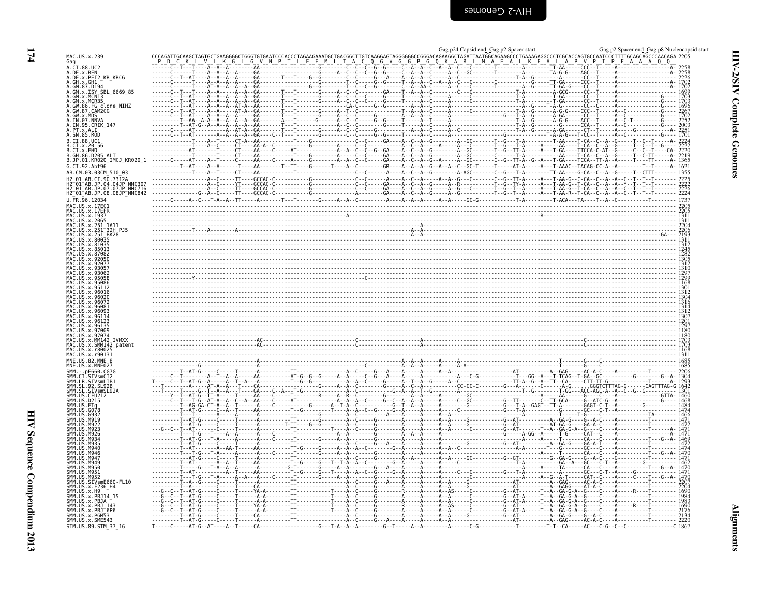<span id="page-19-0"></span>

|                                                                                        | Gag p24 Capsid end Gag p2 Spacer start | Gag p2 Spacer end Gag p8 Nucleocapsid start                                             |
|----------------------------------------------------------------------------------------|----------------------------------------|-----------------------------------------------------------------------------------------|
| MAC.US.x.239<br>Gag                                                                    |                                        |                                                                                         |
| A.CI.88.UC2                                                                            |                                        | $---TT - AA---CCC---T$                                                                  |
| A.DE.x.BEN<br>A.DE.X.PEI2_KR_KRCG<br>A.GH.x.GH1                                        |                                        |                                                                                         |
|                                                                                        |                                        |                                                                                         |
| A.GM.87.D194<br>A.GM.x.ISY_SBL_6669_85                                                 |                                        |                                                                                         |
| A.GM.x.MCN13<br>A.GM.x.MCR35                                                           |                                        |                                                                                         |
| A.GW.86.FG_clone_NIHZ<br>A.GW.87.CAM2CG                                                |                                        |                                                                                         |
|                                                                                        |                                        |                                                                                         |
| A.GW.x.MDS<br>A.IN.07.NNVA<br>A.IN.95.CRIK_147                                         |                                        | 2003                                                                                    |
| A. PT. x. ALI<br>A. SN. 85. ROD                                                        |                                        |                                                                                         |
| B.CI.88.UC1<br>B.CI.x.20 56                                                            |                                        |                                                                                         |
| B.CI.x.EHO                                                                             |                                        |                                                                                         |
| B.GH.86.D205 ALT<br>B.JP.01.KR020 IMCJ KR020 1                                         |                                        |                                                                                         |
| G.CI.92.Abt96                                                                          |                                        |                                                                                         |
| AB.CM.03.03CM 510 03<br>H2 01 AB.CI.90.7312A                                           |                                        |                                                                                         |
|                                                                                        |                                        |                                                                                         |
| H2-01-AB.JP.04.04JP.NMC307<br>H2-01-AB.JP.07.07JP-NMC716<br>H2_01_AB.JP.08.08JP_NMC842 |                                        |                                                                                         |
| U.FR.96.12034                                                                          |                                        |                                                                                         |
| MAC.US.x.17EC1<br>MAC.US.x.17EFR                                                       |                                        |                                                                                         |
| MAC.US.x.1937<br>MAC.US.x.2065                                                         |                                        |                                                                                         |
| MAC.US.x.251_1A11<br>MAC.US.x.251_32H_PJ5<br>MAC.US.x.251_BK28                         |                                        |                                                                                         |
|                                                                                        |                                        |                                                                                         |
| MAC.US.x.80035<br>U.S. x.81035                                                         |                                        |                                                                                         |
| U.S. x.87082                                                                           |                                        |                                                                                         |
|                                                                                        |                                        |                                                                                         |
| US.x.92077                                                                             |                                        |                                                                                         |
|                                                                                        |                                        |                                                                                         |
| US.x.95086                                                                             |                                        |                                                                                         |
| US x 96016                                                                             |                                        |                                                                                         |
| 96026                                                                                  |                                        |                                                                                         |
|                                                                                        |                                        |                                                                                         |
|                                                                                        |                                        |                                                                                         |
|                                                                                        |                                        |                                                                                         |
| US.x.97009<br>MAC<br>.US.x.97074                                                       |                                        |                                                                                         |
| <b>MAC</b><br>US.x.MM142 IVMXX<br>MAC.US.x.SMM142 patent                               |                                        |                                                                                         |
| MAC.US.x.r80025<br>MAC.US.x.r90131                                                     |                                        |                                                                                         |
| MNE.US.82.MNE 8                                                                        |                                        |                                                                                         |
| MNE.US.x.MNE027<br>SMM. - .pE660.CG7G                                                  |                                        |                                                                                         |
| SMM.CI.SIVsmCI2                                                                        |                                        |                                                                                         |
| SMM. LR. SIVSMLIB1<br>SMM. SL. 92. SL92B                                               |                                        |                                                                                         |
| SMM. SL. SIVSMSL92A                                                                    |                                        |                                                                                         |
| SMM<br>US.D215                                                                         |                                        |                                                                                         |
| SMM. US. G078<br><b>SMM 11S</b><br>G932                                                |                                        |                                                                                         |
| SMM.US<br>SMM.US<br>MQ10                                                               |                                        |                                                                                         |
| <b>MQ2</b><br>M92                                                                      |                                        |                                                                                         |
| M976<br>MQ34                                                                           |                                        |                                                                                         |
| NQ3<br>M946                                                                            |                                        |                                                                                         |
| SMM<br>M946                                                                            |                                        |                                                                                         |
| SMM.<br>.M949                                                                          |                                        |                                                                                         |
| SMM<br>M950.<br>SMM.<br>US.M951                                                        |                                        |                                                                                         |
| SMM.<br>US.M953<br>US.SIVsmE660-FL10                                                   |                                        |                                                                                         |
| SMM.<br>US.x.F236 H4                                                                   |                                        |                                                                                         |
| SMM. US. x. H9<br>SMM. US. x. PBJ14_15<br>SMM. US. x. PBJA                             |                                        | . - - - - - -T - -A - -GA - G - A - -G - - - - -C<br>- A - - - - - T - - A - - GA - G - |
|                                                                                        |                                        |                                                                                         |
| SMM. US. x. FBJ<br>SMM. US. x. PBJ 143<br>SMM. US. x. PBJ 5P6<br>SMM. US. x. PGM53     |                                        |                                                                                         |
| SMM. US. x. SME543                                                                     |                                        |                                                                                         |
| STM.US.89.STM_37_16                                                                    |                                        |                                                                                         |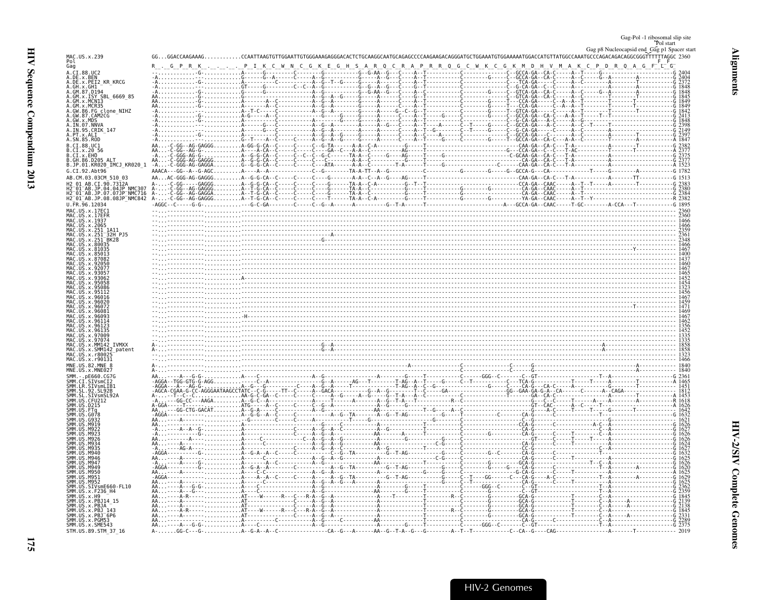<span id="page-20-0"></span>

| Gag-Pol -1 ribosomal slip site |
|--------------------------------|
|--------------------------------|

Gag p8 Nucleocapsid end Gag p1 Spacer start

| ١<br>ŀ,    |  |
|------------|--|
| J          |  |
| ĩ.<br>くていく |  |

| MAC.US.x.239                                                                                                  |                                                                                                                                                                                                                                                                                                                                                                                                                                                                                                                                                                                                |  |
|---------------------------------------------------------------------------------------------------------------|------------------------------------------------------------------------------------------------------------------------------------------------------------------------------------------------------------------------------------------------------------------------------------------------------------------------------------------------------------------------------------------------------------------------------------------------------------------------------------------------------------------------------------------------------------------------------------------------|--|
| Pol<br>Gag                                                                                                    | $R_{\bullet} = \underbrace{R_{\bullet} = \underbrace{R_{\bullet} = \underbrace{R_{\bullet} = \underbrace{R_{\bullet} = \underbrace{R_{\bullet} = \underbrace{R_{\bullet} = \underbrace{R_{\bullet} = \underbrace{R_{\bullet} = \underbrace{R_{\bullet} = \underbrace{R_{\bullet} = \underbrace{R_{\bullet} = \underbrace{R_{\bullet} = \underbrace{R_{\bullet} = \underbrace{R_{\bullet} = \underbrace{R_{\bullet} = \underbrace{R_{\bullet} = \underbrace{R_{\bullet} = \underbrace{R_{\bullet} = \underbrace{R_{\bullet} = \underbrace{R_{\bullet} = \underbrace{R_{\bullet} = \underbrace{$ |  |
| A.CI.88.UC2<br>A.DE.x.BEN                                                                                     |                                                                                                                                                                                                                                                                                                                                                                                                                                                                                                                                                                                                |  |
| A.DE.x.PEI2 KR KRCG                                                                                           |                                                                                                                                                                                                                                                                                                                                                                                                                                                                                                                                                                                                |  |
| A.GH.x.GH1<br>A.GM.87.D194                                                                                    |                                                                                                                                                                                                                                                                                                                                                                                                                                                                                                                                                                                                |  |
| A.GM.x.ISY SBL 6669 85                                                                                        |                                                                                                                                                                                                                                                                                                                                                                                                                                                                                                                                                                                                |  |
| A.GM.x.MCN13<br>A.GM.x.MCR35                                                                                  |                                                                                                                                                                                                                                                                                                                                                                                                                                                                                                                                                                                                |  |
| A.GM.A.MCR33<br>A.GW.86.FG clone_NIHZ<br>A.GW.87.CAM2CG                                                       |                                                                                                                                                                                                                                                                                                                                                                                                                                                                                                                                                                                                |  |
| A.GW.X.MDS<br>A.IN.07.NNVA                                                                                    |                                                                                                                                                                                                                                                                                                                                                                                                                                                                                                                                                                                                |  |
| A.IN.95.CRIK_147                                                                                              |                                                                                                                                                                                                                                                                                                                                                                                                                                                                                                                                                                                                |  |
| A.SN.85.ROD                                                                                                   |                                                                                                                                                                                                                                                                                                                                                                                                                                                                                                                                                                                                |  |
|                                                                                                               |                                                                                                                                                                                                                                                                                                                                                                                                                                                                                                                                                                                                |  |
|                                                                                                               |                                                                                                                                                                                                                                                                                                                                                                                                                                                                                                                                                                                                |  |
| .GH.86.D205 ALT<br>B.JP.01.KR020_IMCJ_KR020_1                                                                 |                                                                                                                                                                                                                                                                                                                                                                                                                                                                                                                                                                                                |  |
| G.CI.92.Abt96                                                                                                 |                                                                                                                                                                                                                                                                                                                                                                                                                                                                                                                                                                                                |  |
| AB.CM.03.03CM 510 03                                                                                          |                                                                                                                                                                                                                                                                                                                                                                                                                                                                                                                                                                                                |  |
|                                                                                                               |                                                                                                                                                                                                                                                                                                                                                                                                                                                                                                                                                                                                |  |
| H2_01_AB.JP.04.04JP<br>H2_01_AB.JP.04.04JP_NMC307<br>H2_01_AB.JP.07.07JP_NMC716<br>H2_01_AB.JP.08.08JP_NMC842 |                                                                                                                                                                                                                                                                                                                                                                                                                                                                                                                                                                                                |  |
| U.FR.96.12034                                                                                                 |                                                                                                                                                                                                                                                                                                                                                                                                                                                                                                                                                                                                |  |
| MAC.US.x.17EC1                                                                                                |                                                                                                                                                                                                                                                                                                                                                                                                                                                                                                                                                                                                |  |
| MAC.US.x.1937                                                                                                 |                                                                                                                                                                                                                                                                                                                                                                                                                                                                                                                                                                                                |  |
|                                                                                                               |                                                                                                                                                                                                                                                                                                                                                                                                                                                                                                                                                                                                |  |
|                                                                                                               | $\frac{235}{236}$ . The contract of the contract of the contract of the contract of the contract of the contract of the contract of the contract of the contract of the contract of the contract of the contract of the contract                                                                                                                                                                                                                                                                                                                                                               |  |
|                                                                                                               |                                                                                                                                                                                                                                                                                                                                                                                                                                                                                                                                                                                                |  |
|                                                                                                               |                                                                                                                                                                                                                                                                                                                                                                                                                                                                                                                                                                                                |  |
|                                                                                                               |                                                                                                                                                                                                                                                                                                                                                                                                                                                                                                                                                                                                |  |
|                                                                                                               |                                                                                                                                                                                                                                                                                                                                                                                                                                                                                                                                                                                                |  |
|                                                                                                               |                                                                                                                                                                                                                                                                                                                                                                                                                                                                                                                                                                                                |  |
|                                                                                                               |                                                                                                                                                                                                                                                                                                                                                                                                                                                                                                                                                                                                |  |
|                                                                                                               |                                                                                                                                                                                                                                                                                                                                                                                                                                                                                                                                                                                                |  |
|                                                                                                               |                                                                                                                                                                                                                                                                                                                                                                                                                                                                                                                                                                                                |  |
|                                                                                                               |                                                                                                                                                                                                                                                                                                                                                                                                                                                                                                                                                                                                |  |
|                                                                                                               |                                                                                                                                                                                                                                                                                                                                                                                                                                                                                                                                                                                                |  |
|                                                                                                               |                                                                                                                                                                                                                                                                                                                                                                                                                                                                                                                                                                                                |  |
|                                                                                                               |                                                                                                                                                                                                                                                                                                                                                                                                                                                                                                                                                                                                |  |
|                                                                                                               |                                                                                                                                                                                                                                                                                                                                                                                                                                                                                                                                                                                                |  |
|                                                                                                               |                                                                                                                                                                                                                                                                                                                                                                                                                                                                                                                                                                                                |  |
|                                                                                                               |                                                                                                                                                                                                                                                                                                                                                                                                                                                                                                                                                                                                |  |
| MAC.US.x.r90131<br>MNE.US.82.MNE                                                                              |                                                                                                                                                                                                                                                                                                                                                                                                                                                                                                                                                                                                |  |
|                                                                                                               |                                                                                                                                                                                                                                                                                                                                                                                                                                                                                                                                                                                                |  |
|                                                                                                               |                                                                                                                                                                                                                                                                                                                                                                                                                                                                                                                                                                                                |  |
|                                                                                                               |                                                                                                                                                                                                                                                                                                                                                                                                                                                                                                                                                                                                |  |
|                                                                                                               |                                                                                                                                                                                                                                                                                                                                                                                                                                                                                                                                                                                                |  |
|                                                                                                               |                                                                                                                                                                                                                                                                                                                                                                                                                                                                                                                                                                                                |  |
|                                                                                                               |                                                                                                                                                                                                                                                                                                                                                                                                                                                                                                                                                                                                |  |
|                                                                                                               |                                                                                                                                                                                                                                                                                                                                                                                                                                                                                                                                                                                                |  |
|                                                                                                               |                                                                                                                                                                                                                                                                                                                                                                                                                                                                                                                                                                                                |  |
|                                                                                                               |                                                                                                                                                                                                                                                                                                                                                                                                                                                                                                                                                                                                |  |
|                                                                                                               |                                                                                                                                                                                                                                                                                                                                                                                                                                                                                                                                                                                                |  |
|                                                                                                               |                                                                                                                                                                                                                                                                                                                                                                                                                                                                                                                                                                                                |  |
|                                                                                                               |                                                                                                                                                                                                                                                                                                                                                                                                                                                                                                                                                                                                |  |
|                                                                                                               |                                                                                                                                                                                                                                                                                                                                                                                                                                                                                                                                                                                                |  |
|                                                                                                               |                                                                                                                                                                                                                                                                                                                                                                                                                                                                                                                                                                                                |  |
|                                                                                                               |                                                                                                                                                                                                                                                                                                                                                                                                                                                                                                                                                                                                |  |
|                                                                                                               |                                                                                                                                                                                                                                                                                                                                                                                                                                                                                                                                                                                                |  |
| $x$ . PR114                                                                                                   |                                                                                                                                                                                                                                                                                                                                                                                                                                                                                                                                                                                                |  |
|                                                                                                               |                                                                                                                                                                                                                                                                                                                                                                                                                                                                                                                                                                                                |  |
| $x.PBJ-6Pf$                                                                                                   |                                                                                                                                                                                                                                                                                                                                                                                                                                                                                                                                                                                                |  |
| SMM. US. x. PGM53<br>SMM. US. x. SME543                                                                       |                                                                                                                                                                                                                                                                                                                                                                                                                                                                                                                                                                                                |  |
| STM.US.89.STM 37 16                                                                                           |                                                                                                                                                                                                                                                                                                                                                                                                                                                                                                                                                                                                |  |

**Alignments**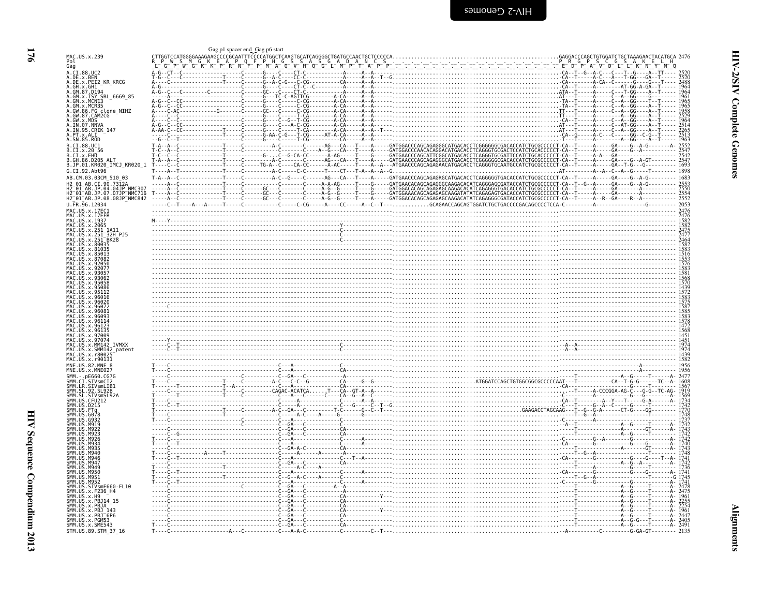<span id="page-21-0"></span>

|                                                                                                                                                                                       | Gag p1 spacer end Gag p6 start                                                                                                                                                                                                                                                                                                                                                                                                       |                                             |
|---------------------------------------------------------------------------------------------------------------------------------------------------------------------------------------|--------------------------------------------------------------------------------------------------------------------------------------------------------------------------------------------------------------------------------------------------------------------------------------------------------------------------------------------------------------------------------------------------------------------------------------|---------------------------------------------|
| MAC.US.x.239<br>Pol<br>Gag                                                                                                                                                            | TO THE REPORT OF A LIGHT OF A LIGHT OF A LIGHT OF A LIGHT OF A LIGHT OF A LIGHT OF A LIGHT OF A LIGHT OF A LIG<br>The MUSIC A LIGHT OF A LIGHT OF A LIGHT OF A LIGHT OF A LIGHT OF A LIGHT OF A LIGHT OF A LIGHT OF A LIGHT OF A                                                                                                                                                                                                     | GAGGACCCAGCTGTGGATCTGCTAAAGAACTACATGCA 2476 |
|                                                                                                                                                                                       |                                                                                                                                                                                                                                                                                                                                                                                                                                      | $\tilde{C}_{D^-}$                           |
|                                                                                                                                                                                       |                                                                                                                                                                                                                                                                                                                                                                                                                                      |                                             |
| A.CI.88.UC2<br>A.DE.x.BEN<br>A.DE.x.PEI2_KR_KRCG                                                                                                                                      |                                                                                                                                                                                                                                                                                                                                                                                                                                      |                                             |
| A.GH.x.GH1                                                                                                                                                                            |                                                                                                                                                                                                                                                                                                                                                                                                                                      |                                             |
| A.GM.87.D194<br>A.GM.x.ISY SBL 6669 85                                                                                                                                                |                                                                                                                                                                                                                                                                                                                                                                                                                                      |                                             |
|                                                                                                                                                                                       |                                                                                                                                                                                                                                                                                                                                                                                                                                      |                                             |
|                                                                                                                                                                                       |                                                                                                                                                                                                                                                                                                                                                                                                                                      |                                             |
| .GW.86.FG clone_NIHZ<br>.GW.87.CAM2CG                                                                                                                                                 |                                                                                                                                                                                                                                                                                                                                                                                                                                      |                                             |
| A.GW.x.MDS<br>A.IN.07.NNVA                                                                                                                                                            |                                                                                                                                                                                                                                                                                                                                                                                                                                      |                                             |
| A.IN.95.CRIK 147                                                                                                                                                                      |                                                                                                                                                                                                                                                                                                                                                                                                                                      |                                             |
| A.PT.x.ALI<br>A.SN.85.ROD                                                                                                                                                             |                                                                                                                                                                                                                                                                                                                                                                                                                                      |                                             |
| B.CI.88.UC1                                                                                                                                                                           |                                                                                                                                                                                                                                                                                                                                                                                                                                      |                                             |
| CI.x.2056<br>.CI. x.EHO                                                                                                                                                               |                                                                                                                                                                                                                                                                                                                                                                                                                                      |                                             |
|                                                                                                                                                                                       |                                                                                                                                                                                                                                                                                                                                                                                                                                      |                                             |
| B.JP.01.KR020_IMCJ_KR020_1                                                                                                                                                            |                                                                                                                                                                                                                                                                                                                                                                                                                                      |                                             |
| G.CI.92.Abt96                                                                                                                                                                         |                                                                                                                                                                                                                                                                                                                                                                                                                                      |                                             |
| AB.CM.03.03CM 510 03<br>AR CT 90 73124                                                                                                                                                |                                                                                                                                                                                                                                                                                                                                                                                                                                      |                                             |
|                                                                                                                                                                                       |                                                                                                                                                                                                                                                                                                                                                                                                                                      |                                             |
| H2 <sup>-</sup> 01 <sup>-</sup> AB.JP.04.04JP <sup>-</sup> NMC307<br>H2 <sup>-</sup> 01-AB.JP.07.07JP <sup>-</sup> NMC716<br>H2-01-AB.JP.08.08JP-NMC842<br>H2-R1-AB.JP.08.08JP-NMC842 |                                                                                                                                                                                                                                                                                                                                                                                                                                      |                                             |
| U.FR.96.12034                                                                                                                                                                         |                                                                                                                                                                                                                                                                                                                                                                                                                                      |                                             |
|                                                                                                                                                                                       |                                                                                                                                                                                                                                                                                                                                                                                                                                      |                                             |
|                                                                                                                                                                                       |                                                                                                                                                                                                                                                                                                                                                                                                                                      |                                             |
|                                                                                                                                                                                       | $\begin{bmatrix} \begin{matrix} \textbf{0} & \textbf{0} & \textbf{0} & \textbf{0} & \textbf{0} & \textbf{0} & \textbf{0} & \textbf{0} & \textbf{0} & \textbf{0} & \textbf{0} & \textbf{0} & \textbf{0} & \textbf{0} & \textbf{0} & \textbf{0} & \textbf{0} & \textbf{0} & \textbf{0} & \textbf{0} & \textbf{0} & \textbf{0} & \textbf{0} & \textbf{0} & \textbf{0} & \textbf{0} & \textbf{0} & \textbf{0} & \textbf{0} & \textbf{0}$ |                                             |
|                                                                                                                                                                                       |                                                                                                                                                                                                                                                                                                                                                                                                                                      |                                             |
| <b>RK2R</b>                                                                                                                                                                           |                                                                                                                                                                                                                                                                                                                                                                                                                                      |                                             |
|                                                                                                                                                                                       |                                                                                                                                                                                                                                                                                                                                                                                                                                      |                                             |
|                                                                                                                                                                                       |                                                                                                                                                                                                                                                                                                                                                                                                                                      |                                             |
|                                                                                                                                                                                       |                                                                                                                                                                                                                                                                                                                                                                                                                                      |                                             |
|                                                                                                                                                                                       |                                                                                                                                                                                                                                                                                                                                                                                                                                      |                                             |
|                                                                                                                                                                                       |                                                                                                                                                                                                                                                                                                                                                                                                                                      |                                             |
|                                                                                                                                                                                       |                                                                                                                                                                                                                                                                                                                                                                                                                                      |                                             |
|                                                                                                                                                                                       |                                                                                                                                                                                                                                                                                                                                                                                                                                      |                                             |
|                                                                                                                                                                                       |                                                                                                                                                                                                                                                                                                                                                                                                                                      |                                             |
|                                                                                                                                                                                       |                                                                                                                                                                                                                                                                                                                                                                                                                                      |                                             |
|                                                                                                                                                                                       |                                                                                                                                                                                                                                                                                                                                                                                                                                      |                                             |
|                                                                                                                                                                                       |                                                                                                                                                                                                                                                                                                                                                                                                                                      |                                             |
|                                                                                                                                                                                       |                                                                                                                                                                                                                                                                                                                                                                                                                                      |                                             |
|                                                                                                                                                                                       |                                                                                                                                                                                                                                                                                                                                                                                                                                      |                                             |
|                                                                                                                                                                                       |                                                                                                                                                                                                                                                                                                                                                                                                                                      |                                             |
| MM142<br><b>IVMXX</b>                                                                                                                                                                 |                                                                                                                                                                                                                                                                                                                                                                                                                                      |                                             |
| SMM142 patent<br>r8002                                                                                                                                                                |                                                                                                                                                                                                                                                                                                                                                                                                                                      |                                             |
| .x.r90131                                                                                                                                                                             |                                                                                                                                                                                                                                                                                                                                                                                                                                      |                                             |
| MNE.US.82.MNE 8                                                                                                                                                                       |                                                                                                                                                                                                                                                                                                                                                                                                                                      |                                             |
|                                                                                                                                                                                       |                                                                                                                                                                                                                                                                                                                                                                                                                                      |                                             |
|                                                                                                                                                                                       |                                                                                                                                                                                                                                                                                                                                                                                                                                      |                                             |
|                                                                                                                                                                                       |                                                                                                                                                                                                                                                                                                                                                                                                                                      |                                             |
|                                                                                                                                                                                       |                                                                                                                                                                                                                                                                                                                                                                                                                                      |                                             |
|                                                                                                                                                                                       |                                                                                                                                                                                                                                                                                                                                                                                                                                      |                                             |
|                                                                                                                                                                                       |                                                                                                                                                                                                                                                                                                                                                                                                                                      |                                             |
|                                                                                                                                                                                       |                                                                                                                                                                                                                                                                                                                                                                                                                                      |                                             |
|                                                                                                                                                                                       |                                                                                                                                                                                                                                                                                                                                                                                                                                      |                                             |
|                                                                                                                                                                                       |                                                                                                                                                                                                                                                                                                                                                                                                                                      |                                             |
|                                                                                                                                                                                       |                                                                                                                                                                                                                                                                                                                                                                                                                                      |                                             |
|                                                                                                                                                                                       |                                                                                                                                                                                                                                                                                                                                                                                                                                      |                                             |
|                                                                                                                                                                                       |                                                                                                                                                                                                                                                                                                                                                                                                                                      |                                             |
|                                                                                                                                                                                       |                                                                                                                                                                                                                                                                                                                                                                                                                                      |                                             |
|                                                                                                                                                                                       |                                                                                                                                                                                                                                                                                                                                                                                                                                      |                                             |
|                                                                                                                                                                                       |                                                                                                                                                                                                                                                                                                                                                                                                                                      |                                             |
|                                                                                                                                                                                       |                                                                                                                                                                                                                                                                                                                                                                                                                                      |                                             |
| SIVsmE660-FL10<br>.x.F236 H4                                                                                                                                                          |                                                                                                                                                                                                                                                                                                                                                                                                                                      |                                             |
|                                                                                                                                                                                       |                                                                                                                                                                                                                                                                                                                                                                                                                                      |                                             |
| x.PBJ14 15                                                                                                                                                                            |                                                                                                                                                                                                                                                                                                                                                                                                                                      |                                             |
|                                                                                                                                                                                       |                                                                                                                                                                                                                                                                                                                                                                                                                                      |                                             |
| SMM.US<br>.x.PBJ <sup>-</sup> 6P6<br>SMM.US.x.PGM53                                                                                                                                   |                                                                                                                                                                                                                                                                                                                                                                                                                                      |                                             |
| SMM. US. x. SME543                                                                                                                                                                    |                                                                                                                                                                                                                                                                                                                                                                                                                                      | $-T - - - - - - - - 2491$                   |
| STM.US.89.STM 37 16                                                                                                                                                                   |                                                                                                                                                                                                                                                                                                                                                                                                                                      |                                             |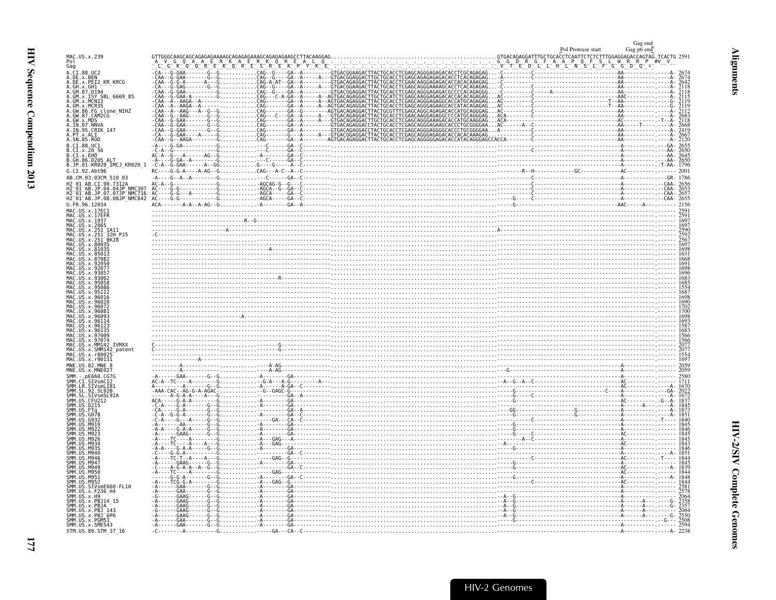<span id="page-22-0"></span>

|                                                                                                                                       | Pol Protease start | Gag end<br>Gag po end |
|---------------------------------------------------------------------------------------------------------------------------------------|--------------------|-----------------------|
| MAC.US.x.239<br>Pol<br>Gag                                                                                                            |                    |                       |
| A.CI.88.UC2                                                                                                                           |                    |                       |
| A.DE.x.BEN<br>A.DE.x.PEI2 KR KRCG                                                                                                     |                    |                       |
| A.GH.x.GH1<br>A.GM.87.D194                                                                                                            |                    |                       |
| A.GM.x.ISY SBL<br>6669 85<br>A.GM.x.MCN13                                                                                             |                    |                       |
| A.GM.x.MCR35<br>A.GW.86.FG clone_NIHZ<br>A.GW.86.FG clone_NIHZ                                                                        |                    |                       |
|                                                                                                                                       |                    |                       |
| A.GW.x.MDS<br>A.GW.x.MDS<br>A.IN.07.NNVA<br>A.IN.95.CRIK_147<br>A.PT.x.ALI<br>A.SN.85.R0D                                             |                    |                       |
| B.CI.88.UC1                                                                                                                           |                    |                       |
| B.CI.x.20<br>B.CI.x.EHO                                                                                                               |                    |                       |
| B.GH.86.D205<br>B.JP.01.KR020_IMCJ_KR020 1                                                                                            |                    |                       |
| G.CI.92.Abt96                                                                                                                         |                    |                       |
| AB.CM.03.03CM 510 03                                                                                                                  |                    |                       |
|                                                                                                                                       |                    |                       |
|                                                                                                                                       |                    |                       |
| MAC.US.x.17EC1<br>MAC.US.x.17EFR                                                                                                      |                    |                       |
| MAC. US. x. 1937                                                                                                                      |                    |                       |
| MAC.US.x.2065<br>MAC.US.x.251<br>MAC.US.x.251<br>MAC.US.x.251<br>.US.x.251 <sup>-</sup> 32H PJ5                                       |                    |                       |
| .US.x.251 <sup>-</sup> BK28<br>MAC.US.x.80035                                                                                         |                    |                       |
| MAC.US.x.81035<br>MAC US x 85013                                                                                                      |                    |                       |
|                                                                                                                                       |                    |                       |
|                                                                                                                                       |                    |                       |
| .IIS x 95086                                                                                                                          |                    |                       |
|                                                                                                                                       |                    |                       |
|                                                                                                                                       |                    |                       |
| .U.S. x . 9608.                                                                                                                       |                    |                       |
| MAC.US.x.96114<br>MAC. US. x. 96123<br>MAC.US.x.9613                                                                                  |                    |                       |
|                                                                                                                                       |                    |                       |
| .US.x.MM142<br><b>TVMXX</b><br>US.x.SMM142_patent                                                                                     |                    |                       |
| MAC.US.x.r80025<br>MAC.US.x.r90131                                                                                                    |                    |                       |
| MNE.US.82.MNE 8<br>MNE.US.x.MNE027                                                                                                    |                    |                       |
| $-$ . pE660. CG7G                                                                                                                     |                    |                       |
| SMM.CI.SIVSMCI2<br>SMM.CI.SIVSMCI2<br>SMM.SL.92.SL92B<br>SMM.SL.SIVSMSL92A                                                            |                    |                       |
|                                                                                                                                       |                    |                       |
| SMM.US.CFU212<br>SMM.US.D215<br>SMM.US.FTg                                                                                            |                    |                       |
| SMM. US . G078<br>SMM. US . G932                                                                                                      |                    |                       |
|                                                                                                                                       |                    |                       |
|                                                                                                                                       |                    |                       |
| <b>FPM</b><br>SMM.US<br>M946                                                                                                          |                    |                       |
| SMM.US<br>M946<br>SMM.US<br>MQA <sup>.</sup>                                                                                          |                    |                       |
| M949                                                                                                                                  |                    |                       |
| SMM. US.M950<br>SMM. US.M951                                                                                                          |                    |                       |
| SMM. US. M952<br>SMM. US. SIVSmE660-FL10<br>SMM. US. SIVSmE660-FL10<br>SMM. US. x. H9<br>SMM. US. x. PB114-15<br>SMM. US. x. PB114-15 |                    |                       |
|                                                                                                                                       |                    |                       |
| SMM.US.x.PBJA<br>SMM. US. x. PBJ 143                                                                                                  |                    |                       |
| SMM.US.x.PBJ-6P6<br>SMM.US.x.PGM53                                                                                                    |                    |                       |
| SMM.US.x.SME543<br>STM. US. 89. STM 37 16                                                                                             |                    |                       |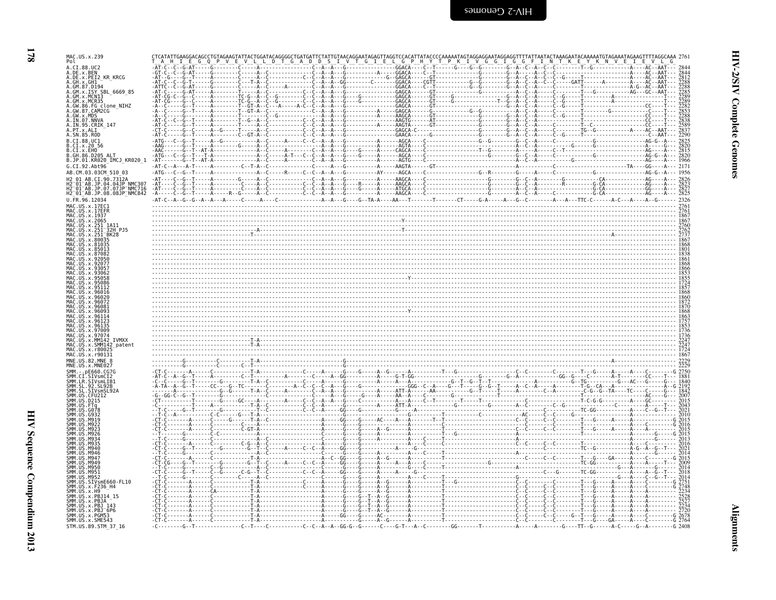| ī |
|---|
|   |

| MAC.US.x.239                                                                                                            |         |                   |  |  |  |
|-------------------------------------------------------------------------------------------------------------------------|---------|-------------------|--|--|--|
| Pol<br>.DE.x.BEN                                                                                                        |         |                   |  |  |  |
| DE.x.PEI2_KR_KRCG<br>GH.x.GH1                                                                                           |         |                   |  |  |  |
| GM.87.D194<br>GM.x.ISY SBL 6669 85<br>GM.x.MCN13                                                                        |         |                   |  |  |  |
| GM.x.MCR35<br>FG_clone_NIHZ<br>GW.87.CAM2CG                                                                             |         |                   |  |  |  |
| GW.x.MDS<br>IN.07.NNVA                                                                                                  |         |                   |  |  |  |
| IN.95.CRIK 147                                                                                                          |         |                   |  |  |  |
| . SN.85.ROD<br>CI.88.UC1<br>CI.x.2056                                                                                   |         |                   |  |  |  |
| CI.x.EHO<br>GH.86.D205 ALT                                                                                              |         |                   |  |  |  |
| .JP.01.KR020_IMCJ_KR020 1<br>G.CI.92.Abt96                                                                              | $-AT-C$ |                   |  |  |  |
| AB.CM.03.03CM 510 03<br>01 AB CT 90 7312A                                                                               |         |                   |  |  |  |
| 01 AB.JP.04.04JP NMC307<br>01 AB.JP.07.07JP NMC716<br>H2 <sup>-</sup> 01 <sup>-</sup> AB.JP.08.08JP <sup>-</sup> NMC842 |         |                   |  |  |  |
| FR.96.12034<br>MAC.US.x.17EC1                                                                                           |         | $\frac{276}{276}$ |  |  |  |
|                                                                                                                         |         |                   |  |  |  |
| 4AC.US.x.2065                                                                                                           |         |                   |  |  |  |
| .251-32H_PJ5<br>.251-BK28                                                                                               |         |                   |  |  |  |
|                                                                                                                         |         |                   |  |  |  |
|                                                                                                                         |         |                   |  |  |  |
|                                                                                                                         |         |                   |  |  |  |
|                                                                                                                         |         |                   |  |  |  |
|                                                                                                                         |         |                   |  |  |  |
|                                                                                                                         |         |                   |  |  |  |
|                                                                                                                         |         |                   |  |  |  |
|                                                                                                                         |         |                   |  |  |  |
| 42 patent                                                                                                               |         |                   |  |  |  |
| MNE IIS 82 MNE                                                                                                          |         |                   |  |  |  |
|                                                                                                                         |         |                   |  |  |  |
|                                                                                                                         |         |                   |  |  |  |
|                                                                                                                         |         |                   |  |  |  |
|                                                                                                                         |         |                   |  |  |  |
|                                                                                                                         |         |                   |  |  |  |
|                                                                                                                         |         |                   |  |  |  |
|                                                                                                                         |         |                   |  |  |  |
|                                                                                                                         |         |                   |  |  |  |
|                                                                                                                         |         |                   |  |  |  |
| VsmE660-FL10                                                                                                            |         |                   |  |  |  |
| x.PBJ14_15                                                                                                              |         |                   |  |  |  |
| .x.PBJA                                                                                                                 |         |                   |  |  |  |
| SMM.US.X.PBJ 143<br>SMM.US.x.PBJ 6P6<br>SMM.US.x.PGM53<br>SMM.US.x.SME543                                               |         |                   |  |  |  |
| STM.US.89.STM_37_16                                                                                                     |         |                   |  |  |  |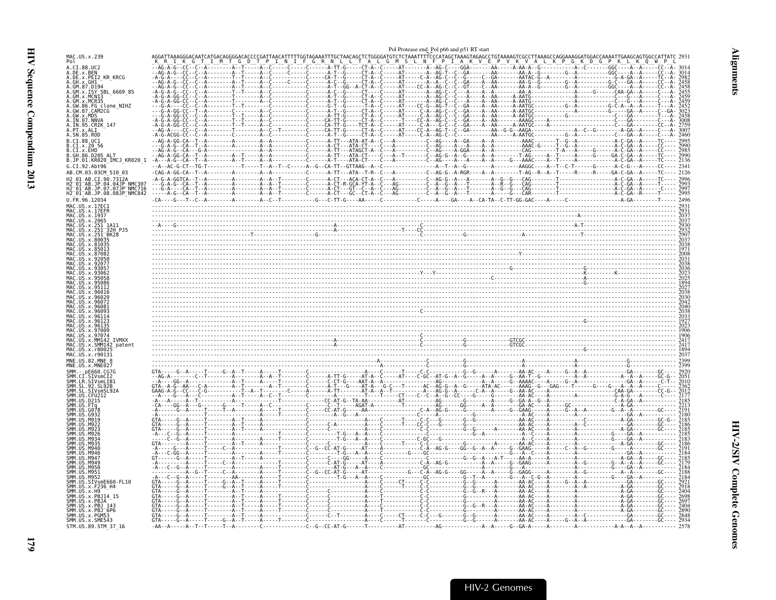<span id="page-24-0"></span>

|                                                                                                            |                                        |  | Pol Protease end Pol p66 and p51 RT start |                                                                                                                                                            |                                                                                                                                                                                                                                                                                                                                                                                              |
|------------------------------------------------------------------------------------------------------------|----------------------------------------|--|-------------------------------------------|------------------------------------------------------------------------------------------------------------------------------------------------------------|----------------------------------------------------------------------------------------------------------------------------------------------------------------------------------------------------------------------------------------------------------------------------------------------------------------------------------------------------------------------------------------------|
| MAC.US.x.239<br>Pol                                                                                        |                                        |  |                                           | TGCTAACAGCTCTGGGGATGTCTCTAAATTTTCCCATAGCTAAAGTGGCCTGTAAAGTCGCCTTAAAGCCAGGAAAGGATGGACCAAAA<br>N L L T A L G M S L N F P I A K V E P V K V A L K P G K D G P |                                                                                                                                                                                                                                                                                                                                                                                              |
| A.CI.88.UC2<br>A.DE.x.BEN<br>A.DE.x.PEI2_KR_KRCG                                                           |                                        |  |                                           |                                                                                                                                                            |                                                                                                                                                                                                                                                                                                                                                                                              |
| A.GH.x.GH1<br>A.GM.87.D194<br>A.GM.x.ISY SBL 6669 85<br>A.GM.x.MCN13                                       |                                        |  |                                           |                                                                                                                                                            |                                                                                                                                                                                                                                                                                                                                                                                              |
| A.GM.x.MCR35<br>A.GW.86.FG clone_NIHZ<br>A.GW.87.CAM2CG                                                    |                                        |  |                                           |                                                                                                                                                            |                                                                                                                                                                                                                                                                                                                                                                                              |
| A.GW.x.MDS<br>A.IN.07.NNVA                                                                                 |                                        |  |                                           |                                                                                                                                                            |                                                                                                                                                                                                                                                                                                                                                                                              |
| A.IN.95.CRIK 147<br>A.PT.x.ALI<br>A.SN.85.ROD                                                              |                                        |  |                                           |                                                                                                                                                            |                                                                                                                                                                                                                                                                                                                                                                                              |
| B.CI.88.UC1<br>B.CI.x.20 56                                                                                |                                        |  |                                           |                                                                                                                                                            |                                                                                                                                                                                                                                                                                                                                                                                              |
| B.CI.X.EHO<br>B.GH.86.D205 ALT<br>B.JP.01.KR020_IMCJ_KR020_1                                               |                                        |  |                                           |                                                                                                                                                            |                                                                                                                                                                                                                                                                                                                                                                                              |
| G.CI.92.Abt96<br>AB.CM.03.03CM 510 03                                                                      |                                        |  |                                           |                                                                                                                                                            |                                                                                                                                                                                                                                                                                                                                                                                              |
| H2 01 AB.CI.90.7312A<br>H2 <sup>-</sup> 01 <sup>-</sup> AB.JP.04.04JP NMC307<br>H2 01 AB.JP.07.07JP NMC716 |                                        |  |                                           |                                                                                                                                                            |                                                                                                                                                                                                                                                                                                                                                                                              |
| H2_01_AB.JP.08.08JP_NMC842<br>U.FR.96.12034                                                                |                                        |  |                                           |                                                                                                                                                            |                                                                                                                                                                                                                                                                                                                                                                                              |
| MAC.US.x.17EC1<br>MAC.US.x.17EFR<br>MAC.US.x.1937                                                          |                                        |  |                                           |                                                                                                                                                            |                                                                                                                                                                                                                                                                                                                                                                                              |
| MAC.US.x.2065<br>.US.x.251 1A11<br>MAC.US.x.251 <sup>-</sup> 32H PJ5                                       |                                        |  |                                           |                                                                                                                                                            | $\begin{array}{cccccccc} \textbf{0.13}\ \textbf{0.203}\ \textbf{0.31}\ \textbf{0.32}\ \textbf{0.33}\ \textbf{0.31}\ \textbf{0.32}\ \textbf{0.33}\ \textbf{0.31}\ \textbf{0.32}\ \textbf{0.33}\ \textbf{0.31}\ \textbf{0.32}\ \textbf{0.33}\ \textbf{0.31}\ \textbf{0.32}\ \textbf{0.33}\ \textbf{0.31}\ \textbf{0.32}\ \textbf{0.33}\ \textbf{0.31}\ \textbf{0.32}\ \textbf{0.33}\ \textbf{$ |
| US.x.251 <sup>-</sup> BK28<br>US. x.80035                                                                  |                                        |  |                                           |                                                                                                                                                            |                                                                                                                                                                                                                                                                                                                                                                                              |
|                                                                                                            |                                        |  |                                           |                                                                                                                                                            |                                                                                                                                                                                                                                                                                                                                                                                              |
|                                                                                                            |                                        |  |                                           |                                                                                                                                                            |                                                                                                                                                                                                                                                                                                                                                                                              |
|                                                                                                            |                                        |  |                                           |                                                                                                                                                            |                                                                                                                                                                                                                                                                                                                                                                                              |
|                                                                                                            |                                        |  |                                           |                                                                                                                                                            |                                                                                                                                                                                                                                                                                                                                                                                              |
|                                                                                                            |                                        |  |                                           |                                                                                                                                                            |                                                                                                                                                                                                                                                                                                                                                                                              |
| $US \times 9612$                                                                                           |                                        |  |                                           |                                                                                                                                                            |                                                                                                                                                                                                                                                                                                                                                                                              |
| <b>TVMXX</b>                                                                                               |                                        |  |                                           |                                                                                                                                                            | $\frac{1}{222}$<br>$\frac{1}{241}$<br>$\frac{1}{241}$<br>$\frac{1}{241}$<br>$\frac{1}{241}$<br>$\frac{1}{241}$<br>$\frac{1}{241}$<br>$\frac{1}{241}$<br>$\frac{1}{241}$<br>$\frac{1}{241}$<br>$\frac{1}{241}$                                                                                                                                                                                |
| SMM142_patent<br>MAC.US.x.r80025<br>MAC.US.x.r90131                                                        |                                        |  |                                           |                                                                                                                                                            |                                                                                                                                                                                                                                                                                                                                                                                              |
| MNE.US.x.MNE027                                                                                            |                                        |  |                                           |                                                                                                                                                            |                                                                                                                                                                                                                                                                                                                                                                                              |
| SIVsmCI2                                                                                                   |                                        |  |                                           |                                                                                                                                                            |                                                                                                                                                                                                                                                                                                                                                                                              |
| SMM.US.CFU212                                                                                              |                                        |  |                                           |                                                                                                                                                            |                                                                                                                                                                                                                                                                                                                                                                                              |
|                                                                                                            |                                        |  |                                           |                                                                                                                                                            |                                                                                                                                                                                                                                                                                                                                                                                              |
|                                                                                                            |                                        |  |                                           |                                                                                                                                                            |                                                                                                                                                                                                                                                                                                                                                                                              |
|                                                                                                            |                                        |  |                                           |                                                                                                                                                            |                                                                                                                                                                                                                                                                                                                                                                                              |
|                                                                                                            |                                        |  |                                           |                                                                                                                                                            |                                                                                                                                                                                                                                                                                                                                                                                              |
| M94                                                                                                        |                                        |  |                                           |                                                                                                                                                            |                                                                                                                                                                                                                                                                                                                                                                                              |
| M950<br>M951<br><b>SMM 11S</b><br>M952                                                                     |                                        |  |                                           |                                                                                                                                                            |                                                                                                                                                                                                                                                                                                                                                                                              |
| <b>SMM 119</b><br>SIVsmE660-FL10                                                                           |                                        |  |                                           |                                                                                                                                                            |                                                                                                                                                                                                                                                                                                                                                                                              |
| SMM.US.x.F236_H4<br>SMM.US.x.H9<br>SMM.US.x.PBJ14_15                                                       |                                        |  |                                           |                                                                                                                                                            |                                                                                                                                                                                                                                                                                                                                                                                              |
| SMM. US. x. PBJA<br>SMM. US. x. PBJ 143<br>SMM. US. x. PBJ 6P6<br>SMM. US. x. PGM53<br>SMM. US. x. SME543  |                                        |  |                                           |                                                                                                                                                            |                                                                                                                                                                                                                                                                                                                                                                                              |
| STM.US.89.STM 37 16                                                                                        | - AA - - A - - - - - A - - T - - T - - |  |                                           |                                                                                                                                                            | 2578                                                                                                                                                                                                                                                                                                                                                                                         |

 $\overline{29}$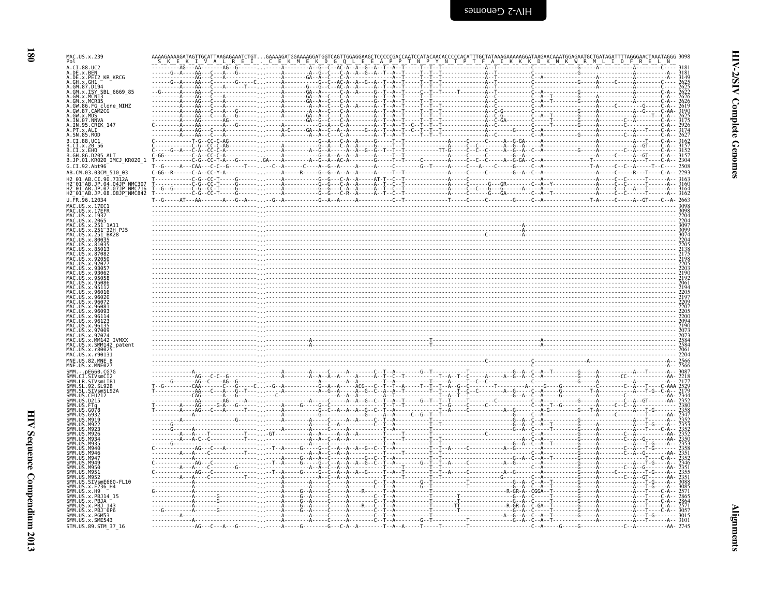| MAC.US.x.239<br>Pol<br>A.CI.88.UC2                           |  |  |  |
|--------------------------------------------------------------|--|--|--|
| A.DE.x.BEN<br>A.DE.x.PEI2_KR_KRCG                            |  |  |  |
| A.GH.X.GH1-<br>A.GM.87.D194                                  |  |  |  |
| A.GM.x.ISY SBL 6669 85                                       |  |  |  |
| A.GM.x.MCN13<br>A.GM.x.MCR35                                 |  |  |  |
| A.GW.86.FG clone NIHZ                                        |  |  |  |
| A.GW.87.CAM2CG<br>A.GW.x.MDS                                 |  |  |  |
| A.IN.07.NNVA<br>A.IN.95.CRIK 147                             |  |  |  |
| A.PT.x.ALI<br>A.SN.85.ROD                                    |  |  |  |
| B.CI.88.UC1                                                  |  |  |  |
| B.CI.x.20 56                                                 |  |  |  |
| B.CI.X.EHO<br>B.GH.86.D205_ALT<br>B.JP.01.KR020_IMCJ_KR020_1 |  |  |  |
| G.CI.92.Abt96                                                |  |  |  |
| AB.CM.03.03CM 510 03                                         |  |  |  |
| H2 01 AB.CI.90.7312A<br>H2 01 AB.JP.04.04JP NMC307           |  |  |  |
| H2-01-AB.JP.07.07JP NMC716<br>H2 01 AB.JP.08.08JP NMC842     |  |  |  |
| U.FR.96.12034                                                |  |  |  |
|                                                              |  |  |  |
| US.x.17EFR<br>MAC<br>US.x.1937                               |  |  |  |
| .US.x.2065<br>.x.251                                         |  |  |  |
| x.251 BK28                                                   |  |  |  |
| x.80035                                                      |  |  |  |
|                                                              |  |  |  |
|                                                              |  |  |  |
|                                                              |  |  |  |
|                                                              |  |  |  |
|                                                              |  |  |  |
|                                                              |  |  |  |
|                                                              |  |  |  |
|                                                              |  |  |  |
|                                                              |  |  |  |
|                                                              |  |  |  |
| 97074                                                        |  |  |  |
| <b>TVMXX</b><br>.MM142                                       |  |  |  |
|                                                              |  |  |  |
| MAC<br>.US.x.SMM142 patent<br>r8002                          |  |  |  |
| MAC.US.x.r90131                                              |  |  |  |
| MNE.US.82.MNE 8                                              |  |  |  |
|                                                              |  |  |  |
| .STVsmlTR'                                                   |  |  |  |
|                                                              |  |  |  |
|                                                              |  |  |  |
|                                                              |  |  |  |
|                                                              |  |  |  |
|                                                              |  |  |  |
|                                                              |  |  |  |
|                                                              |  |  |  |
| M946<br>маді                                                 |  |  |  |
| $MA$ .<br>M949                                               |  |  |  |
| SMM<br>SMM<br><b>SMM</b><br>M956                             |  |  |  |
| MQ5                                                          |  |  |  |
| .SIVsmE660-FL10                                              |  |  |  |
| US.x.F236 H4<br>US.x.H9                                      |  |  |  |
| US.x.PBJ14 15<br>US.x.PBJA                                   |  |  |  |
| .US.x.PBJ 143<br>.US.x.PBJ 6P6                               |  |  |  |
| US.x.PGM53<br>SMM.US.x.SME543                                |  |  |  |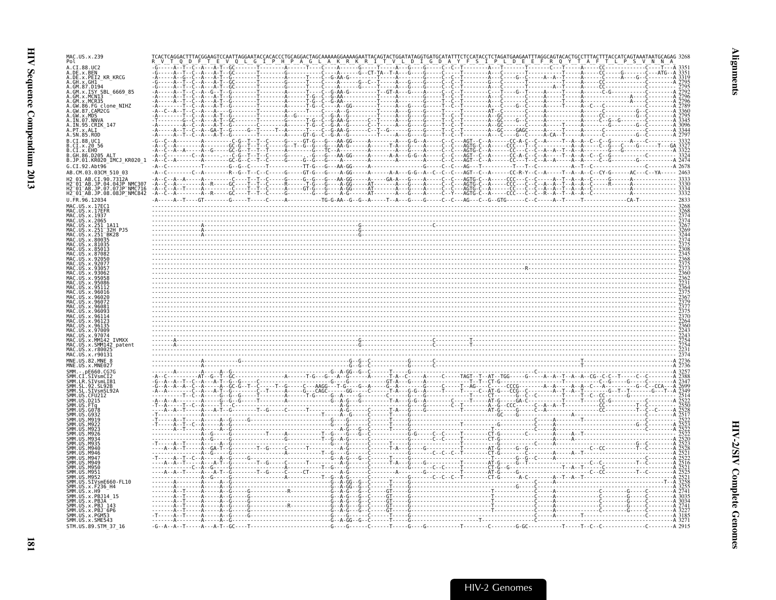| MAC.US.x.239<br>Pol                                                                                                                                         |                                                    |                                                                                                                        |  |
|-------------------------------------------------------------------------------------------------------------------------------------------------------------|----------------------------------------------------|------------------------------------------------------------------------------------------------------------------------|--|
| A.CI.88.UC2<br>A.DE.x.BEN                                                                                                                                   |                                                    |                                                                                                                        |  |
|                                                                                                                                                             |                                                    |                                                                                                                        |  |
| A.DE.X.PEI2_KR_KRCG<br>A.GH.X.GH1<br>A.GM.87.D194                                                                                                           |                                                    |                                                                                                                        |  |
| A.GM.x.ISY SBL 6669 85<br>A. GM. X. 131 3BL_0009_85<br>A. GM. X. MCN13<br>A. GM. X. MCR35<br>A. GW. 86. FG clone_NIHZ<br>A. GW. 87. CAM2CG<br>A. TN A7 NAMA |                                                    |                                                                                                                        |  |
|                                                                                                                                                             |                                                    |                                                                                                                        |  |
|                                                                                                                                                             |                                                    |                                                                                                                        |  |
| A. IN. 07. NNVA<br>A. IN. 95. CRIK_147                                                                                                                      |                                                    |                                                                                                                        |  |
| A.PT.x.ALI                                                                                                                                                  |                                                    |                                                                                                                        |  |
| A.SN.85.ROD<br>B.CI.88.UC1                                                                                                                                  |                                                    |                                                                                                                        |  |
| B.CI.x.20 56<br>B.CI.x.EHO                                                                                                                                  |                                                    |                                                                                                                        |  |
| B. GH. 86. D205 ALT                                                                                                                                         |                                                    |                                                                                                                        |  |
| B.JP.01.KR020_IMCJ_KR020_1<br>G.CI.92.Abt96                                                                                                                 |                                                    |                                                                                                                        |  |
| AB.CM.03.03CM 510 03                                                                                                                                        |                                                    |                                                                                                                        |  |
| H2 01 AR CT 90 7312A<br>2 <sup>-</sup> 01 <sup>-</sup> AB.JP.04.04JP NMC307                                                                                 |                                                    |                                                                                                                        |  |
| H2 <sup>-</sup> 01-AB.JP.07.07JP-NMC716<br>H2_01_AB.JP.08.08JP_NMC842                                                                                       |                                                    |                                                                                                                        |  |
| U.FR.96.12034                                                                                                                                               |                                                    |                                                                                                                        |  |
| MAC.US.x.17EC1<br>MAC.US.x.17EFR                                                                                                                            |                                                    | $\frac{326}{200}$                                                                                                      |  |
| MAC.US.x.1937                                                                                                                                               |                                                    | <u> 1999 - Samuel Samuel Samuel Samuel Samuel Samuel Samuel Samuel Samuel Samuel Samuel Samuel Samuel Samuel Samue</u> |  |
| MAC.US.x.2065<br>MAC.US.x.251 1A11                                                                                                                          |                                                    |                                                                                                                        |  |
| 32H P.15                                                                                                                                                    |                                                    |                                                                                                                        |  |
|                                                                                                                                                             |                                                    |                                                                                                                        |  |
|                                                                                                                                                             |                                                    |                                                                                                                        |  |
|                                                                                                                                                             |                                                    |                                                                                                                        |  |
|                                                                                                                                                             |                                                    |                                                                                                                        |  |
|                                                                                                                                                             |                                                    |                                                                                                                        |  |
|                                                                                                                                                             |                                                    |                                                                                                                        |  |
|                                                                                                                                                             |                                                    |                                                                                                                        |  |
|                                                                                                                                                             |                                                    |                                                                                                                        |  |
|                                                                                                                                                             |                                                    |                                                                                                                        |  |
|                                                                                                                                                             |                                                    |                                                                                                                        |  |
|                                                                                                                                                             |                                                    |                                                                                                                        |  |
| AC.US.x.MM142 IVMXX                                                                                                                                         |                                                    |                                                                                                                        |  |
| AAC.US.x.SMM142 patent<br>IAC. US. x. r8002                                                                                                                 |                                                    |                                                                                                                        |  |
|                                                                                                                                                             |                                                    |                                                                                                                        |  |
| MNE.US.x.MNE027                                                                                                                                             |                                                    |                                                                                                                        |  |
| $-$ nF660                                                                                                                                                   |                                                    |                                                                                                                        |  |
|                                                                                                                                                             |                                                    |                                                                                                                        |  |
|                                                                                                                                                             |                                                    |                                                                                                                        |  |
|                                                                                                                                                             |                                                    |                                                                                                                        |  |
|                                                                                                                                                             |                                                    |                                                                                                                        |  |
|                                                                                                                                                             |                                                    |                                                                                                                        |  |
|                                                                                                                                                             |                                                    |                                                                                                                        |  |
|                                                                                                                                                             |                                                    |                                                                                                                        |  |
|                                                                                                                                                             |                                                    |                                                                                                                        |  |
|                                                                                                                                                             |                                                    |                                                                                                                        |  |
| M940                                                                                                                                                        |                                                    |                                                                                                                        |  |
| M950<br>M951                                                                                                                                                |                                                    |                                                                                                                        |  |
| SMM.US.SIVsmE660-FL10                                                                                                                                       |                                                    |                                                                                                                        |  |
| SMM.US.x.F236_H4                                                                                                                                            |                                                    |                                                                                                                        |  |
| JS.x.PBJ14 15<br>SMM.US.x.PBJA                                                                                                                              |                                                    |                                                                                                                        |  |
| SMM.US.x.PBJ 143                                                                                                                                            |                                                    |                                                                                                                        |  |
| SMM.US.x.PBJ <sup>-</sup> 6P6<br>SMM. US. x. PGM53<br>SMM. US. x. SME543                                                                                    |                                                    |                                                                                                                        |  |
|                                                                                                                                                             |                                                    |                                                                                                                        |  |
| STM.US.89.STM 37 16                                                                                                                                         | $-G - A - A - T - - - A - A - T - G - - - T - - -$ |                                                                                                                        |  |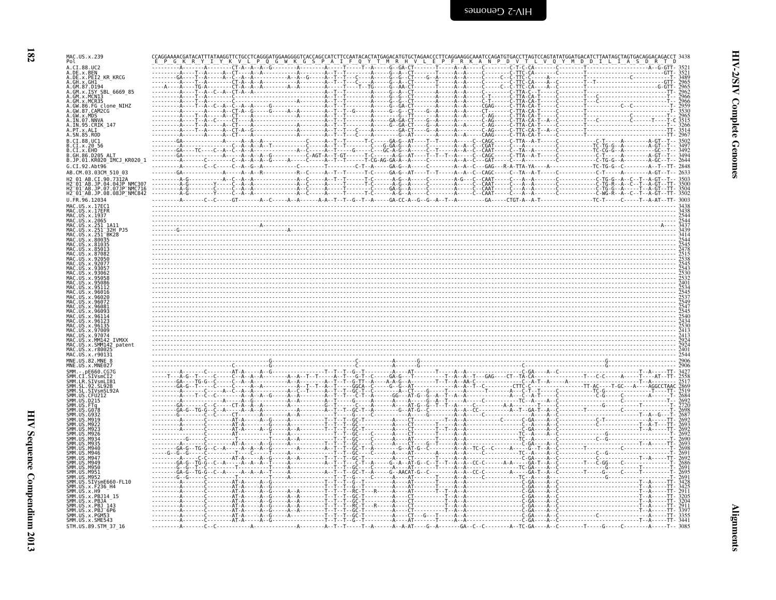| MAC.US.x.239<br>Pol                                                   |  |  |  |  |  |
|-----------------------------------------------------------------------|--|--|--|--|--|
| A.CI.88.UC2                                                           |  |  |  |  |  |
| A.DE.x.BEN<br>A.DE.x.PEI2_KR_KRCG<br>A.GH.X.GH1-<br>A.GM.87.D194      |  |  |  |  |  |
| A.GM.X.ISY SBL 6669 85                                                |  |  |  |  |  |
| A.GM.x.MCN13<br>A.GM.x.MCR35                                          |  |  |  |  |  |
| A.GW.86.FG clone NIHZ<br>A.GW.87.CAM2CG<br>A.GW.x.MDS                 |  |  |  |  |  |
| A.IN.07.NNVA<br>A.IN.95.CRIK 147                                      |  |  |  |  |  |
| A.SN.85.ROD                                                           |  |  |  |  |  |
| B.CI.88.UC1<br>B.CI.x.20 56                                           |  |  |  |  |  |
| B.CI.x.EHO<br>B.GH.86.D205 ALT<br>B.JP.01.KR020 IMCJ KR020 1          |  |  |  |  |  |
| G.CI.92.Abt96<br>AB.CM.03.03CM 510 03                                 |  |  |  |  |  |
| AB.CI.90.7312A<br>2 <sup>-</sup> 01 <sup>-</sup> AB.JP.04.04JP NMC307 |  |  |  |  |  |
| AB.JP.07.07JP NMC716<br>H2_01_AB.JP.08.08JP_NMC842                    |  |  |  |  |  |
| U.FR.96.12034                                                         |  |  |  |  |  |
| MAC.US.x.17EC1<br>.US.x.17EFR<br>. US . x . 1937                      |  |  |  |  |  |
| MAC.US.x.2065<br>.US.x.251                                            |  |  |  |  |  |
| .US.x.251 <sup>-</sup> 32H PJ5<br>US.x.251 BK28                       |  |  |  |  |  |
| .x.80035<br>US.x.810                                                  |  |  |  |  |  |
|                                                                       |  |  |  |  |  |
|                                                                       |  |  |  |  |  |
|                                                                       |  |  |  |  |  |
|                                                                       |  |  |  |  |  |
|                                                                       |  |  |  |  |  |
| 9608                                                                  |  |  |  |  |  |
|                                                                       |  |  |  |  |  |
| 4AC.US.x.97074                                                        |  |  |  |  |  |
| MM142 IVMXX<br>IAC.US.x.SMM142 patent<br>1AC US x r80025              |  |  |  |  |  |
| MAC.US.x.r90131<br>MNE.US.82.MNE                                      |  |  |  |  |  |
| MNE.US.x.MNE027                                                       |  |  |  |  |  |
| SMM<br>LR.SIVsmLIB1                                                   |  |  |  |  |  |
| SMM.SL<br>SMM JIS                                                     |  |  |  |  |  |
| SMM. US. D215<br>SMM.US.                                              |  |  |  |  |  |
|                                                                       |  |  |  |  |  |
|                                                                       |  |  |  |  |  |
|                                                                       |  |  |  |  |  |
|                                                                       |  |  |  |  |  |
|                                                                       |  |  |  |  |  |
| M94<br>M950<br>SMM.US.M951                                            |  |  |  |  |  |
| ŚMM.US<br>SMM.US.SIVsmE660-FL10                                       |  |  |  |  |  |
| SMM.US.x.F236_H4<br>SMM.US.x.H9                                       |  |  |  |  |  |
| SMM. US. x. PBJ14_15<br>SMM.US.x.PBJA                                 |  |  |  |  |  |
|                                                                       |  |  |  |  |  |
| SMM.US.x.SME543<br>STM.US.89.STM 37 16                                |  |  |  |  |  |
| SMM.US.x.PBJ`143<br>SMM.US.x.PBJ <sup>-</sup> 6P6<br>SMM.US.x.PGM53   |  |  |  |  |  |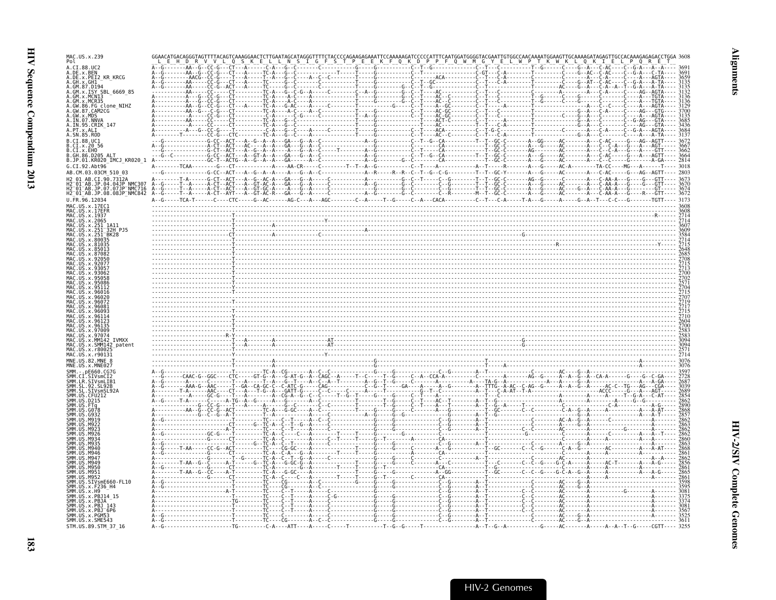| MAC.US.x.239                                                     |                                  |
|------------------------------------------------------------------|----------------------------------|
| 4.CT.88.UC2<br>.DE.x.BEN                                         |                                  |
| .DE.x.PEI2_KR_KRCG<br>GH.X.GH1                                   |                                  |
| .GM.87.D194<br>.GM.x.ISY SBL 6669 85<br>.GM.x.MCN13              |                                  |
| GM.x.MCR35<br>.GW.86.FG clone_NIHZ<br>.GW.87.CAM2CG              |                                  |
| .GW.x.MDS                                                        |                                  |
| IN.95.CRIK 147                                                   |                                  |
| SN.85.ROD<br>CI.88.UC1                                           |                                  |
| CI.x.2056<br>.CI.x.EHO                                           |                                  |
| .GH.86.D205 ALT<br>.JP.01.KR020_IMCJ_KR020_1                     |                                  |
| G.CI.92.Abt96<br>AB.CM.03.03CM 510 03                            |                                  |
| AB.CI.90.7312A                                                   |                                  |
|                                                                  |                                  |
| MAC.US.x.17EC1                                                   |                                  |
| AC.US.x.17EFR<br>1AC.US.x.1937                                   |                                  |
| MAC.US.x.2065                                                    |                                  |
|                                                                  |                                  |
|                                                                  |                                  |
|                                                                  |                                  |
|                                                                  |                                  |
|                                                                  |                                  |
|                                                                  |                                  |
|                                                                  |                                  |
|                                                                  |                                  |
|                                                                  |                                  |
| MM142 IVMXX                                                      |                                  |
| .US.x.SMM142 patent<br>. IIS x r800                              |                                  |
|                                                                  |                                  |
|                                                                  | 3076                             |
|                                                                  |                                  |
| STVsmCT2<br>.LR.SIVsmLIB1                                        |                                  |
| SL 92 SL92R<br>.SL.SIVsmSL92A                                    | 2689                             |
|                                                                  |                                  |
|                                                                  |                                  |
|                                                                  |                                  |
|                                                                  |                                  |
|                                                                  |                                  |
|                                                                  |                                  |
|                                                                  |                                  |
| SIVsmE660-FL10                                                   |                                  |
|                                                                  |                                  |
| MNE.US.x.MNE027<br>MM.US.CFU212<br>x.PBJ14 15                    | AC--------A--------------------- |
| MM.US.x.PBJ <sup>-6P6</sup><br>SMM.US.x.PGM53<br>SMM.US.x.SME543 |                                  |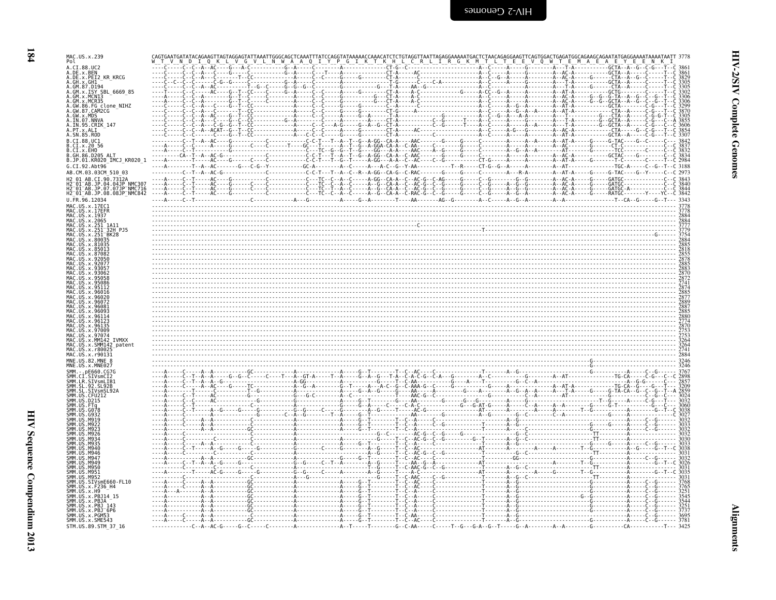| Ŧ, |
|----|

| MAC.US.x.239<br>Pol                                                                                               |                                                                                                                                                                                               |  |
|-------------------------------------------------------------------------------------------------------------------|-----------------------------------------------------------------------------------------------------------------------------------------------------------------------------------------------|--|
| A.CI.88.UC2<br>A.DE.x.BEN<br>A.DE.x.PEI2_KR_KRCG                                                                  |                                                                                                                                                                                               |  |
| A.GH.X.GH1-<br>A.GM.87.D194<br>A.GM.X.ISY_SBL_6669 85<br>A.GM.x.MCN13<br>A.GM.X.MCR35                             |                                                                                                                                                                                               |  |
| A.GW.86.FG clone_NIHZ<br>A.GW.87.CAM2CG<br>A.GW.x.MDS<br>A.IN.07.NNVA                                             |                                                                                                                                                                                               |  |
| A.IN.95.CRIK 147<br>A.SN.85.ROD<br>B.CI.88.UC1                                                                    |                                                                                                                                                                                               |  |
| B.CI.x.EHO<br>B.GH.86.D205 ALT<br>B.JP.01.KR020 IMCJ KR020 1                                                      |                                                                                                                                                                                               |  |
| G.CI.92.Abt96<br>AB.CM.03.03CM_510_03<br>H2 01 AB.CI.90.7312A<br>H2 01 AB.JP.04.04JP NMC307                       | TGC-A-----C--G--T--C 3188<br>---A-----C--T----AC----G----------C-------C---TC--C--A--C----A-GG--CA-A--C--AC-G--C-AG----G----C--G-------G-G-------A--AC-A-----G--G------AC-A-----GATGC-------- |  |
| H2-01-AB.JP.07.07JP-NMC716<br>H2-01-AB.JP.08.08JP NMC842<br>U.FR.96.12034                                         |                                                                                                                                                                                               |  |
| MAC.US.x.17EC1<br>US.x.17EFR<br>MAC.US.x.1937<br>US.x.2065<br>.x.251                                              |                                                                                                                                                                                               |  |
| <b>BK28</b>                                                                                                       |                                                                                                                                                                                               |  |
|                                                                                                                   |                                                                                                                                                                                               |  |
|                                                                                                                   |                                                                                                                                                                                               |  |
|                                                                                                                   |                                                                                                                                                                                               |  |
|                                                                                                                   |                                                                                                                                                                                               |  |
| .970°<br><b>TVMXX</b><br>MM142<br>SMM142 patent<br>r8002                                                          |                                                                                                                                                                                               |  |
| MAC.US.x.r90131<br>MNE.US.82.MNE 8                                                                                |                                                                                                                                                                                               |  |
| SIVSMOIZ<br>STVsml TR1                                                                                            |                                                                                                                                                                                               |  |
|                                                                                                                   |                                                                                                                                                                                               |  |
| <b>MQ10</b>                                                                                                       |                                                                                                                                                                                               |  |
|                                                                                                                   |                                                                                                                                                                                               |  |
|                                                                                                                   |                                                                                                                                                                                               |  |
| .SIVsmE660-FL10<br>.x.F236 H4<br>.x.PBJ14 15                                                                      |                                                                                                                                                                                               |  |
| US.x.PBJA<br>US.x.PBJ 143<br>SMM.US.x.PBJ-6Pe<br>SMM.US.x.PBJ-6Pe<br>SMM.US.x.SME543<br>US.x.PBJ <sup>-</sup> 6P6 | <u>.</u>                                                                                                                                                                                      |  |
| STM.US.89.STM 37 16                                                                                               |                                                                                                                                                                                               |  |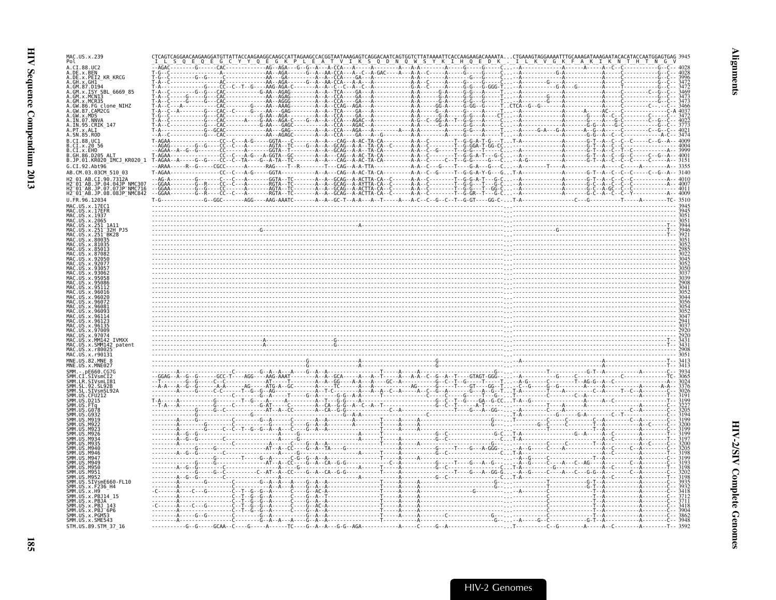| MAC.US.x.239                                                                     |                                                                                                                                                                                                                                                                                                                                                                                                                                     |  |
|----------------------------------------------------------------------------------|-------------------------------------------------------------------------------------------------------------------------------------------------------------------------------------------------------------------------------------------------------------------------------------------------------------------------------------------------------------------------------------------------------------------------------------|--|
| . C.T 88. UC2                                                                    | $\begin{bmatrix} \mathbf{a}_1 & \mathbf{b}_2 & \mathbf{b}_3 & \mathbf{b}_4 & \mathbf{b}_5 & \mathbf{b}_6 & \mathbf{b}_7 & \mathbf{b}_8 & \mathbf{b}_9 & \mathbf{b}_9 & \mathbf{b}_9 & \mathbf{b}_9 & \mathbf{b}_9 & \mathbf{b}_9 & \mathbf{b}_9 & \mathbf{b}_9 & \mathbf{b}_9 & \mathbf{b}_9 & \mathbf{b}_9 & \mathbf{b}_9 & \mathbf{b}_9 & \mathbf{b}_9 & \mathbf{b}_9 & \mathbf{b}_9 & \mathbf{b}_9 & \mathbf{b}_9 & \mathbf{b}_$ |  |
| .DE.x.BEN<br><b>KR KRCG</b><br>DE.x.PEI2                                         |                                                                                                                                                                                                                                                                                                                                                                                                                                     |  |
|                                                                                  |                                                                                                                                                                                                                                                                                                                                                                                                                                     |  |
| GM.x.ISY SBL 6669 85                                                             |                                                                                                                                                                                                                                                                                                                                                                                                                                     |  |
| GM.x.MCR35<br>86.FG clone NIHZ                                                   |                                                                                                                                                                                                                                                                                                                                                                                                                                     |  |
| GW.87.CAM2CG                                                                     |                                                                                                                                                                                                                                                                                                                                                                                                                                     |  |
| $GW \times MDS$<br>IN.07.NNV                                                     |                                                                                                                                                                                                                                                                                                                                                                                                                                     |  |
| IN.95.CRIK 147                                                                   |                                                                                                                                                                                                                                                                                                                                                                                                                                     |  |
| CI.88.0C1                                                                        |                                                                                                                                                                                                                                                                                                                                                                                                                                     |  |
| CL.X.20.56                                                                       |                                                                                                                                                                                                                                                                                                                                                                                                                                     |  |
| $CI \cdot x$ . EHO<br>GH.86.D205 ALT                                             |                                                                                                                                                                                                                                                                                                                                                                                                                                     |  |
| JP.01.KR020_IMCJ KR020 1<br>$CT.92.$ Abt $96$                                    |                                                                                                                                                                                                                                                                                                                                                                                                                                     |  |
| AR (M.03.03(M 510.03                                                             |                                                                                                                                                                                                                                                                                                                                                                                                                                     |  |
| AB.JP.04.04JP NMC30                                                              |                                                                                                                                                                                                                                                                                                                                                                                                                                     |  |
| JP.07.07JP NMC716                                                                |                                                                                                                                                                                                                                                                                                                                                                                                                                     |  |
| 12 <sup>-</sup> 01 <sup>-</sup> AB.JP.08.08JP <sup>-</sup> NMC842<br>FR 96 12034 |                                                                                                                                                                                                                                                                                                                                                                                                                                     |  |
|                                                                                  |                                                                                                                                                                                                                                                                                                                                                                                                                                     |  |
|                                                                                  |                                                                                                                                                                                                                                                                                                                                                                                                                                     |  |
|                                                                                  |                                                                                                                                                                                                                                                                                                                                                                                                                                     |  |
|                                                                                  |                                                                                                                                                                                                                                                                                                                                                                                                                                     |  |
|                                                                                  |                                                                                                                                                                                                                                                                                                                                                                                                                                     |  |
|                                                                                  |                                                                                                                                                                                                                                                                                                                                                                                                                                     |  |
|                                                                                  |                                                                                                                                                                                                                                                                                                                                                                                                                                     |  |
|                                                                                  |                                                                                                                                                                                                                                                                                                                                                                                                                                     |  |
|                                                                                  |                                                                                                                                                                                                                                                                                                                                                                                                                                     |  |
|                                                                                  |                                                                                                                                                                                                                                                                                                                                                                                                                                     |  |
|                                                                                  |                                                                                                                                                                                                                                                                                                                                                                                                                                     |  |
|                                                                                  |                                                                                                                                                                                                                                                                                                                                                                                                                                     |  |
|                                                                                  |                                                                                                                                                                                                                                                                                                                                                                                                                                     |  |
|                                                                                  |                                                                                                                                                                                                                                                                                                                                                                                                                                     |  |
|                                                                                  |                                                                                                                                                                                                                                                                                                                                                                                                                                     |  |
| <b>TVMXX</b>                                                                     |                                                                                                                                                                                                                                                                                                                                                                                                                                     |  |
|                                                                                  |                                                                                                                                                                                                                                                                                                                                                                                                                                     |  |
|                                                                                  |                                                                                                                                                                                                                                                                                                                                                                                                                                     |  |
|                                                                                  |                                                                                                                                                                                                                                                                                                                                                                                                                                     |  |
|                                                                                  |                                                                                                                                                                                                                                                                                                                                                                                                                                     |  |
|                                                                                  |                                                                                                                                                                                                                                                                                                                                                                                                                                     |  |
|                                                                                  |                                                                                                                                                                                                                                                                                                                                                                                                                                     |  |
|                                                                                  |                                                                                                                                                                                                                                                                                                                                                                                                                                     |  |
|                                                                                  |                                                                                                                                                                                                                                                                                                                                                                                                                                     |  |
|                                                                                  |                                                                                                                                                                                                                                                                                                                                                                                                                                     |  |
|                                                                                  |                                                                                                                                                                                                                                                                                                                                                                                                                                     |  |
|                                                                                  |                                                                                                                                                                                                                                                                                                                                                                                                                                     |  |
|                                                                                  |                                                                                                                                                                                                                                                                                                                                                                                                                                     |  |
|                                                                                  |                                                                                                                                                                                                                                                                                                                                                                                                                                     |  |
|                                                                                  |                                                                                                                                                                                                                                                                                                                                                                                                                                     |  |
|                                                                                  |                                                                                                                                                                                                                                                                                                                                                                                                                                     |  |
| SIVsmE660-FL10                                                                   |                                                                                                                                                                                                                                                                                                                                                                                                                                     |  |
|                                                                                  |                                                                                                                                                                                                                                                                                                                                                                                                                                     |  |
| x.PBJ14 15                                                                       |                                                                                                                                                                                                                                                                                                                                                                                                                                     |  |
|                                                                                  |                                                                                                                                                                                                                                                                                                                                                                                                                                     |  |
| $US \times P B J^- 6 P6$<br>MM IIS x PGM53                                       |                                                                                                                                                                                                                                                                                                                                                                                                                                     |  |
| SMM.US.x.SME543                                                                  |                                                                                                                                                                                                                                                                                                                                                                                                                                     |  |
| STM.US.89.STM 37 16                                                              |                                                                                                                                                                                                                                                                                                                                                                                                                                     |  |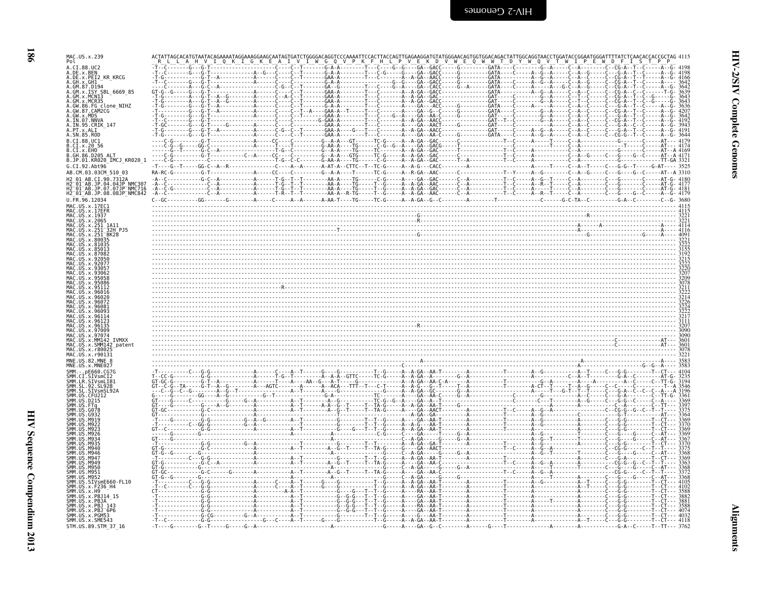| <b>HHH JOECHEEE COLLEGER</b> |  |
|------------------------------|--|
| データー・エストランド                  |  |

| MAC.US.x.239<br>Pol<br>A.CI.88.UC2                             |            |              |                      |                                                    | $-G-G--GA--GACC---G---G---GATA---C---$                                                                                                           |                                            |            |
|----------------------------------------------------------------|------------|--------------|----------------------|----------------------------------------------------|--------------------------------------------------------------------------------------------------------------------------------------------------|--------------------------------------------|------------|
| A.DE.x.BEN<br>A.DE.x.PEI2 KR KRCG                              |            |              |                      | ---G---                                            | -GA--GACC                                                                                                                                        | - G - - - - - - - - - GATA - - - - C - - - |            |
| A.GH.x.GH1<br>A.GM.87.D194                                     |            |              |                      |                                                    |                                                                                                                                                  |                                            |            |
| A.GM.X.ISY SBL 6669 85<br>GM.x.MCN13                           |            |              | $---GAA$<br>$---GAA$ |                                                    |                                                                                                                                                  |                                            |            |
| A.GM.x.MCR35                                                   |            |              | $- - - - GAA$        | - - - - - - - A - - A -<br>- - - - - - - A - - A - | -GA - - GAC - - - - - - - - - - - - - - - - GAT - - - - - C - - - - -<br>- GA - - GACC - - - - - - - - - - - - - - - - GAT - - - - - C - - - - - |                                            |            |
| A.GW.86.FG clone_NIHZ<br>A.GW.87.CAM2CG                        |            |              | - - - GAA            |                                                    |                                                                                                                                                  |                                            |            |
| A.GW.X.MDS<br>A.IN.07.NNVA<br>A.IN.95.CRIK 147                 |            |              | - - - GAA -          |                                                    |                                                                                                                                                  |                                            |            |
| A.PT.x.ALI<br>A.SN.85.ROD                                      |            |              |                      |                                                    |                                                                                                                                                  |                                            |            |
| B.CI.88.UC1                                                    |            |              |                      |                                                    |                                                                                                                                                  |                                            |            |
| B.CI.x.20 56<br>B.CI.x.EHO                                     |            |              |                      |                                                    |                                                                                                                                                  |                                            |            |
| 86.D205 ALT<br>B.JP.01.KR020 IMCJ KR020 1                      |            |              |                      |                                                    |                                                                                                                                                  |                                            |            |
| G.CI.92.Abt96<br>AB.CM.03.03CM_510_03                          | $RA-RC-G-$ |              |                      |                                                    |                                                                                                                                                  |                                            | $- A 3310$ |
| H2 01 AB.CI.90.7312A<br>H2 <sup>-01-AB.JP.04.04JP NMC307</sup> |            |              |                      |                                                    |                                                                                                                                                  |                                            |            |
| H2-01-AB.JP.07.07JP-NMC716<br>H2-01-AB.JP.07.07JP-NMC716       | - A - - C  |              |                      |                                                    |                                                                                                                                                  |                                            |            |
| U.FR.96.12034                                                  | $C - GC$   |              |                      |                                                    |                                                                                                                                                  |                                            |            |
| MAC.US.x.17EC1<br>MAC.<br>x.17EFR                              |            |              |                      |                                                    |                                                                                                                                                  |                                            |            |
| MAC.US.x.1937<br>MAC.US.x.2065                                 |            |              |                      |                                                    |                                                                                                                                                  |                                            |            |
| MAC.US<br>.x.251<br>1A11<br>32H PJ5<br>BK28                    |            |              |                      |                                                    |                                                                                                                                                  |                                            |            |
|                                                                |            |              |                      |                                                    |                                                                                                                                                  |                                            |            |
| MAC US x 81035                                                 |            |              |                      |                                                    |                                                                                                                                                  |                                            |            |
|                                                                |            |              |                      |                                                    |                                                                                                                                                  |                                            |            |
|                                                                |            |              |                      |                                                    |                                                                                                                                                  |                                            |            |
|                                                                |            |              |                      |                                                    |                                                                                                                                                  |                                            |            |
|                                                                |            |              |                      |                                                    |                                                                                                                                                  |                                            |            |
|                                                                |            |              |                      |                                                    |                                                                                                                                                  |                                            |            |
|                                                                |            |              |                      |                                                    |                                                                                                                                                  |                                            |            |
|                                                                |            |              |                      |                                                    |                                                                                                                                                  |                                            |            |
|                                                                |            |              |                      |                                                    |                                                                                                                                                  |                                            |            |
|                                                                |            |              |                      |                                                    |                                                                                                                                                  |                                            |            |
| MAC.US<br>MM142 IVMXX<br>SMM142 patent                         |            |              |                      |                                                    |                                                                                                                                                  |                                            | 3601       |
| .x.r80025<br>MAC.US.x.r90131                                   |            |              |                      |                                                    |                                                                                                                                                  |                                            |            |
| MNE.US.82.MNE 8<br>MNE.US.x.MNE027                             |            |              |                      |                                                    |                                                                                                                                                  |                                            |            |
| nF660 CG7G<br><b>STVsmCT2</b>                                  |            |              |                      |                                                    |                                                                                                                                                  |                                            |            |
| SMM.LR.SIVsmLIB1<br>92. SL92B                                  |            |              |                      |                                                    |                                                                                                                                                  |                                            |            |
| ŚMM.                                                           |            |              |                      |                                                    |                                                                                                                                                  |                                            |            |
| <b>SMM</b>                                                     |            |              |                      |                                                    |                                                                                                                                                  |                                            |            |
|                                                                |            |              |                      |                                                    |                                                                                                                                                  |                                            |            |
|                                                                |            |              |                      |                                                    |                                                                                                                                                  |                                            |            |
|                                                                |            |              |                      |                                                    |                                                                                                                                                  |                                            |            |
|                                                                |            |              |                      |                                                    |                                                                                                                                                  |                                            |            |
|                                                                |            | . <b>.</b> . |                      |                                                    |                                                                                                                                                  |                                            |            |
|                                                                |            |              |                      |                                                    |                                                                                                                                                  |                                            |            |
| <b>SMM</b><br><b>MQ50</b><br><b>MQ51</b>                       |            |              |                      |                                                    |                                                                                                                                                  |                                            |            |
| M952<br>SIVsmE660-FL10                                         |            |              |                      |                                                    |                                                                                                                                                  |                                            |            |
| x.F236_H4<br>x.H9                                              |            |              |                      |                                                    |                                                                                                                                                  |                                            |            |
| SMM.US.<br>x.PBJ14 15<br>SMM.US.x.PBJA                         |            |              |                      |                                                    |                                                                                                                                                  |                                            |            |
| SMM.US.x.PBJ 143<br>SMM.US.x.PBJ <sup>-</sup> 6P6              |            |              |                      |                                                    |                                                                                                                                                  |                                            |            |
| SMM.US.x.PGM53<br>SMM.US.x.SME543                              |            |              |                      |                                                    |                                                                                                                                                  |                                            |            |
| STM.US.89.STM_37_16                                            |            |              |                      |                                                    |                                                                                                                                                  |                                            |            |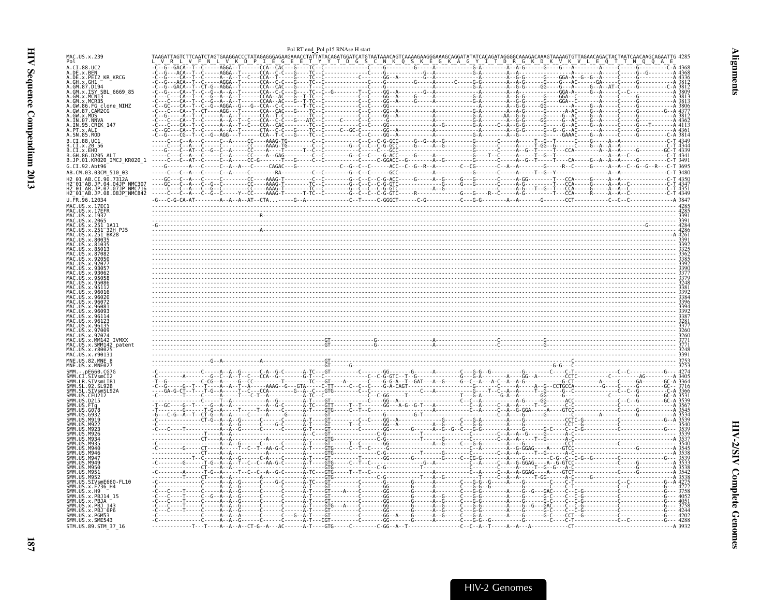<span id="page-32-0"></span>

|                                                                                 |                                                                                                                                                                                         | Pol RT end Pol p15 RNAse H start  |                                                                            |
|---------------------------------------------------------------------------------|-----------------------------------------------------------------------------------------------------------------------------------------------------------------------------------------|-----------------------------------|----------------------------------------------------------------------------|
| MAC.US.x.239<br>Pol                                                             | TAAGATTAGTCTTCAATCTAGTGAAGGACCCTATAGAGGGAGAAGAAACCTATTATACAGATGGATCATGTAATAAACAGTCAAAAGAAGGGAAAGCAGGATATATCA<br>L V R L V F N L V K D P I E G E E T Y Y T D G S C N K 0 S K E G K A G Y |                                   |                                                                            |
| A.CI.88.UC2<br>A.DE.x.BEN<br>A.DE.x.PEI2_KR_KRCG<br>A.GH.X.GHI<br>A.GM.87.D194  |                                                                                                                                                                                         |                                   |                                                                            |
| A.GM.X.ISY SBL_6669_85<br>A.GM.x.MCN13                                          |                                                                                                                                                                                         |                                   |                                                                            |
| A.GM.x.MCR35<br>86.FG_clone_NIHZ<br>A.GW.87.CAM2CG                              |                                                                                                                                                                                         |                                   |                                                                            |
| .GW.x.MDS<br>A.IN.07.NNVA                                                       |                                                                                                                                                                                         |                                   |                                                                            |
| A.IN.95.CRIK 147<br>A.SN.85.ROD                                                 |                                                                                                                                                                                         | $- - G\bar{G} - \bar{A} - \cdots$ | - G - - - - - - G - - - - - G - - AC - - - - G - - A - - - - - C - - - - - |
| B.CI.88.UC1<br>B.CI.x.20 56                                                     |                                                                                                                                                                                         |                                   |                                                                            |
| B.CI.x.EHO<br>B.GH.86.D205 ALT<br>B.JP.01.KR020_IMCJ_KR020_1                    |                                                                                                                                                                                         |                                   |                                                                            |
| G.CI.92.Abt96<br>AB.CM.03.03CM 510 03                                           |                                                                                                                                                                                         |                                   |                                                                            |
| 2 01 AB.CI.90.7312A<br>H2-01-AB.JP.04.04JP NMC307<br>H2-01-AB.JP.07.07JP NMC716 |                                                                                                                                                                                         |                                   |                                                                            |
| H2_01_AB.JP.08.08JP_NMC842<br>U.FR.96.12034                                     |                                                                                                                                                                                         |                                   |                                                                            |
| MAC IIS x 17FC1<br>MAC.US.x.17EFR<br>MAC US x 1937                              |                                                                                                                                                                                         |                                   |                                                                            |
| MAC.US.x.2065<br>1AC.US.x.251<br>1A11                                           |                                                                                                                                                                                         |                                   |                                                                            |
| IS.x.251-32H PJ5<br>US.x.251 <sup>-</sup> BK28                                  |                                                                                                                                                                                         |                                   |                                                                            |
|                                                                                 |                                                                                                                                                                                         |                                   |                                                                            |
|                                                                                 |                                                                                                                                                                                         |                                   |                                                                            |
|                                                                                 |                                                                                                                                                                                         |                                   |                                                                            |
|                                                                                 |                                                                                                                                                                                         |                                   |                                                                            |
|                                                                                 |                                                                                                                                                                                         |                                   |                                                                            |
|                                                                                 |                                                                                                                                                                                         |                                   |                                                                            |
|                                                                                 |                                                                                                                                                                                         |                                   |                                                                            |
| MM142 IVMXX<br>US.x.SMM142_patent<br>MAC.US.x.r80025                            |                                                                                                                                                                                         |                                   |                                                                            |
| MAC.US.x.r90131<br>MNE.US.82.MNE 8                                              |                                                                                                                                                                                         |                                   |                                                                            |
| MNE.US.x.MNE027                                                                 |                                                                                                                                                                                         |                                   |                                                                            |
| SIVsmLIB1                                                                       |                                                                                                                                                                                         |                                   |                                                                            |
|                                                                                 |                                                                                                                                                                                         |                                   |                                                                            |
|                                                                                 |                                                                                                                                                                                         |                                   |                                                                            |
|                                                                                 |                                                                                                                                                                                         |                                   |                                                                            |
|                                                                                 |                                                                                                                                                                                         |                                   |                                                                            |
|                                                                                 |                                                                                                                                                                                         |                                   |                                                                            |
| M956                                                                            |                                                                                                                                                                                         |                                   |                                                                            |
| <b>MQ5</b><br>M952<br>SIVsmE660-FL10                                            |                                                                                                                                                                                         |                                   |                                                                            |
| SMM.US<br>.x.F236 H4<br>SMM IIS<br>.x.H9                                        |                                                                                                                                                                                         |                                   |                                                                            |
| SMM.US.x.PBJ14 15<br>ŠMM.US.x.PBJA<br>SMM.US.x.PBJ 143<br>SMM.US.x.PBJ 6P6      |                                                                                                                                                                                         |                                   |                                                                            |
| SMM. US. x. PGM53<br>SMM. US. x. SME543                                         |                                                                                                                                                                                         |                                   |                                                                            |
| STM.US.89.STM 37 16                                                             |                                                                                                                                                                                         |                                   |                                                                            |

 $\overline{187}$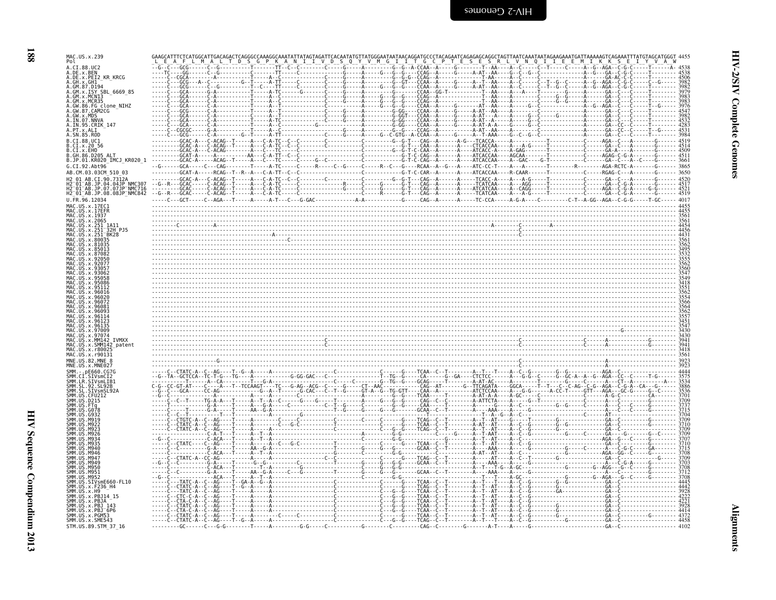| MAC.US.x.239<br>Pol                                                    | TGC |  |
|------------------------------------------------------------------------|-----|--|
| A.CI.88.UC2<br>A.DE.X.BEN                                              |     |  |
| A.DE.x.PEI2 KR KRCG<br>A.GH.X.GHI<br>A.GM.87.D194                      |     |  |
| A.GM.x.ISY SBL 6669 85                                                 |     |  |
| GW.86.FG_clone_NIHZ<br><b>GW.87.CAM2CG</b>                             |     |  |
|                                                                        |     |  |
| A.PT.x.ALI<br>.SN.85.ROD                                               |     |  |
| B.CT.88.UC1<br>B.CI.x.20 56                                            |     |  |
| B.CI.x.EHO<br>B. GH. 86. D205 ALT                                      |     |  |
| B.JP.01.KR020_IMCJ_KR020_1<br>G.CI.92.Abt96                            |     |  |
| AB.CM.03.03CM 510 03<br>2 01 AR CT 90.7312A                            |     |  |
| H2 <sup>-</sup> 01 <sup>-</sup> AB.JP.08.08JP <sup>-</sup> NMC842      |     |  |
| J.FR.96.12034<br>MAC.US.x.17EC1                                        |     |  |
| MAC.US.x.17EFR                                                         |     |  |
| MAC.US.x.2065                                                          |     |  |
|                                                                        |     |  |
|                                                                        |     |  |
|                                                                        |     |  |
|                                                                        |     |  |
|                                                                        |     |  |
|                                                                        |     |  |
|                                                                        |     |  |
|                                                                        |     |  |
|                                                                        |     |  |
| MM142 IVMXX<br>SMM142<br>r8002                                         |     |  |
| MAC.US.x.r90131                                                        |     |  |
| MNE.US.x.MNE027                                                        |     |  |
| SMM.LR.SIVsmLIB1<br>. 92. SL 92B                                       |     |  |
|                                                                        |     |  |
|                                                                        |     |  |
|                                                                        |     |  |
|                                                                        |     |  |
|                                                                        |     |  |
| M94                                                                    |     |  |
| <b>SMM</b><br>M949<br>M956                                             |     |  |
| <b>SMM 11S</b><br>M951<br><b>SMM 11S</b>                               |     |  |
| SMM.US.SIVsmE660-FL10<br>SMM.US.x.F236 H4<br>.x.F236 H4<br>SMM.US.x.H9 |     |  |
| .x.PBJ14 15<br>.x.PBJA                                                 |     |  |
| MM IIS x PR1 143<br>SMM.US.x.PBJ <sup>-</sup> 6P6<br>MM.US.x.PGM53     |     |  |
| SMM.US.x.SME543<br>STM.US.89.STM 37 16                                 |     |  |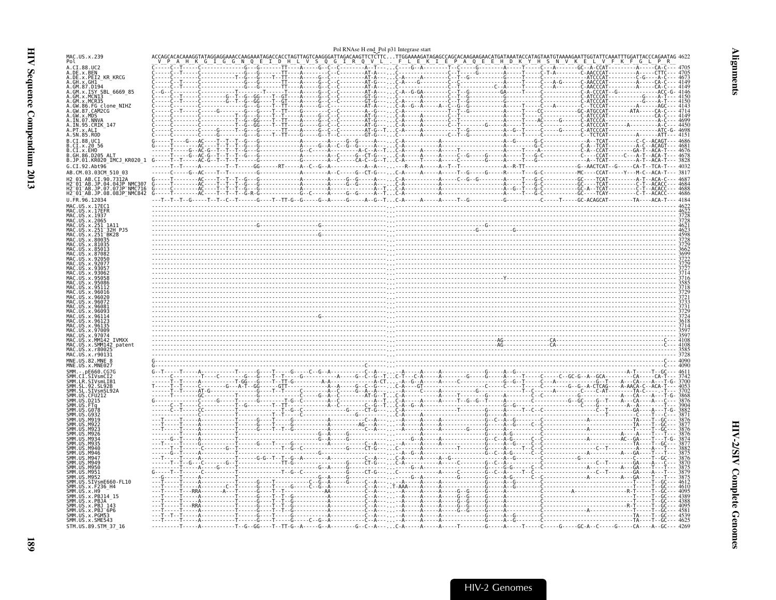<span id="page-34-0"></span>

|                                                                            |  |  |                                                                                             |  | Pol RNAse H end Pol p31 Integrase start |  |                                                                                                                                                                                                                                                                                                                                                                                                         |  |  |  |
|----------------------------------------------------------------------------|--|--|---------------------------------------------------------------------------------------------|--|-----------------------------------------|--|---------------------------------------------------------------------------------------------------------------------------------------------------------------------------------------------------------------------------------------------------------------------------------------------------------------------------------------------------------------------------------------------------------|--|--|--|
| MAC.US.x.239<br>Pol                                                        |  |  |                                                                                             |  |                                         |  |                                                                                                                                                                                                                                                                                                                                                                                                         |  |  |  |
| A.CI.88.UC2<br>A.DE.x.BEN<br>A.DE.x.PEI2_KR_KRCG                           |  |  |                                                                                             |  |                                         |  |                                                                                                                                                                                                                                                                                                                                                                                                         |  |  |  |
| A.GH.x.GH1<br>A.GM.87.D194                                                 |  |  |                                                                                             |  |                                         |  |                                                                                                                                                                                                                                                                                                                                                                                                         |  |  |  |
| A.GM.x.ISY SBL 6669 85<br>A.GM.x.MCN13                                     |  |  |                                                                                             |  |                                         |  |                                                                                                                                                                                                                                                                                                                                                                                                         |  |  |  |
| .GM.x.MCR35<br>86.FG_clone_NIHZ                                            |  |  |                                                                                             |  |                                         |  |                                                                                                                                                                                                                                                                                                                                                                                                         |  |  |  |
| A.GW.87.CAM2CG<br>A.GW.x.MDS<br>A.IN.07.NNVA                               |  |  |                                                                                             |  |                                         |  |                                                                                                                                                                                                                                                                                                                                                                                                         |  |  |  |
| A.IN.95.CRIK 147                                                           |  |  |                                                                                             |  |                                         |  |                                                                                                                                                                                                                                                                                                                                                                                                         |  |  |  |
| A.SN.85.ROD<br>B.CI.88.UC1                                                 |  |  |                                                                                             |  |                                         |  |                                                                                                                                                                                                                                                                                                                                                                                                         |  |  |  |
| B.CI.x.20 56<br>B.CI.x.EHO<br>B.GH.86.D205 ALT                             |  |  |                                                                                             |  |                                         |  |                                                                                                                                                                                                                                                                                                                                                                                                         |  |  |  |
| B.JP.01.KR020_IMCJ_KR020 1                                                 |  |  |                                                                                             |  |                                         |  |                                                                                                                                                                                                                                                                                                                                                                                                         |  |  |  |
| G.CI.92.Abt96<br>AB.CM.03.03CM 510 03                                      |  |  |                                                                                             |  |                                         |  |                                                                                                                                                                                                                                                                                                                                                                                                         |  |  |  |
| 12 01 AB.CI.90.7312A                                                       |  |  |                                                                                             |  |                                         |  |                                                                                                                                                                                                                                                                                                                                                                                                         |  |  |  |
|                                                                            |  |  |                                                                                             |  |                                         |  |                                                                                                                                                                                                                                                                                                                                                                                                         |  |  |  |
| MAC IIS x 17FC1                                                            |  |  |                                                                                             |  |                                         |  |                                                                                                                                                                                                                                                                                                                                                                                                         |  |  |  |
| MAC.US.x.17EFR<br>MAC.US.x.1937                                            |  |  |                                                                                             |  |                                         |  |                                                                                                                                                                                                                                                                                                                                                                                                         |  |  |  |
| MAC. US. x. 2065<br>MAC.US.x.251_1A11<br>MAC.US.x.251 <sup>—</sup> 32H_PJ5 |  |  |                                                                                             |  |                                         |  | $\frac{3728}{4623}$                                                                                                                                                                                                                                                                                                                                                                                     |  |  |  |
| AC.US.x.251 <sup>-</sup> BK28                                              |  |  |                                                                                             |  |                                         |  |                                                                                                                                                                                                                                                                                                                                                                                                         |  |  |  |
|                                                                            |  |  |                                                                                             |  |                                         |  |                                                                                                                                                                                                                                                                                                                                                                                                         |  |  |  |
|                                                                            |  |  |                                                                                             |  |                                         |  | $\frac{772}{362}$<br>- $\frac{368}{322}$<br>- $\frac{368}{322}$<br>- $\frac{372}{322}$                                                                                                                                                                                                                                                                                                                  |  |  |  |
|                                                                            |  |  |                                                                                             |  |                                         |  |                                                                                                                                                                                                                                                                                                                                                                                                         |  |  |  |
|                                                                            |  |  |                                                                                             |  |                                         |  |                                                                                                                                                                                                                                                                                                                                                                                                         |  |  |  |
|                                                                            |  |  |                                                                                             |  |                                         |  |                                                                                                                                                                                                                                                                                                                                                                                                         |  |  |  |
|                                                                            |  |  |                                                                                             |  |                                         |  |                                                                                                                                                                                                                                                                                                                                                                                                         |  |  |  |
|                                                                            |  |  |                                                                                             |  |                                         |  |                                                                                                                                                                                                                                                                                                                                                                                                         |  |  |  |
|                                                                            |  |  |                                                                                             |  |                                         |  |                                                                                                                                                                                                                                                                                                                                                                                                         |  |  |  |
|                                                                            |  |  |                                                                                             |  |                                         |  | $\overbrace{{\mathbf{a}}_1^2 \ldots {\mathbf{a}}_{n-1}^2 \ldots {\mathbf{a}}_{n-1}^2 \ldots {\mathbf{a}}_{n-1}^2 \ldots {\mathbf{a}}_{n-1}^2 \ldots {\mathbf{a}}_{n-1}^2 \ldots {\mathbf{a}}_{n-1}^2 \ldots {\mathbf{a}}_{n-1}^2 \ldots {\mathbf{a}}_{n-1}^2 \ldots {\mathbf{a}}_{n-1}^2 \ldots {\mathbf{a}}_{n-1}^2 \ldots {\mathbf{a}}_{n-1}^2 \ldots {\mathbf{a}}_{n-1}^2 \ldots {\mathbf{a}}_{n-1}$ |  |  |  |
| <b>U.S. x. MM142</b><br><b>TVMXX</b><br>US.x.SMM142 patent                 |  |  |                                                                                             |  |                                         |  |                                                                                                                                                                                                                                                                                                                                                                                                         |  |  |  |
| US.x.r8002<br>MAC.US.x.r90131                                              |  |  |                                                                                             |  |                                         |  |                                                                                                                                                                                                                                                                                                                                                                                                         |  |  |  |
| MNE.US.82.MNE 8<br>MNE.US.x.MNE027                                         |  |  |                                                                                             |  |                                         |  |                                                                                                                                                                                                                                                                                                                                                                                                         |  |  |  |
| SMM.LR.SIVsmLIB1                                                           |  |  |                                                                                             |  |                                         |  |                                                                                                                                                                                                                                                                                                                                                                                                         |  |  |  |
|                                                                            |  |  |                                                                                             |  |                                         |  |                                                                                                                                                                                                                                                                                                                                                                                                         |  |  |  |
|                                                                            |  |  |                                                                                             |  |                                         |  |                                                                                                                                                                                                                                                                                                                                                                                                         |  |  |  |
|                                                                            |  |  |                                                                                             |  |                                         |  |                                                                                                                                                                                                                                                                                                                                                                                                         |  |  |  |
|                                                                            |  |  |                                                                                             |  |                                         |  |                                                                                                                                                                                                                                                                                                                                                                                                         |  |  |  |
|                                                                            |  |  |                                                                                             |  |                                         |  |                                                                                                                                                                                                                                                                                                                                                                                                         |  |  |  |
|                                                                            |  |  |                                                                                             |  |                                         |  |                                                                                                                                                                                                                                                                                                                                                                                                         |  |  |  |
| M946                                                                       |  |  |                                                                                             |  |                                         |  |                                                                                                                                                                                                                                                                                                                                                                                                         |  |  |  |
| M956                                                                       |  |  |                                                                                             |  |                                         |  |                                                                                                                                                                                                                                                                                                                                                                                                         |  |  |  |
| <b>M95</b><br>M95                                                          |  |  |                                                                                             |  |                                         |  |                                                                                                                                                                                                                                                                                                                                                                                                         |  |  |  |
| SIVsmE660-FL10<br><b>SMM 11S</b><br>.x.F236_H4                             |  |  |                                                                                             |  |                                         |  |                                                                                                                                                                                                                                                                                                                                                                                                         |  |  |  |
| SMM.US.x.H9<br>SMM.US.x.PBJ14 15<br>SMM. US. x. PBJA                       |  |  |                                                                                             |  |                                         |  |                                                                                                                                                                                                                                                                                                                                                                                                         |  |  |  |
| SMM.US.x.PBJ 143<br>SMM.US.x.PBJ 6P6                                       |  |  |                                                                                             |  |                                         |  |                                                                                                                                                                                                                                                                                                                                                                                                         |  |  |  |
| SMM. US. x. PGM53<br>SMM. US. x. SME543                                    |  |  | - G - - - - T - - - - - G - - - - - C - - G - - A - - - - - - - - - - - - C - - A - - - - - |  |                                         |  |                                                                                                                                                                                                                                                                                                                                                                                                         |  |  |  |
| STM.US.89.STM 37 16                                                        |  |  |                                                                                             |  |                                         |  | -A------------T-G--GG----T--TT-G--A-----G--A-------G--C--A----C-A-----A-----A----T-----G----C----GC-A-C----GC-A-C----GC--A--GC--- 4269                                                                                                                                                                                                                                                                  |  |  |  |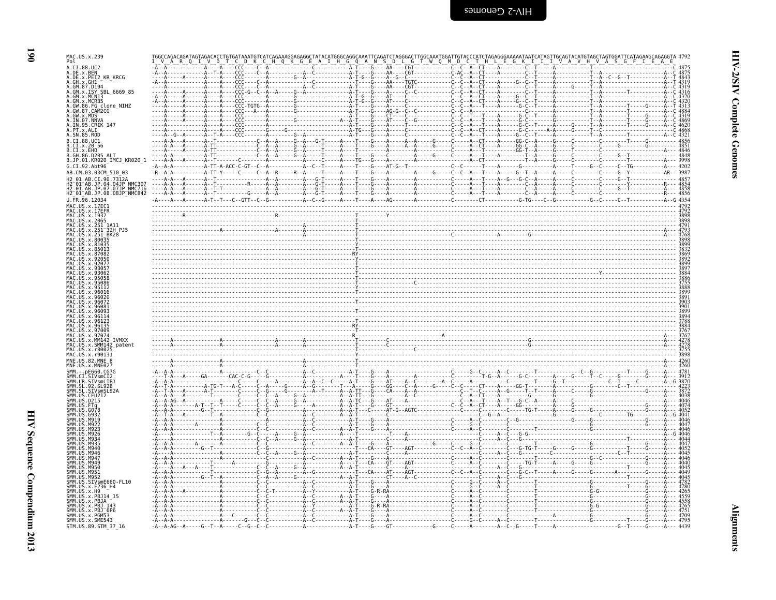| MAC.US.x.239<br>Pol<br>A.CI.88.UC2                                                                     |  |  |                                       |                   |                                                                                                                                                                                                                                                                                                                                                                                                                        |
|--------------------------------------------------------------------------------------------------------|--|--|---------------------------------------|-------------------|------------------------------------------------------------------------------------------------------------------------------------------------------------------------------------------------------------------------------------------------------------------------------------------------------------------------------------------------------------------------------------------------------------------------|
| A.DE.x.BEN<br>A.DE.x.PEI2 KR KRCG                                                                      |  |  | - C - - - - - - - - - - - - - - C - - | . C - - T - - - - |                                                                                                                                                                                                                                                                                                                                                                                                                        |
| GH.x.GH1<br>GM.87.D194                                                                                 |  |  |                                       |                   |                                                                                                                                                                                                                                                                                                                                                                                                                        |
| GM.x.ISY SBL 6669 85<br>GM.x.MCN13                                                                     |  |  |                                       |                   |                                                                                                                                                                                                                                                                                                                                                                                                                        |
| MCR35.<br>.FG clone_NIHZ<br>.CAM2CG                                                                    |  |  |                                       |                   |                                                                                                                                                                                                                                                                                                                                                                                                                        |
| .GW.x.MDS<br>.IN.07.NNVA                                                                               |  |  |                                       |                   |                                                                                                                                                                                                                                                                                                                                                                                                                        |
| . <u>IN</u> .95.CRIK_147<br>A.PT.x.ALI                                                                 |  |  |                                       |                   |                                                                                                                                                                                                                                                                                                                                                                                                                        |
| A.SN.85.ROD                                                                                            |  |  |                                       |                   |                                                                                                                                                                                                                                                                                                                                                                                                                        |
| CI.88.UC1<br>CI.x.2056                                                                                 |  |  |                                       |                   |                                                                                                                                                                                                                                                                                                                                                                                                                        |
| CI.x.EHO<br>GH.86.D205 ALT                                                                             |  |  |                                       |                   |                                                                                                                                                                                                                                                                                                                                                                                                                        |
| B.JP.01.KR020_IMCJ_KR020_1<br>G.CI.92.Abt96                                                            |  |  |                                       |                   |                                                                                                                                                                                                                                                                                                                                                                                                                        |
| AB.CM.03.03CM 510 03<br>01 AB.CI.90.7312A                                                              |  |  |                                       |                   |                                                                                                                                                                                                                                                                                                                                                                                                                        |
| .<br>H2⊤01⊤AB.JP.04.04JP NMC307<br>H2⊤01⊤AB.JP.07.07JP NMC716                                          |  |  |                                       |                   |                                                                                                                                                                                                                                                                                                                                                                                                                        |
| H2_01_AB.JP.08.08JP_NMC842                                                                             |  |  |                                       |                   |                                                                                                                                                                                                                                                                                                                                                                                                                        |
| J.FR.96.12034<br>MAC.US.x.17EC1                                                                        |  |  |                                       |                   |                                                                                                                                                                                                                                                                                                                                                                                                                        |
| US.x.17EFR<br>US.x.1937                                                                                |  |  |                                       |                   |                                                                                                                                                                                                                                                                                                                                                                                                                        |
| MAC.US.x.2065<br>.x.251                                                                                |  |  |                                       |                   |                                                                                                                                                                                                                                                                                                                                                                                                                        |
| .x.251 <sup>-</sup> 32H PJ5<br>.251 <sup>-</sup> BK28                                                  |  |  |                                       |                   | $\begin{array}{ c c c }\n \hline\n \text{R} & \text{R} & \text{R} & \text{R} & \text{R} & \text{R} & \text{R} & \text{R} & \text{R} & \text{R} & \text{R} & \text{R} & \text{R} & \text{R} & \text{R} & \text{R} & \text{R} & \text{R} & \text{R} & \text{R} & \text{R} & \text{R} & \text{R} & \text{R} & \text{R} & \text{R} & \text{R} & \text{R} & \text{R} & \text{R} & \text{R} & \text{R} & \text{R} & \text{R$ |
|                                                                                                        |  |  |                                       |                   |                                                                                                                                                                                                                                                                                                                                                                                                                        |
|                                                                                                        |  |  |                                       |                   |                                                                                                                                                                                                                                                                                                                                                                                                                        |
|                                                                                                        |  |  |                                       |                   |                                                                                                                                                                                                                                                                                                                                                                                                                        |
|                                                                                                        |  |  |                                       |                   |                                                                                                                                                                                                                                                                                                                                                                                                                        |
|                                                                                                        |  |  |                                       |                   |                                                                                                                                                                                                                                                                                                                                                                                                                        |
|                                                                                                        |  |  |                                       |                   |                                                                                                                                                                                                                                                                                                                                                                                                                        |
|                                                                                                        |  |  |                                       |                   |                                                                                                                                                                                                                                                                                                                                                                                                                        |
|                                                                                                        |  |  |                                       |                   |                                                                                                                                                                                                                                                                                                                                                                                                                        |
|                                                                                                        |  |  |                                       |                   |                                                                                                                                                                                                                                                                                                                                                                                                                        |
|                                                                                                        |  |  |                                       |                   |                                                                                                                                                                                                                                                                                                                                                                                                                        |
| 42 patent                                                                                              |  |  |                                       |                   |                                                                                                                                                                                                                                                                                                                                                                                                                        |
|                                                                                                        |  |  |                                       |                   |                                                                                                                                                                                                                                                                                                                                                                                                                        |
|                                                                                                        |  |  |                                       |                   |                                                                                                                                                                                                                                                                                                                                                                                                                        |
|                                                                                                        |  |  |                                       |                   |                                                                                                                                                                                                                                                                                                                                                                                                                        |
|                                                                                                        |  |  |                                       |                   |                                                                                                                                                                                                                                                                                                                                                                                                                        |
|                                                                                                        |  |  |                                       |                   |                                                                                                                                                                                                                                                                                                                                                                                                                        |
|                                                                                                        |  |  |                                       |                   |                                                                                                                                                                                                                                                                                                                                                                                                                        |
|                                                                                                        |  |  |                                       |                   |                                                                                                                                                                                                                                                                                                                                                                                                                        |
|                                                                                                        |  |  |                                       |                   |                                                                                                                                                                                                                                                                                                                                                                                                                        |
|                                                                                                        |  |  |                                       |                   |                                                                                                                                                                                                                                                                                                                                                                                                                        |
|                                                                                                        |  |  |                                       |                   |                                                                                                                                                                                                                                                                                                                                                                                                                        |
|                                                                                                        |  |  |                                       |                   |                                                                                                                                                                                                                                                                                                                                                                                                                        |
|                                                                                                        |  |  |                                       |                   |                                                                                                                                                                                                                                                                                                                                                                                                                        |
|                                                                                                        |  |  |                                       |                   |                                                                                                                                                                                                                                                                                                                                                                                                                        |
|                                                                                                        |  |  |                                       |                   |                                                                                                                                                                                                                                                                                                                                                                                                                        |
| smE660-FL10                                                                                            |  |  |                                       |                   |                                                                                                                                                                                                                                                                                                                                                                                                                        |
|                                                                                                        |  |  |                                       |                   |                                                                                                                                                                                                                                                                                                                                                                                                                        |
|                                                                                                        |  |  |                                       |                   |                                                                                                                                                                                                                                                                                                                                                                                                                        |
| <b>IR STVsmLTR1</b><br>x.PBJ14 15<br>.x.PBJA<br>SMM.US.x.PBJ 143<br>SMM.US.x.PBJ 6P6<br>SMM.US.x.PGM53 |  |  |                                       |                   |                                                                                                                                                                                                                                                                                                                                                                                                                        |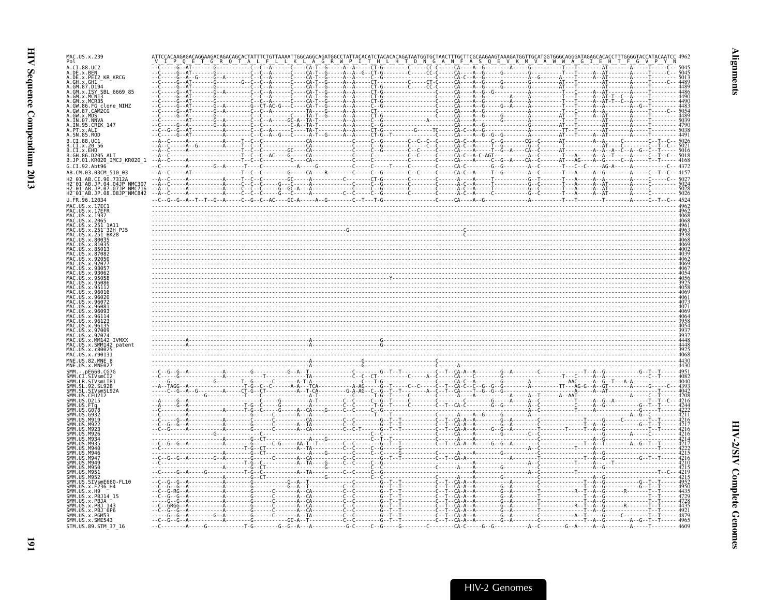| MAC.US.x.239<br>Pol                                                        |  |  |
|----------------------------------------------------------------------------|--|--|
| A.CI.88.UC2<br>A.DE.x.BEN                                                  |  |  |
| A.DE.x.PEI2 KR KRCG<br>A.GH.x.GH1                                          |  |  |
| A.GM.87.D194<br>A.GM.x.ISY SBL 6669 85<br>A.GM.x.MCNI3                     |  |  |
| A.GM.x.MCR35<br>A.GW.86.FG clone_NIHZ<br>A.GW.87.CAM2CG                    |  |  |
| A.GW.x.MDS                                                                 |  |  |
| A.IN.07.NNVA<br>A.IN.95.CRIK 147                                           |  |  |
| A.SN.85.ROD                                                                |  |  |
| B.CI.88.UC1<br>B.CI.x.20_56                                                |  |  |
| B.CI.X.EHO<br>B.GH.86.D205 ALT<br>B.JP.01.KR020_IMCJ_KR020 1 -- A--C       |  |  |
| G.CI.92.Abt96<br>AB.CM.03.03CM 510 03                                      |  |  |
| 2 01 AB.CI.90.7312A<br>2 <sup>-</sup> 01 <sup>-</sup> AB.JP.04.04JP NMC307 |  |  |
| H2-01-AB.JP.07.07JP-NMC716<br>H2-01-AB.JP.07.07JP-NMC716                   |  |  |
| U.FR.96.12034<br>MAC.US.x.17EC1                                            |  |  |
| MAC.US.x.17EFR<br>MAC. US. x. 1937                                         |  |  |
| MAC.US.x.2065<br>MAC US x 251                                              |  |  |
| MAC.US.x.251<br>MAC.US.x.251                                               |  |  |
| AC US x 80035                                                              |  |  |
|                                                                            |  |  |
|                                                                            |  |  |
|                                                                            |  |  |
|                                                                            |  |  |
|                                                                            |  |  |
|                                                                            |  |  |
|                                                                            |  |  |
| AC IIS x 9707                                                              |  |  |
| AC.US.x.SMM142 patent                                                      |  |  |
| AC US x r80025<br>MAC.US.x.r90131                                          |  |  |
| MNE.US.82.MNE 8<br>MNE.US.x.MNE027                                         |  |  |
| SMM.LR.SIVsmLTB1                                                           |  |  |
| .92.5192B                                                                  |  |  |
|                                                                            |  |  |
|                                                                            |  |  |
|                                                                            |  |  |
|                                                                            |  |  |
|                                                                            |  |  |
|                                                                            |  |  |
| <b>M956</b>                                                                |  |  |
|                                                                            |  |  |
| .SIVsmE660-FL10<br>SMM.US.x.F236 H4                                        |  |  |
|                                                                            |  |  |
| SMM.US.x.PBJ <sup>-</sup> 6P6                                              |  |  |
| SMM.US.x.PGM53<br>SMM. US. x. SME543                                       |  |  |
| STM.US.89.STM 37 16                                                        |  |  |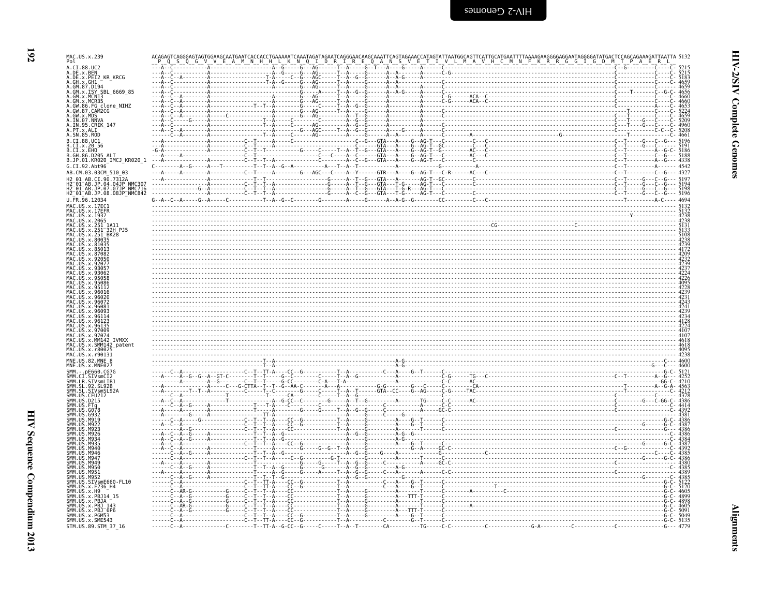| MAC.US.x.239<br>Pol                                                                                             |                                                                                                                         |  |
|-----------------------------------------------------------------------------------------------------------------|-------------------------------------------------------------------------------------------------------------------------|--|
| A.CI.88.UC2                                                                                                     |                                                                                                                         |  |
| A.DE.x.BEN<br>A.DE.x.PEI2 KR KRCG                                                                               |                                                                                                                         |  |
| A.GH.x.GH1<br>A.GM.87.D194                                                                                      |                                                                                                                         |  |
| A.GM.x.1SY SBL 6669 85<br>A.GM.x.MCN13<br>A.GM.x.MCR35                                                          |                                                                                                                         |  |
| A.GW.86.FG clone NIHZ                                                                                           |                                                                                                                         |  |
| A.GW.87.CAM2CG<br>A.GW.x.MDS                                                                                    |                                                                                                                         |  |
| A.IN.07.NNVA<br>A.IN.95.CRIK 147                                                                                |                                                                                                                         |  |
| A.PT.x.ALI                                                                                                      |                                                                                                                         |  |
| A.SN.85.ROD<br>B.CI.88.UC1                                                                                      |                                                                                                                         |  |
| B.CI.X.20 56<br>B.CI.X.EHO                                                                                      |                                                                                                                         |  |
| B. GH. 86, D205, ALT<br>B.JP.01.KR020_IMCJ_KR020_1                                                              |                                                                                                                         |  |
| G.CI.92.Abt96                                                                                                   |                                                                                                                         |  |
| AB.CM.03.03CM 510 03                                                                                            |                                                                                                                         |  |
| AB.JP.04.04JP NMC307                                                                                            |                                                                                                                         |  |
| AB.JP.07.07JP NMC716<br>H2 <sup>-</sup> 01 <sup>-</sup> AB.JP.08.08JP <sup>-</sup> NMC842                       |                                                                                                                         |  |
| U.FR.96.12034<br>MAC.US.x.17EC1                                                                                 |                                                                                                                         |  |
| MAC.US.x.17EER<br>MAC. US. x. 1937                                                                              |                                                                                                                         |  |
| MAC.US.x.2065                                                                                                   |                                                                                                                         |  |
| MAC.US.x.251 1A11<br>MAC.US.x.251 32H<br><sup>-</sup> 32H PJ5                                                   |                                                                                                                         |  |
| MAC.US.x.251 BK28<br>MAC.US.x.80035                                                                             |                                                                                                                         |  |
|                                                                                                                 |                                                                                                                         |  |
|                                                                                                                 |                                                                                                                         |  |
|                                                                                                                 |                                                                                                                         |  |
|                                                                                                                 |                                                                                                                         |  |
|                                                                                                                 |                                                                                                                         |  |
|                                                                                                                 |                                                                                                                         |  |
|                                                                                                                 | $\frac{1}{24}$                                                                                                          |  |
|                                                                                                                 | $\overline{\phantom{a}}$ , and the contract of the contract of the contract of the contract of $\overline{\phantom{a}}$ |  |
|                                                                                                                 |                                                                                                                         |  |
|                                                                                                                 |                                                                                                                         |  |
| .US.x.97074<br>TVMXX                                                                                            |                                                                                                                         |  |
| MAC.US.x.SMM142<br>MAC.US.x.r80025                                                                              |                                                                                                                         |  |
| MAC.US.x.r90131<br>MNE.US.82.MNE 8                                                                              |                                                                                                                         |  |
| MNE.US.x.MNE027                                                                                                 |                                                                                                                         |  |
|                                                                                                                 |                                                                                                                         |  |
| SMM.CI.SIVsmL1Z<br>SMM.LR.SIVsmL1B1<br>SMM.SL.92.SL92B<br>SMM.SL.92.SL92B                                       |                                                                                                                         |  |
| SMM.<br>SMM.                                                                                                    |                                                                                                                         |  |
| SMM.US.D215<br>SMM.US.FTa                                                                                       |                                                                                                                         |  |
| <b>SMM 11S</b>                                                                                                  |                                                                                                                         |  |
|                                                                                                                 |                                                                                                                         |  |
|                                                                                                                 |                                                                                                                         |  |
|                                                                                                                 |                                                                                                                         |  |
|                                                                                                                 |                                                                                                                         |  |
| M946<br>SMM<br>мад                                                                                              |                                                                                                                         |  |
| SMM.US<br>M949<br><b>SMM 11S</b><br>.M950                                                                       |                                                                                                                         |  |
|                                                                                                                 |                                                                                                                         |  |
| SMM. US. M951<br>SMM. US. M952<br>SMM. US. M952<br>SMM. US. x. F236_H4<br>SMM. US. x. F236_H4<br>SMM. US. x. H9 |                                                                                                                         |  |
| SMM. US. x. PBJ14_15                                                                                            |                                                                                                                         |  |
| SMM. US. x. PBJA                                                                                                |                                                                                                                         |  |
| SMM. US. x. PBJ 143<br>SMM. US. x. PBJ 6P6                                                                      |                                                                                                                         |  |
| SMM.US.x.PGM53<br>SMM.US.x.SME543                                                                               |                                                                                                                         |  |
| STM.US.89.STM_37_16                                                                                             |                                                                                                                         |  |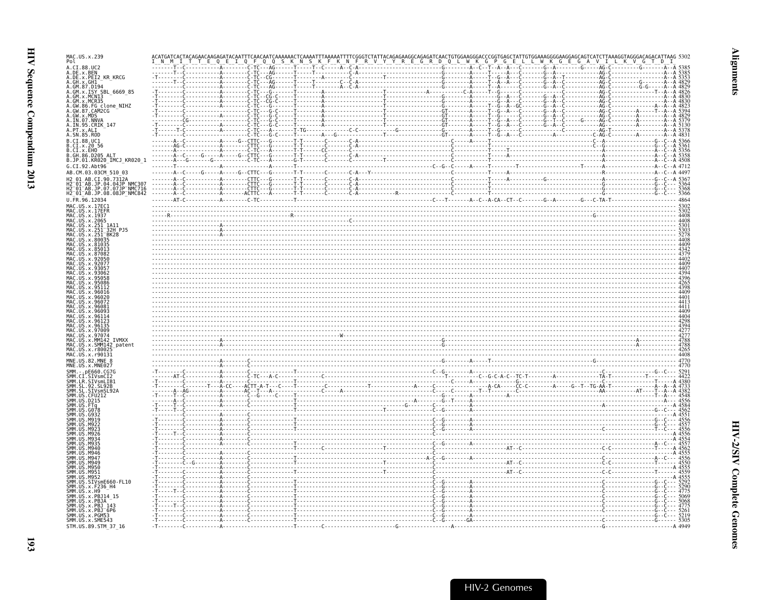| MAC.US.x.239<br>Pol                                                                                                                                                          |  |  |                   |  |
|------------------------------------------------------------------------------------------------------------------------------------------------------------------------------|--|--|-------------------|--|
| A.CI.88.UC2<br>A.DE.x.BEN<br>A.DE.x.PEI2_KR_KRCG<br>.GH.x.GH1 <sup>1-</sup><br>.GM.87.D194                                                                                   |  |  |                   |  |
| .GM.x.MCR35                                                                                                                                                                  |  |  |                   |  |
| GW.86.FG clone NIHZ<br>.GW.87.CAM2CG<br>GW.x.MDS<br>A.IN.07.NNVA<br>A.IN.95.CRIK_147                                                                                         |  |  |                   |  |
| A.PT.x.ALI<br>A.SN.85.ROD                                                                                                                                                    |  |  |                   |  |
| B.JP.01.KR020 IMCJ KR020 1                                                                                                                                                   |  |  |                   |  |
| G.CI.92.Abt96<br>AB.CM.03.03CM 510 03<br>H2 01 AB.CI.90.7312A                                                                                                                |  |  |                   |  |
| <br>H2⊤01⊤AB.JP.04.04JP^NMC307<br>H2⊤01⊤AB.JP.07.07JP <sup>−</sup> NMC716<br>H2 <sup>-</sup> 01 <sup>-</sup> AB.JP.08.08JP <sup>-</sup> NMC842<br>$U.FR.\overline{9}6.12034$ |  |  |                   |  |
| MAC.US.x.17EC1<br>MAC.US.x.17EFR<br>MAC.US.x.1937<br>MAC.US.x.2065<br>MAC.US.x.251                                                                                           |  |  | $\frac{302}{408}$ |  |
| MAC.<br>US.x.251<br>MAC.US.x.251 <sup>-</sup> BK28<br>MAC.US.x.80035<br>MAC.US.x.81035                                                                                       |  |  |                   |  |
|                                                                                                                                                                              |  |  |                   |  |
|                                                                                                                                                                              |  |  |                   |  |
|                                                                                                                                                                              |  |  |                   |  |
|                                                                                                                                                                              |  |  |                   |  |
| MAC.US.x.97074<br>IVMXX<br>MAC.US.x.SMM142 patent<br>MAC.US.x.r8002                                                                                                          |  |  |                   |  |
| MAC.US.x.r90131<br>MNE.US.82.MNE 8<br>MNE.US.x.MNE027                                                                                                                        |  |  |                   |  |
| SMM. - . pE660.CG7G<br>ŠMM.CI.SIVsmCI2<br>SMM.LR.SIVsmLIB1<br>SMH. LL. 92. SL92B<br>SMM. SL. SIVsmSL92A<br>SMM. US. CFU212<br>SMM. US. CFU212                                |  |  |                   |  |
| SMM.US.D215                                                                                                                                                                  |  |  |                   |  |
|                                                                                                                                                                              |  |  |                   |  |
| <b>SMM</b>                                                                                                                                                                   |  |  |                   |  |
| <b>SMM</b><br>M947<br>M949<br>US.M950<br>M951.<br>M952                                                                                                                       |  |  |                   |  |
| SMM.US.<br>SMM.US<br>.SIVsmE660-FL10<br>SMM.US.x.F236_H4<br>SMM. US. x. H9<br>ŠMM.US.x.PBJ14_15                                                                              |  |  |                   |  |
| SMM.US.x.PBJA<br>SMM.US.X.IBJ<br>SMM.US.x.PBJ 143<br>SMM.US.x.PBJ 6P6<br>SMM.US.x.PME542                                                                                     |  |  |                   |  |
| SMM.US.x.SME543<br>STM.US.89.STM 37 16                                                                                                                                       |  |  |                   |  |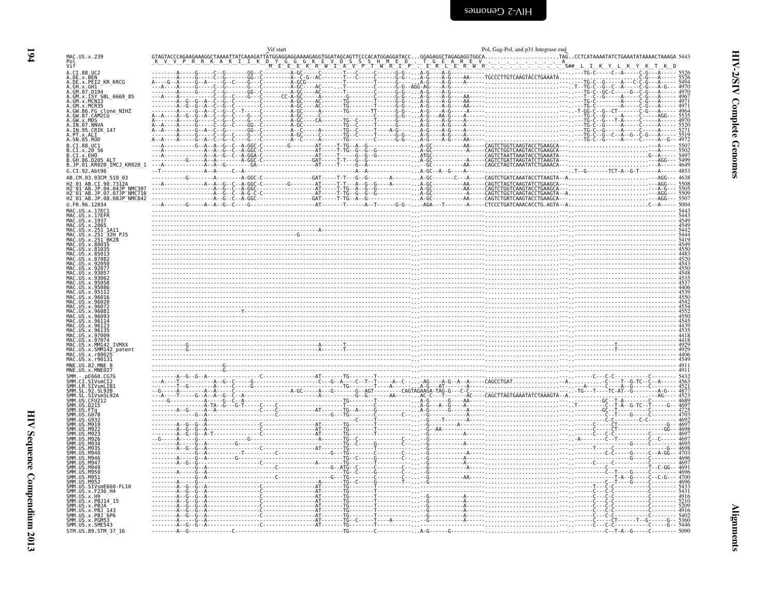<span id="page-39-0"></span>

| Pol<br>Vif<br>A.CI.88.UC2<br>A.DE.x.BEN<br>A.DE.x.PEI2_KR_KRCG<br>A.GM.87.D194<br>A.GM.x.ISY SBL_6669_85<br>A.GM.x.ISY SBL_6669_85<br>MCR35<br>A.GW.86.FG clone_NIHZ<br>A.GW.87.CAM2CG<br>A.GW.x.MDS<br>A.IN.07.NNVA<br>A.IN.95.CRIK 147<br>A.SN.85.ROD<br>B.CI.x.20 56<br>B.GH.86.D205 ALT<br>G.CI.92.Abt96<br>AB.CM.03.03CM 510 03<br>AB.CI.90.7312A<br>2—01—AB.JP.04.04JP NMC307<br>2—01—AB.JP.07.07JP NMC716<br>H2 <sup>-</sup> 01 <sup>-</sup> AB.JP.08.08JP <sup>-</sup> NMC842<br>MAC.US.x.17EC1<br>MAC.US.x.17EFR<br>MAC.US.x.1937<br>MAC.US.x.2065<br>US.x.251<br>$\frac{5444}{5419}$<br>IS.x.251<br>4550<br>.x.81035<br>.97009<br>US.x.9707<br><b>TVMXX</b><br>US.x.MM142<br>US.x.SMM142_patent<br>MAC.US.x.r8002<br>MNE.US.82.MNE<br>.pE660.<br>SMM.CI.SIVsmCI2<br>SMM.LR.SIVsmLIB1<br>.92.SL92B<br>STVsmSL92<br>CFU212<br>MGJ.<br>SMM<br>M949<br>SMM II<br>M950<br>SMM LIIS<br><b>M951</b><br>SMM.US<br>M952<br>SIVsmE660-FL10<br>SMM.US.x.F236_H4<br>SMM.US.x.H9<br>SMM.US.x.PBJ14 15<br>SMM.US.x.PBJA |                                        | Vif start |  | Pol, Gag-Pol, and p31 Integrase end |  |
|---------------------------------------------------------------------------------------------------------------------------------------------------------------------------------------------------------------------------------------------------------------------------------------------------------------------------------------------------------------------------------------------------------------------------------------------------------------------------------------------------------------------------------------------------------------------------------------------------------------------------------------------------------------------------------------------------------------------------------------------------------------------------------------------------------------------------------------------------------------------------------------------------------------------------------------------------------------------------------------------------------------------|----------------------------------------|-----------|--|-------------------------------------|--|
|                                                                                                                                                                                                                                                                                                                                                                                                                                                                                                                                                                                                                                                                                                                                                                                                                                                                                                                                                                                                                     | MAC.US.x.239                           |           |  |                                     |  |
|                                                                                                                                                                                                                                                                                                                                                                                                                                                                                                                                                                                                                                                                                                                                                                                                                                                                                                                                                                                                                     |                                        |           |  |                                     |  |
|                                                                                                                                                                                                                                                                                                                                                                                                                                                                                                                                                                                                                                                                                                                                                                                                                                                                                                                                                                                                                     |                                        |           |  |                                     |  |
|                                                                                                                                                                                                                                                                                                                                                                                                                                                                                                                                                                                                                                                                                                                                                                                                                                                                                                                                                                                                                     | A.GH.x.GH1                             |           |  |                                     |  |
|                                                                                                                                                                                                                                                                                                                                                                                                                                                                                                                                                                                                                                                                                                                                                                                                                                                                                                                                                                                                                     |                                        |           |  |                                     |  |
|                                                                                                                                                                                                                                                                                                                                                                                                                                                                                                                                                                                                                                                                                                                                                                                                                                                                                                                                                                                                                     |                                        |           |  |                                     |  |
|                                                                                                                                                                                                                                                                                                                                                                                                                                                                                                                                                                                                                                                                                                                                                                                                                                                                                                                                                                                                                     |                                        |           |  |                                     |  |
|                                                                                                                                                                                                                                                                                                                                                                                                                                                                                                                                                                                                                                                                                                                                                                                                                                                                                                                                                                                                                     |                                        |           |  |                                     |  |
|                                                                                                                                                                                                                                                                                                                                                                                                                                                                                                                                                                                                                                                                                                                                                                                                                                                                                                                                                                                                                     | A.PT.x.ALI                             |           |  |                                     |  |
|                                                                                                                                                                                                                                                                                                                                                                                                                                                                                                                                                                                                                                                                                                                                                                                                                                                                                                                                                                                                                     | B.CI.88.UC1                            |           |  |                                     |  |
|                                                                                                                                                                                                                                                                                                                                                                                                                                                                                                                                                                                                                                                                                                                                                                                                                                                                                                                                                                                                                     | B.CI.X.EHO                             |           |  |                                     |  |
|                                                                                                                                                                                                                                                                                                                                                                                                                                                                                                                                                                                                                                                                                                                                                                                                                                                                                                                                                                                                                     | B.JP.01.KR020_IMCJ_KR020_1             |           |  |                                     |  |
|                                                                                                                                                                                                                                                                                                                                                                                                                                                                                                                                                                                                                                                                                                                                                                                                                                                                                                                                                                                                                     |                                        |           |  |                                     |  |
|                                                                                                                                                                                                                                                                                                                                                                                                                                                                                                                                                                                                                                                                                                                                                                                                                                                                                                                                                                                                                     |                                        |           |  |                                     |  |
|                                                                                                                                                                                                                                                                                                                                                                                                                                                                                                                                                                                                                                                                                                                                                                                                                                                                                                                                                                                                                     |                                        |           |  |                                     |  |
|                                                                                                                                                                                                                                                                                                                                                                                                                                                                                                                                                                                                                                                                                                                                                                                                                                                                                                                                                                                                                     | U.FR.96.12034                          |           |  |                                     |  |
|                                                                                                                                                                                                                                                                                                                                                                                                                                                                                                                                                                                                                                                                                                                                                                                                                                                                                                                                                                                                                     |                                        |           |  |                                     |  |
|                                                                                                                                                                                                                                                                                                                                                                                                                                                                                                                                                                                                                                                                                                                                                                                                                                                                                                                                                                                                                     |                                        |           |  |                                     |  |
|                                                                                                                                                                                                                                                                                                                                                                                                                                                                                                                                                                                                                                                                                                                                                                                                                                                                                                                                                                                                                     |                                        |           |  |                                     |  |
|                                                                                                                                                                                                                                                                                                                                                                                                                                                                                                                                                                                                                                                                                                                                                                                                                                                                                                                                                                                                                     |                                        |           |  |                                     |  |
|                                                                                                                                                                                                                                                                                                                                                                                                                                                                                                                                                                                                                                                                                                                                                                                                                                                                                                                                                                                                                     |                                        |           |  |                                     |  |
|                                                                                                                                                                                                                                                                                                                                                                                                                                                                                                                                                                                                                                                                                                                                                                                                                                                                                                                                                                                                                     |                                        |           |  |                                     |  |
|                                                                                                                                                                                                                                                                                                                                                                                                                                                                                                                                                                                                                                                                                                                                                                                                                                                                                                                                                                                                                     |                                        |           |  |                                     |  |
|                                                                                                                                                                                                                                                                                                                                                                                                                                                                                                                                                                                                                                                                                                                                                                                                                                                                                                                                                                                                                     |                                        |           |  |                                     |  |
|                                                                                                                                                                                                                                                                                                                                                                                                                                                                                                                                                                                                                                                                                                                                                                                                                                                                                                                                                                                                                     |                                        |           |  |                                     |  |
|                                                                                                                                                                                                                                                                                                                                                                                                                                                                                                                                                                                                                                                                                                                                                                                                                                                                                                                                                                                                                     |                                        |           |  |                                     |  |
|                                                                                                                                                                                                                                                                                                                                                                                                                                                                                                                                                                                                                                                                                                                                                                                                                                                                                                                                                                                                                     |                                        |           |  |                                     |  |
|                                                                                                                                                                                                                                                                                                                                                                                                                                                                                                                                                                                                                                                                                                                                                                                                                                                                                                                                                                                                                     |                                        |           |  |                                     |  |
|                                                                                                                                                                                                                                                                                                                                                                                                                                                                                                                                                                                                                                                                                                                                                                                                                                                                                                                                                                                                                     |                                        |           |  |                                     |  |
|                                                                                                                                                                                                                                                                                                                                                                                                                                                                                                                                                                                                                                                                                                                                                                                                                                                                                                                                                                                                                     |                                        |           |  |                                     |  |
|                                                                                                                                                                                                                                                                                                                                                                                                                                                                                                                                                                                                                                                                                                                                                                                                                                                                                                                                                                                                                     |                                        |           |  |                                     |  |
|                                                                                                                                                                                                                                                                                                                                                                                                                                                                                                                                                                                                                                                                                                                                                                                                                                                                                                                                                                                                                     | MAC.US.x.r90131                        |           |  |                                     |  |
|                                                                                                                                                                                                                                                                                                                                                                                                                                                                                                                                                                                                                                                                                                                                                                                                                                                                                                                                                                                                                     | MNE.US.x.MNE027                        |           |  |                                     |  |
|                                                                                                                                                                                                                                                                                                                                                                                                                                                                                                                                                                                                                                                                                                                                                                                                                                                                                                                                                                                                                     |                                        |           |  |                                     |  |
|                                                                                                                                                                                                                                                                                                                                                                                                                                                                                                                                                                                                                                                                                                                                                                                                                                                                                                                                                                                                                     |                                        |           |  |                                     |  |
|                                                                                                                                                                                                                                                                                                                                                                                                                                                                                                                                                                                                                                                                                                                                                                                                                                                                                                                                                                                                                     |                                        |           |  |                                     |  |
|                                                                                                                                                                                                                                                                                                                                                                                                                                                                                                                                                                                                                                                                                                                                                                                                                                                                                                                                                                                                                     |                                        |           |  |                                     |  |
|                                                                                                                                                                                                                                                                                                                                                                                                                                                                                                                                                                                                                                                                                                                                                                                                                                                                                                                                                                                                                     |                                        |           |  |                                     |  |
|                                                                                                                                                                                                                                                                                                                                                                                                                                                                                                                                                                                                                                                                                                                                                                                                                                                                                                                                                                                                                     |                                        |           |  |                                     |  |
|                                                                                                                                                                                                                                                                                                                                                                                                                                                                                                                                                                                                                                                                                                                                                                                                                                                                                                                                                                                                                     |                                        |           |  |                                     |  |
|                                                                                                                                                                                                                                                                                                                                                                                                                                                                                                                                                                                                                                                                                                                                                                                                                                                                                                                                                                                                                     |                                        |           |  |                                     |  |
|                                                                                                                                                                                                                                                                                                                                                                                                                                                                                                                                                                                                                                                                                                                                                                                                                                                                                                                                                                                                                     |                                        |           |  |                                     |  |
|                                                                                                                                                                                                                                                                                                                                                                                                                                                                                                                                                                                                                                                                                                                                                                                                                                                                                                                                                                                                                     |                                        |           |  |                                     |  |
|                                                                                                                                                                                                                                                                                                                                                                                                                                                                                                                                                                                                                                                                                                                                                                                                                                                                                                                                                                                                                     |                                        |           |  |                                     |  |
|                                                                                                                                                                                                                                                                                                                                                                                                                                                                                                                                                                                                                                                                                                                                                                                                                                                                                                                                                                                                                     |                                        |           |  |                                     |  |
|                                                                                                                                                                                                                                                                                                                                                                                                                                                                                                                                                                                                                                                                                                                                                                                                                                                                                                                                                                                                                     |                                        |           |  |                                     |  |
|                                                                                                                                                                                                                                                                                                                                                                                                                                                                                                                                                                                                                                                                                                                                                                                                                                                                                                                                                                                                                     | <b>SMM IIS</b><br>.x.PBJ               |           |  |                                     |  |
| SMM.US.x.PBJ <sup>-</sup> 6P6                                                                                                                                                                                                                                                                                                                                                                                                                                                                                                                                                                                                                                                                                                                                                                                                                                                                                                                                                                                       | SMM.US.x.PGM53                         |           |  |                                     |  |
| ٠TG ۰                                                                                                                                                                                                                                                                                                                                                                                                                                                                                                                                                                                                                                                                                                                                                                                                                                                                                                                                                                                                               | SMM.US.x.SME543<br>STM.US.89.STM 37 16 |           |  |                                     |  |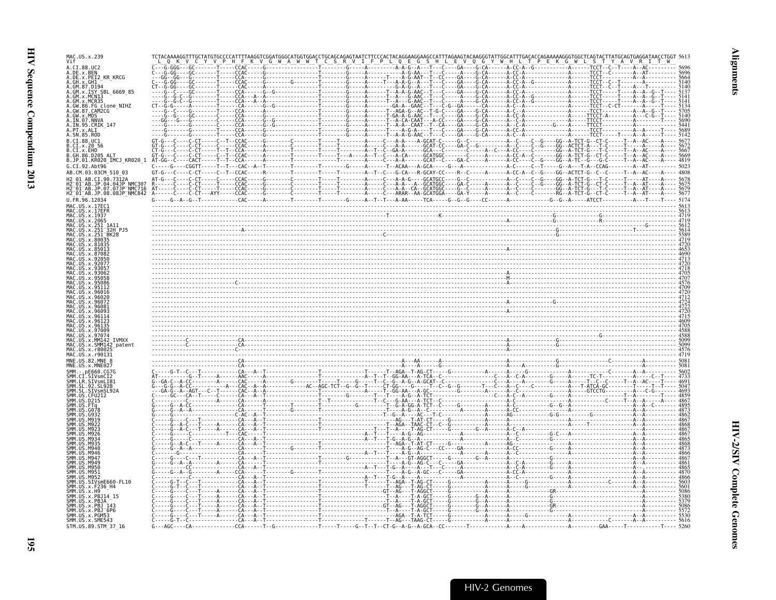| MAC.US.x.239                                                                                                                               |                                                                                                                                                                                                                                                                                                                                                 |  |
|--------------------------------------------------------------------------------------------------------------------------------------------|-------------------------------------------------------------------------------------------------------------------------------------------------------------------------------------------------------------------------------------------------------------------------------------------------------------------------------------------------|--|
| A.DE.x.BEN                                                                                                                                 |                                                                                                                                                                                                                                                                                                                                                 |  |
| A.DE.x.PEI2 KR KRCG<br>.x.GH1                                                                                                              |                                                                                                                                                                                                                                                                                                                                                 |  |
| .GM.87.D194<br>SBL 6669 85                                                                                                                 |                                                                                                                                                                                                                                                                                                                                                 |  |
| .86.FG_clone_NIHZ                                                                                                                          |                                                                                                                                                                                                                                                                                                                                                 |  |
| .CAM2CG<br>.GW.x.MDS                                                                                                                       |                                                                                                                                                                                                                                                                                                                                                 |  |
| A.IN.95.CRIK 147                                                                                                                           |                                                                                                                                                                                                                                                                                                                                                 |  |
| A.SN.85.ROD                                                                                                                                |                                                                                                                                                                                                                                                                                                                                                 |  |
| B.CI.88.UC1                                                                                                                                |                                                                                                                                                                                                                                                                                                                                                 |  |
| B.CI.x.EHO<br>.86.D205 ALT<br>B.JP.01.KR020_IMCJ KR020 1 AT-GG                                                                             |                                                                                                                                                                                                                                                                                                                                                 |  |
| G.CI.92.Ah <sub>t</sub> 96                                                                                                                 |                                                                                                                                                                                                                                                                                                                                                 |  |
| AB.CM.03.03CM 510 03<br>AR CT 90 7312A                                                                                                     |                                                                                                                                                                                                                                                                                                                                                 |  |
| H2 <sup>-</sup> 01 <sup>-</sup> AB.JP.04.04JP <sup>-</sup> NMC307<br>H2 <sup>-</sup> 01-AB.JP.07.07JP-NMC716<br>H2-01-AB.JP.08.08JP-NMC842 |                                                                                                                                                                                                                                                                                                                                                 |  |
| U.FR.96.12034                                                                                                                              | $A = \frac{1}{2}$ $A = \frac{1}{2}$ $A = \frac{1}{2}$ $A = \frac{1}{2}$ $A = \frac{1}{2}$ $A = \frac{1}{2}$ $A = \frac{1}{2}$ $A = \frac{1}{2}$ $A = \frac{1}{2}$ $A = \frac{1}{2}$ $A = \frac{1}{2}$ $A = \frac{1}{2}$ $A = \frac{1}{2}$ $A = \frac{1}{2}$ $A = \frac{1}{2}$ $A = \frac{1}{2}$ $A = \frac{1}{2}$ $A = \frac{1}{2}$ $A = \frac$ |  |
| MAC.US.x.17EC1                                                                                                                             |                                                                                                                                                                                                                                                                                                                                                 |  |
| MAC.US.x.2065                                                                                                                              |                                                                                                                                                                                                                                                                                                                                                 |  |
| 32H PJ5                                                                                                                                    |                                                                                                                                                                                                                                                                                                                                                 |  |
|                                                                                                                                            |                                                                                                                                                                                                                                                                                                                                                 |  |
|                                                                                                                                            |                                                                                                                                                                                                                                                                                                                                                 |  |
|                                                                                                                                            |                                                                                                                                                                                                                                                                                                                                                 |  |
|                                                                                                                                            |                                                                                                                                                                                                                                                                                                                                                 |  |
|                                                                                                                                            |                                                                                                                                                                                                                                                                                                                                                 |  |
|                                                                                                                                            |                                                                                                                                                                                                                                                                                                                                                 |  |
|                                                                                                                                            |                                                                                                                                                                                                                                                                                                                                                 |  |
|                                                                                                                                            |                                                                                                                                                                                                                                                                                                                                                 |  |
|                                                                                                                                            |                                                                                                                                                                                                                                                                                                                                                 |  |
|                                                                                                                                            |                                                                                                                                                                                                                                                                                                                                                 |  |
|                                                                                                                                            |                                                                                                                                                                                                                                                                                                                                                 |  |
|                                                                                                                                            |                                                                                                                                                                                                                                                                                                                                                 |  |
|                                                                                                                                            |                                                                                                                                                                                                                                                                                                                                                 |  |
|                                                                                                                                            |                                                                                                                                                                                                                                                                                                                                                 |  |
|                                                                                                                                            |                                                                                                                                                                                                                                                                                                                                                 |  |
|                                                                                                                                            |                                                                                                                                                                                                                                                                                                                                                 |  |
|                                                                                                                                            |                                                                                                                                                                                                                                                                                                                                                 |  |
|                                                                                                                                            |                                                                                                                                                                                                                                                                                                                                                 |  |
|                                                                                                                                            |                                                                                                                                                                                                                                                                                                                                                 |  |
|                                                                                                                                            |                                                                                                                                                                                                                                                                                                                                                 |  |
|                                                                                                                                            |                                                                                                                                                                                                                                                                                                                                                 |  |
|                                                                                                                                            |                                                                                                                                                                                                                                                                                                                                                 |  |
|                                                                                                                                            |                                                                                                                                                                                                                                                                                                                                                 |  |
|                                                                                                                                            |                                                                                                                                                                                                                                                                                                                                                 |  |
|                                                                                                                                            |                                                                                                                                                                                                                                                                                                                                                 |  |
| SMM.US.x.SME543                                                                                                                            |                                                                                                                                                                                                                                                                                                                                                 |  |
| STM.US.89.STM 37 16                                                                                                                        |                                                                                                                                                                                                                                                                                                                                                 |  |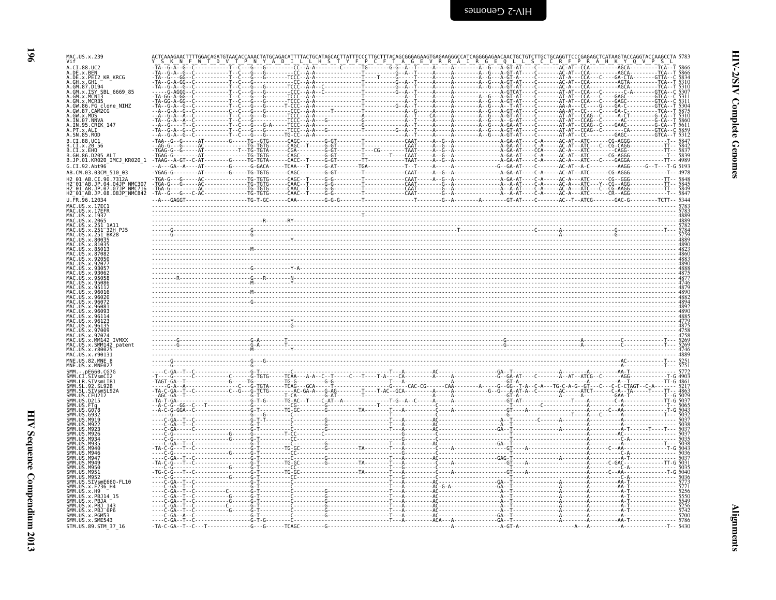| MAC.US.x.239<br>A.C.T.88.UC2                                                                                              |                                                                                                                                                                                                                                                                                                                                                                                                                                                                        |  |  |  |  |  |  |
|---------------------------------------------------------------------------------------------------------------------------|------------------------------------------------------------------------------------------------------------------------------------------------------------------------------------------------------------------------------------------------------------------------------------------------------------------------------------------------------------------------------------------------------------------------------------------------------------------------|--|--|--|--|--|--|
| A.DE.x.BEN<br>A.DE.x.PEI2 KR KRCG                                                                                         |                                                                                                                                                                                                                                                                                                                                                                                                                                                                        |  |  |  |  |  |  |
| GH.x.GH1<br>GM.87.D194                                                                                                    |                                                                                                                                                                                                                                                                                                                                                                                                                                                                        |  |  |  |  |  |  |
| .GM.x.ISY SBL 6669 85<br>GM.x.MCN13                                                                                       |                                                                                                                                                                                                                                                                                                                                                                                                                                                                        |  |  |  |  |  |  |
| GM.x.MCR35<br>GW.86.FG clone NIHZ<br>.GW.87.CAM2CG                                                                        |                                                                                                                                                                                                                                                                                                                                                                                                                                                                        |  |  |  |  |  |  |
| .GW.x.MDS<br>IN.07.NNVA                                                                                                   |                                                                                                                                                                                                                                                                                                                                                                                                                                                                        |  |  |  |  |  |  |
| A.IN.95.CRIK 147<br>A.PT.x.ALI                                                                                            |                                                                                                                                                                                                                                                                                                                                                                                                                                                                        |  |  |  |  |  |  |
| .SN.85.ROD<br>B.CI.88.UC1                                                                                                 |                                                                                                                                                                                                                                                                                                                                                                                                                                                                        |  |  |  |  |  |  |
| .CI.x.20 56<br>B.CI.x.EHO                                                                                                 | $\begin{array}{cccccccccccccccc} \textbf{1}_{\text{A}} & \textbf{1}_{\text{A}} & \textbf{1}_{\text{A}} & \textbf{1}_{\text{A}} & \textbf{1}_{\text{A}} & \textbf{1}_{\text{A}} & \textbf{1}_{\text{A}} & \textbf{1}_{\text{A}} & \textbf{1}_{\text{A}} & \textbf{1}_{\text{A}} & \textbf{1}_{\text{A}} & \textbf{1}_{\text{A}} & \textbf{1}_{\text{A}} & \textbf{1}_{\text{A}} & \textbf{1}_{\text{A}} & \textbf{1}_{\text{A}} & \textbf{1}_{\text{A}} & \textbf{1}_{$ |  |  |  |  |  |  |
| B.GH.86.D205 ALT<br>B.JP.01.KR020_IMCJ_KR020_1                                                                            |                                                                                                                                                                                                                                                                                                                                                                                                                                                                        |  |  |  |  |  |  |
| G.CI.92.Abt96                                                                                                             |                                                                                                                                                                                                                                                                                                                                                                                                                                                                        |  |  |  |  |  |  |
| AB.CM.03.03CM 510 03<br>H2 01 AB.CI.90.7312A                                                                              |                                                                                                                                                                                                                                                                                                                                                                                                                                                                        |  |  |  |  |  |  |
| H2 <sup>-</sup> 01 <sup>-</sup> AB.JP.04.04JP NMC307<br>H2 <sup>-</sup> 01 <sup>-</sup> AB.JP.07.07JP <sup>-</sup> NMC716 |                                                                                                                                                                                                                                                                                                                                                                                                                                                                        |  |  |  |  |  |  |
| H2 <sup>-</sup> 01 <sup>-</sup> AB.JP.08.08JP <sup>-</sup> NMC842<br>U.FR.96.12034                                        |                                                                                                                                                                                                                                                                                                                                                                                                                                                                        |  |  |  |  |  |  |
| MAC.US.x.17EC1                                                                                                            |                                                                                                                                                                                                                                                                                                                                                                                                                                                                        |  |  |  |  |  |  |
| MAC.US.x.17EFR<br>MAC.US.x.1937                                                                                           |                                                                                                                                                                                                                                                                                                                                                                                                                                                                        |  |  |  |  |  |  |
| MAC.US.x.2065<br>MAC.US.x.251_1A11                                                                                        |                                                                                                                                                                                                                                                                                                                                                                                                                                                                        |  |  |  |  |  |  |
| MAC.US.x.251-32H-PJ5<br>MAC.US.x.251-BK28                                                                                 |                                                                                                                                                                                                                                                                                                                                                                                                                                                                        |  |  |  |  |  |  |
| MAC.US.x.80035<br>MAC.US.x.81035<br>IIS x 8501                                                                            |                                                                                                                                                                                                                                                                                                                                                                                                                                                                        |  |  |  |  |  |  |
| x.8708                                                                                                                    |                                                                                                                                                                                                                                                                                                                                                                                                                                                                        |  |  |  |  |  |  |
|                                                                                                                           |                                                                                                                                                                                                                                                                                                                                                                                                                                                                        |  |  |  |  |  |  |
| x.9306                                                                                                                    |                                                                                                                                                                                                                                                                                                                                                                                                                                                                        |  |  |  |  |  |  |
| x.9501                                                                                                                    |                                                                                                                                                                                                                                                                                                                                                                                                                                                                        |  |  |  |  |  |  |
|                                                                                                                           | $\begin{array}{r} \begin{array}{r} \begin{array}{r} \text{3888}\ \text{8888} \ \text{8888} \ \text{8888} \ \text{8888} \ \text{1889} \ \text{189} \ \text{189} \ \text{189} \ \text{189} \ \text{189} \ \text{189} \ \text{189} \ \text{180} \ \text{180} \ \text{180} \ \text{181} \ \text{181} \ \text{182} \ \text{183} \ \text{183} \ \text{184} \ \text{185} \ \text{186} \ \text$                                                                                |  |  |  |  |  |  |
|                                                                                                                           |                                                                                                                                                                                                                                                                                                                                                                                                                                                                        |  |  |  |  |  |  |
|                                                                                                                           |                                                                                                                                                                                                                                                                                                                                                                                                                                                                        |  |  |  |  |  |  |
| MAC.US.x.96135                                                                                                            |                                                                                                                                                                                                                                                                                                                                                                                                                                                                        |  |  |  |  |  |  |
| MAC.US.x.97074                                                                                                            |                                                                                                                                                                                                                                                                                                                                                                                                                                                                        |  |  |  |  |  |  |
| <b>TVMXX</b><br>MAC.US.x.MM142<br>MAC.US.x.SMM142                                                                         |                                                                                                                                                                                                                                                                                                                                                                                                                                                                        |  |  |  |  |  |  |
| MAC.US.x.r8002<br>MAC.US.x.r90131                                                                                         |                                                                                                                                                                                                                                                                                                                                                                                                                                                                        |  |  |  |  |  |  |
| MNE.US.82.MNE 8<br>MNE.US.x.MNE027                                                                                        |                                                                                                                                                                                                                                                                                                                                                                                                                                                                        |  |  |  |  |  |  |
| . - . pE660 . CG7G                                                                                                        |                                                                                                                                                                                                                                                                                                                                                                                                                                                                        |  |  |  |  |  |  |
| CI.SIVsmCI2<br>SMM.LR.SIVsmLIB1                                                                                           |                                                                                                                                                                                                                                                                                                                                                                                                                                                                        |  |  |  |  |  |  |
| SL.92.SL92B<br>SMM.SL.SIVsmSL92A<br>SMM.US.CFU212                                                                         |                                                                                                                                                                                                                                                                                                                                                                                                                                                                        |  |  |  |  |  |  |
| SMM.US.D215                                                                                                               |                                                                                                                                                                                                                                                                                                                                                                                                                                                                        |  |  |  |  |  |  |
|                                                                                                                           |                                                                                                                                                                                                                                                                                                                                                                                                                                                                        |  |  |  |  |  |  |
|                                                                                                                           |                                                                                                                                                                                                                                                                                                                                                                                                                                                                        |  |  |  |  |  |  |
|                                                                                                                           |                                                                                                                                                                                                                                                                                                                                                                                                                                                                        |  |  |  |  |  |  |
|                                                                                                                           |                                                                                                                                                                                                                                                                                                                                                                                                                                                                        |  |  |  |  |  |  |
| <b>MQAF</b>                                                                                                               |                                                                                                                                                                                                                                                                                                                                                                                                                                                                        |  |  |  |  |  |  |
| 4949                                                                                                                      |                                                                                                                                                                                                                                                                                                                                                                                                                                                                        |  |  |  |  |  |  |
| <b>M956</b><br><b>U.S. M951</b>                                                                                           |                                                                                                                                                                                                                                                                                                                                                                                                                                                                        |  |  |  |  |  |  |
| US.SIVsmE660-FL10                                                                                                         |                                                                                                                                                                                                                                                                                                                                                                                                                                                                        |  |  |  |  |  |  |
| US. x. F236_H4                                                                                                            |                                                                                                                                                                                                                                                                                                                                                                                                                                                                        |  |  |  |  |  |  |
|                                                                                                                           |                                                                                                                                                                                                                                                                                                                                                                                                                                                                        |  |  |  |  |  |  |
| US. x. H9<br>.x.PBJ14 15                                                                                                  |                                                                                                                                                                                                                                                                                                                                                                                                                                                                        |  |  |  |  |  |  |
|                                                                                                                           |                                                                                                                                                                                                                                                                                                                                                                                                                                                                        |  |  |  |  |  |  |
| SMM.US.x.PBJ 143<br>SMM.US.x.PBJ 6P6<br>SMM.US.x.PGM53<br>SMM.US.x.SME543                                                 |                                                                                                                                                                                                                                                                                                                                                                                                                                                                        |  |  |  |  |  |  |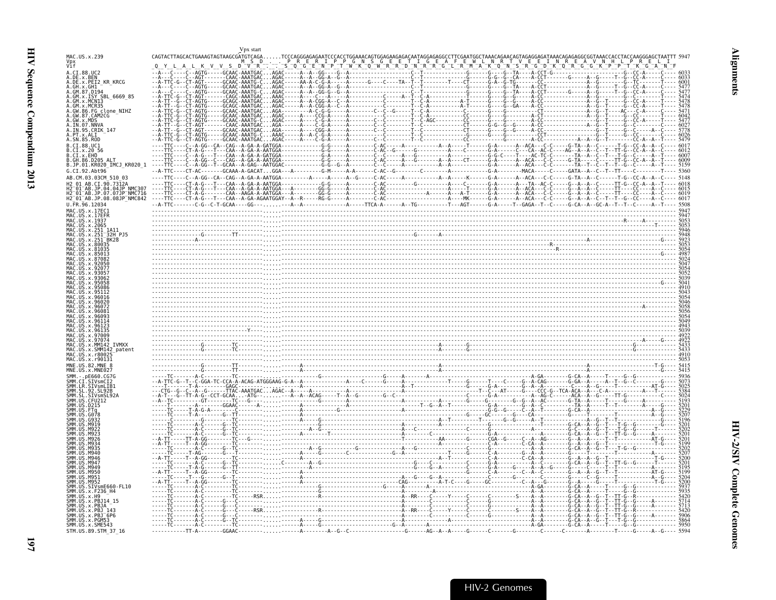<span id="page-42-0"></span>

|                                                                                                 | √px start |                 |  |
|-------------------------------------------------------------------------------------------------|-----------|-----------------|--|
| MAC.US.x.239                                                                                    |           |                 |  |
| Vpx<br>Vif                                                                                      |           |                 |  |
| A.CI.88.UC2<br>A.DE.x.BEN                                                                       |           |                 |  |
| A.DE.x.PEI2 KR KRCG                                                                             |           |                 |  |
|                                                                                                 |           |                 |  |
| GM.x.ISY SBL 6669 85                                                                            |           |                 |  |
| GM.x.MCNI3<br>.GM.x.MCR35                                                                       |           |                 |  |
| .GW.86.FG clone NIHZ<br>.GW.87.CAM2CG                                                           |           |                 |  |
| $GW \times MDS$                                                                                 |           |                 |  |
| A.IN.07.NNVA<br>A.IN.95.CRIK 147                                                                |           |                 |  |
|                                                                                                 |           |                 |  |
| A.SN.85.ROD<br>B.CT.88.UC1                                                                      |           |                 |  |
|                                                                                                 |           |                 |  |
| .CI.x.EHO<br>86.D205 ALT                                                                        |           |                 |  |
| B.JP.01.KR020_IMCJ_KR020_1                                                                      |           |                 |  |
| G.CI.92.Abt96                                                                                   |           |                 |  |
| AB.CM.03.03CM 510 03                                                                            |           |                 |  |
| 2 <sup>-</sup> 01 <sup>-</sup> AB.JP.04.04JP NMC307                                             |           |                 |  |
| $-01$ AB.JP.07.07JP NMC716<br>H2 <sup>-</sup> 01 <sup>-</sup> AB.JP.08.08JP <sup>-</sup> NMC842 |           |                 |  |
| U.FR.96.12034                                                                                   |           |                 |  |
| MAC IIS x 17FC1                                                                                 |           | $\frac{1}{200}$ |  |
| MAC.US.x.1937                                                                                   |           |                 |  |
| MAC.US.x.2065                                                                                   |           |                 |  |
| 32H PJ5                                                                                         |           |                 |  |
|                                                                                                 |           |                 |  |
|                                                                                                 |           |                 |  |
|                                                                                                 |           |                 |  |
|                                                                                                 |           |                 |  |
|                                                                                                 |           |                 |  |
|                                                                                                 |           |                 |  |
|                                                                                                 |           |                 |  |
|                                                                                                 |           |                 |  |
|                                                                                                 |           |                 |  |
|                                                                                                 |           |                 |  |
|                                                                                                 |           |                 |  |
|                                                                                                 |           |                 |  |
|                                                                                                 |           |                 |  |
| <b>TVMXX</b>                                                                                    |           |                 |  |
| SMM142_patent                                                                                   |           |                 |  |
| AC.US.x.r8002<br>MAC.US.x.r90131                                                                |           |                 |  |
|                                                                                                 |           |                 |  |
|                                                                                                 |           |                 |  |
|                                                                                                 |           |                 |  |
|                                                                                                 |           |                 |  |
|                                                                                                 |           |                 |  |
|                                                                                                 |           |                 |  |
|                                                                                                 |           |                 |  |
|                                                                                                 |           |                 |  |
|                                                                                                 |           |                 |  |
|                                                                                                 |           |                 |  |
|                                                                                                 |           |                 |  |
|                                                                                                 |           |                 |  |
|                                                                                                 |           |                 |  |
| модс                                                                                            |           |                 |  |
| M950<br>M951                                                                                    |           |                 |  |
|                                                                                                 |           |                 |  |
| US.SIVsmE660-FL10                                                                               |           |                 |  |
|                                                                                                 |           |                 |  |
|                                                                                                 |           |                 |  |
| x.PBJ14 15<br>SMM.US.x.PBJA                                                                     |           |                 |  |
| SMM.US.x.PBJ 143                                                                                |           |                 |  |
| MM.US.x.PBJ <sup>-</sup> 6P6<br>1M.US.x.PGM53                                                   |           |                 |  |
| SMM.US.x.SME543<br>STM.US.89.STM 37 16                                                          |           |                 |  |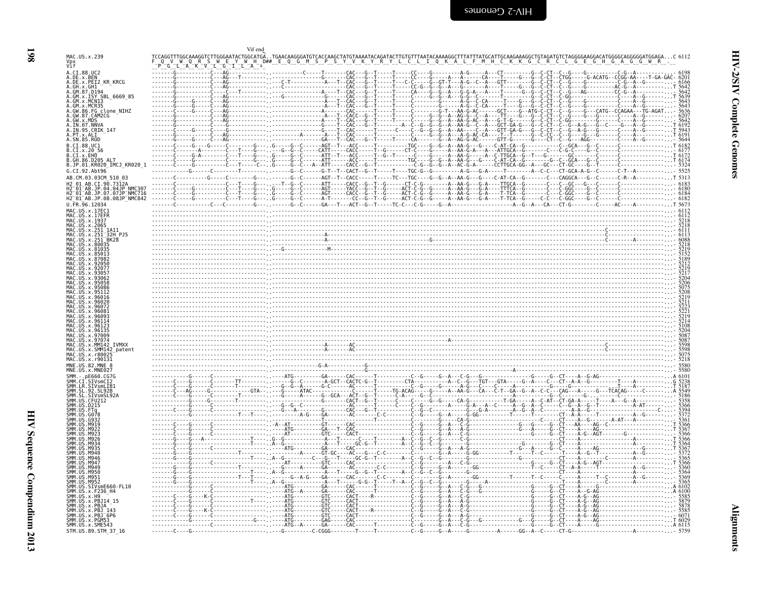<span id="page-43-0"></span>

|                                                                                                                                              |                                    |                                                                                                                        |                                                                                                                                                                                                                                                                                                                                                                                                                                                                                                                               |                                                                                                                                                        | G                                                              |
|----------------------------------------------------------------------------------------------------------------------------------------------|------------------------------------|------------------------------------------------------------------------------------------------------------------------|-------------------------------------------------------------------------------------------------------------------------------------------------------------------------------------------------------------------------------------------------------------------------------------------------------------------------------------------------------------------------------------------------------------------------------------------------------------------------------------------------------------------------------|--------------------------------------------------------------------------------------------------------------------------------------------------------|----------------------------------------------------------------|
| Vpx<br>Vif                                                                                                                                   |                                    |                                                                                                                        |                                                                                                                                                                                                                                                                                                                                                                                                                                                                                                                               |                                                                                                                                                        |                                                                |
| A.CI.88.UC2<br>A.DE.x.BEN                                                                                                                    |                                    |                                                                                                                        | ------- .----------------G------CAC---G--T-----T-----CC----G-----A---A-----CA---T-----G--C-C-C-C-C-CT--CTGG-----G-ACATG--CCGG-AA----T-GA-GAC- 6201                                                                                                                                                                                                                                                                                                                                                                            |                                                                                                                                                        |                                                                |
| A.DE.x.PEI2_KR_KRCG                                                                                                                          |                                    |                                                                                                                        |                                                                                                                                                                                                                                                                                                                                                                                                                                                                                                                               |                                                                                                                                                        |                                                                |
| A.GH.x.GH1 -<br>A.GM.87.D194                                                                                                                 |                                    |                                                                                                                        |                                                                                                                                                                                                                                                                                                                                                                                                                                                                                                                               | - G - - - G - - C - CT - - C - - G - - -                                                                                                               |                                                                |
| A.GM.x.ISY SBL 6669 85                                                                                                                       |                                    | -----------G------CAC--                                                                                                |                                                                                                                                                                                                                                                                                                                                                                                                                                                                                                                               | - - - - - - - G - - C -                                                                                                                                |                                                                |
| A.GM.x.MCN13                                                                                                                                 |                                    |                                                                                                                        |                                                                                                                                                                                                                                                                                                                                                                                                                                                                                                                               |                                                                                                                                                        |                                                                |
| A.GM.x.MCR35                                                                                                                                 |                                    |                                                                                                                        |                                                                                                                                                                                                                                                                                                                                                                                                                                                                                                                               |                                                                                                                                                        |                                                                |
|                                                                                                                                              |                                    |                                                                                                                        |                                                                                                                                                                                                                                                                                                                                                                                                                                                                                                                               |                                                                                                                                                        |                                                                |
| A.GW.86.FG_clone_NIHZ<br>A.GW.87.CAM2CG<br>A.GW.x.MDS<br>A.IN.07.NNVA                                                                        |                                    |                                                                                                                        |                                                                                                                                                                                                                                                                                                                                                                                                                                                                                                                               | $-C - G -$                                                                                                                                             |                                                                |
| A. IN. 95. CRIK 147                                                                                                                          |                                    |                                                                                                                        |                                                                                                                                                                                                                                                                                                                                                                                                                                                                                                                               | -G - -A - -AA -G - -C - -A - - - GCT - GA - G - - - G - - C - CT - - C -<br>-G - -A - -AA - - - - C - -A - - - GTT - GA - G - - -G - - C - -CT - - C - |                                                                |
| A.PT.x.ALI<br>A.SN.85.ROD                                                                                                                    |                                    |                                                                                                                        | $G - A - -A - G - AC - CA - - -T - T$                                                                                                                                                                                                                                                                                                                                                                                                                                                                                         |                                                                                                                                                        |                                                                |
| B.CI.88.UC1                                                                                                                                  |                                    |                                                                                                                        |                                                                                                                                                                                                                                                                                                                                                                                                                                                                                                                               |                                                                                                                                                        |                                                                |
| B.CI.x.20 56<br>B.CI.x.EHO                                                                                                                   |                                    |                                                                                                                        |                                                                                                                                                                                                                                                                                                                                                                                                                                                                                                                               |                                                                                                                                                        | - C - - - C - G - C - - - - G - - C -                          |
| B.GH.86.D205 ALT                                                                                                                             |                                    |                                                                                                                        |                                                                                                                                                                                                                                                                                                                                                                                                                                                                                                                               |                                                                                                                                                        |                                                                |
| B.JP.01.KR020_IMCJ_KR020_1                                                                                                                   |                                    |                                                                                                                        |                                                                                                                                                                                                                                                                                                                                                                                                                                                                                                                               |                                                                                                                                                        | ---------------† 6174<br>--------------- <sub>---</sub> - 5324 |
| G.CI.92.Abt96                                                                                                                                |                                    |                                                                                                                        |                                                                                                                                                                                                                                                                                                                                                                                                                                                                                                                               |                                                                                                                                                        |                                                                |
| AB.CM.03.03CM 510 03                                                                                                                         |                                    |                                                                                                                        |                                                                                                                                                                                                                                                                                                                                                                                                                                                                                                                               |                                                                                                                                                        |                                                                |
| H2 01 AB.CI.90.7312A<br>H2 01 AB.JP.04.04JP NMC307                                                                                           |                                    |                                                                                                                        | -T----G------T--G--C------ATT-----CACC--G--T--G------CT-C-G--------A--AA-G---G-A----TTGCA--G-------C---C--GC                                                                                                                                                                                                                                                                                                                                                                                                                  |                                                                                                                                                        |                                                                |
| $-01$ AB.JP.07.07JP NMC716                                                                                                                   |                                    |                                                                                                                        |                                                                                                                                                                                                                                                                                                                                                                                                                                                                                                                               |                                                                                                                                                        |                                                                |
| H2 <sup>-01-AB.JP.08.08JP<sup>-</sup>NMC842</sup>                                                                                            |                                    |                                                                                                                        |                                                                                                                                                                                                                                                                                                                                                                                                                                                                                                                               |                                                                                                                                                        |                                                                |
| $U. \bar{F}R. \bar{9}6.12034$                                                                                                                |                                    |                                                                                                                        |                                                                                                                                                                                                                                                                                                                                                                                                                                                                                                                               |                                                                                                                                                        |                                                                |
| MAC.US.x.17EC1<br>MAC.US.x.17EFR                                                                                                             |                                    |                                                                                                                        |                                                                                                                                                                                                                                                                                                                                                                                                                                                                                                                               |                                                                                                                                                        |                                                                |
| MAC.US.x.1937                                                                                                                                |                                    |                                                                                                                        |                                                                                                                                                                                                                                                                                                                                                                                                                                                                                                                               |                                                                                                                                                        |                                                                |
| MAC. US. x. 2065                                                                                                                             |                                    |                                                                                                                        |                                                                                                                                                                                                                                                                                                                                                                                                                                                                                                                               |                                                                                                                                                        |                                                                |
| MAC.US.X.251 1A11<br>MAC.US.x.251 32H PJ5                                                                                                    |                                    |                                                                                                                        |                                                                                                                                                                                                                                                                                                                                                                                                                                                                                                                               |                                                                                                                                                        |                                                                |
| MAC.US.x.251 BK28<br>MAC                                                                                                                     |                                    |                                                                                                                        |                                                                                                                                                                                                                                                                                                                                                                                                                                                                                                                               |                                                                                                                                                        |                                                                |
| $.05 \times .80035$<br>US x 8103                                                                                                             |                                    |                                                                                                                        |                                                                                                                                                                                                                                                                                                                                                                                                                                                                                                                               |                                                                                                                                                        |                                                                |
| MAC.US.x.85013                                                                                                                               |                                    |                                                                                                                        |                                                                                                                                                                                                                                                                                                                                                                                                                                                                                                                               |                                                                                                                                                        |                                                                |
| US.x.87082                                                                                                                                   |                                    |                                                                                                                        |                                                                                                                                                                                                                                                                                                                                                                                                                                                                                                                               |                                                                                                                                                        |                                                                |
| 92077                                                                                                                                        |                                    |                                                                                                                        |                                                                                                                                                                                                                                                                                                                                                                                                                                                                                                                               |                                                                                                                                                        |                                                                |
| x.9305<br>9306                                                                                                                               |                                    |                                                                                                                        |                                                                                                                                                                                                                                                                                                                                                                                                                                                                                                                               |                                                                                                                                                        |                                                                |
|                                                                                                                                              |                                    |                                                                                                                        |                                                                                                                                                                                                                                                                                                                                                                                                                                                                                                                               |                                                                                                                                                        |                                                                |
| x.95086                                                                                                                                      |                                    |                                                                                                                        |                                                                                                                                                                                                                                                                                                                                                                                                                                                                                                                               |                                                                                                                                                        |                                                                |
| 9601                                                                                                                                         |                                    |                                                                                                                        |                                                                                                                                                                                                                                                                                                                                                                                                                                                                                                                               |                                                                                                                                                        |                                                                |
| 96026                                                                                                                                        |                                    |                                                                                                                        |                                                                                                                                                                                                                                                                                                                                                                                                                                                                                                                               |                                                                                                                                                        |                                                                |
| x.96072<br>9608                                                                                                                              |                                    |                                                                                                                        |                                                                                                                                                                                                                                                                                                                                                                                                                                                                                                                               |                                                                                                                                                        |                                                                |
| $x$ 9609                                                                                                                                     |                                    |                                                                                                                        |                                                                                                                                                                                                                                                                                                                                                                                                                                                                                                                               |                                                                                                                                                        |                                                                |
| x.96114<br>x.9612                                                                                                                            |                                    |                                                                                                                        |                                                                                                                                                                                                                                                                                                                                                                                                                                                                                                                               |                                                                                                                                                        |                                                                |
| x.96135                                                                                                                                      |                                    |                                                                                                                        |                                                                                                                                                                                                                                                                                                                                                                                                                                                                                                                               |                                                                                                                                                        |                                                                |
| MAC<br>x.97009<br>MAC<br>x.97074                                                                                                             |                                    |                                                                                                                        |                                                                                                                                                                                                                                                                                                                                                                                                                                                                                                                               |                                                                                                                                                        |                                                                |
| MAC.US.X.MM142 IVMXX                                                                                                                         |                                    |                                                                                                                        |                                                                                                                                                                                                                                                                                                                                                                                                                                                                                                                               |                                                                                                                                                        |                                                                |
| .x.SMM142 patent                                                                                                                             |                                    |                                                                                                                        |                                                                                                                                                                                                                                                                                                                                                                                                                                                                                                                               |                                                                                                                                                        |                                                                |
|                                                                                                                                              |                                    |                                                                                                                        |                                                                                                                                                                                                                                                                                                                                                                                                                                                                                                                               |                                                                                                                                                        |                                                                |
| MAC.US.x.r8002<br>MAC.US.x.r90131                                                                                                            |                                    |                                                                                                                        |                                                                                                                                                                                                                                                                                                                                                                                                                                                                                                                               |                                                                                                                                                        |                                                                |
|                                                                                                                                              |                                    |                                                                                                                        |                                                                                                                                                                                                                                                                                                                                                                                                                                                                                                                               |                                                                                                                                                        |                                                                |
| MNE.US.82.MNE 8<br>US.x.MNE027                                                                                                               |                                    |                                                                                                                        |                                                                                                                                                                                                                                                                                                                                                                                                                                                                                                                               |                                                                                                                                                        |                                                                |
| SMM.<br>.pE660.CG7G                                                                                                                          |                                    | . - GA - - CAC - - - - - - T - - - - - - - - - -                                                                       |                                                                                                                                                                                                                                                                                                                                                                                                                                                                                                                               |                                                                                                                                                        | $-. A6101$                                                     |
| SMM.CI.SIVsmCI2<br>SMM.LR.SIVsmLIB1                                                                                                          |                                    |                                                                                                                        |                                                                                                                                                                                                                                                                                                                                                                                                                                                                                                                               |                                                                                                                                                        |                                                                |
| SL.92.SL92B                                                                                                                                  |                                    |                                                                                                                        |                                                                                                                                                                                                                                                                                                                                                                                                                                                                                                                               |                                                                                                                                                        |                                                                |
|                                                                                                                                              |                                    |                                                                                                                        |                                                                                                                                                                                                                                                                                                                                                                                                                                                                                                                               |                                                                                                                                                        |                                                                |
| SMM. SL. SIVSMSL92A<br>SMM. US. CFU212<br>SMM. US. D215                                                                                      |                                    |                                                                                                                        |                                                                                                                                                                                                                                                                                                                                                                                                                                                                                                                               |                                                                                                                                                        |                                                                |
| US.G078                                                                                                                                      |                                    |                                                                                                                        |                                                                                                                                                                                                                                                                                                                                                                                                                                                                                                                               |                                                                                                                                                        |                                                                |
| G932                                                                                                                                         |                                    |                                                                                                                        |                                                                                                                                                                                                                                                                                                                                                                                                                                                                                                                               |                                                                                                                                                        |                                                                |
| M92.                                                                                                                                         |                                    |                                                                                                                        |                                                                                                                                                                                                                                                                                                                                                                                                                                                                                                                               |                                                                                                                                                        |                                                                |
| M923                                                                                                                                         |                                    |                                                                                                                        |                                                                                                                                                                                                                                                                                                                                                                                                                                                                                                                               |                                                                                                                                                        |                                                                |
| M926<br>MQR                                                                                                                                  |                                    |                                                                                                                        |                                                                                                                                                                                                                                                                                                                                                                                                                                                                                                                               |                                                                                                                                                        |                                                                |
|                                                                                                                                              |                                    |                                                                                                                        |                                                                                                                                                                                                                                                                                                                                                                                                                                                                                                                               |                                                                                                                                                        |                                                                |
| M940                                                                                                                                         |                                    |                                                                                                                        |                                                                                                                                                                                                                                                                                                                                                                                                                                                                                                                               |                                                                                                                                                        |                                                                |
| M947                                                                                                                                         |                                    |                                                                                                                        |                                                                                                                                                                                                                                                                                                                                                                                                                                                                                                                               |                                                                                                                                                        |                                                                |
| M949                                                                                                                                         |                                    |                                                                                                                        |                                                                                                                                                                                                                                                                                                                                                                                                                                                                                                                               |                                                                                                                                                        |                                                                |
| M950                                                                                                                                         |                                    |                                                                                                                        |                                                                                                                                                                                                                                                                                                                                                                                                                                                                                                                               |                                                                                                                                                        |                                                                |
| M951<br>M952                                                                                                                                 |                                    |                                                                                                                        |                                                                                                                                                                                                                                                                                                                                                                                                                                                                                                                               |                                                                                                                                                        |                                                                |
| US.SIVsmE660-FL10                                                                                                                            |                                    |                                                                                                                        |                                                                                                                                                                                                                                                                                                                                                                                                                                                                                                                               |                                                                                                                                                        |                                                                |
|                                                                                                                                              |                                    |                                                                                                                        |                                                                                                                                                                                                                                                                                                                                                                                                                                                                                                                               |                                                                                                                                                        |                                                                |
|                                                                                                                                              |                                    |                                                                                                                        |                                                                                                                                                                                                                                                                                                                                                                                                                                                                                                                               |                                                                                                                                                        |                                                                |
|                                                                                                                                              |                                    | -ATG----------GTC-----CACT----                                                                                         | $\begin{bmatrix} \overbrace{0} & \overbrace{0} & \overbrace{0} & \overbrace{0} & \overbrace{0} & \overbrace{0} & \overbrace{0} & \overbrace{0} & \overbrace{0} & \overbrace{0} & \overbrace{0} & \overbrace{0} & \overbrace{0} & \overbrace{0} & \overbrace{0} & \overbrace{0} & \overbrace{0} & \overbrace{0} & \overbrace{0} & \overbrace{0} & \overbrace{0} & \overbrace{0} & \overbrace{0} & \overbrace{0} & \overbrace{0} & \overbrace{0} & \overbrace{0} & \overbrace{0} & \overbrace{0} & \overbrace{0} & \overbrace{$ |                                                                                                                                                        |                                                                |
| SMM. US. x. F236_H4<br>SMM. US. x. F236_H4<br>SMM. US. x. PB314_15<br>SMM. US. x. PB3A_13<br>SMM. US. x. PB3_143<br>US.x.PBJ <sup>-6P6</sup> |                                    | - ATG - - - - - - - - - - GTC - - - - - CACT<br>- - - - - - - - GTC - - - - - CACT - - - - - - - - - - - - - - - - - - |                                                                                                                                                                                                                                                                                                                                                                                                                                                                                                                               |                                                                                                                                                        |                                                                |
| SMM.<br>.x.PGM53<br>SMM.US.x.SME543                                                                                                          | . G <sub>. .</sub> ATG - GAG - CAC |                                                                                                                        |                                                                                                                                                                                                                                                                                                                                                                                                                                                                                                                               |                                                                                                                                                        |                                                                |

HIV Sequence Compendium 2013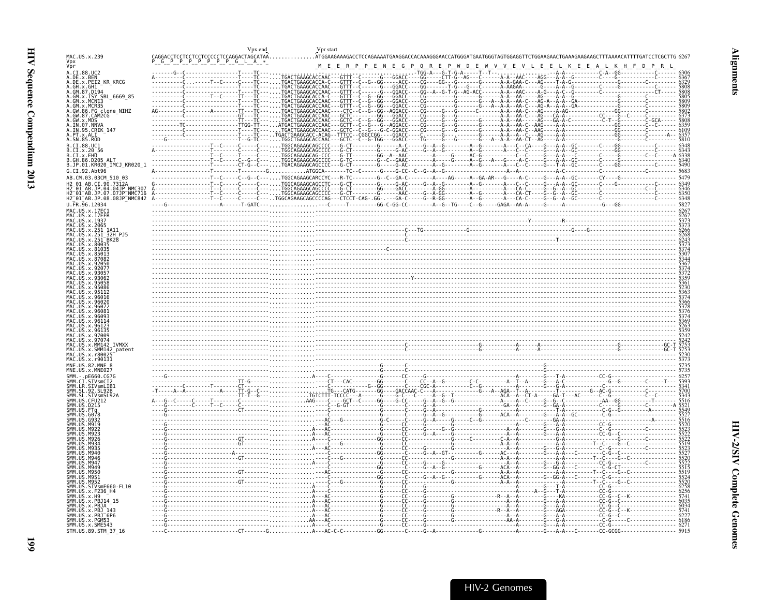<span id="page-44-0"></span>

| $\begin{array}{lllllll} \texttt{CAGGACCTCCTCCTCCCCTCCAGGACTAGCATA} \hat{A} \texttt{.} \texttt{.} \texttt{.} \texttt{.} \texttt{.} \texttt{.} \texttt{.} \texttt{.} \texttt{.} \texttt{.} \texttt{.} \texttt{.} \texttt{.} \texttt{.} \texttt{.} \texttt{.} \texttt{.} \texttt{.} \texttt{.} \texttt{.} \texttt{.} \texttt{.} \texttt{.} \texttt{.} \texttt{.} \texttt{.} \texttt{.} \texttt{.} \texttt{.} \texttt{.} \$<br>.ATGGAAGAAAGACCTCCAGAAAATGAAGGACCACAAAGGGAACCATGGGATGAATGGGTAGTGGAGGTTCTGGAAGAACTGAAAGAAGCATTTAAAACATTTTGATCCTCGCTTG<br>MAC.US.x.239<br>Vpx<br>Vpr<br>M E E R P P E N E G P Q R E P W D E W V V E V L E E L K E E A L K H F D<br>A.CI.88.UC2<br>A.DE.x.BEN<br>TGACTGAAGCACCAAC---GTTT--C-<br>A.DE.x.PEI2 KR KRCG<br>. TGACTGAAGCACCA - C - - - GTTT -<br>- C - -G - -GG - - - - - ACC -<br>----CG----GG---G--------G-------A-A-GAA-C---AG----T-A-G--<br>----GG-------T-G---G---C-------A-AAGAA------G----A-A--G-<br>TGACTGAAGCACCAAC - - - GTTT - - C - - - - - - G - - - GGACC-<br>A.GH.x.GH1<br>A.GM.87.D194<br>A.GM.x.ISY SBL_6669_85<br>A.GM.x.MCN13<br>A.GM.x.MCN13<br>A.GM.x.MCR35<br>A.GW.86.FG clone_NIHZ<br>A.GW.87.CAM2CG<br>A.GW.x.MDS<br>- C - - G - - GG - - AGGACC - - - - CG - - - -<br>- - - CTC<br>. TGACTGAAGCACCAAC -<br>-GCTC<br>- - - - - - GG - - - GGACC - - - - CG - - - -<br>- - GGACC<br>A.IN.07.NNVA<br>- Č - - Ğ - - - Ğ -<br>- C - - G - - - G -<br>A.IN.95.CRIK 147<br>A.SN.85.ROD<br>. TGGCTGAAGCACCAAC - - - GCTC - - C - -G - TGG - - - GGACC<br>TGGCAGAAGCAGCCCC - - - G - CT<br>B.CI.88.UC1<br>B.CI.x.20 56<br>B.CI.x.EHO<br>B.GH.86.D205 ALT<br>B.JP.01.KR020_IMCJ_KR020_1<br>. CT - G -<br>G.CI.92.Abt96<br>----------T--C-----C--G--C---TGGCAGAAGCARCCYC---R-TC--------G--C--GA-C--------AG-----AG----A--GA-AR---G----A-C----G--A-A--GC------CY----G------C<br>AB.CM.03.03CM 510 03<br>H2 01 AB.CI.90.7312A<br>H2 01 AB.JP.04.04JP NMC307<br>H2 01 AB.JP.07.07JP NMC716<br>H2 01 AB.JP.08.08JP NMC842<br>U.FR.96.12034<br>MAC.US.x.17EC1<br>MAC.US.x.1937<br>MAC.US.x.2065<br>US.x.251<br>- 1A11<br>32H PJ5<br>US.x.80035<br>US.x.81035<br>96016<br>96026<br>960<br>970<br>IVMXX<br>MM142<br>US.x.SMM142 patent<br>US.x.r8002.<br>MAC.US.x.r90131<br>MNE.US.82.MNE 8<br>MNE.US.x.MNE027<br>.nF660.CG70<br>CI.SIVsmCI2<br>SMM.LR.SIVsmLIB1<br>.SL92B<br>SL.92<br><b>CMM</b><br>SMM.US.D215<br>SMM.US.FTa<br>SMM<br>G078 | Vpx end | Vpr start |          |
|-----------------------------------------------------------------------------------------------------------------------------------------------------------------------------------------------------------------------------------------------------------------------------------------------------------------------------------------------------------------------------------------------------------------------------------------------------------------------------------------------------------------------------------------------------------------------------------------------------------------------------------------------------------------------------------------------------------------------------------------------------------------------------------------------------------------------------------------------------------------------------------------------------------------------------------------------------------------------------------------------------------------------------------------------------------------------------------------------------------------------------------------------------------------------------------------------------------------------------------------------------------------------------------------------------------------------------------------------------------------------------------------------------------------------------------------------------------------------------------------------------------------------------------------------------------------------------------------------------------------------------------------------------------------------------------------------------------------------------------------------------------------------------------------------------------------------------------------------------------------------------------------------------------------------------------------------------------------------------------------------------------------------------------------------------------------------------------------------------------------------------------------------------------------------------------------------------------------------------------------------------------------------------------------------------------------------------------------------------------------------------------------|---------|-----------|----------|
|                                                                                                                                                                                                                                                                                                                                                                                                                                                                                                                                                                                                                                                                                                                                                                                                                                                                                                                                                                                                                                                                                                                                                                                                                                                                                                                                                                                                                                                                                                                                                                                                                                                                                                                                                                                                                                                                                                                                                                                                                                                                                                                                                                                                                                                                                                                                                                                         |         |           |          |
|                                                                                                                                                                                                                                                                                                                                                                                                                                                                                                                                                                                                                                                                                                                                                                                                                                                                                                                                                                                                                                                                                                                                                                                                                                                                                                                                                                                                                                                                                                                                                                                                                                                                                                                                                                                                                                                                                                                                                                                                                                                                                                                                                                                                                                                                                                                                                                                         |         |           |          |
|                                                                                                                                                                                                                                                                                                                                                                                                                                                                                                                                                                                                                                                                                                                                                                                                                                                                                                                                                                                                                                                                                                                                                                                                                                                                                                                                                                                                                                                                                                                                                                                                                                                                                                                                                                                                                                                                                                                                                                                                                                                                                                                                                                                                                                                                                                                                                                                         |         |           |          |
|                                                                                                                                                                                                                                                                                                                                                                                                                                                                                                                                                                                                                                                                                                                                                                                                                                                                                                                                                                                                                                                                                                                                                                                                                                                                                                                                                                                                                                                                                                                                                                                                                                                                                                                                                                                                                                                                                                                                                                                                                                                                                                                                                                                                                                                                                                                                                                                         |         |           |          |
|                                                                                                                                                                                                                                                                                                                                                                                                                                                                                                                                                                                                                                                                                                                                                                                                                                                                                                                                                                                                                                                                                                                                                                                                                                                                                                                                                                                                                                                                                                                                                                                                                                                                                                                                                                                                                                                                                                                                                                                                                                                                                                                                                                                                                                                                                                                                                                                         |         |           |          |
|                                                                                                                                                                                                                                                                                                                                                                                                                                                                                                                                                                                                                                                                                                                                                                                                                                                                                                                                                                                                                                                                                                                                                                                                                                                                                                                                                                                                                                                                                                                                                                                                                                                                                                                                                                                                                                                                                                                                                                                                                                                                                                                                                                                                                                                                                                                                                                                         |         |           |          |
|                                                                                                                                                                                                                                                                                                                                                                                                                                                                                                                                                                                                                                                                                                                                                                                                                                                                                                                                                                                                                                                                                                                                                                                                                                                                                                                                                                                                                                                                                                                                                                                                                                                                                                                                                                                                                                                                                                                                                                                                                                                                                                                                                                                                                                                                                                                                                                                         |         |           |          |
|                                                                                                                                                                                                                                                                                                                                                                                                                                                                                                                                                                                                                                                                                                                                                                                                                                                                                                                                                                                                                                                                                                                                                                                                                                                                                                                                                                                                                                                                                                                                                                                                                                                                                                                                                                                                                                                                                                                                                                                                                                                                                                                                                                                                                                                                                                                                                                                         |         |           |          |
|                                                                                                                                                                                                                                                                                                                                                                                                                                                                                                                                                                                                                                                                                                                                                                                                                                                                                                                                                                                                                                                                                                                                                                                                                                                                                                                                                                                                                                                                                                                                                                                                                                                                                                                                                                                                                                                                                                                                                                                                                                                                                                                                                                                                                                                                                                                                                                                         |         |           |          |
|                                                                                                                                                                                                                                                                                                                                                                                                                                                                                                                                                                                                                                                                                                                                                                                                                                                                                                                                                                                                                                                                                                                                                                                                                                                                                                                                                                                                                                                                                                                                                                                                                                                                                                                                                                                                                                                                                                                                                                                                                                                                                                                                                                                                                                                                                                                                                                                         |         |           |          |
|                                                                                                                                                                                                                                                                                                                                                                                                                                                                                                                                                                                                                                                                                                                                                                                                                                                                                                                                                                                                                                                                                                                                                                                                                                                                                                                                                                                                                                                                                                                                                                                                                                                                                                                                                                                                                                                                                                                                                                                                                                                                                                                                                                                                                                                                                                                                                                                         |         |           | $-.568'$ |
|                                                                                                                                                                                                                                                                                                                                                                                                                                                                                                                                                                                                                                                                                                                                                                                                                                                                                                                                                                                                                                                                                                                                                                                                                                                                                                                                                                                                                                                                                                                                                                                                                                                                                                                                                                                                                                                                                                                                                                                                                                                                                                                                                                                                                                                                                                                                                                                         |         |           |          |
|                                                                                                                                                                                                                                                                                                                                                                                                                                                                                                                                                                                                                                                                                                                                                                                                                                                                                                                                                                                                                                                                                                                                                                                                                                                                                                                                                                                                                                                                                                                                                                                                                                                                                                                                                                                                                                                                                                                                                                                                                                                                                                                                                                                                                                                                                                                                                                                         |         |           |          |
|                                                                                                                                                                                                                                                                                                                                                                                                                                                                                                                                                                                                                                                                                                                                                                                                                                                                                                                                                                                                                                                                                                                                                                                                                                                                                                                                                                                                                                                                                                                                                                                                                                                                                                                                                                                                                                                                                                                                                                                                                                                                                                                                                                                                                                                                                                                                                                                         |         |           |          |
|                                                                                                                                                                                                                                                                                                                                                                                                                                                                                                                                                                                                                                                                                                                                                                                                                                                                                                                                                                                                                                                                                                                                                                                                                                                                                                                                                                                                                                                                                                                                                                                                                                                                                                                                                                                                                                                                                                                                                                                                                                                                                                                                                                                                                                                                                                                                                                                         |         |           |          |
|                                                                                                                                                                                                                                                                                                                                                                                                                                                                                                                                                                                                                                                                                                                                                                                                                                                                                                                                                                                                                                                                                                                                                                                                                                                                                                                                                                                                                                                                                                                                                                                                                                                                                                                                                                                                                                                                                                                                                                                                                                                                                                                                                                                                                                                                                                                                                                                         |         |           |          |
|                                                                                                                                                                                                                                                                                                                                                                                                                                                                                                                                                                                                                                                                                                                                                                                                                                                                                                                                                                                                                                                                                                                                                                                                                                                                                                                                                                                                                                                                                                                                                                                                                                                                                                                                                                                                                                                                                                                                                                                                                                                                                                                                                                                                                                                                                                                                                                                         |         |           |          |
|                                                                                                                                                                                                                                                                                                                                                                                                                                                                                                                                                                                                                                                                                                                                                                                                                                                                                                                                                                                                                                                                                                                                                                                                                                                                                                                                                                                                                                                                                                                                                                                                                                                                                                                                                                                                                                                                                                                                                                                                                                                                                                                                                                                                                                                                                                                                                                                         |         |           |          |
|                                                                                                                                                                                                                                                                                                                                                                                                                                                                                                                                                                                                                                                                                                                                                                                                                                                                                                                                                                                                                                                                                                                                                                                                                                                                                                                                                                                                                                                                                                                                                                                                                                                                                                                                                                                                                                                                                                                                                                                                                                                                                                                                                                                                                                                                                                                                                                                         |         |           |          |
|                                                                                                                                                                                                                                                                                                                                                                                                                                                                                                                                                                                                                                                                                                                                                                                                                                                                                                                                                                                                                                                                                                                                                                                                                                                                                                                                                                                                                                                                                                                                                                                                                                                                                                                                                                                                                                                                                                                                                                                                                                                                                                                                                                                                                                                                                                                                                                                         |         |           |          |
|                                                                                                                                                                                                                                                                                                                                                                                                                                                                                                                                                                                                                                                                                                                                                                                                                                                                                                                                                                                                                                                                                                                                                                                                                                                                                                                                                                                                                                                                                                                                                                                                                                                                                                                                                                                                                                                                                                                                                                                                                                                                                                                                                                                                                                                                                                                                                                                         |         |           |          |
|                                                                                                                                                                                                                                                                                                                                                                                                                                                                                                                                                                                                                                                                                                                                                                                                                                                                                                                                                                                                                                                                                                                                                                                                                                                                                                                                                                                                                                                                                                                                                                                                                                                                                                                                                                                                                                                                                                                                                                                                                                                                                                                                                                                                                                                                                                                                                                                         |         |           |          |
|                                                                                                                                                                                                                                                                                                                                                                                                                                                                                                                                                                                                                                                                                                                                                                                                                                                                                                                                                                                                                                                                                                                                                                                                                                                                                                                                                                                                                                                                                                                                                                                                                                                                                                                                                                                                                                                                                                                                                                                                                                                                                                                                                                                                                                                                                                                                                                                         |         |           |          |
|                                                                                                                                                                                                                                                                                                                                                                                                                                                                                                                                                                                                                                                                                                                                                                                                                                                                                                                                                                                                                                                                                                                                                                                                                                                                                                                                                                                                                                                                                                                                                                                                                                                                                                                                                                                                                                                                                                                                                                                                                                                                                                                                                                                                                                                                                                                                                                                         |         |           |          |
|                                                                                                                                                                                                                                                                                                                                                                                                                                                                                                                                                                                                                                                                                                                                                                                                                                                                                                                                                                                                                                                                                                                                                                                                                                                                                                                                                                                                                                                                                                                                                                                                                                                                                                                                                                                                                                                                                                                                                                                                                                                                                                                                                                                                                                                                                                                                                                                         |         |           |          |
|                                                                                                                                                                                                                                                                                                                                                                                                                                                                                                                                                                                                                                                                                                                                                                                                                                                                                                                                                                                                                                                                                                                                                                                                                                                                                                                                                                                                                                                                                                                                                                                                                                                                                                                                                                                                                                                                                                                                                                                                                                                                                                                                                                                                                                                                                                                                                                                         |         |           |          |
|                                                                                                                                                                                                                                                                                                                                                                                                                                                                                                                                                                                                                                                                                                                                                                                                                                                                                                                                                                                                                                                                                                                                                                                                                                                                                                                                                                                                                                                                                                                                                                                                                                                                                                                                                                                                                                                                                                                                                                                                                                                                                                                                                                                                                                                                                                                                                                                         |         |           |          |
|                                                                                                                                                                                                                                                                                                                                                                                                                                                                                                                                                                                                                                                                                                                                                                                                                                                                                                                                                                                                                                                                                                                                                                                                                                                                                                                                                                                                                                                                                                                                                                                                                                                                                                                                                                                                                                                                                                                                                                                                                                                                                                                                                                                                                                                                                                                                                                                         |         |           |          |
|                                                                                                                                                                                                                                                                                                                                                                                                                                                                                                                                                                                                                                                                                                                                                                                                                                                                                                                                                                                                                                                                                                                                                                                                                                                                                                                                                                                                                                                                                                                                                                                                                                                                                                                                                                                                                                                                                                                                                                                                                                                                                                                                                                                                                                                                                                                                                                                         |         |           |          |
|                                                                                                                                                                                                                                                                                                                                                                                                                                                                                                                                                                                                                                                                                                                                                                                                                                                                                                                                                                                                                                                                                                                                                                                                                                                                                                                                                                                                                                                                                                                                                                                                                                                                                                                                                                                                                                                                                                                                                                                                                                                                                                                                                                                                                                                                                                                                                                                         |         |           |          |
|                                                                                                                                                                                                                                                                                                                                                                                                                                                                                                                                                                                                                                                                                                                                                                                                                                                                                                                                                                                                                                                                                                                                                                                                                                                                                                                                                                                                                                                                                                                                                                                                                                                                                                                                                                                                                                                                                                                                                                                                                                                                                                                                                                                                                                                                                                                                                                                         |         |           |          |
|                                                                                                                                                                                                                                                                                                                                                                                                                                                                                                                                                                                                                                                                                                                                                                                                                                                                                                                                                                                                                                                                                                                                                                                                                                                                                                                                                                                                                                                                                                                                                                                                                                                                                                                                                                                                                                                                                                                                                                                                                                                                                                                                                                                                                                                                                                                                                                                         |         |           |          |
|                                                                                                                                                                                                                                                                                                                                                                                                                                                                                                                                                                                                                                                                                                                                                                                                                                                                                                                                                                                                                                                                                                                                                                                                                                                                                                                                                                                                                                                                                                                                                                                                                                                                                                                                                                                                                                                                                                                                                                                                                                                                                                                                                                                                                                                                                                                                                                                         |         |           |          |
|                                                                                                                                                                                                                                                                                                                                                                                                                                                                                                                                                                                                                                                                                                                                                                                                                                                                                                                                                                                                                                                                                                                                                                                                                                                                                                                                                                                                                                                                                                                                                                                                                                                                                                                                                                                                                                                                                                                                                                                                                                                                                                                                                                                                                                                                                                                                                                                         |         |           |          |
| - - - G - - - - - - - - - - - - - G - - - - - - C(                                                                                                                                                                                                                                                                                                                                                                                                                                                                                                                                                                                                                                                                                                                                                                                                                                                                                                                                                                                                                                                                                                                                                                                                                                                                                                                                                                                                                                                                                                                                                                                                                                                                                                                                                                                                                                                                                                                                                                                                                                                                                                                                                                                                                                                                                                                                      |         |           |          |
| AC - - - - - - - - - - - - - - - - G - - - - - - CC -<br>$-G - A - GT$                                                                                                                                                                                                                                                                                                                                                                                                                                                                                                                                                                                                                                                                                                                                                                                                                                                                                                                                                                                                                                                                                                                                                                                                                                                                                                                                                                                                                                                                                                                                                                                                                                                                                                                                                                                                                                                                                                                                                                                                                                                                                                                                                                                                                                                                                                                  |         |           |          |
| <b>SMM</b><br>M946<br><b>SMM II</b><br>MQ4                                                                                                                                                                                                                                                                                                                                                                                                                                                                                                                                                                                                                                                                                                                                                                                                                                                                                                                                                                                                                                                                                                                                                                                                                                                                                                                                                                                                                                                                                                                                                                                                                                                                                                                                                                                                                                                                                                                                                                                                                                                                                                                                                                                                                                                                                                                                              |         |           |          |
| ςмм<br>мада<br>M956<br>. A - A - - A<br>----------A-A----<br>- - - - - G - - GG - A - - - C -<br>MQ5.                                                                                                                                                                                                                                                                                                                                                                                                                                                                                                                                                                                                                                                                                                                                                                                                                                                                                                                                                                                                                                                                                                                                                                                                                                                                                                                                                                                                                                                                                                                                                                                                                                                                                                                                                                                                                                                                                                                                                                                                                                                                                                                                                                                                                                                                                   |         |           |          |
| . M952<br>SMM.US.SIVsmE660-FL10                                                                                                                                                                                                                                                                                                                                                                                                                                                                                                                                                                                                                                                                                                                                                                                                                                                                                                                                                                                                                                                                                                                                                                                                                                                                                                                                                                                                                                                                                                                                                                                                                                                                                                                                                                                                                                                                                                                                                                                                                                                                                                                                                                                                                                                                                                                                                         |         |           |          |
| SMM.US.x.F236 H4<br>.US.x.H9                                                                                                                                                                                                                                                                                                                                                                                                                                                                                                                                                                                                                                                                                                                                                                                                                                                                                                                                                                                                                                                                                                                                                                                                                                                                                                                                                                                                                                                                                                                                                                                                                                                                                                                                                                                                                                                                                                                                                                                                                                                                                                                                                                                                                                                                                                                                                            |         |           |          |
| US.x.PBJ14 15<br>JS.x.PBJA                                                                                                                                                                                                                                                                                                                                                                                                                                                                                                                                                                                                                                                                                                                                                                                                                                                                                                                                                                                                                                                                                                                                                                                                                                                                                                                                                                                                                                                                                                                                                                                                                                                                                                                                                                                                                                                                                                                                                                                                                                                                                                                                                                                                                                                                                                                                                              |         |           |          |
| SMM.US.x.PBJ 143<br>SMM.US.x.PBJ <sup>-</sup> 6P6<br>SMM. US. x. PGM53<br>SMM. US. x. SME543                                                                                                                                                                                                                                                                                                                                                                                                                                                                                                                                                                                                                                                                                                                                                                                                                                                                                                                                                                                                                                                                                                                                                                                                                                                                                                                                                                                                                                                                                                                                                                                                                                                                                                                                                                                                                                                                                                                                                                                                                                                                                                                                                                                                                                                                                            |         |           |          |
|                                                                                                                                                                                                                                                                                                                                                                                                                                                                                                                                                                                                                                                                                                                                                                                                                                                                                                                                                                                                                                                                                                                                                                                                                                                                                                                                                                                                                                                                                                                                                                                                                                                                                                                                                                                                                                                                                                                                                                                                                                                                                                                                                                                                                                                                                                                                                                                         |         |           |          |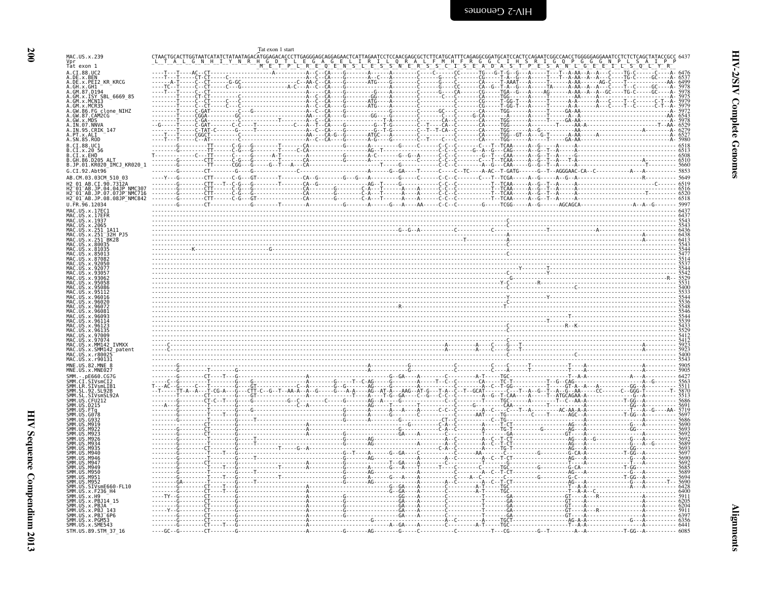<span id="page-45-0"></span>

|                                                                                         |           |                                                                                             |                 | Tat exon 1 start                                  |  |     |                      |                                                     |                                                          |                            |                                               |                |                        |                |                                                                            |                              |
|-----------------------------------------------------------------------------------------|-----------|---------------------------------------------------------------------------------------------|-----------------|---------------------------------------------------|--|-----|----------------------|-----------------------------------------------------|----------------------------------------------------------|----------------------------|-----------------------------------------------|----------------|------------------------|----------------|----------------------------------------------------------------------------|------------------------------|
| MAC.US.x.239<br>Vpr<br>Tat exon 1                                                       |           | CTAACTGCACTTGGTAATCATATCTATAATAGACATGGAGACACCCTTGAGGGAGCAGCAGAACTCATTAGAATCCTCCAACGAGCGCTCT |                 |                                                   |  |     |                      |                                                     |                                                          |                            |                                               |                |                        |                |                                                                            |                              |
|                                                                                         |           |                                                                                             |                 |                                                   |  |     |                      |                                                     |                                                          |                            |                                               |                |                        |                |                                                                            |                              |
| A.CI.88.UC2<br>A.DE.x.BEN<br>A.DE.x.PEI2_KR_KRCG                                        |           | - - - - - CT - CT -                                                                         |                 |                                                   |  |     |                      |                                                     |                                                          |                            |                                               |                |                        |                |                                                                            |                              |
| A.GH.X.GH1                                                                              |           |                                                                                             |                 | - - G - - - - - - - - - - - - - - - - A - C - - - |  | . č |                      |                                                     |                                                          |                            |                                               |                |                        |                |                                                                            | 5978<br>5978                 |
| A.GM.x.ISY SBL 6669 85                                                                  |           |                                                                                             |                 |                                                   |  |     |                      |                                                     |                                                          |                            |                                               |                |                        |                |                                                                            | 5979<br>5979                 |
| A.GM.x.MCN13<br>A.GM.x.MCR35<br>A.GM.x.MCR35<br>A.GW.86.FG clone_NIHZ<br>A.GW.87.CAM2CG |           |                                                                                             |                 |                                                   |  |     |                      |                                                     |                                                          |                            | - - - - TGG - - - - - - A - - - - - T - - - - |                |                        |                |                                                                            |                              |
| A.GW.x.MDS<br>A.GW.x.MDS                                                                |           |                                                                                             |                 |                                                   |  |     | - CA - -             | - CA - - C - - - - - - - CA - - - - - TGG - - - - - |                                                          | $-TGG - - - -$             |                                               |                |                        |                |                                                                            |                              |
| A.IN.95.CRIK 147<br>A.PT.x.ALI                                                          |           |                                                                                             |                 |                                                   |  | . C | - T - - T - CA - - C |                                                     |                                                          |                            |                                               |                |                        |                |                                                                            |                              |
| A.SN.85.ROD                                                                             |           |                                                                                             |                 |                                                   |  |     |                      |                                                     |                                                          | $-TGG - - - - - A$         |                                               |                |                        |                |                                                                            | 5980                         |
| B.CI.88.UC1<br>B.CI.X.20 56<br>B.CI.X.EHO                                               |           |                                                                                             |                 | $-6$ --------T--------CA----------                |  |     |                      | -G-----C------C-C--C-------C---T--TCAA----          | ---G--A--G---CAG-----A--G-<br>------G--T---CAA-----A--G- |                            |                                               |                |                        |                | $- \cdot - \cdot 6518$<br>$- \cdot - \cdot 6513$<br>$- \cdot - \cdot 6508$ |                              |
| B.GH.86.D205 ALT                                                                        |           |                                                                                             |                 |                                                   |  |     |                      |                                                     |                                                          |                            |                                               |                |                        |                |                                                                            |                              |
| B.JP.01.KR020_IMCJ_KR020_1<br>G.CI.92.Abt96                                             |           |                                                                                             | - CGG - - - G - |                                                   |  |     |                      |                                                     |                                                          |                            |                                               |                |                        |                | $-5660$                                                                    | 5853                         |
| AB.CM.03.03CM 510 03<br>AB.CI.90.7312A                                                  |           |                                                                                             |                 |                                                   |  |     |                      |                                                     |                                                          |                            |                                               |                |                        |                | $- - 6519$                                                                 | 5649                         |
| H2-01-AB.JP.04.04JP-NMC307<br>H2-01-AB.JP.07.07JP-NMC716<br>H2_01_AB.JP.08.08JP_NMC842  |           |                                                                                             |                 |                                                   |  |     |                      |                                                     |                                                          |                            |                                               |                |                        |                |                                                                            |                              |
| U.FR.96.12034                                                                           |           |                                                                                             |                 |                                                   |  |     |                      |                                                     |                                                          |                            |                                               |                |                        |                |                                                                            |                              |
| MAC US x 17FC1                                                                          |           |                                                                                             |                 |                                                   |  |     |                      |                                                     |                                                          |                            |                                               |                |                        |                |                                                                            |                              |
| US.x.17EFR<br>MAC.US.x.1937                                                             |           |                                                                                             |                 |                                                   |  |     |                      |                                                     |                                                          |                            |                                               |                |                        |                |                                                                            |                              |
| MAC.US.x.2065<br>US.x.251                                                               |           |                                                                                             |                 |                                                   |  |     |                      |                                                     |                                                          |                            |                                               |                |                        |                |                                                                            | 6436                         |
| US.x.251<br>MAC<br>MAC<br>US.x.251 <sup>-</sup> BK28<br>.x.80035                        |           |                                                                                             |                 |                                                   |  |     |                      |                                                     |                                                          |                            |                                               |                |                        |                |                                                                            | 6438                         |
| .x.810                                                                                  |           |                                                                                             |                 |                                                   |  |     |                      |                                                     |                                                          |                            |                                               |                |                        |                |                                                                            |                              |
|                                                                                         |           |                                                                                             |                 |                                                   |  |     |                      |                                                     |                                                          |                            |                                               |                |                        |                |                                                                            |                              |
|                                                                                         |           |                                                                                             |                 |                                                   |  |     |                      |                                                     |                                                          |                            |                                               |                |                        |                |                                                                            |                              |
|                                                                                         |           |                                                                                             |                 |                                                   |  |     |                      |                                                     |                                                          |                            |                                               |                |                        |                |                                                                            |                              |
| .95112                                                                                  |           |                                                                                             |                 |                                                   |  |     |                      |                                                     |                                                          |                            |                                               |                |                        |                |                                                                            |                              |
| Y 96016<br>Y 96026                                                                      |           |                                                                                             |                 |                                                   |  |     |                      |                                                     |                                                          |                            |                                               |                |                        |                |                                                                            |                              |
| IIS x 96072                                                                             |           |                                                                                             |                 |                                                   |  |     |                      |                                                     |                                                          |                            |                                               |                |                        |                |                                                                            |                              |
|                                                                                         |           |                                                                                             |                 |                                                   |  |     |                      |                                                     |                                                          |                            |                                               |                |                        |                |                                                                            |                              |
| MAC                                                                                     |           |                                                                                             |                 |                                                   |  |     |                      |                                                     |                                                          |                            |                                               |                |                        |                |                                                                            |                              |
| US.x.97009<br>MAC<br>US.x.9707<br><b>IVMXX</b><br>US.x.MM142                            |           |                                                                                             |                 |                                                   |  |     |                      |                                                     |                                                          |                            |                                               |                |                        |                |                                                                            | 5412<br>5412<br>5923<br>5923 |
| MAC.US.x.SMM142_patent<br>MAC.US.x.r8002                                                |           |                                                                                             |                 |                                                   |  |     |                      |                                                     |                                                          |                            |                                               |                |                        |                |                                                                            | 5400                         |
| MAC. US. x. r90131<br>MNE.US.82.MNE 8                                                   |           |                                                                                             |                 |                                                   |  |     |                      |                                                     |                                                          |                            |                                               |                |                        |                |                                                                            | 5905                         |
| MNE.US.x.MNE027                                                                         |           |                                                                                             |                 |                                                   |  |     |                      |                                                     |                                                          |                            |                                               |                |                        |                |                                                                            |                              |
| SMM.<br>-.pE660.CG7G                                                                    |           |                                                                                             |                 |                                                   |  |     |                      |                                                     |                                                          |                            |                                               |                |                        |                |                                                                            | 6427<br>5563<br>5511         |
| SMM.CI.SIVSMCI2<br>SMM.LR.SIVSMLIB1<br>SMM.SL.92.SL92B                                  |           |                                                                                             |                 |                                                   |  |     |                      |                                                     |                                                          |                            |                                               |                |                        |                |                                                                            | 5513                         |
| . CFU212<br>SMM. US. D215                                                               |           |                                                                                             |                 |                                                   |  |     |                      |                                                     |                                                          |                            |                                               |                |                        |                |                                                                            | 5686<br>5691                 |
|                                                                                         |           |                                                                                             |                 |                                                   |  |     |                      |                                                     |                                                          |                            |                                               |                | <b><i><u>T</u></i></b> |                |                                                                            |                              |
| <b>SMM II</b>                                                                           |           |                                                                                             |                 |                                                   |  |     |                      |                                                     |                                                          |                            |                                               |                |                        |                |                                                                            | 5686<br>5690                 |
| SMM IP                                                                                  |           |                                                                                             |                 |                                                   |  |     |                      |                                                     |                                                          |                            |                                               |                |                        |                |                                                                            | 5693<br>5692<br>5692         |
|                                                                                         |           |                                                                                             |                 |                                                   |  |     |                      |                                                     |                                                          |                            |                                               | - AG - - - A - |                        |                |                                                                            | 5689                         |
|                                                                                         |           |                                                                                             |                 |                                                   |  |     |                      |                                                     |                                                          | TG-T                       |                                               |                |                        |                |                                                                            | 5693                         |
|                                                                                         |           |                                                                                             |                 |                                                   |  |     |                      |                                                     |                                                          |                            |                                               |                |                        |                |                                                                            |                              |
| SMM.<br>M949<br>SMM IIS<br>M950                                                         |           |                                                                                             |                 |                                                   |  |     |                      |                                                     |                                                          |                            |                                               |                |                        |                |                                                                            | 5685<br>5689<br>5694<br>5690 |
| SMM.US<br>M951<br>SMM.US<br>M952                                                        |           |                                                                                             |                 |                                                   |  |     |                      |                                                     |                                                          |                            |                                               |                |                        |                |                                                                            |                              |
| SMM.US<br>.SIVsmE660-FL10<br>SMM. US. x. F236_H4<br>SMM. US. x.H9                       |           |                                                                                             |                 |                                                   |  |     |                      |                                                     |                                                          |                            |                                               |                |                        |                |                                                                            | $6428$<br>$6400$             |
| SMM. US. x. PBJ14 15                                                                    |           |                                                                                             |                 |                                                   |  |     |                      |                                                     |                                                          |                            |                                               |                |                        |                |                                                                            | 5911                         |
| SMM.US.x.PBJA<br>SMM. US. x. PBJ 143                                                    |           |                                                                                             |                 |                                                   |  |     |                      |                                                     |                                                          |                            |                                               |                |                        |                |                                                                            | 5911<br>6397                 |
| SMM.US.x.PBJ 6P6<br>SMM.US.x.PGM53<br>SMM. US. x. SME543                                |           |                                                                                             |                 |                                                   |  |     |                      |                                                     | ----A-T-----TGC--------------                            |                            |                                               | ·Т- -А-А-      |                        |                | - - - - - - 6441                                                           | 6356                         |
| STM.US.89.STM 37 16                                                                     | $---GC -$ |                                                                                             |                 |                                                   |  |     |                      |                                                     |                                                          | . T - - - CG - - - - - - - |                                               |                |                        | . T - GG - - A |                                                                            | 6085                         |

**Alignments**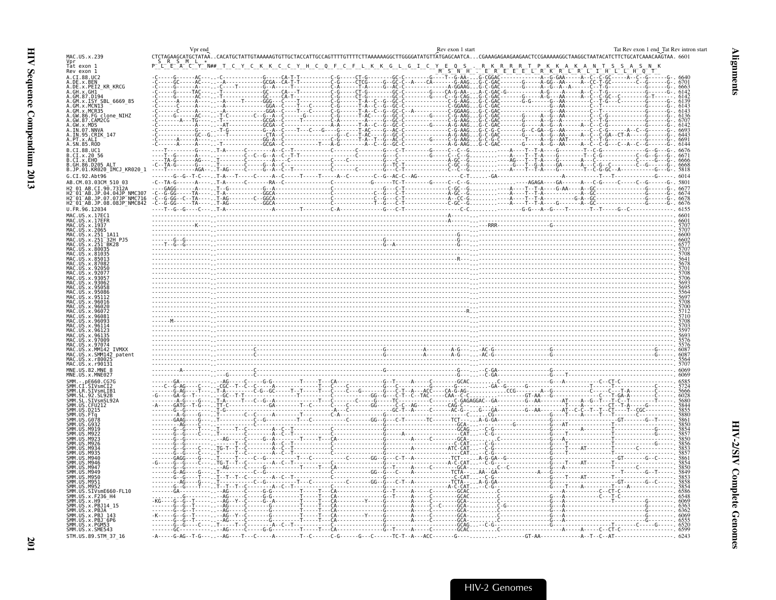<span id="page-46-0"></span>

|                                                                                    | Vpr end                                                            | Rev exon 1 start                                                                                                                                                                                                                                                                                                                                                                                                                                                                                            | Tat Rev exon 1 end Tat Rev intron start |
|------------------------------------------------------------------------------------|--------------------------------------------------------------------|-------------------------------------------------------------------------------------------------------------------------------------------------------------------------------------------------------------------------------------------------------------------------------------------------------------------------------------------------------------------------------------------------------------------------------------------------------------------------------------------------------------|-----------------------------------------|
| MAC.US.x.239                                                                       |                                                                    | CTCTAGAAGCATGCTATAACACATGCTATTGTAAAAAGTGTTGCTACCATTGCCAGTTTTGTTTTCTTAAAAAAGGCTTGGGGATATGTTATGAGCAATCACGAAAGAGAAGAAGAAGAGCAAAAAGGCTAATACATCTTCTGCATCAAACAAGTAA.6601                                                                                                                                                                                                                                                                                                                                          |                                         |
| Vpr<br>Tat exon 1<br>Rev exon 1                                                    | $Y$ N## T C Y C K K<br>E<br>$\mathsf{C}$<br>C.<br>YHC              | $M^-$ S $^-N^ H^ ^-$<br>$E^-$ R <sup>-</sup> E <sup>-</sup><br>KR                                                                                                                                                                                                                                                                                                                                                                                                                                           |                                         |
| A.CI.88.UC2<br>A.DE.x.BEN                                                          |                                                                    | $-G$ ----T--G-AA-G-CGGAC                                                                                                                                                                                                                                                                                                                                                                                                                                                                                    |                                         |
| A.DE.x.PEI2 KR KRCG<br>A.GH.x.GH1                                                  |                                                                    |                                                                                                                                                                                                                                                                                                                                                                                                                                                                                                             |                                         |
| A.GM.87.D194                                                                       |                                                                    | $G - - - - A - G - - - AA - - - - - A - - C - - C$                                                                                                                                                                                                                                                                                                                                                                                                                                                          |                                         |
| A. GM. x. ISY SBL_6669_85<br>A. GM. x. MCN13                                       |                                                                    | $---C-GGAAGG-C-GAC$                                                                                                                                                                                                                                                                                                                                                                                                                                                                                         |                                         |
| A.GM.X.MCR35<br>A.GW.86.FG_clone_NIHZ                                              | ------------GGA--C----T---C-------C-G-------T-A--C--G-<br>$-G - A$ | - Ğ -  -  -  -  -  -  T -  AC -  -  -  -  G -                                                                                                                                                                                                                                                                                                                                                                                                                                                               |                                         |
| A.GW.87.CAM2CG<br>A.GW.x.MDS                                                       | AT-----------GCGA--C------------------A-A------T-A--C--G           | - C - - - - - - - - - - - - - - - C - G -<br>- C - - - - - - - - - - - - - - C - G -<br>- C - - - - - - - - - G - - - - - A - G -<br>$-G$ - AAG $\ldots$ G - C $\cdot$                                                                                                                                                                                                                                                                                                                                      |                                         |
| A.IN.07.NNVA<br>A.IN.95.CRIK_147                                                   |                                                                    | $-6 \cdot \ldots \cdot 1 \cdot 6 \cdot \ldots \cdot 1 \cdot 6 \cdot \ldots \cdot 1 \cdot 6 \cdot \ldots \cdot 1 \cdot 6 \cdot \ldots \cdot 1 \cdot 6 \cdot \ldots \cdot 1 \cdot 6 \cdot \ldots \cdot 1 \cdot 6 \cdot \ldots \cdot 1 \cdot 6 \cdot \ldots \cdot 1 \cdot 6 \cdot \ldots \cdot 1 \cdot 6 \cdot \ldots \cdot 1 \cdot 6 \cdot \ldots \cdot 1 \cdot 6 \cdot \ldots \cdot 1 \cdot 6 \cdot \ldots \cdot 1 \cdot 6 \cdot \ldots \cdot 1 \cdot 6 \cdot \ldots \cdot 1 \cdot 6 \cdot \ldots \cdot 1 \$ |                                         |
| A.PT.x.ALI<br>A.SN.85.ROD                                                          |                                                                    |                                                                                                                                                                                                                                                                                                                                                                                                                                                                                                             | 6144                                    |
| B.CI.88.UC1<br>B.CI.x.20 56                                                        |                                                                    |                                                                                                                                                                                                                                                                                                                                                                                                                                                                                                             |                                         |
| B.CI.x.EHO                                                                         |                                                                    |                                                                                                                                                                                                                                                                                                                                                                                                                                                                                                             |                                         |
| B.GH.86.D205 ALT<br>B.JP.01.KR020_IMCJ_KR020_1                                     | $-C - T A$<br>$- - - - T$                                          |                                                                                                                                                                                                                                                                                                                                                                                                                                                                                                             |                                         |
| G.CI.92.Abt96<br>AB.CM.03.03CM 510 03                                              |                                                                    |                                                                                                                                                                                                                                                                                                                                                                                                                                                                                                             | 6014                                    |
| H2 01 AB.CI.90.7312A                                                               |                                                                    |                                                                                                                                                                                                                                                                                                                                                                                                                                                                                                             |                                         |
| . – 01 – AB. JP. 04. 04JP – NMC307<br>. – 01 – AB. JP. 07. 07JP – NMC716           |                                                                    |                                                                                                                                                                                                                                                                                                                                                                                                                                                                                                             |                                         |
| H2 <sup>-</sup> 01 <sup>-</sup> AB.JP.08.08JP <sup>-</sup> NMC842<br>U.FR.96.12034 |                                                                    |                                                                                                                                                                                                                                                                                                                                                                                                                                                                                                             |                                         |
| MAC.US.x.17EC1                                                                     |                                                                    |                                                                                                                                                                                                                                                                                                                                                                                                                                                                                                             |                                         |
| MAC.US.x.17EFR<br>MAC. US. x. 1937                                                 |                                                                    |                                                                                                                                                                                                                                                                                                                                                                                                                                                                                                             |                                         |
| MAC.US.x.2065<br>MAC.US.x.251 1A11                                                 |                                                                    |                                                                                                                                                                                                                                                                                                                                                                                                                                                                                                             |                                         |
| US.x.251<br>32H P.15<br>MAC. US. x. 251 <sup>-</sup> BK28                          |                                                                    |                                                                                                                                                                                                                                                                                                                                                                                                                                                                                                             |                                         |
| MAC<br>US.x.80035<br>US.x.81035                                                    |                                                                    |                                                                                                                                                                                                                                                                                                                                                                                                                                                                                                             |                                         |
| U.S. x.87082                                                                       |                                                                    |                                                                                                                                                                                                                                                                                                                                                                                                                                                                                                             |                                         |
| US x 92056                                                                         |                                                                    |                                                                                                                                                                                                                                                                                                                                                                                                                                                                                                             |                                         |
|                                                                                    |                                                                    |                                                                                                                                                                                                                                                                                                                                                                                                                                                                                                             |                                         |
| 95058                                                                              |                                                                    |                                                                                                                                                                                                                                                                                                                                                                                                                                                                                                             |                                         |
|                                                                                    |                                                                    |                                                                                                                                                                                                                                                                                                                                                                                                                                                                                                             |                                         |
| U.S. x. 96020                                                                      |                                                                    |                                                                                                                                                                                                                                                                                                                                                                                                                                                                                                             |                                         |
| US.x.96072                                                                         |                                                                    |                                                                                                                                                                                                                                                                                                                                                                                                                                                                                                             |                                         |
| 9609                                                                               |                                                                    |                                                                                                                                                                                                                                                                                                                                                                                                                                                                                                             |                                         |
| 9612                                                                               |                                                                    |                                                                                                                                                                                                                                                                                                                                                                                                                                                                                                             |                                         |
| US x 97009<br>MAC.US.x.97074                                                       |                                                                    |                                                                                                                                                                                                                                                                                                                                                                                                                                                                                                             |                                         |
| MAC.US.x.MM142 IVMXX<br>MAC.US.x.SMM142_patent                                     |                                                                    |                                                                                                                                                                                                                                                                                                                                                                                                                                                                                                             |                                         |
| .US.x.r800<br>MAC.US.x.r90131                                                      |                                                                    |                                                                                                                                                                                                                                                                                                                                                                                                                                                                                                             |                                         |
| MNE.US.82.MNE 8<br>MNE.US.x.MNE027                                                 |                                                                    |                                                                                                                                                                                                                                                                                                                                                                                                                                                                                                             |                                         |
| SMM. - . pE660.CG7G                                                                |                                                                    |                                                                                                                                                                                                                                                                                                                                                                                                                                                                                                             |                                         |
| SMM.CI.SIVsmCI2<br>SMM.LR.SIVsmLIB1                                                |                                                                    |                                                                                                                                                                                                                                                                                                                                                                                                                                                                                                             |                                         |
| SL.92.SL92B<br>SIVsmSL92A                                                          |                                                                    |                                                                                                                                                                                                                                                                                                                                                                                                                                                                                                             |                                         |
| SMM. US. CFU212<br>SMM.US<br>.D215                                                 |                                                                    |                                                                                                                                                                                                                                                                                                                                                                                                                                                                                                             |                                         |
| <b>GO78</b>                                                                        |                                                                    |                                                                                                                                                                                                                                                                                                                                                                                                                                                                                                             |                                         |
| -6932                                                                              |                                                                    |                                                                                                                                                                                                                                                                                                                                                                                                                                                                                                             |                                         |
|                                                                                    |                                                                    |                                                                                                                                                                                                                                                                                                                                                                                                                                                                                                             |                                         |
| M921<br>FPM                                                                        |                                                                    |                                                                                                                                                                                                                                                                                                                                                                                                                                                                                                             |                                         |
| M946                                                                               |                                                                    |                                                                                                                                                                                                                                                                                                                                                                                                                                                                                                             |                                         |
| M946<br>M947                                                                       |                                                                    |                                                                                                                                                                                                                                                                                                                                                                                                                                                                                                             |                                         |
| SMM.<br><b>SMM</b><br>M949                                                         |                                                                    |                                                                                                                                                                                                                                                                                                                                                                                                                                                                                                             |                                         |
| SMM<br>M950<br>SMM.US<br>M951.                                                     |                                                                    |                                                                                                                                                                                                                                                                                                                                                                                                                                                                                                             |                                         |
| SMM. US. M952<br>SMM. US. SIVSME660-FL10                                           |                                                                    |                                                                                                                                                                                                                                                                                                                                                                                                                                                                                                             |                                         |
| SMM. US. x. F236_H4<br>$SMM. US. \times . H9$                                      |                                                                    | $---GCACG$<br>- - - - - - - GCA - C                                                                                                                                                                                                                                                                                                                                                                                                                                                                         |                                         |
| SMM. US. x. PBJ14 15<br>US.x.PBJA                                                  |                                                                    | . 6. .<br>. $C$ A $C$                                                                                                                                                                                                                                                                                                                                                                                                                                                                                       |                                         |
| SMM.US.x.PBJ<br>143                                                                |                                                                    |                                                                                                                                                                                                                                                                                                                                                                                                                                                                                                             |                                         |
| SMM.US.x.PBJ-6P6<br>SMM.US.x.PGM53<br>SMM.US.x.SME543                              |                                                                    |                                                                                                                                                                                                                                                                                                                                                                                                                                                                                                             | 6599                                    |
| STM.US.89.STM_37_16                                                                |                                                                    |                                                                                                                                                                                                                                                                                                                                                                                                                                                                                                             | 6243                                    |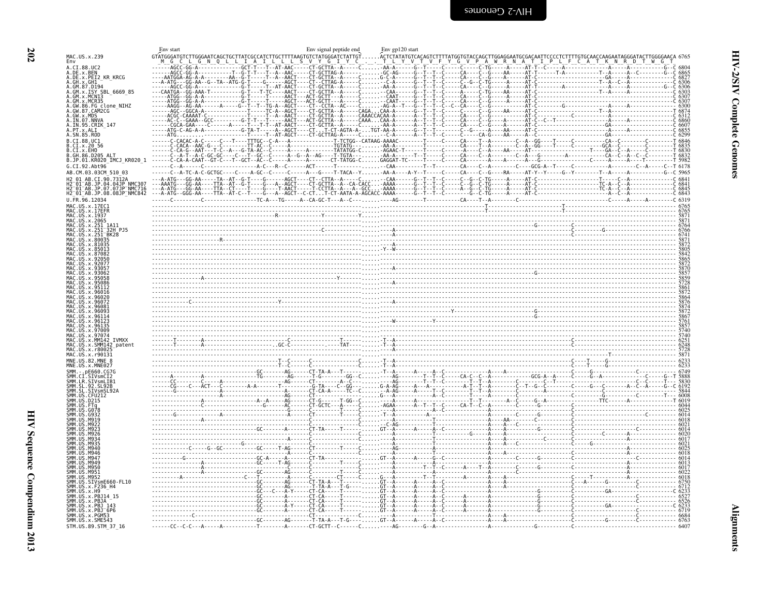|                                                                                  | Env start                                                            | Env signal peptide end | Env gp120 start                                                                                                                                                                                                                                                                                                                                                                                              |
|----------------------------------------------------------------------------------|----------------------------------------------------------------------|------------------------|--------------------------------------------------------------------------------------------------------------------------------------------------------------------------------------------------------------------------------------------------------------------------------------------------------------------------------------------------------------------------------------------------------------|
| MAC.US.x.239<br>Env                                                              | GTATGGGATGTCTTGGGAATCAGCTGCTTATCGCCATCTTGCTTTTAAGTGTCTATGGGATCTATTGT |                        | ACTCTATATGTCACAGTCTTTTATGGTGTACCAGCTTGGAGGAATGCGA                                                                                                                                                                                                                                                                                                                                                            |
| A.CI.88.UC2<br>A.DE.X.BEN<br>A.DE.X.PEI2_KR_KRCG                                 |                                                                      |                        | $\frac{\text{ACC-GG.A.}\hspace{ \textbf{0.000}}{\text{ACG-GG.A.}\hspace{ \textbf{0.001}}\text{ACC-GG.A.}\hspace{ \textbf{0.001}}\text{ACC-GG.A.}\hspace{ \textbf{0.002}}\text{ACC-GG.A.}\hspace{ \textbf{0.01}}\text{ACC-GG.A.}\hspace{ \textbf{0.01}}\text{ACC-GG.A.}\hspace{ \textbf{0.02}}\text{ACC-GG.A.}\hspace{ \textbf{0.03}}\text{ACC-GG.A.}\hspace{ \textbf{0.04}}\text{ACC-GG.A.}\hspace{ \textbf$ |
| A.GH.x.GH1                                                                       |                                                                      |                        |                                                                                                                                                                                                                                                                                                                                                                                                              |
| A.GM.87.D194<br>A.GM.X.ISY SBL 6669 85                                           |                                                                      |                        |                                                                                                                                                                                                                                                                                                                                                                                                              |
| .GM.x.MCNI3                                                                      |                                                                      |                        |                                                                                                                                                                                                                                                                                                                                                                                                              |
| A.GM.x.MCR35<br>A.GW.86.FG clone_NIHZ<br>A.GW.87.CAM2CG<br>A GW x MDS            |                                                                      |                        |                                                                                                                                                                                                                                                                                                                                                                                                              |
| A.IN.07.NNVA<br>A.IN.95.CRIK 147                                                 |                                                                      |                        |                                                                                                                                                                                                                                                                                                                                                                                                              |
| A.PT.x.ALI<br>A.SN.85.ROD                                                        |                                                                      |                        |                                                                                                                                                                                                                                                                                                                                                                                                              |
| B.CI.88.UC1<br>CI.x.20 56                                                        |                                                                      |                        |                                                                                                                                                                                                                                                                                                                                                                                                              |
| .CI.x.EHO<br>GH.86.D205 ALT                                                      |                                                                      |                        |                                                                                                                                                                                                                                                                                                                                                                                                              |
| B.JP.01.KR020 IMCJ KR020 1                                                       |                                                                      |                        |                                                                                                                                                                                                                                                                                                                                                                                                              |
| G.CI.92.Abt96<br>AB.CM.03.03CM 510 03                                            |                                                                      |                        |                                                                                                                                                                                                                                                                                                                                                                                                              |
| H2 01 AR CT 90 7312A<br>H2-01-AB.JP.04.04JP NMC307<br>H2-01-AB.JP.07.07JP NMC716 |                                                                      |                        |                                                                                                                                                                                                                                                                                                                                                                                                              |
| H2_01_AB.JP.08.08JP_NMC842                                                       |                                                                      |                        |                                                                                                                                                                                                                                                                                                                                                                                                              |
| U.FR.96.12034<br>MAC.US.x.17EC                                                   |                                                                      |                        |                                                                                                                                                                                                                                                                                                                                                                                                              |
| MAC US x 1937                                                                    |                                                                      |                        |                                                                                                                                                                                                                                                                                                                                                                                                              |
| MAC.US.x.2065<br>MAC.US.x.251                                                    |                                                                      |                        |                                                                                                                                                                                                                                                                                                                                                                                                              |
| US.x.251<br><sup>-</sup> 32H PJ5<br>IS.x.251                                     |                                                                      |                        | $\frac{6765}{7760}$                                                                                                                                                                                                                                                                                                                                                                                          |
|                                                                                  |                                                                      |                        |                                                                                                                                                                                                                                                                                                                                                                                                              |
|                                                                                  |                                                                      |                        |                                                                                                                                                                                                                                                                                                                                                                                                              |
|                                                                                  |                                                                      |                        |                                                                                                                                                                                                                                                                                                                                                                                                              |
|                                                                                  |                                                                      |                        |                                                                                                                                                                                                                                                                                                                                                                                                              |
|                                                                                  |                                                                      |                        |                                                                                                                                                                                                                                                                                                                                                                                                              |
|                                                                                  |                                                                      |                        |                                                                                                                                                                                                                                                                                                                                                                                                              |
|                                                                                  |                                                                      |                        |                                                                                                                                                                                                                                                                                                                                                                                                              |
|                                                                                  |                                                                      |                        |                                                                                                                                                                                                                                                                                                                                                                                                              |
|                                                                                  |                                                                      |                        |                                                                                                                                                                                                                                                                                                                                                                                                              |
| U.S. x. MM142<br><b>TVMXX</b>                                                    |                                                                      |                        |                                                                                                                                                                                                                                                                                                                                                                                                              |
| US.x.SMM142 patent<br>MAC.US.x.r8002                                             |                                                                      |                        |                                                                                                                                                                                                                                                                                                                                                                                                              |
| MAC.US.x.r90131                                                                  |                                                                      |                        |                                                                                                                                                                                                                                                                                                                                                                                                              |
| MNE.US.82.MNE<br>MNE.US.x.MNE027                                                 |                                                                      |                        |                                                                                                                                                                                                                                                                                                                                                                                                              |
|                                                                                  |                                                                      |                        |                                                                                                                                                                                                                                                                                                                                                                                                              |
| .<br>SMM.LR.SIVsmLIB1                                                            |                                                                      |                        |                                                                                                                                                                                                                                                                                                                                                                                                              |
|                                                                                  |                                                                      |                        |                                                                                                                                                                                                                                                                                                                                                                                                              |
|                                                                                  |                                                                      |                        |                                                                                                                                                                                                                                                                                                                                                                                                              |
|                                                                                  |                                                                      |                        |                                                                                                                                                                                                                                                                                                                                                                                                              |
|                                                                                  |                                                                      |                        |                                                                                                                                                                                                                                                                                                                                                                                                              |
| M921                                                                             |                                                                      |                        |                                                                                                                                                                                                                                                                                                                                                                                                              |
| NG3'<br>M946                                                                     |                                                                      |                        |                                                                                                                                                                                                                                                                                                                                                                                                              |
| мо⊿с                                                                             |                                                                      |                        |                                                                                                                                                                                                                                                                                                                                                                                                              |
| <b>MQ56</b><br>M951                                                              |                                                                      |                        |                                                                                                                                                                                                                                                                                                                                                                                                              |
| SMM. US. SIVsmE660-FL10                                                          |                                                                      |                        |                                                                                                                                                                                                                                                                                                                                                                                                              |
| SMM.US.x.F236 H4<br>US.x.H9                                                      |                                                                      |                        |                                                                                                                                                                                                                                                                                                                                                                                                              |
| x.PBJ14                                                                          |                                                                      |                        |                                                                                                                                                                                                                                                                                                                                                                                                              |
| x.PRT<br>.x.PBJ                                                                  |                                                                      |                        |                                                                                                                                                                                                                                                                                                                                                                                                              |
| SMM.US.x.PGM53<br>SMM.US.x.SME543                                                |                                                                      |                        |                                                                                                                                                                                                                                                                                                                                                                                                              |
| STM.US.89.STM 37 16                                                              |                                                                      |                        |                                                                                                                                                                                                                                                                                                                                                                                                              |

<span id="page-47-0"></span>**HIV-2/SIV Complete Genomes**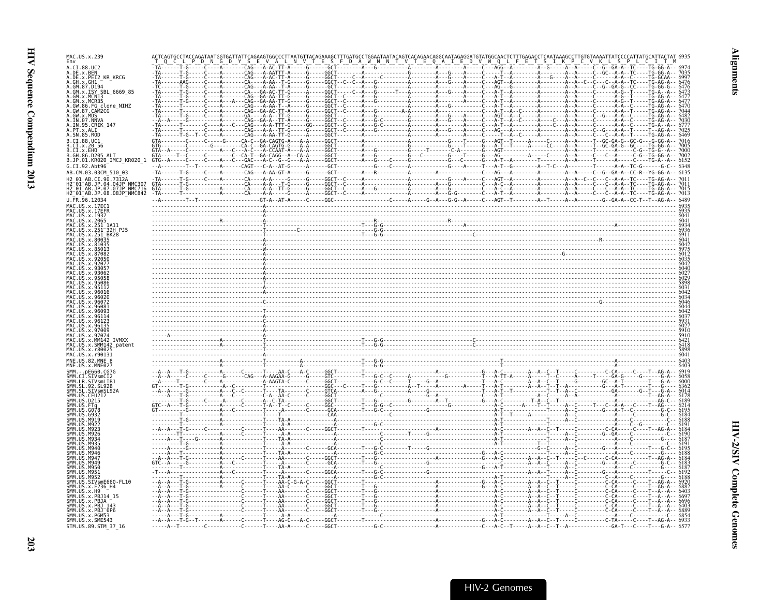| MAC.US.x.239<br>Env                                                                                                                        |  |  |  |
|--------------------------------------------------------------------------------------------------------------------------------------------|--|--|--|
| A.DE.x.BEN                                                                                                                                 |  |  |  |
| A.DE.x.PEI2 KR KRCG<br>A.GH.x.GH1                                                                                                          |  |  |  |
| .GM.87.D194<br>.ISY SBL 6669 85                                                                                                            |  |  |  |
| <b>MCNT3</b><br>MCR35                                                                                                                      |  |  |  |
| .FG clone NIHZ                                                                                                                             |  |  |  |
| .IN.95.CRIK 147                                                                                                                            |  |  |  |
| \.SN.85.ROD                                                                                                                                |  |  |  |
| 3.CI.88.UC1                                                                                                                                |  |  |  |
| .CI.x.EHO                                                                                                                                  |  |  |  |
| B.JP.01.KR020_IMCJ_KR020_1 GTG--A<br>G.CI.92.Abt96                                                                                         |  |  |  |
| AB.CM.03.03CM 510 03                                                                                                                       |  |  |  |
| AR. CT. 90. 7312/                                                                                                                          |  |  |  |
| H2 <sup>-</sup> 01 <sup>-</sup> AB.JP.04.04JP <sup>-</sup> NMC307<br>H2 <sup>-</sup> 01-AB.JP.07.07JP-NMC716<br>H2-01-AB.JP.08.08JP-NMC842 |  |  |  |
| U.FR.96.12034<br>MAC.US.x.17EC1                                                                                                            |  |  |  |
| IAC.US.x.17EFR<br>MAC.US.x.1937                                                                                                            |  |  |  |
|                                                                                                                                            |  |  |  |
|                                                                                                                                            |  |  |  |
|                                                                                                                                            |  |  |  |
|                                                                                                                                            |  |  |  |
|                                                                                                                                            |  |  |  |
|                                                                                                                                            |  |  |  |
|                                                                                                                                            |  |  |  |
|                                                                                                                                            |  |  |  |
|                                                                                                                                            |  |  |  |
|                                                                                                                                            |  |  |  |
|                                                                                                                                            |  |  |  |
|                                                                                                                                            |  |  |  |
|                                                                                                                                            |  |  |  |
|                                                                                                                                            |  |  |  |
|                                                                                                                                            |  |  |  |
|                                                                                                                                            |  |  |  |
|                                                                                                                                            |  |  |  |
|                                                                                                                                            |  |  |  |
|                                                                                                                                            |  |  |  |
|                                                                                                                                            |  |  |  |
|                                                                                                                                            |  |  |  |
|                                                                                                                                            |  |  |  |
|                                                                                                                                            |  |  |  |
| <b>M956</b>                                                                                                                                |  |  |  |
|                                                                                                                                            |  |  |  |
|                                                                                                                                            |  |  |  |
| SMM.US.x.PBJ14 15<br>SMM.US.x.PBJA                                                                                                         |  |  |  |
| SMM.US.x.PBJ 143<br>MM.US.x.PBJ <sup>-</sup> 6P6                                                                                           |  |  |  |
| SMM.US.x.PGM53<br>SMM.US.x.SME543                                                                                                          |  |  |  |
| STM.US.89.STM 37 16                                                                                                                        |  |  |  |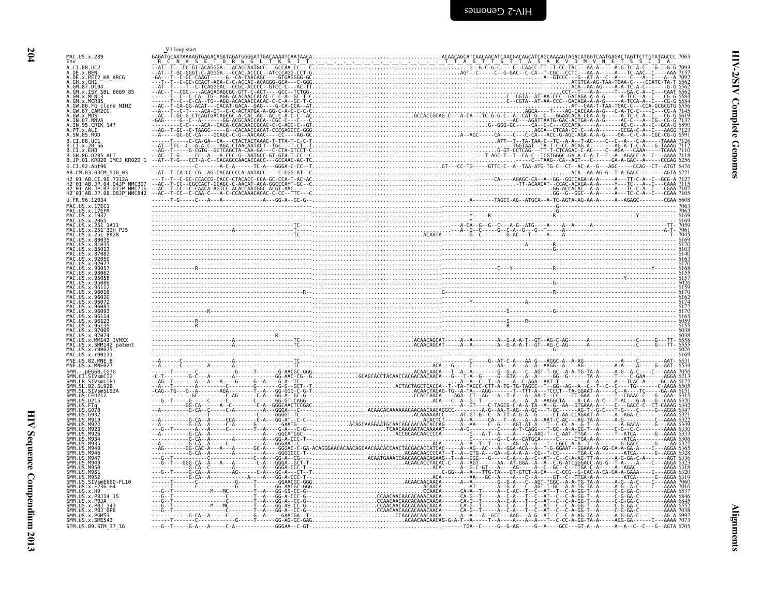<span id="page-49-0"></span>

| MAC.US.x.239<br>Env<br>A.CI.88.UC2<br>A.DE.X.BEN<br>A.DE.X.PEI2_KR_KRCG<br>A.GH.x.GH1<br>A.GM.87.D194<br>A.GM.x.ISY SBL 6669 85<br>A.GM.x.MCNI3<br>.GW.86.FG_clone_NIHZ<br>GW.87.CAM2CG<br>$.GW \times MDS$<br>A.IN.95.CRIK 147<br>3.CI.x.EHO<br>B.JP.01.KR020_IMCJ_KR020 1<br>G.CI.92.Abt96<br>AB.CM.03.03CM 510 03<br>-01-AB.JP.04.04JP NMC307<br>-01-AB.JP.07.07JP NMC716<br>H2 <sup>-</sup> 01 <sup>-</sup> AB.JP.08.08JP <sup>-</sup> NMC842<br>MAC.US.x.2065<br>9707<br>SMM142 patent<br>MAC US x r90131 | V1 loop start |  |
|----------------------------------------------------------------------------------------------------------------------------------------------------------------------------------------------------------------------------------------------------------------------------------------------------------------------------------------------------------------------------------------------------------------------------------------------------------------------------------------------------------------|---------------|--|
|                                                                                                                                                                                                                                                                                                                                                                                                                                                                                                                |               |  |
|                                                                                                                                                                                                                                                                                                                                                                                                                                                                                                                |               |  |
|                                                                                                                                                                                                                                                                                                                                                                                                                                                                                                                |               |  |
|                                                                                                                                                                                                                                                                                                                                                                                                                                                                                                                |               |  |
|                                                                                                                                                                                                                                                                                                                                                                                                                                                                                                                |               |  |
|                                                                                                                                                                                                                                                                                                                                                                                                                                                                                                                |               |  |
|                                                                                                                                                                                                                                                                                                                                                                                                                                                                                                                |               |  |
|                                                                                                                                                                                                                                                                                                                                                                                                                                                                                                                |               |  |
|                                                                                                                                                                                                                                                                                                                                                                                                                                                                                                                |               |  |
|                                                                                                                                                                                                                                                                                                                                                                                                                                                                                                                |               |  |
|                                                                                                                                                                                                                                                                                                                                                                                                                                                                                                                |               |  |
|                                                                                                                                                                                                                                                                                                                                                                                                                                                                                                                |               |  |
|                                                                                                                                                                                                                                                                                                                                                                                                                                                                                                                |               |  |
|                                                                                                                                                                                                                                                                                                                                                                                                                                                                                                                |               |  |
|                                                                                                                                                                                                                                                                                                                                                                                                                                                                                                                |               |  |
|                                                                                                                                                                                                                                                                                                                                                                                                                                                                                                                |               |  |
|                                                                                                                                                                                                                                                                                                                                                                                                                                                                                                                |               |  |
|                                                                                                                                                                                                                                                                                                                                                                                                                                                                                                                |               |  |
|                                                                                                                                                                                                                                                                                                                                                                                                                                                                                                                |               |  |
|                                                                                                                                                                                                                                                                                                                                                                                                                                                                                                                |               |  |
|                                                                                                                                                                                                                                                                                                                                                                                                                                                                                                                |               |  |
|                                                                                                                                                                                                                                                                                                                                                                                                                                                                                                                |               |  |
|                                                                                                                                                                                                                                                                                                                                                                                                                                                                                                                |               |  |
|                                                                                                                                                                                                                                                                                                                                                                                                                                                                                                                |               |  |
|                                                                                                                                                                                                                                                                                                                                                                                                                                                                                                                |               |  |
|                                                                                                                                                                                                                                                                                                                                                                                                                                                                                                                |               |  |
|                                                                                                                                                                                                                                                                                                                                                                                                                                                                                                                |               |  |
|                                                                                                                                                                                                                                                                                                                                                                                                                                                                                                                |               |  |
|                                                                                                                                                                                                                                                                                                                                                                                                                                                                                                                |               |  |
|                                                                                                                                                                                                                                                                                                                                                                                                                                                                                                                |               |  |
|                                                                                                                                                                                                                                                                                                                                                                                                                                                                                                                |               |  |
|                                                                                                                                                                                                                                                                                                                                                                                                                                                                                                                |               |  |
|                                                                                                                                                                                                                                                                                                                                                                                                                                                                                                                |               |  |
|                                                                                                                                                                                                                                                                                                                                                                                                                                                                                                                |               |  |
|                                                                                                                                                                                                                                                                                                                                                                                                                                                                                                                |               |  |
|                                                                                                                                                                                                                                                                                                                                                                                                                                                                                                                |               |  |
|                                                                                                                                                                                                                                                                                                                                                                                                                                                                                                                |               |  |
|                                                                                                                                                                                                                                                                                                                                                                                                                                                                                                                |               |  |
|                                                                                                                                                                                                                                                                                                                                                                                                                                                                                                                |               |  |
| SIVsmE660-FL10                                                                                                                                                                                                                                                                                                                                                                                                                                                                                                 |               |  |
| x.F236_H4                                                                                                                                                                                                                                                                                                                                                                                                                                                                                                      |               |  |
|                                                                                                                                                                                                                                                                                                                                                                                                                                                                                                                |               |  |
| US.x.PGM53                                                                                                                                                                                                                                                                                                                                                                                                                                                                                                     |               |  |
| SMM.US.x.SME543<br>STM.US.89.STM 37 16                                                                                                                                                                                                                                                                                                                                                                                                                                                                         |               |  |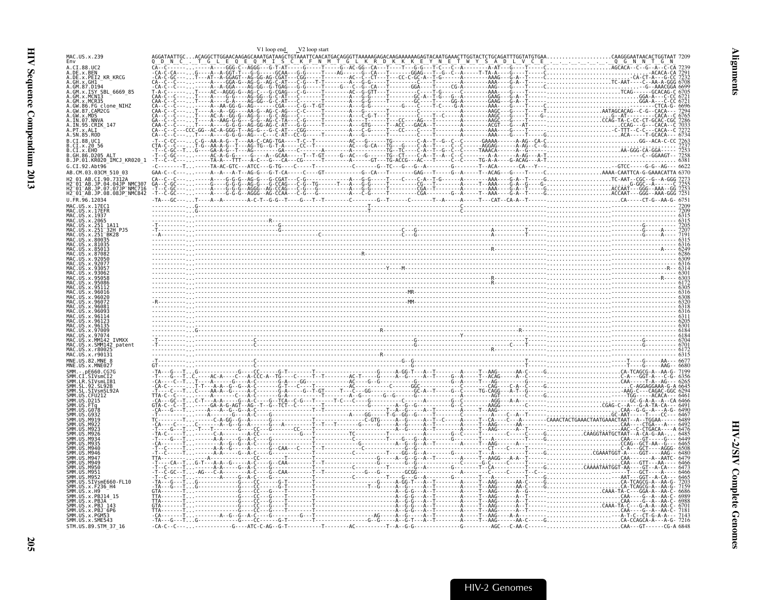<span id="page-50-0"></span>

|                                                     | V1 loop end V2 loop start |  |  |  |
|-----------------------------------------------------|---------------------------|--|--|--|
| MAC.US.x.239                                        |                           |  |  |  |
| A.CI.88.UC2                                         |                           |  |  |  |
| A.DE.x.BEN<br>A.DE.X.PEI2 KR KRCG                   |                           |  |  |  |
| A.GH.x.GH1                                          |                           |  |  |  |
| A.GM.x.ISY SBL 6669 85                              |                           |  |  |  |
|                                                     |                           |  |  |  |
| FG clone NIHZ                                       |                           |  |  |  |
|                                                     |                           |  |  |  |
|                                                     |                           |  |  |  |
|                                                     |                           |  |  |  |
| A.SN.85.ROD                                         |                           |  |  |  |
|                                                     |                           |  |  |  |
| .x.EHO                                              |                           |  |  |  |
| B.JP.01.KR020 IMCJ KR020 1                          |                           |  |  |  |
|                                                     |                           |  |  |  |
| AB.CM.03.03CM 510 03                                |                           |  |  |  |
| JP.04.04JP NMC307                                   |                           |  |  |  |
| -<br>-AB.JP.07.07JP-NMC716<br>-AB.JP.08.08JP-NMC842 |                           |  |  |  |
|                                                     |                           |  |  |  |
|                                                     |                           |  |  |  |
|                                                     |                           |  |  |  |
|                                                     |                           |  |  |  |
|                                                     |                           |  |  |  |
|                                                     |                           |  |  |  |
|                                                     |                           |  |  |  |
|                                                     |                           |  |  |  |
|                                                     |                           |  |  |  |
|                                                     |                           |  |  |  |
|                                                     |                           |  |  |  |
|                                                     |                           |  |  |  |
|                                                     |                           |  |  |  |
|                                                     |                           |  |  |  |
|                                                     |                           |  |  |  |
|                                                     |                           |  |  |  |
|                                                     |                           |  |  |  |
|                                                     |                           |  |  |  |
|                                                     |                           |  |  |  |
|                                                     |                           |  |  |  |
|                                                     |                           |  |  |  |
|                                                     |                           |  |  |  |
|                                                     |                           |  |  |  |
|                                                     |                           |  |  |  |
|                                                     |                           |  |  |  |
|                                                     |                           |  |  |  |
|                                                     |                           |  |  |  |
|                                                     |                           |  |  |  |
|                                                     |                           |  |  |  |
|                                                     |                           |  |  |  |
|                                                     |                           |  |  |  |
|                                                     |                           |  |  |  |
|                                                     |                           |  |  |  |
|                                                     |                           |  |  |  |
|                                                     |                           |  |  |  |
|                                                     |                           |  |  |  |
|                                                     |                           |  |  |  |
|                                                     |                           |  |  |  |
| SIVsmE660-FL10                                      |                           |  |  |  |
|                                                     |                           |  |  |  |
|                                                     |                           |  |  |  |
| 143<br>.x.PBJ                                       |                           |  |  |  |
|                                                     |                           |  |  |  |
| SMM. US. x. SME543<br>STM.US.89.STM 37 16           |                           |  |  |  |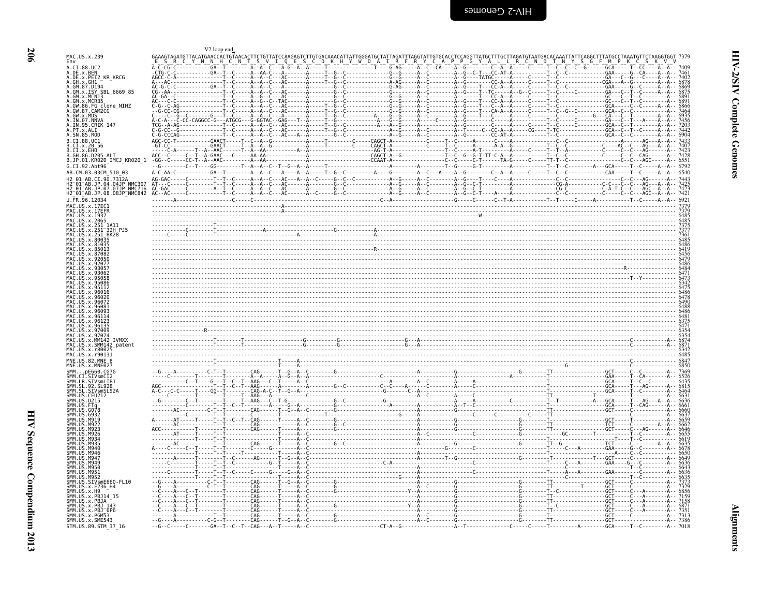<span id="page-51-0"></span>

|                                                                                        | V2 loop end                                                                               |  |  |                                                                                                                                                                                                                                      |  |
|----------------------------------------------------------------------------------------|-------------------------------------------------------------------------------------------|--|--|--------------------------------------------------------------------------------------------------------------------------------------------------------------------------------------------------------------------------------------|--|
| MAC.US.x.239<br>Env                                                                    | GAAAGTAGATGTTACATGAACCACTGTAACACTTCTGTTATCCAAGAGTCTTGTGACAAACATTATTGGGATGCTATTAGATTTAGGTA |  |  |                                                                                                                                                                                                                                      |  |
| A.CI.88.UC2<br>A.DE.x.BEN                                                              |                                                                                           |  |  |                                                                                                                                                                                                                                      |  |
| A.DE.x.PEI2 KR KRCG                                                                    |                                                                                           |  |  |                                                                                                                                                                                                                                      |  |
| A.GM. x.MCNT3                                                                          |                                                                                           |  |  |                                                                                                                                                                                                                                      |  |
| A.GM.x.MCR35<br>A.GW.86.FG clone NIHZ                                                  |                                                                                           |  |  |                                                                                                                                                                                                                                      |  |
| A.GW.87.CAM2CG<br>A.GW.x.MDS                                                           |                                                                                           |  |  |                                                                                                                                                                                                                                      |  |
| A.IN.07.NNVA<br>A.IN.95.CRIK 147<br>A.PT.x.ALI                                         |                                                                                           |  |  |                                                                                                                                                                                                                                      |  |
| A.SN.85.ROD<br>B.CT.88.UC1                                                             |                                                                                           |  |  |                                                                                                                                                                                                                                      |  |
| B.CI.x.2056<br>B.CI.X.EHO                                                              |                                                                                           |  |  |                                                                                                                                                                                                                                      |  |
| B.GH.86.D205 ALT<br>B.JP.01.KR020_IMCJ_KR020_1                                         |                                                                                           |  |  |                                                                                                                                                                                                                                      |  |
| G.CI.92.Abt96<br>AB.CM.03.03CM 510 03                                                  |                                                                                           |  |  |                                                                                                                                                                                                                                      |  |
| H2 01 AB.CI.90.7312A                                                                   |                                                                                           |  |  |                                                                                                                                                                                                                                      |  |
| HZ 01 AB.JP.04.04JP NMC307<br>H2 01 AB.JP.07.07JP NMC716<br>H2 01 AB.JP.08.08JP NMC842 |                                                                                           |  |  |                                                                                                                                                                                                                                      |  |
| U.FR.96.12034                                                                          |                                                                                           |  |  |                                                                                                                                                                                                                                      |  |
| US.x.17EFF<br>MAC.US.x.1937                                                            |                                                                                           |  |  |                                                                                                                                                                                                                                      |  |
| MAC.US.x.2065<br>MAC.US.x.251 1A11                                                     |                                                                                           |  |  | $\frac{4888}{4420}$                                                                                                                                                                                                                  |  |
| MAC.US.x.251 <sup>-</sup> BK28<br>.US.x.80035                                          |                                                                                           |  |  |                                                                                                                                                                                                                                      |  |
|                                                                                        |                                                                                           |  |  |                                                                                                                                                                                                                                      |  |
|                                                                                        |                                                                                           |  |  |                                                                                                                                                                                                                                      |  |
|                                                                                        |                                                                                           |  |  |                                                                                                                                                                                                                                      |  |
|                                                                                        |                                                                                           |  |  |                                                                                                                                                                                                                                      |  |
|                                                                                        |                                                                                           |  |  |                                                                                                                                                                                                                                      |  |
|                                                                                        |                                                                                           |  |  |                                                                                                                                                                                                                                      |  |
|                                                                                        |                                                                                           |  |  |                                                                                                                                                                                                                                      |  |
|                                                                                        |                                                                                           |  |  |                                                                                                                                                                                                                                      |  |
| $U.S. \times MM142$                                                                    |                                                                                           |  |  |                                                                                                                                                                                                                                      |  |
| US.x.SMM142 patent<br>MAC.US.x.r80025                                                  |                                                                                           |  |  | 03333<br>- 687, 1887, 1987, 1997, 1998, 1998, 1998, 1998, 1998, 1998, 1998, 1998, 1998, 1998, 1998, 1998, 1998, 1998, 1<br>- 648, 1898, 1899, 1998, 1999, 1999, 1999, 1999, 1999, 1999, 1999, 1999, 1999, 1999, 1999, 1999, 1999, 19 |  |
| MAC.US.x.r90131<br>MNE.US.82.MNE 8                                                     |                                                                                           |  |  |                                                                                                                                                                                                                                      |  |
| MNE.US.x.MNE027<br>nE660.CG70                                                          |                                                                                           |  |  |                                                                                                                                                                                                                                      |  |
| SMM.CI.SIVsmCI2                                                                        |                                                                                           |  |  |                                                                                                                                                                                                                                      |  |
| SMM.US.CFU212                                                                          |                                                                                           |  |  |                                                                                                                                                                                                                                      |  |
| SMM. US. D215                                                                          |                                                                                           |  |  |                                                                                                                                                                                                                                      |  |
|                                                                                        |                                                                                           |  |  |                                                                                                                                                                                                                                      |  |
|                                                                                        |                                                                                           |  |  |                                                                                                                                                                                                                                      |  |
|                                                                                        |                                                                                           |  |  |                                                                                                                                                                                                                                      |  |
| M940                                                                                   |                                                                                           |  |  |                                                                                                                                                                                                                                      |  |
| MA46<br>M941<br>M949                                                                   |                                                                                           |  |  |                                                                                                                                                                                                                                      |  |
| <b>M956</b><br><b>SMM IIS M951</b>                                                     |                                                                                           |  |  |                                                                                                                                                                                                                                      |  |
| SMM.US.SIVsmE660-FL10                                                                  |                                                                                           |  |  |                                                                                                                                                                                                                                      |  |
| SMM.US.x.F236 H4<br>SMM.US.x.H9<br>SMM.US.x.PBJ14 15                                   |                                                                                           |  |  |                                                                                                                                                                                                                                      |  |
| SMM.US.x.PBJA<br>SMM. US. x. PBJ 143                                                   |                                                                                           |  |  |                                                                                                                                                                                                                                      |  |
| SMM.US.x.PBJ <sup>-</sup> 6P6<br>SMM.US.x.PGM53                                        |                                                                                           |  |  |                                                                                                                                                                                                                                      |  |
| SMM.US.x.SME543                                                                        |                                                                                           |  |  |                                                                                                                                                                                                                                      |  |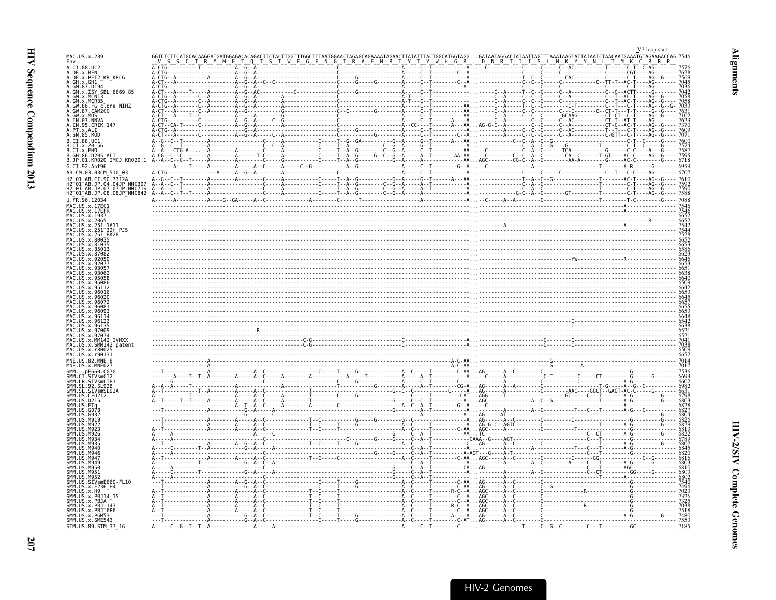<span id="page-52-0"></span>

|                                                                                     |                                       |                                                                                                                                                                                                                                                                                                                                                  |                                        |                                                             | V3 loop start                        |
|-------------------------------------------------------------------------------------|---------------------------------------|--------------------------------------------------------------------------------------------------------------------------------------------------------------------------------------------------------------------------------------------------------------------------------------------------------------------------------------------------|----------------------------------------|-------------------------------------------------------------|--------------------------------------|
| MAC.US.x.239<br>Env                                                                 |                                       |                                                                                                                                                                                                                                                                                                                                                  |                                        |                                                             | TATAATCTAACAATGAAATGTAGAAGACCAG 7546 |
| A.CI.88.UC2<br>A.DE.x.BEN<br>A.DE.x.PEI2 KR KRCG                                    |                                       |                                                                                                                                                                                                                                                                                                                                                  |                                        |                                                             |                                      |
| A.GH.x.GH1<br>GM.87.D194                                                            |                                       |                                                                                                                                                                                                                                                                                                                                                  |                                        |                                                             |                                      |
| ISY SBL 6669 85<br>A.GM.x.MCNI3                                                     |                                       |                                                                                                                                                                                                                                                                                                                                                  |                                        |                                                             |                                      |
| MCR35<br>A.GW.86.FG clone_NIHZ<br>A.GW.87.CAM2CG                                    |                                       |                                                                                                                                                                                                                                                                                                                                                  |                                        |                                                             |                                      |
| A.GW.X.MDS<br>A.IN.07.NNVA                                                          |                                       |                                                                                                                                                                                                                                                                                                                                                  |                                        |                                                             |                                      |
| A. IN. 95. CRIK_147<br>A. PT. x. ALI                                                |                                       |                                                                                                                                                                                                                                                                                                                                                  |                                        |                                                             |                                      |
| A.SN.85.ROD<br>B.CI.88.UC1                                                          |                                       |                                                                                                                                                                                                                                                                                                                                                  |                                        |                                                             |                                      |
| CL.x.20.56<br>B.CI.x.EHO                                                            |                                       |                                                                                                                                                                                                                                                                                                                                                  |                                        |                                                             |                                      |
| B.GH.86.D205 ALT<br>B.JP.01.KR020_IMCJ_KR020_1                                      |                                       |                                                                                                                                                                                                                                                                                                                                                  |                                        |                                                             |                                      |
| G.CI.92.Abt96<br>AB.CM.03.03CM 510 03                                               |                                       |                                                                                                                                                                                                                                                                                                                                                  |                                        |                                                             | 6959                                 |
| 42 01 AR CT 90 7312A<br>H2 <sup>-</sup> 01 <sup>-</sup> AB.JP.04.04JP NMC307        |                                       |                                                                                                                                                                                                                                                                                                                                                  |                                        |                                                             |                                      |
| H2 01 AB.JP.07.07JP NMC716<br>H2_01_AB.JP.08.08JP_NMC842                            |                                       |                                                                                                                                                                                                                                                                                                                                                  |                                        |                                                             |                                      |
| U.FR.96.12034<br>MAC.US.x.17EC1                                                     |                                       |                                                                                                                                                                                                                                                                                                                                                  |                                        |                                                             |                                      |
| MAC<br>.x.17EFR<br><b>MAC</b><br>US.x.1937                                          |                                       |                                                                                                                                                                                                                                                                                                                                                  |                                        |                                                             |                                      |
| MAC. US. x. 2065<br>MAC<br>US.x.251<br>1A11<br>.x.251<br>32H PJ5                    |                                       |                                                                                                                                                                                                                                                                                                                                                  |                                        |                                                             |                                      |
| <b>BK28</b><br>X.8003                                                               |                                       |                                                                                                                                                                                                                                                                                                                                                  |                                        |                                                             |                                      |
|                                                                                     |                                       |                                                                                                                                                                                                                                                                                                                                                  |                                        |                                                             |                                      |
|                                                                                     |                                       |                                                                                                                                                                                                                                                                                                                                                  |                                        |                                                             |                                      |
|                                                                                     |                                       |                                                                                                                                                                                                                                                                                                                                                  |                                        |                                                             |                                      |
|                                                                                     |                                       |                                                                                                                                                                                                                                                                                                                                                  |                                        |                                                             |                                      |
|                                                                                     |                                       |                                                                                                                                                                                                                                                                                                                                                  |                                        |                                                             |                                      |
|                                                                                     |                                       |                                                                                                                                                                                                                                                                                                                                                  |                                        |                                                             |                                      |
|                                                                                     |                                       |                                                                                                                                                                                                                                                                                                                                                  |                                        |                                                             |                                      |
|                                                                                     |                                       |                                                                                                                                                                                                                                                                                                                                                  |                                        |                                                             |                                      |
|                                                                                     |                                       |                                                                                                                                                                                                                                                                                                                                                  |                                        |                                                             |                                      |
| IVMXX<br>SMM142 patent                                                              |                                       |                                                                                                                                                                                                                                                                                                                                                  |                                        |                                                             |                                      |
| <b>MNE</b><br>US.82.MNE 8                                                           |                                       |                                                                                                                                                                                                                                                                                                                                                  |                                        |                                                             |                                      |
|                                                                                     |                                       |                                                                                                                                                                                                                                                                                                                                                  |                                        |                                                             |                                      |
| .SIVsmLIB1                                                                          |                                       |                                                                                                                                                                                                                                                                                                                                                  |                                        |                                                             |                                      |
| 92.SL92B                                                                            |                                       |                                                                                                                                                                                                                                                                                                                                                  |                                        |                                                             |                                      |
|                                                                                     |                                       |                                                                                                                                                                                                                                                                                                                                                  |                                        |                                                             |                                      |
|                                                                                     |                                       |                                                                                                                                                                                                                                                                                                                                                  |                                        |                                                             |                                      |
|                                                                                     |                                       |                                                                                                                                                                                                                                                                                                                                                  |                                        |                                                             |                                      |
|                                                                                     |                                       |                                                                                                                                                                                                                                                                                                                                                  |                                        |                                                             |                                      |
| MQAG                                                                                |                                       |                                                                                                                                                                                                                                                                                                                                                  |                                        |                                                             |                                      |
| M941                                                                                |                                       |                                                                                                                                                                                                                                                                                                                                                  |                                        |                                                             |                                      |
| M94                                                                                 |                                       | $\begin{minipage}[t]{.15\textwidth}\begin{picture}(1,0) \put(0,0) \put(0,0) \put(0,0) \put(0,0) \put(0,0) \put(0,0) \put(0,0) \put(0,0) \put(0,0) \put(0,0) \put(0,0) \put(0,0) \put(0,0) \put(0,0) \put(0,0) \put(0,0) \put(0,0) \put(0,0) \put(0,0) \put(0,0) \put(0,0) \put(0,0) \put(0,0) \put(0,0) \put(0,0) \put(0,0) \put(0,0) \put(0,0)$ |                                        |                                                             |                                      |
|                                                                                     |                                       |                                                                                                                                                                                                                                                                                                                                                  |                                        |                                                             |                                      |
| US.SIVsmE660-FL10<br>US.x.F236 H4<br>. x . H9                                       |                                       |                                                                                                                                                                                                                                                                                                                                                  |                                        | C - AA AG - - - - - - A - - C -                             |                                      |
| .x.PBJ14 15<br>US.x.PBJA                                                            |                                       |                                                                                                                                                                                                                                                                                                                                                  |                                        |                                                             |                                      |
| US.x.PBJ 143<br>SMM. US. x. PBJ 6<br>SMM. US. x. PGM53<br>US.x.PBJ <sup>-</sup> 6P6 |                                       |                                                                                                                                                                                                                                                                                                                                                  |                                        | . - - - - T - - - - - - - - C - - A AGC - - - - - A - - C - |                                      |
| SMM. US. x. SME543                                                                  |                                       |                                                                                                                                                                                                                                                                                                                                                  | -T-----G---------------A--C------T---- | A. AG- - - - - - A- - (<br>- AT AG - - - - - - A - - C      |                                      |
| STM.US.89.STM 37 16                                                                 | $A - - - - C - - G - - T - - T - - A$ |                                                                                                                                                                                                                                                                                                                                                  |                                        |                                                             | 7185                                 |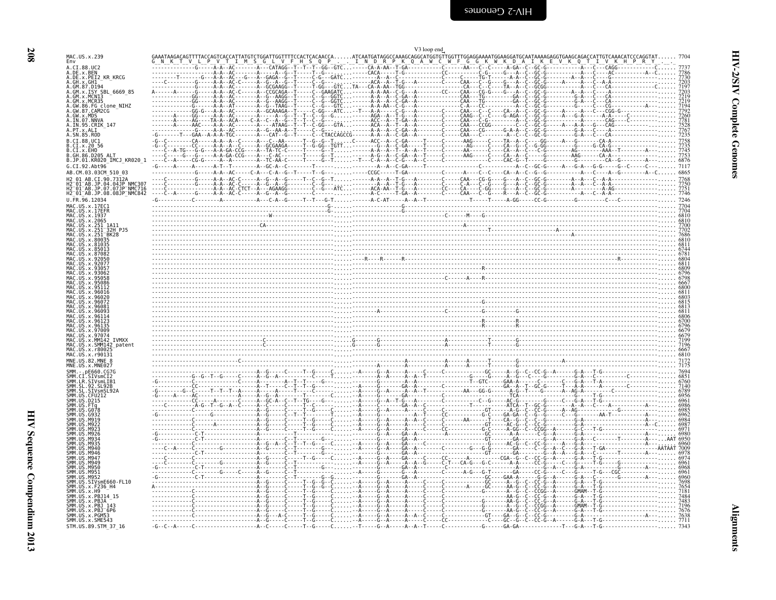<span id="page-53-0"></span>

| MAC.US.x.239                                                                                                                                                                                                                                                                                                                                                                                                                                                                                                                                                                                                                                                                                |                                                                                                                                                                                                                                                                                                                                          |  |  |  |
|---------------------------------------------------------------------------------------------------------------------------------------------------------------------------------------------------------------------------------------------------------------------------------------------------------------------------------------------------------------------------------------------------------------------------------------------------------------------------------------------------------------------------------------------------------------------------------------------------------------------------------------------------------------------------------------------|------------------------------------------------------------------------------------------------------------------------------------------------------------------------------------------------------------------------------------------------------------------------------------------------------------------------------------------|--|--|--|
| A.CI.88.UC2<br>A.DE.x.BEN                                                                                                                                                                                                                                                                                                                                                                                                                                                                                                                                                                                                                                                                   |                                                                                                                                                                                                                                                                                                                                          |  |  |  |
| A.DE.x.PEI2 KR KRCG                                                                                                                                                                                                                                                                                                                                                                                                                                                                                                                                                                                                                                                                         |                                                                                                                                                                                                                                                                                                                                          |  |  |  |
| A.GH.x.GH1<br>A.GM.87.D194                                                                                                                                                                                                                                                                                                                                                                                                                                                                                                                                                                                                                                                                  |                                                                                                                                                                                                                                                                                                                                          |  |  |  |
| A.GM.x.ISY SBL 6669 85<br>A.GM.x.MCNI3                                                                                                                                                                                                                                                                                                                                                                                                                                                                                                                                                                                                                                                      |                                                                                                                                                                                                                                                                                                                                          |  |  |  |
| A.GM.x.MCR35<br>A.GW.86.FG clone_NIHZ<br>A.GW.87.CAM2CG                                                                                                                                                                                                                                                                                                                                                                                                                                                                                                                                                                                                                                     |                                                                                                                                                                                                                                                                                                                                          |  |  |  |
| A.GW.x.MDS                                                                                                                                                                                                                                                                                                                                                                                                                                                                                                                                                                                                                                                                                  |                                                                                                                                                                                                                                                                                                                                          |  |  |  |
| A.IN.07.NNVA<br>A.IN.95.CRIK 147                                                                                                                                                                                                                                                                                                                                                                                                                                                                                                                                                                                                                                                            |                                                                                                                                                                                                                                                                                                                                          |  |  |  |
| A.PT.x.ALI<br>A.SN.85.ROD                                                                                                                                                                                                                                                                                                                                                                                                                                                                                                                                                                                                                                                                   |                                                                                                                                                                                                                                                                                                                                          |  |  |  |
| B.CI.88.UC1                                                                                                                                                                                                                                                                                                                                                                                                                                                                                                                                                                                                                                                                                 |                                                                                                                                                                                                                                                                                                                                          |  |  |  |
| B.CI.x.20 56<br>B.CI.X.EHO                                                                                                                                                                                                                                                                                                                                                                                                                                                                                                                                                                                                                                                                  |                                                                                                                                                                                                                                                                                                                                          |  |  |  |
| B.GH.86.D205 ALT<br>B.JP.01.KR020 IMCJ KR020 1                                                                                                                                                                                                                                                                                                                                                                                                                                                                                                                                                                                                                                              |                                                                                                                                                                                                                                                                                                                                          |  |  |  |
| G.CI.92.Abt96                                                                                                                                                                                                                                                                                                                                                                                                                                                                                                                                                                                                                                                                               |                                                                                                                                                                                                                                                                                                                                          |  |  |  |
| AB.CM.03.03CM 510 03<br>H2 01 AB.CI.90.7312A                                                                                                                                                                                                                                                                                                                                                                                                                                                                                                                                                                                                                                                |                                                                                                                                                                                                                                                                                                                                          |  |  |  |
| H2 <sup>-01-AB.JP.04.04JP NMC307</sup>                                                                                                                                                                                                                                                                                                                                                                                                                                                                                                                                                                                                                                                      |                                                                                                                                                                                                                                                                                                                                          |  |  |  |
| H2 <sup>-01-AB.JP.07.07JP-NMC716</sup><br>H2 <sup>-01-AB.JP.08.08JP<sup>-</sup>NMC842</sup>                                                                                                                                                                                                                                                                                                                                                                                                                                                                                                                                                                                                 |                                                                                                                                                                                                                                                                                                                                          |  |  |  |
| U.FR.96.12034<br>MAC.US.x.17EC1                                                                                                                                                                                                                                                                                                                                                                                                                                                                                                                                                                                                                                                             |                                                                                                                                                                                                                                                                                                                                          |  |  |  |
| MAC.US.x.17EFR                                                                                                                                                                                                                                                                                                                                                                                                                                                                                                                                                                                                                                                                              |                                                                                                                                                                                                                                                                                                                                          |  |  |  |
| MAC.US.x.1937<br>MAC.US.x.2065                                                                                                                                                                                                                                                                                                                                                                                                                                                                                                                                                                                                                                                              |                                                                                                                                                                                                                                                                                                                                          |  |  |  |
| MAC.US.x.251_1A11<br>MAC.US.x.251 <sup>-32H</sup> PJ5                                                                                                                                                                                                                                                                                                                                                                                                                                                                                                                                                                                                                                       |                                                                                                                                                                                                                                                                                                                                          |  |  |  |
| MAC.US.x.251 <sup>-</sup> BK28<br>MAC.US.x.80035                                                                                                                                                                                                                                                                                                                                                                                                                                                                                                                                                                                                                                            |                                                                                                                                                                                                                                                                                                                                          |  |  |  |
| MAC.US.x.81035<br>MAC.US.x.85013                                                                                                                                                                                                                                                                                                                                                                                                                                                                                                                                                                                                                                                            |                                                                                                                                                                                                                                                                                                                                          |  |  |  |
| MAC.US.x.87082<br>MAC.US.x.92056                                                                                                                                                                                                                                                                                                                                                                                                                                                                                                                                                                                                                                                            | $\begin{smallmatrix}6811\ \hline 1011\ \hline 0301\ \hline 0500\ \hline 0600\ \hline 0700\ \hline 0800\ \hline 0800\ \hline 0900\ \hline 0700\ \hline 0800\ \hline 0800\ \hline 0900\ \hline 0900\ \hline 0900\ \hline 0900\ \hline 0900\ \hline 0900\ \hline 0900\ \hline 0900\ \hline 0900\ \hline 0900\ \hline 0900\ \hline 0900\ \h$ |  |  |  |
| MAC.US.x.92077                                                                                                                                                                                                                                                                                                                                                                                                                                                                                                                                                                                                                                                                              |                                                                                                                                                                                                                                                                                                                                          |  |  |  |
| MAC.US.x.93057<br>MAC.US.x.93062                                                                                                                                                                                                                                                                                                                                                                                                                                                                                                                                                                                                                                                            |                                                                                                                                                                                                                                                                                                                                          |  |  |  |
| MAC.US.x.95058<br>MAC.US.x.95086                                                                                                                                                                                                                                                                                                                                                                                                                                                                                                                                                                                                                                                            |                                                                                                                                                                                                                                                                                                                                          |  |  |  |
| .US.x.95112<br>MAC.US.x.96016                                                                                                                                                                                                                                                                                                                                                                                                                                                                                                                                                                                                                                                               |                                                                                                                                                                                                                                                                                                                                          |  |  |  |
| MAC.US.x.96020                                                                                                                                                                                                                                                                                                                                                                                                                                                                                                                                                                                                                                                                              |                                                                                                                                                                                                                                                                                                                                          |  |  |  |
|                                                                                                                                                                                                                                                                                                                                                                                                                                                                                                                                                                                                                                                                                             |                                                                                                                                                                                                                                                                                                                                          |  |  |  |
|                                                                                                                                                                                                                                                                                                                                                                                                                                                                                                                                                                                                                                                                                             |                                                                                                                                                                                                                                                                                                                                          |  |  |  |
|                                                                                                                                                                                                                                                                                                                                                                                                                                                                                                                                                                                                                                                                                             |                                                                                                                                                                                                                                                                                                                                          |  |  |  |
|                                                                                                                                                                                                                                                                                                                                                                                                                                                                                                                                                                                                                                                                                             |                                                                                                                                                                                                                                                                                                                                          |  |  |  |
|                                                                                                                                                                                                                                                                                                                                                                                                                                                                                                                                                                                                                                                                                             |                                                                                                                                                                                                                                                                                                                                          |  |  |  |
|                                                                                                                                                                                                                                                                                                                                                                                                                                                                                                                                                                                                                                                                                             |                                                                                                                                                                                                                                                                                                                                          |  |  |  |
|                                                                                                                                                                                                                                                                                                                                                                                                                                                                                                                                                                                                                                                                                             |                                                                                                                                                                                                                                                                                                                                          |  |  |  |
|                                                                                                                                                                                                                                                                                                                                                                                                                                                                                                                                                                                                                                                                                             |                                                                                                                                                                                                                                                                                                                                          |  |  |  |
|                                                                                                                                                                                                                                                                                                                                                                                                                                                                                                                                                                                                                                                                                             |                                                                                                                                                                                                                                                                                                                                          |  |  |  |
|                                                                                                                                                                                                                                                                                                                                                                                                                                                                                                                                                                                                                                                                                             |                                                                                                                                                                                                                                                                                                                                          |  |  |  |
|                                                                                                                                                                                                                                                                                                                                                                                                                                                                                                                                                                                                                                                                                             |                                                                                                                                                                                                                                                                                                                                          |  |  |  |
|                                                                                                                                                                                                                                                                                                                                                                                                                                                                                                                                                                                                                                                                                             |                                                                                                                                                                                                                                                                                                                                          |  |  |  |
|                                                                                                                                                                                                                                                                                                                                                                                                                                                                                                                                                                                                                                                                                             |                                                                                                                                                                                                                                                                                                                                          |  |  |  |
|                                                                                                                                                                                                                                                                                                                                                                                                                                                                                                                                                                                                                                                                                             |                                                                                                                                                                                                                                                                                                                                          |  |  |  |
| M919                                                                                                                                                                                                                                                                                                                                                                                                                                                                                                                                                                                                                                                                                        |                                                                                                                                                                                                                                                                                                                                          |  |  |  |
|                                                                                                                                                                                                                                                                                                                                                                                                                                                                                                                                                                                                                                                                                             |                                                                                                                                                                                                                                                                                                                                          |  |  |  |
| MQ3.                                                                                                                                                                                                                                                                                                                                                                                                                                                                                                                                                                                                                                                                                        |                                                                                                                                                                                                                                                                                                                                          |  |  |  |
|                                                                                                                                                                                                                                                                                                                                                                                                                                                                                                                                                                                                                                                                                             |                                                                                                                                                                                                                                                                                                                                          |  |  |  |
|                                                                                                                                                                                                                                                                                                                                                                                                                                                                                                                                                                                                                                                                                             |                                                                                                                                                                                                                                                                                                                                          |  |  |  |
| M946                                                                                                                                                                                                                                                                                                                                                                                                                                                                                                                                                                                                                                                                                        |                                                                                                                                                                                                                                                                                                                                          |  |  |  |
|                                                                                                                                                                                                                                                                                                                                                                                                                                                                                                                                                                                                                                                                                             |                                                                                                                                                                                                                                                                                                                                          |  |  |  |
|                                                                                                                                                                                                                                                                                                                                                                                                                                                                                                                                                                                                                                                                                             |                                                                                                                                                                                                                                                                                                                                          |  |  |  |
|                                                                                                                                                                                                                                                                                                                                                                                                                                                                                                                                                                                                                                                                                             |                                                                                                                                                                                                                                                                                                                                          |  |  |  |
|                                                                                                                                                                                                                                                                                                                                                                                                                                                                                                                                                                                                                                                                                             |                                                                                                                                                                                                                                                                                                                                          |  |  |  |
|                                                                                                                                                                                                                                                                                                                                                                                                                                                                                                                                                                                                                                                                                             |                                                                                                                                                                                                                                                                                                                                          |  |  |  |
| MAC.US.x.96072<br>MAC.US.x.96081<br>MAC.US.x.96093<br>MAC.US.x.96114<br>MAC.US.x.96123<br>MAC.US.x.96135<br>MAC.US.x.97009<br>MAC.US.x.97074<br>MAC.US.x.MM142 IVMXX<br>MAC.US.x.SMM142 patent<br>MAC.US.x.r80025<br>MAC.US.x.r90131<br>MNE.US.82.MNE 8<br>MNE.US.x.MNE027<br>$-$ . $DE660.CG7G$<br>CI.SIVsmCI2<br>LR.SIVsmLIB1<br>.92.SL92B<br>.SIVsmSL92A<br>. ČFU212<br>SMM. US. D215<br>IS.FTq<br>.G078<br>. G932<br>M947<br>SMM.US.M949<br>SMM. US. M950<br>SMM.US.M951<br>SMM.US.M952<br>SMM.US.SIVsmE660-FL10<br>SMM.US.x.F236_H4<br>SMM. US. x. H9<br>SMM. US. x. PBJ14 15<br>SMM.US.x.PBJA<br>SMM.US.x.PBJ_143<br>SMM.US.x.PBJ <sup>6P6</sup><br>SMM.US.x.PGM53<br>SMM.US.x.SME543 |                                                                                                                                                                                                                                                                                                                                          |  |  |  |

208

**Alignments**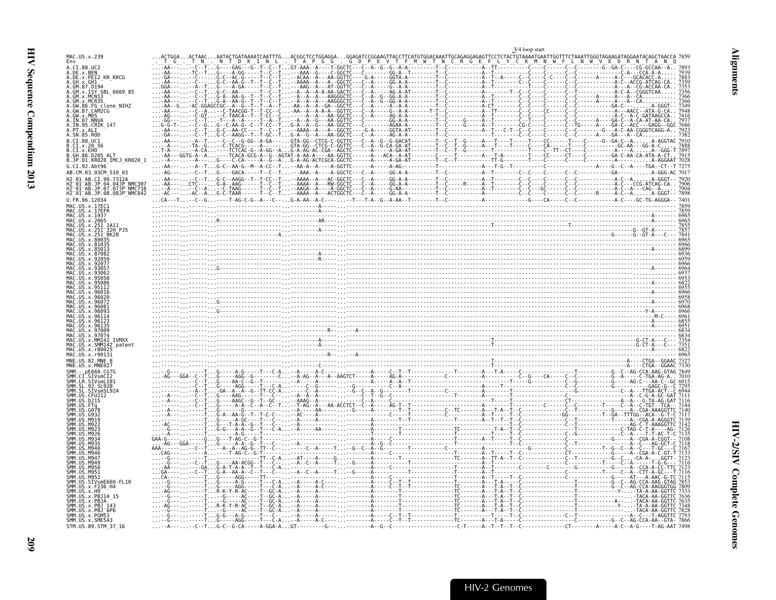<span id="page-54-0"></span>

| MAC.US.x.239                                                                              |  |  |  |
|-------------------------------------------------------------------------------------------|--|--|--|
| Env                                                                                       |  |  |  |
| A.CI.88.UC2                                                                               |  |  |  |
| A.DE.X.BEN<br>A.DE.X.PEI2 KR KRCG                                                         |  |  |  |
| A.GH.X.GHI<br>A.GM.87.D194                                                                |  |  |  |
|                                                                                           |  |  |  |
| A.GM.x.ISY SBL<br>A.GM.x.MCNI3                                                            |  |  |  |
| A.GM.x.MCR35                                                                              |  |  |  |
| A.GW.86.FG clone_NIHZ<br>A.GW.87.CAM2CG                                                   |  |  |  |
|                                                                                           |  |  |  |
| A.GW.X.MDS<br>A.IN.07.NNVA                                                                |  |  |  |
| A.IN.95.CRIK_147<br>A.PT.x.ALI                                                            |  |  |  |
|                                                                                           |  |  |  |
| A.SN.85.ROD                                                                               |  |  |  |
| B.CI.88.UC1<br>B.CI.x.20 56                                                               |  |  |  |
| B.CI.x.EHO                                                                                |  |  |  |
| B.GH.86.D205 ALT                                                                          |  |  |  |
| B.JP.01.KR020 IMCJ KR020 1                                                                |  |  |  |
| $G.CI.92.Ah+96$                                                                           |  |  |  |
| AB.CM.03.03CM 510 03                                                                      |  |  |  |
| AB.CI.90.7312A                                                                            |  |  |  |
| I2 <sup>-</sup> 01 <sup>-</sup> AB.JP.04.04JP NMC307                                      |  |  |  |
| AB.JP.07.07JP NMC716<br>H2 <sup>-</sup> 01 <sup>-</sup> AB.JP.08.08JP <sup>-</sup> NMC842 |  |  |  |
| U.FR.96.12034                                                                             |  |  |  |
| MAC US x 17FC                                                                             |  |  |  |
| MAC.US.x.17EFR                                                                            |  |  |  |
| MAC.US.x.1937                                                                             |  |  |  |
| MAC.US.x.251 1A1                                                                          |  |  |  |
|                                                                                           |  |  |  |
|                                                                                           |  |  |  |
|                                                                                           |  |  |  |
|                                                                                           |  |  |  |
|                                                                                           |  |  |  |
|                                                                                           |  |  |  |
|                                                                                           |  |  |  |
|                                                                                           |  |  |  |
|                                                                                           |  |  |  |
|                                                                                           |  |  |  |
|                                                                                           |  |  |  |
|                                                                                           |  |  |  |
|                                                                                           |  |  |  |
|                                                                                           |  |  |  |
|                                                                                           |  |  |  |
|                                                                                           |  |  |  |
|                                                                                           |  |  |  |
|                                                                                           |  |  |  |
|                                                                                           |  |  |  |
|                                                                                           |  |  |  |
|                                                                                           |  |  |  |
|                                                                                           |  |  |  |
| MNE.US.82.MNE                                                                             |  |  |  |
|                                                                                           |  |  |  |
|                                                                                           |  |  |  |
|                                                                                           |  |  |  |
|                                                                                           |  |  |  |
|                                                                                           |  |  |  |
|                                                                                           |  |  |  |
|                                                                                           |  |  |  |
|                                                                                           |  |  |  |
|                                                                                           |  |  |  |
|                                                                                           |  |  |  |
|                                                                                           |  |  |  |
|                                                                                           |  |  |  |
|                                                                                           |  |  |  |
|                                                                                           |  |  |  |
|                                                                                           |  |  |  |
|                                                                                           |  |  |  |
|                                                                                           |  |  |  |
|                                                                                           |  |  |  |
|                                                                                           |  |  |  |
|                                                                                           |  |  |  |
| x.PBJ14                                                                                   |  |  |  |
| SMM IIS<br>.x.PBJ 143                                                                     |  |  |  |
| SMM.US.x.PBJ 6P6                                                                          |  |  |  |
| SMM.US.x.PGM53                                                                            |  |  |  |
| SMM.US.x.SME543<br>STM.US.89.STM 37 16                                                    |  |  |  |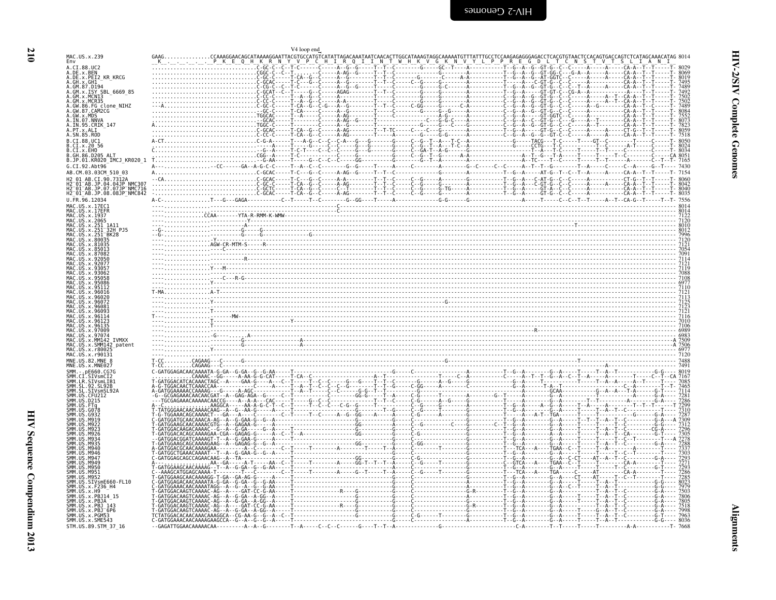<span id="page-55-0"></span>

|                                                          | V4 loop end                                                                                                                                                                                                                                                                                                                                    |
|----------------------------------------------------------|------------------------------------------------------------------------------------------------------------------------------------------------------------------------------------------------------------------------------------------------------------------------------------------------------------------------------------------------|
| MAC.US.x.239                                             | CCAAAGGAACAGCATAAAAGGAATTACGTGCCATGTCATATTAGACAAATAATCAACACTTGGCATAAAGTAGGCAAAAATGTTTAT                                                                                                                                                                                                                                                        |
| A.CI.88.UC2                                              |                                                                                                                                                                                                                                                                                                                                                |
| A.DE.x.BEN                                               |                                                                                                                                                                                                                                                                                                                                                |
| A.DE.X.PEI2_KR_KRCG<br>A.GH.X.GH1<br>A.GM.87.D194        |                                                                                                                                                                                                                                                                                                                                                |
| A.GM.x.ISY SBL 6669 85                                   |                                                                                                                                                                                                                                                                                                                                                |
| A.GM.X.MCNI3<br>A.GM.x.MCR35                             |                                                                                                                                                                                                                                                                                                                                                |
| A.GW.86.FG clone NIHZ<br>A.GW.87.CAM2CG                  |                                                                                                                                                                                                                                                                                                                                                |
| A.GW.x.MDS                                               |                                                                                                                                                                                                                                                                                                                                                |
| A.IN.95.CRIK 147                                         |                                                                                                                                                                                                                                                                                                                                                |
| A.SN.85.ROD                                              |                                                                                                                                                                                                                                                                                                                                                |
| B.CI.88.UC1                                              |                                                                                                                                                                                                                                                                                                                                                |
| B.CI.X.EHO.                                              |                                                                                                                                                                                                                                                                                                                                                |
| B.GH.86.D205 ALT<br>B.JP.01.KR020_IMCJ_KR020_1           |                                                                                                                                                                                                                                                                                                                                                |
| $G.CI.92.Ah+96$                                          |                                                                                                                                                                                                                                                                                                                                                |
| AB.CM.03.03CM_510_03                                     |                                                                                                                                                                                                                                                                                                                                                |
| 2 01 AB.CI.90.7312A<br>12 01 AB.JP.04.04JP NMC307        |                                                                                                                                                                                                                                                                                                                                                |
| H2-01-AB.JP.07.07JP-NMC716<br>H2-01-AB.JP.07.07JP-NMC716 |                                                                                                                                                                                                                                                                                                                                                |
| U.FR.96.12034                                            |                                                                                                                                                                                                                                                                                                                                                |
| MAC.US.x.17EC1<br>MAC.US.x.17EFR                         |                                                                                                                                                                                                                                                                                                                                                |
| MAC.US.x.1937<br>MAC.US.x.2065                           |                                                                                                                                                                                                                                                                                                                                                |
| MAC.US.x.251<br>MAC.US.x.251                             |                                                                                                                                                                                                                                                                                                                                                |
|                                                          |                                                                                                                                                                                                                                                                                                                                                |
|                                                          |                                                                                                                                                                                                                                                                                                                                                |
|                                                          |                                                                                                                                                                                                                                                                                                                                                |
|                                                          |                                                                                                                                                                                                                                                                                                                                                |
|                                                          |                                                                                                                                                                                                                                                                                                                                                |
|                                                          |                                                                                                                                                                                                                                                                                                                                                |
|                                                          |                                                                                                                                                                                                                                                                                                                                                |
|                                                          | $\frac{4}{7}$<br>$\frac{7}{12}$<br>$\frac{7}{12}$<br>$\frac{7}{12}$<br>$\frac{7}{12}$<br>$\frac{7}{12}$<br>$\frac{7}{12}$<br>$\frac{7}{12}$<br>$\frac{7}{12}$<br>$\frac{7}{12}$<br>$\frac{7}{12}$<br>$\frac{7}{12}$<br>$\frac{7}{12}$<br>$\frac{7}{12}$<br>$\frac{7}{12}$<br>$\frac{7}{12}$<br>$\frac{7}{12}$<br>$\frac{7}{12}$<br>$\frac{7}{$ |
|                                                          |                                                                                                                                                                                                                                                                                                                                                |
|                                                          |                                                                                                                                                                                                                                                                                                                                                |
|                                                          |                                                                                                                                                                                                                                                                                                                                                |
| US.x.96135                                               |                                                                                                                                                                                                                                                                                                                                                |
|                                                          |                                                                                                                                                                                                                                                                                                                                                |
|                                                          |                                                                                                                                                                                                                                                                                                                                                |
| MAC.US.x.r90131                                          |                                                                                                                                                                                                                                                                                                                                                |
| MNE.US.82.MNE                                            |                                                                                                                                                                                                                                                                                                                                                |
|                                                          |                                                                                                                                                                                                                                                                                                                                                |
|                                                          |                                                                                                                                                                                                                                                                                                                                                |
|                                                          |                                                                                                                                                                                                                                                                                                                                                |
|                                                          |                                                                                                                                                                                                                                                                                                                                                |
|                                                          |                                                                                                                                                                                                                                                                                                                                                |
|                                                          |                                                                                                                                                                                                                                                                                                                                                |
|                                                          |                                                                                                                                                                                                                                                                                                                                                |
|                                                          |                                                                                                                                                                                                                                                                                                                                                |
|                                                          |                                                                                                                                                                                                                                                                                                                                                |
|                                                          |                                                                                                                                                                                                                                                                                                                                                |
|                                                          |                                                                                                                                                                                                                                                                                                                                                |
|                                                          |                                                                                                                                                                                                                                                                                                                                                |
|                                                          |                                                                                                                                                                                                                                                                                                                                                |
| US.SIVsmE660-FL10                                        |                                                                                                                                                                                                                                                                                                                                                |
| .x.F236 H4<br>US. x. H9                                  |                                                                                                                                                                                                                                                                                                                                                |
| .x.PBJ14 15                                              |                                                                                                                                                                                                                                                                                                                                                |
| .US.x.PBJA<br>.US.x.PBJ 143<br>.US.x.PBJ 6P6             |                                                                                                                                                                                                                                                                                                                                                |
| US.x.PGM53                                               |                                                                                                                                                                                                                                                                                                                                                |
| SMM.US.x.SME543<br>STM.US.89.STM 37 16                   |                                                                                                                                                                                                                                                                                                                                                |
|                                                          |                                                                                                                                                                                                                                                                                                                                                |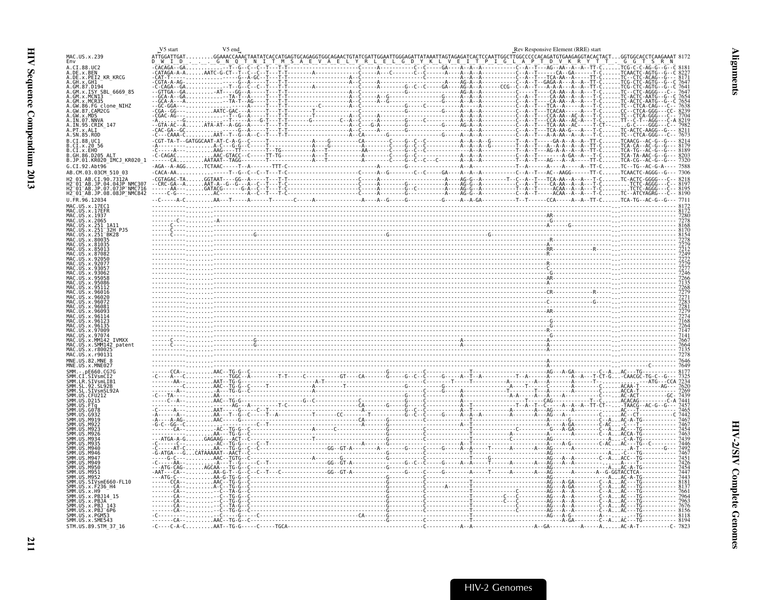<span id="page-56-0"></span>

|                                                                    | V5 start | V5 end |                                                                                                                                                                                                                                                                                              | Rev Responsive Element (RRE) start |           |
|--------------------------------------------------------------------|----------|--------|----------------------------------------------------------------------------------------------------------------------------------------------------------------------------------------------------------------------------------------------------------------------------------------------|------------------------------------|-----------|
| MAC.US.x.239<br>Env                                                |          |        | ATTGGATTGATGGAACCAAACTAATATCACCATGAGTGCAGAGGTGGCAGAACTGTATCGATTGGAATTGGGAGATTATAAATTAGTAGAGATCACTCCAATTGGCCTTGGCCCCCACAGATGGAGGTACACTACTGGTGGCACCTCAAGAAAT                                                                                                                                   |                                    | $G_G$ $T$ |
| A.CI.88.UC2<br>A.DE.x.BEN<br>A.DE.x.PEI2 KR KRCG                   |          |        |                                                                                                                                                                                                                                                                                              |                                    |           |
| A.GH.x.GH1<br>A.GM.87.D194                                         |          |        |                                                                                                                                                                                                                                                                                              |                                    |           |
| A.GM.x.ISY SBL 6669 85<br>A.GM.x.MCNI3                             |          |        |                                                                                                                                                                                                                                                                                              |                                    |           |
| A.GM.x.MCR35                                                       |          |        |                                                                                                                                                                                                                                                                                              |                                    |           |
| A.GW.86.FG clone_NIHZ<br>A.GW.87.CAM2CG<br>A.GW.x.MDS              |          |        |                                                                                                                                                                                                                                                                                              |                                    |           |
| A.IN.07.NNVA<br>A.IN.95.CRIK_147                                   |          |        |                                                                                                                                                                                                                                                                                              |                                    |           |
| A. PT.X.ALI<br>A. SN.85.ROD                                        |          |        |                                                                                                                                                                                                                                                                                              |                                    |           |
| B.CI.88.UC1                                                        |          |        |                                                                                                                                                                                                                                                                                              |                                    |           |
| B.CI.x.20 56<br>B.CI.x.EHO                                         |          |        |                                                                                                                                                                                                                                                                                              |                                    |           |
| B.GH.86.D205 ALT<br>B.JP.01.KR020 IMCJ KR020 1                     |          |        |                                                                                                                                                                                                                                                                                              |                                    |           |
| G.CI.92.Ah <sub>t</sub> 96<br>AB.CM.03.03CM 510 03                 |          |        |                                                                                                                                                                                                                                                                                              |                                    |           |
|                                                                    |          |        |                                                                                                                                                                                                                                                                                              |                                    |           |
| JP.04.04JP NMC307<br>H2 <sup>-01-AB.JP.07.07JP-NMC716</sup>        |          |        |                                                                                                                                                                                                                                                                                              |                                    |           |
| H2 <sup>-01-AB.JP.08.08JP<sup>-</sup>NMC842</sup><br>U.FR.96.12034 |          |        |                                                                                                                                                                                                                                                                                              |                                    |           |
| MAC.US.x.17EC1                                                     |          |        |                                                                                                                                                                                                                                                                                              |                                    |           |
| US.x.1937                                                          |          |        | $\frac{3728}{2728}$                                                                                                                                                                                                                                                                          |                                    |           |
| MAC.US.x.2065                                                      |          |        |                                                                                                                                                                                                                                                                                              |                                    |           |
| -1A11<br>-32H PJ5<br>-BK28                                         |          |        |                                                                                                                                                                                                                                                                                              |                                    |           |
|                                                                    |          |        |                                                                                                                                                                                                                                                                                              |                                    |           |
|                                                                    |          |        |                                                                                                                                                                                                                                                                                              |                                    |           |
|                                                                    |          |        |                                                                                                                                                                                                                                                                                              |                                    |           |
|                                                                    |          |        |                                                                                                                                                                                                                                                                                              |                                    |           |
|                                                                    |          |        |                                                                                                                                                                                                                                                                                              |                                    |           |
|                                                                    |          |        |                                                                                                                                                                                                                                                                                              |                                    |           |
|                                                                    |          |        |                                                                                                                                                                                                                                                                                              |                                    |           |
|                                                                    |          |        |                                                                                                                                                                                                                                                                                              |                                    |           |
|                                                                    |          |        |                                                                                                                                                                                                                                                                                              |                                    |           |
|                                                                    |          |        |                                                                                                                                                                                                                                                                                              |                                    |           |
| <b>TVMXX</b>                                                       |          |        |                                                                                                                                                                                                                                                                                              |                                    |           |
| .SMM142 patent<br>MAC.US.x.r8002                                   |          |        | $\frac{724}{714}$<br>$768$<br>$768$<br>$768$<br>$7147$<br>$768$<br>$768$<br>$7147$<br>$768$<br>$769$<br>$768$<br>$769$<br>$768$<br>$768$<br>$768$<br>$768$<br>$769$<br>$768$<br>$768$<br>$768$<br>$768$<br>$768$<br>$768$<br>$768$<br>$768$<br>$768$<br>$769$<br>$768$<br>$769$<br>$768$<br> |                                    |           |
|                                                                    |          |        |                                                                                                                                                                                                                                                                                              |                                    |           |
|                                                                    |          |        |                                                                                                                                                                                                                                                                                              |                                    |           |
|                                                                    |          |        |                                                                                                                                                                                                                                                                                              |                                    |           |
|                                                                    |          |        |                                                                                                                                                                                                                                                                                              |                                    |           |
|                                                                    |          |        |                                                                                                                                                                                                                                                                                              |                                    |           |
|                                                                    |          |        |                                                                                                                                                                                                                                                                                              |                                    |           |
|                                                                    |          |        |                                                                                                                                                                                                                                                                                              |                                    |           |
|                                                                    |          |        |                                                                                                                                                                                                                                                                                              |                                    |           |
|                                                                    |          |        |                                                                                                                                                                                                                                                                                              |                                    |           |
|                                                                    |          |        |                                                                                                                                                                                                                                                                                              |                                    |           |
|                                                                    |          |        |                                                                                                                                                                                                                                                                                              |                                    |           |
|                                                                    |          |        |                                                                                                                                                                                                                                                                                              |                                    |           |
|                                                                    |          |        |                                                                                                                                                                                                                                                                                              |                                    |           |
| SIVsmE660-FL10                                                     |          |        |                                                                                                                                                                                                                                                                                              |                                    |           |
| US.x.F236 H4                                                       |          |        |                                                                                                                                                                                                                                                                                              |                                    |           |
| JS.x.PBJ14                                                         |          |        |                                                                                                                                                                                                                                                                                              |                                    |           |
| . PBJ                                                              |          |        |                                                                                                                                                                                                                                                                                              |                                    |           |
| SMM. US. x. PGM53<br>SMM. US. x. SME543                            |          |        |                                                                                                                                                                                                                                                                                              |                                    |           |
| STM.US.89.STM 37 16                                                |          |        |                                                                                                                                                                                                                                                                                              |                                    |           |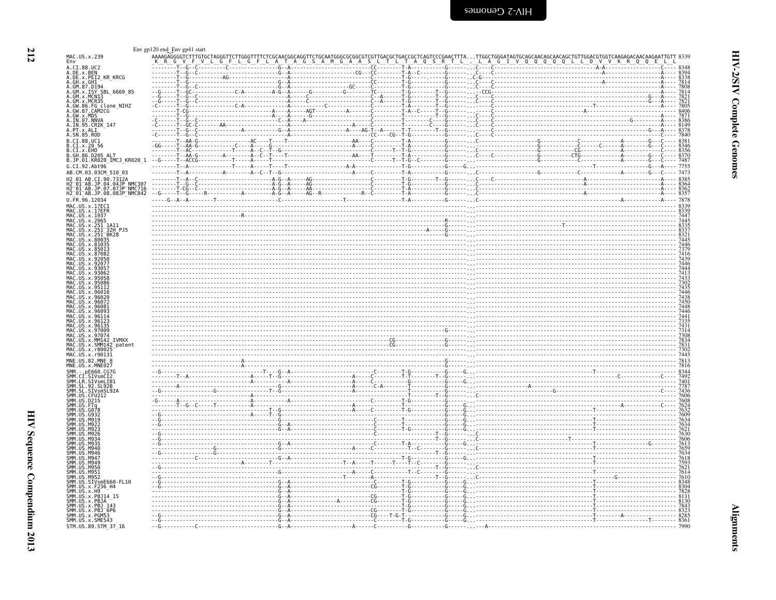<span id="page-57-0"></span>

| יי ל<br>י<br>r.  |  |
|------------------|--|
| ŗ<br>ì<br>2<br>ć |  |
| J<br>i           |  |

| ī |
|---|
|   |
|   |
|   |
|   |
|   |
|   |

|                                                                                                                                                                                                | Env gp120 end_Env gp41 start |  |  |                                                                                                                                                                                                                                |      |
|------------------------------------------------------------------------------------------------------------------------------------------------------------------------------------------------|------------------------------|--|--|--------------------------------------------------------------------------------------------------------------------------------------------------------------------------------------------------------------------------------|------|
| MAC.US.x.239<br>Env                                                                                                                                                                            |                              |  |  | AAAAGAGGGGTCTTTGTGCTAGGGTTCTTGGGTTTTCTCGCAACGGCAGGTTCTGCAATGGGCGGCGTCGTCGACGCTCAGTCCCCGAACTTTATTGGCTGGGATAGTGCAACAACAACAACAGCATGTCGGACGTGGTCAAGAGACAACAACAACTATGTT 8339<br>_K_R_G_V_F_V_L_G_F_L_G_F_L_A_T_A_G_S_A_M_G_A_A_S_L_ |      |
| A.CI.88.UC2                                                                                                                                                                                    |                              |  |  |                                                                                                                                                                                                                                |      |
| A.DE.x.BEN<br>A.DE.x.PEI2_KR_KRCG                                                                                                                                                              |                              |  |  |                                                                                                                                                                                                                                |      |
| A.GH. x. CH1 -- ~~ - ~~~<br>A.GM. 87. D194<br>A.GM. 87. D194<br>A.GM. x. MCN13<br>A.GM. x. MCR35                                                                                               |                              |  |  |                                                                                                                                                                                                                                |      |
|                                                                                                                                                                                                |                              |  |  |                                                                                                                                                                                                                                |      |
|                                                                                                                                                                                                |                              |  |  |                                                                                                                                                                                                                                |      |
| A.GW.286.FG_clone_NIHZ<br>A.GW.87.CAM2CG<br>A.GW.x.MDS<br>A.IN.07.NNVA____                                                                                                                     |                              |  |  |                                                                                                                                                                                                                                |      |
| A.IN.95.CRIK_147                                                                                                                                                                               |                              |  |  |                                                                                                                                                                                                                                |      |
|                                                                                                                                                                                                |                              |  |  |                                                                                                                                                                                                                                |      |
| B.CI.88.UC1                                                                                                                                                                                    |                              |  |  |                                                                                                                                                                                                                                |      |
| B.CI.X.20 56<br>B.CI.X.20 56<br>B.CI.X.EHO<br>B.JP.01.KR020_IMCJ_KR020_1                                                                                                                       |                              |  |  |                                                                                                                                                                                                                                |      |
| G.CI.92.Abt96                                                                                                                                                                                  |                              |  |  |                                                                                                                                                                                                                                |      |
| AB.CM.03.03CM_510_03                                                                                                                                                                           |                              |  |  |                                                                                                                                                                                                                                |      |
| H2 01 AB.CI.90.7312A<br>H2-01-AB.JP.04.04JP NMC307<br>H2-01-AB.JP.07.07JP NMC716                                                                                                               |                              |  |  |                                                                                                                                                                                                                                |      |
| H2_01_AB.JP.08.08JP_NMC842                                                                                                                                                                     |                              |  |  |                                                                                                                                                                                                                                |      |
| U.FR.96.12034                                                                                                                                                                                  |                              |  |  |                                                                                                                                                                                                                                |      |
| MAC.US.x.17EC1<br>MAC.US.x.17ECH<br>MAC.US.x.17EER<br>MAC.US.x.2965<br>MAC.US.x.251 1A11<br>MAC.US.x.251 1A11<br>MAC.US.x.251 BK28<br>MAC.US.x.251 BK28<br>MAC.US.x.251 BK28<br>MAC.US.x.80035 |                              |  |  |                                                                                                                                                                                                                                |      |
|                                                                                                                                                                                                |                              |  |  |                                                                                                                                                                                                                                |      |
|                                                                                                                                                                                                |                              |  |  |                                                                                                                                                                                                                                |      |
|                                                                                                                                                                                                |                              |  |  |                                                                                                                                                                                                                                |      |
|                                                                                                                                                                                                |                              |  |  |                                                                                                                                                                                                                                |      |
|                                                                                                                                                                                                |                              |  |  |                                                                                                                                                                                                                                |      |
|                                                                                                                                                                                                |                              |  |  |                                                                                                                                                                                                                                |      |
|                                                                                                                                                                                                |                              |  |  |                                                                                                                                                                                                                                |      |
|                                                                                                                                                                                                |                              |  |  |                                                                                                                                                                                                                                |      |
|                                                                                                                                                                                                |                              |  |  |                                                                                                                                                                                                                                |      |
| MAC.US                                                                                                                                                                                         |                              |  |  |                                                                                                                                                                                                                                |      |
|                                                                                                                                                                                                |                              |  |  |                                                                                                                                                                                                                                |      |
| MAC.US.x.9700                                                                                                                                                                                  |                              |  |  |                                                                                                                                                                                                                                |      |
| MAC.US.x.97074<br>MAC.US.x.MM142<br><b>TVMXX</b>                                                                                                                                               |                              |  |  |                                                                                                                                                                                                                                |      |
| MAC.US.x.SMM142_patent<br>MAC.US.x.r80025                                                                                                                                                      |                              |  |  |                                                                                                                                                                                                                                |      |
| MAC.US.x.r90131                                                                                                                                                                                |                              |  |  |                                                                                                                                                                                                                                |      |
| MNE.US.82.MNE 8<br>MNE.US.x.MNE027                                                                                                                                                             |                              |  |  |                                                                                                                                                                                                                                |      |
| <b>SMM</b>                                                                                                                                                                                     |                              |  |  |                                                                                                                                                                                                                                |      |
| smm<br>Smm<br>LR.SIVsmLIB1<br>SL.92.SL92B                                                                                                                                                      |                              |  |  |                                                                                                                                                                                                                                |      |
| SMM<br>SMM<br>SMM<br>SMM<br><b>SL</b><br>.SIVsmSL92A<br>US.CFU212                                                                                                                              |                              |  |  |                                                                                                                                                                                                                                |      |
|                                                                                                                                                                                                |                              |  |  |                                                                                                                                                                                                                                |      |
| G078                                                                                                                                                                                           |                              |  |  |                                                                                                                                                                                                                                |      |
|                                                                                                                                                                                                |                              |  |  |                                                                                                                                                                                                                                |      |
|                                                                                                                                                                                                |                              |  |  |                                                                                                                                                                                                                                |      |
|                                                                                                                                                                                                |                              |  |  |                                                                                                                                                                                                                                |      |
|                                                                                                                                                                                                |                              |  |  |                                                                                                                                                                                                                                |      |
| 5MM<br>M947<br><b>SMM</b><br>M949                                                                                                                                                              |                              |  |  |                                                                                                                                                                                                                                |      |
| SMM.<br>US.M950<br>5MM<br>US.M951                                                                                                                                                              |                              |  |  |                                                                                                                                                                                                                                |      |
| M952<br>.<br>Smm<br>Smm<br>US<br>SIVsmE660-FL10                                                                                                                                                |                              |  |  |                                                                                                                                                                                                                                |      |
| SI'II'I<br>SMM<br>SMM<br>.US.x.F236_H4<br>.US.x.H9                                                                                                                                             |                              |  |  |                                                                                                                                                                                                                                |      |
| SMM.US.x.PBJ14_15<br>SMM.US.x.PBJA                                                                                                                                                             |                              |  |  |                                                                                                                                                                                                                                |      |
| SMM.US.x.PBJ 143<br>SMM.US.x.PBJ 143                                                                                                                                                           |                              |  |  |                                                                                                                                                                                                                                |      |
| SMM.US.x.PGM53<br>SMM.US.x.SME543                                                                                                                                                              |                              |  |  |                                                                                                                                                                                                                                |      |
| STM.US.89.STM 37 16                                                                                                                                                                            |                              |  |  |                                                                                                                                                                                                                                | 7990 |

HIV Sequence Compendium 2013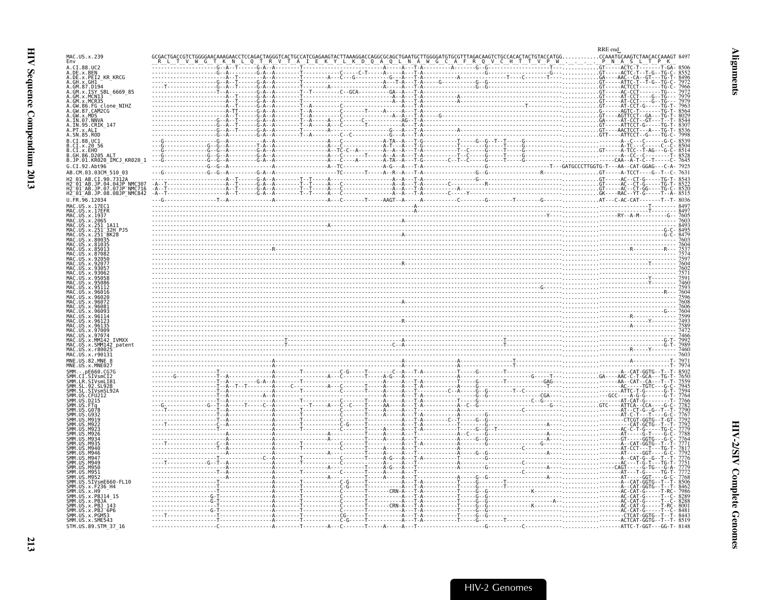<span id="page-58-0"></span>

| MAC.US.x.239                                                                                                                                                                      |  |  |  | RRE end<br>CCAAATGCAAGTCTAACACCAAAGT |
|-----------------------------------------------------------------------------------------------------------------------------------------------------------------------------------|--|--|--|--------------------------------------|
| Env<br>A.CI.88.UC2                                                                                                                                                                |  |  |  |                                      |
| A.DE.x.BEN<br>A.DE.x.PEI2_KR_KRCG                                                                                                                                                 |  |  |  |                                      |
| A.GH.X.GHI                                                                                                                                                                        |  |  |  |                                      |
| A.GM.x.ISY SBL 6669 85<br>A.GM.x.MCNI3                                                                                                                                            |  |  |  |                                      |
| .GM.x.MCR35                                                                                                                                                                       |  |  |  |                                      |
| 86.FG clone NIHZ<br>A.GW.87.CAM2CG                                                                                                                                                |  |  |  |                                      |
| A.GW.x.MDS<br>A.IN.07.NNVA                                                                                                                                                        |  |  |  |                                      |
| A.IN.95.CRIK 147                                                                                                                                                                  |  |  |  |                                      |
| A. SN. 85. ROD                                                                                                                                                                    |  |  |  |                                      |
| B.CI.88.UC1<br>B.CI.x.20 56                                                                                                                                                       |  |  |  |                                      |
| B.CI.x.EHO<br>B.GH.86.D205 ALT                                                                                                                                                    |  |  |  |                                      |
| B.JP.01.KR020 IMCJ KR020 1                                                                                                                                                        |  |  |  |                                      |
| G.CI.92.Abt96                                                                                                                                                                     |  |  |  |                                      |
| AB.CM.03.03CM 510 03<br>H2 01 AB.CI.90.7312A                                                                                                                                      |  |  |  |                                      |
|                                                                                                                                                                                   |  |  |  |                                      |
| H2 <sup>-</sup> 01 <sup>-</sup> AB.JP.04.04JP <sup>'</sup> NMC307<br>H2 <sup>-</sup> 01 <sup>-</sup> AB.JP.07.07JP <sup>-</sup> NMC716<br>H2 <sup>-</sup> 01-AB.JP.08.08JP-NMC842 |  |  |  |                                      |
| U.FR.96.12034                                                                                                                                                                     |  |  |  |                                      |
| MAC.US.x.17EC1                                                                                                                                                                    |  |  |  |                                      |
| MAC.US.x.2065                                                                                                                                                                     |  |  |  |                                      |
|                                                                                                                                                                                   |  |  |  |                                      |
| <sup>-</sup> 32H PJ5                                                                                                                                                              |  |  |  |                                      |
| US x 80035                                                                                                                                                                        |  |  |  |                                      |
|                                                                                                                                                                                   |  |  |  |                                      |
|                                                                                                                                                                                   |  |  |  |                                      |
|                                                                                                                                                                                   |  |  |  |                                      |
|                                                                                                                                                                                   |  |  |  |                                      |
|                                                                                                                                                                                   |  |  |  |                                      |
|                                                                                                                                                                                   |  |  |  |                                      |
|                                                                                                                                                                                   |  |  |  |                                      |
|                                                                                                                                                                                   |  |  |  |                                      |
|                                                                                                                                                                                   |  |  |  |                                      |
|                                                                                                                                                                                   |  |  |  |                                      |
|                                                                                                                                                                                   |  |  |  |                                      |
|                                                                                                                                                                                   |  |  |  |                                      |
|                                                                                                                                                                                   |  |  |  |                                      |
| MNF. IIS 82 MNF                                                                                                                                                                   |  |  |  |                                      |
|                                                                                                                                                                                   |  |  |  |                                      |
|                                                                                                                                                                                   |  |  |  |                                      |
| SL 92B                                                                                                                                                                            |  |  |  |                                      |
|                                                                                                                                                                                   |  |  |  |                                      |
|                                                                                                                                                                                   |  |  |  |                                      |
|                                                                                                                                                                                   |  |  |  |                                      |
|                                                                                                                                                                                   |  |  |  |                                      |
|                                                                                                                                                                                   |  |  |  |                                      |
|                                                                                                                                                                                   |  |  |  |                                      |
|                                                                                                                                                                                   |  |  |  |                                      |
|                                                                                                                                                                                   |  |  |  |                                      |
|                                                                                                                                                                                   |  |  |  |                                      |
|                                                                                                                                                                                   |  |  |  |                                      |
| <b>M95</b>                                                                                                                                                                        |  |  |  |                                      |
| SMM.US.SIVsmE660-FL10                                                                                                                                                             |  |  |  |                                      |
| SMM.US.x.F236_H4<br>SMM.US.x.H9                                                                                                                                                   |  |  |  |                                      |
| SMM. US. x. PBJ14_15                                                                                                                                                              |  |  |  |                                      |
| ŠMM.UŠ.x.PBJA<br>SMM.US.x.PBJ :                                                                                                                                                   |  |  |  |                                      |
| SMM.US.x.PBJ <sup>-</sup> 6P6<br>SMM.US.x.PGM53                                                                                                                                   |  |  |  |                                      |
| SMM.US.x.SME543                                                                                                                                                                   |  |  |  |                                      |
| STM.US.89.STM 37 16                                                                                                                                                               |  |  |  |                                      |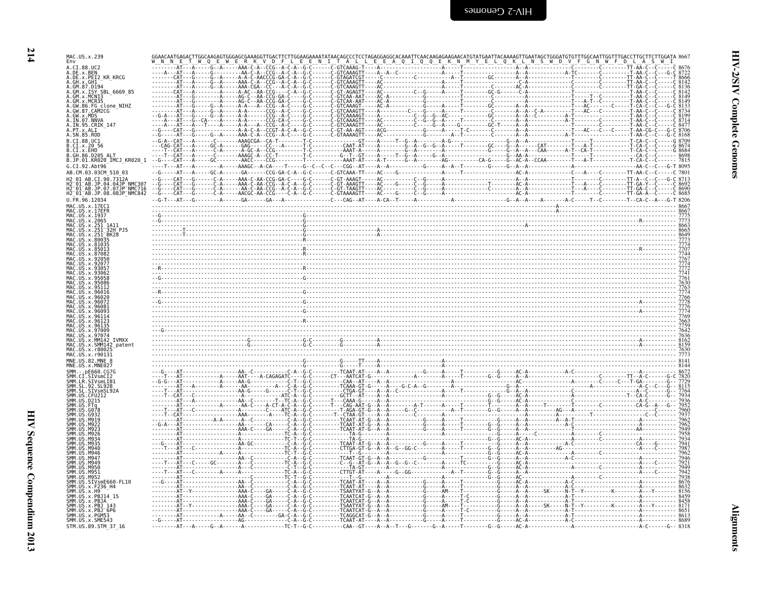| MAC.US.x.239<br>Env                                                |                                |  |  |  |  |  |
|--------------------------------------------------------------------|--------------------------------|--|--|--|--|--|
| A.CI.88.UC2<br>A.DE.x.BEN<br>A.DE.x.PEI2 KR KRCG                   |                                |  |  |  |  |  |
| .GH . x . GH1<br>GM 87 0194                                        |                                |  |  |  |  |  |
| GM.x.ISY SBL 6669 85                                               |                                |  |  |  |  |  |
| MCR35<br>FG clone_NIHZ<br>.CAM2CG                                  |                                |  |  |  |  |  |
|                                                                    |                                |  |  |  |  |  |
|                                                                    |                                |  |  |  |  |  |
| .SN.85.ROD<br>CI.88.UC1                                            |                                |  |  |  |  |  |
| CI.X.EHO<br>GH.86.D205 ALT.                                        |                                |  |  |  |  |  |
| .JP.01.KR020_IMCJ_KR020_1<br>.CI.92.Abt96                          |                                |  |  |  |  |  |
| AB.CM.03.03CM 510 03                                               |                                |  |  |  |  |  |
| $01$ $AB$ .JP.07.07JP NMC716                                       |                                |  |  |  |  |  |
| H2_01_AB.JP.08.08JP NMČ84Ž                                         |                                |  |  |  |  |  |
|                                                                    |                                |  |  |  |  |  |
|                                                                    |                                |  |  |  |  |  |
|                                                                    |                                |  |  |  |  |  |
|                                                                    |                                |  |  |  |  |  |
|                                                                    |                                |  |  |  |  |  |
|                                                                    |                                |  |  |  |  |  |
|                                                                    |                                |  |  |  |  |  |
|                                                                    |                                |  |  |  |  |  |
|                                                                    |                                |  |  |  |  |  |
|                                                                    |                                |  |  |  |  |  |
|                                                                    |                                |  |  |  |  |  |
| <b>TVMXX</b>                                                       |                                |  |  |  |  |  |
| MM142 patent                                                       |                                |  |  |  |  |  |
|                                                                    |                                |  |  |  |  |  |
|                                                                    |                                |  |  |  |  |  |
|                                                                    |                                |  |  |  |  |  |
|                                                                    |                                |  |  |  |  |  |
|                                                                    |                                |  |  |  |  |  |
|                                                                    |                                |  |  |  |  |  |
|                                                                    |                                |  |  |  |  |  |
|                                                                    |                                |  |  |  |  |  |
|                                                                    |                                |  |  |  |  |  |
|                                                                    |                                |  |  |  |  |  |
|                                                                    |                                |  |  |  |  |  |
|                                                                    | -----AT------------------AAA-C |  |  |  |  |  |
| SMM.US.x.PBJ 143                                                   |                                |  |  |  |  |  |
| SMM.ŪŠ.x.PBJ <sup>-</sup> 6P6<br>SMM.US.x.PGM53<br>SMM.US.x.SME543 | - - - - GA - - - - - C - A -   |  |  |  |  |  |
| STM.US.89.STM_37 16                                                |                                |  |  |  |  |  |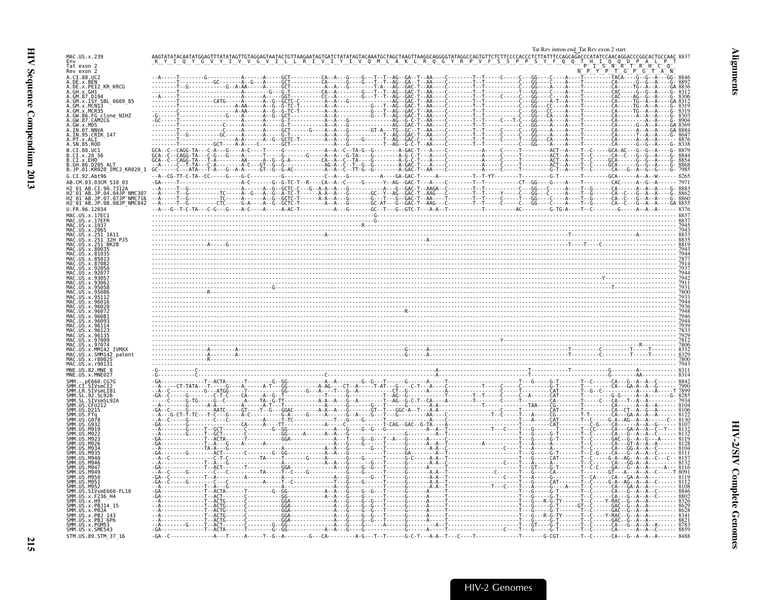<span id="page-60-0"></span>

| TAAGGCAGGGGTATAGGCCAGTGTTCTCTTCCCCACCCTCTTATTTCCAGCAGACCCATATCCAACAGGACCCGGCACTGCCAAC 883<br>MAC.US.x.239<br>S S P P<br>Env<br>Tat exon 2<br>Rev exon 2<br>R Q G Y R P V<br>Y F Q Q<br>$G^-$<br>A.CI.88.UC2<br>A.DE.x.BEN<br>A.DE.x.PEI2 KR KRCG<br>- T - - AA - - - - C - - - - - - - - T - - T<br>A.GH.X.GH1<br>GM.87.D194<br>GM.x.ISY SBL 6669 85<br>-GAC - T-<br>GM.x.MCR35<br>86.FG clone NIHZ<br>CAM2CG<br>GW.x.MDS<br>$\begin{bmatrix} \textbf{1} & \textbf{1} & \textbf{1} & \textbf{1} & \textbf{1} & \textbf{1} & \textbf{1} & \textbf{1} & \textbf{1} & \textbf{1} & \textbf{1} & \textbf{1} & \textbf{1} & \textbf{1} & \textbf{1} & \textbf{1} & \textbf{1} & \textbf{1} & \textbf{1} & \textbf{1} & \textbf{1} & \textbf{1} & \textbf{1} & \textbf{1} & \textbf{1} & \textbf{1} & \textbf{1} & \textbf{1} & \textbf{1} & \textbf{1} & \textbf{$<br>.07.NNV/<br>A.IN.95.CRIK 147<br>PT x AIT<br>A.SN.85.ROD<br>B.CI.88.UC1<br>B.CI.x.20 56<br>B.CI.x.EHO<br>.86.D205 ALT<br>B.JP.01.KR020 IMCJ_KR020 1<br>$-A - CG - TT - C - TA - CC - - - - G - - - - G - C -$<br>G.CI.92.Abt96<br>AB.CM.03.03CM 510 03<br>_AB.JP.04.04JP NMC307<br>_AB.JP.07.07JP NMC716<br>_AB.JP.08.08JP_NMC842<br>9707<br><b>TVMXX</b><br>SMM142 patent<br>MAC.US.x.r90131<br>MNE.US.82.MNE 8 |
|----------------------------------------------------------------------------------------------------------------------------------------------------------------------------------------------------------------------------------------------------------------------------------------------------------------------------------------------------------------------------------------------------------------------------------------------------------------------------------------------------------------------------------------------------------------------------------------------------------------------------------------------------------------------------------------------------------------------------------------------------------------------------------------------------------------------------------------------------------------------------------------------------------------------------------------------------------------------------------------------------------------------------------------------------------------------------------------------------------------------------------------------------------------------------------------------------------------------------------------------------------------------------------|
|                                                                                                                                                                                                                                                                                                                                                                                                                                                                                                                                                                                                                                                                                                                                                                                                                                                                                                                                                                                                                                                                                                                                                                                                                                                                                  |
|                                                                                                                                                                                                                                                                                                                                                                                                                                                                                                                                                                                                                                                                                                                                                                                                                                                                                                                                                                                                                                                                                                                                                                                                                                                                                  |
|                                                                                                                                                                                                                                                                                                                                                                                                                                                                                                                                                                                                                                                                                                                                                                                                                                                                                                                                                                                                                                                                                                                                                                                                                                                                                  |
|                                                                                                                                                                                                                                                                                                                                                                                                                                                                                                                                                                                                                                                                                                                                                                                                                                                                                                                                                                                                                                                                                                                                                                                                                                                                                  |
|                                                                                                                                                                                                                                                                                                                                                                                                                                                                                                                                                                                                                                                                                                                                                                                                                                                                                                                                                                                                                                                                                                                                                                                                                                                                                  |
|                                                                                                                                                                                                                                                                                                                                                                                                                                                                                                                                                                                                                                                                                                                                                                                                                                                                                                                                                                                                                                                                                                                                                                                                                                                                                  |
|                                                                                                                                                                                                                                                                                                                                                                                                                                                                                                                                                                                                                                                                                                                                                                                                                                                                                                                                                                                                                                                                                                                                                                                                                                                                                  |
|                                                                                                                                                                                                                                                                                                                                                                                                                                                                                                                                                                                                                                                                                                                                                                                                                                                                                                                                                                                                                                                                                                                                                                                                                                                                                  |
|                                                                                                                                                                                                                                                                                                                                                                                                                                                                                                                                                                                                                                                                                                                                                                                                                                                                                                                                                                                                                                                                                                                                                                                                                                                                                  |
|                                                                                                                                                                                                                                                                                                                                                                                                                                                                                                                                                                                                                                                                                                                                                                                                                                                                                                                                                                                                                                                                                                                                                                                                                                                                                  |
|                                                                                                                                                                                                                                                                                                                                                                                                                                                                                                                                                                                                                                                                                                                                                                                                                                                                                                                                                                                                                                                                                                                                                                                                                                                                                  |
|                                                                                                                                                                                                                                                                                                                                                                                                                                                                                                                                                                                                                                                                                                                                                                                                                                                                                                                                                                                                                                                                                                                                                                                                                                                                                  |
|                                                                                                                                                                                                                                                                                                                                                                                                                                                                                                                                                                                                                                                                                                                                                                                                                                                                                                                                                                                                                                                                                                                                                                                                                                                                                  |
|                                                                                                                                                                                                                                                                                                                                                                                                                                                                                                                                                                                                                                                                                                                                                                                                                                                                                                                                                                                                                                                                                                                                                                                                                                                                                  |
|                                                                                                                                                                                                                                                                                                                                                                                                                                                                                                                                                                                                                                                                                                                                                                                                                                                                                                                                                                                                                                                                                                                                                                                                                                                                                  |
|                                                                                                                                                                                                                                                                                                                                                                                                                                                                                                                                                                                                                                                                                                                                                                                                                                                                                                                                                                                                                                                                                                                                                                                                                                                                                  |
|                                                                                                                                                                                                                                                                                                                                                                                                                                                                                                                                                                                                                                                                                                                                                                                                                                                                                                                                                                                                                                                                                                                                                                                                                                                                                  |
|                                                                                                                                                                                                                                                                                                                                                                                                                                                                                                                                                                                                                                                                                                                                                                                                                                                                                                                                                                                                                                                                                                                                                                                                                                                                                  |
|                                                                                                                                                                                                                                                                                                                                                                                                                                                                                                                                                                                                                                                                                                                                                                                                                                                                                                                                                                                                                                                                                                                                                                                                                                                                                  |
|                                                                                                                                                                                                                                                                                                                                                                                                                                                                                                                                                                                                                                                                                                                                                                                                                                                                                                                                                                                                                                                                                                                                                                                                                                                                                  |
|                                                                                                                                                                                                                                                                                                                                                                                                                                                                                                                                                                                                                                                                                                                                                                                                                                                                                                                                                                                                                                                                                                                                                                                                                                                                                  |
|                                                                                                                                                                                                                                                                                                                                                                                                                                                                                                                                                                                                                                                                                                                                                                                                                                                                                                                                                                                                                                                                                                                                                                                                                                                                                  |
|                                                                                                                                                                                                                                                                                                                                                                                                                                                                                                                                                                                                                                                                                                                                                                                                                                                                                                                                                                                                                                                                                                                                                                                                                                                                                  |
|                                                                                                                                                                                                                                                                                                                                                                                                                                                                                                                                                                                                                                                                                                                                                                                                                                                                                                                                                                                                                                                                                                                                                                                                                                                                                  |
|                                                                                                                                                                                                                                                                                                                                                                                                                                                                                                                                                                                                                                                                                                                                                                                                                                                                                                                                                                                                                                                                                                                                                                                                                                                                                  |
|                                                                                                                                                                                                                                                                                                                                                                                                                                                                                                                                                                                                                                                                                                                                                                                                                                                                                                                                                                                                                                                                                                                                                                                                                                                                                  |
|                                                                                                                                                                                                                                                                                                                                                                                                                                                                                                                                                                                                                                                                                                                                                                                                                                                                                                                                                                                                                                                                                                                                                                                                                                                                                  |
|                                                                                                                                                                                                                                                                                                                                                                                                                                                                                                                                                                                                                                                                                                                                                                                                                                                                                                                                                                                                                                                                                                                                                                                                                                                                                  |
|                                                                                                                                                                                                                                                                                                                                                                                                                                                                                                                                                                                                                                                                                                                                                                                                                                                                                                                                                                                                                                                                                                                                                                                                                                                                                  |
|                                                                                                                                                                                                                                                                                                                                                                                                                                                                                                                                                                                                                                                                                                                                                                                                                                                                                                                                                                                                                                                                                                                                                                                                                                                                                  |
|                                                                                                                                                                                                                                                                                                                                                                                                                                                                                                                                                                                                                                                                                                                                                                                                                                                                                                                                                                                                                                                                                                                                                                                                                                                                                  |
|                                                                                                                                                                                                                                                                                                                                                                                                                                                                                                                                                                                                                                                                                                                                                                                                                                                                                                                                                                                                                                                                                                                                                                                                                                                                                  |
|                                                                                                                                                                                                                                                                                                                                                                                                                                                                                                                                                                                                                                                                                                                                                                                                                                                                                                                                                                                                                                                                                                                                                                                                                                                                                  |
|                                                                                                                                                                                                                                                                                                                                                                                                                                                                                                                                                                                                                                                                                                                                                                                                                                                                                                                                                                                                                                                                                                                                                                                                                                                                                  |
|                                                                                                                                                                                                                                                                                                                                                                                                                                                                                                                                                                                                                                                                                                                                                                                                                                                                                                                                                                                                                                                                                                                                                                                                                                                                                  |
|                                                                                                                                                                                                                                                                                                                                                                                                                                                                                                                                                                                                                                                                                                                                                                                                                                                                                                                                                                                                                                                                                                                                                                                                                                                                                  |
|                                                                                                                                                                                                                                                                                                                                                                                                                                                                                                                                                                                                                                                                                                                                                                                                                                                                                                                                                                                                                                                                                                                                                                                                                                                                                  |
|                                                                                                                                                                                                                                                                                                                                                                                                                                                                                                                                                                                                                                                                                                                                                                                                                                                                                                                                                                                                                                                                                                                                                                                                                                                                                  |
|                                                                                                                                                                                                                                                                                                                                                                                                                                                                                                                                                                                                                                                                                                                                                                                                                                                                                                                                                                                                                                                                                                                                                                                                                                                                                  |
|                                                                                                                                                                                                                                                                                                                                                                                                                                                                                                                                                                                                                                                                                                                                                                                                                                                                                                                                                                                                                                                                                                                                                                                                                                                                                  |
|                                                                                                                                                                                                                                                                                                                                                                                                                                                                                                                                                                                                                                                                                                                                                                                                                                                                                                                                                                                                                                                                                                                                                                                                                                                                                  |
| .SIVsmE660-FL10<br>.x.F236_H4                                                                                                                                                                                                                                                                                                                                                                                                                                                                                                                                                                                                                                                                                                                                                                                                                                                                                                                                                                                                                                                                                                                                                                                                                                                    |
| x.PBJ14 15                                                                                                                                                                                                                                                                                                                                                                                                                                                                                                                                                                                                                                                                                                                                                                                                                                                                                                                                                                                                                                                                                                                                                                                                                                                                       |
|                                                                                                                                                                                                                                                                                                                                                                                                                                                                                                                                                                                                                                                                                                                                                                                                                                                                                                                                                                                                                                                                                                                                                                                                                                                                                  |
| x.PBJ <sup>-6P6</sup><br>x. PGM53<br>SMM.US.x.SME543                                                                                                                                                                                                                                                                                                                                                                                                                                                                                                                                                                                                                                                                                                                                                                                                                                                                                                                                                                                                                                                                                                                                                                                                                             |
| STM.US.89.STM 37 16                                                                                                                                                                                                                                                                                                                                                                                                                                                                                                                                                                                                                                                                                                                                                                                                                                                                                                                                                                                                                                                                                                                                                                                                                                                              |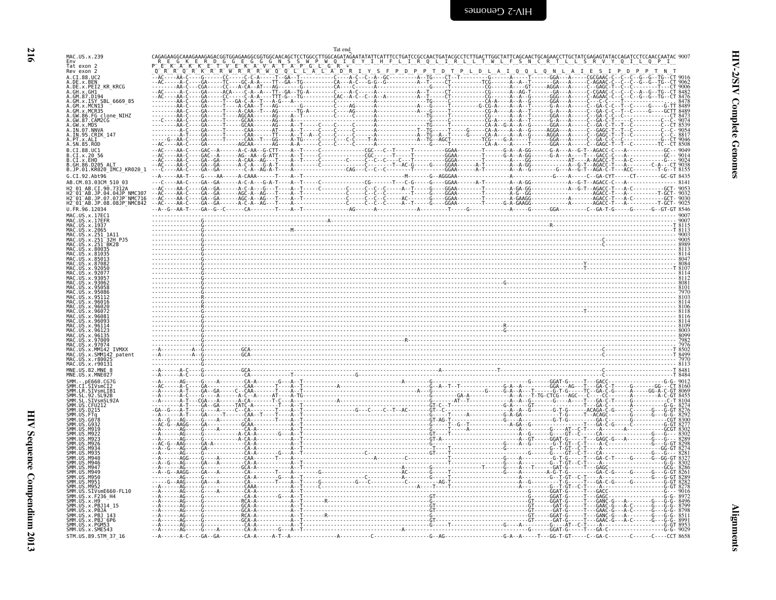| GM.x.ISY SBL 6669 85                                                            |  |  |  |  |  |  |
|---------------------------------------------------------------------------------|--|--|--|--|--|--|
| GM.x.MCNI3                                                                      |  |  |  |  |  |  |
| A.GW.86.FG clone NIHZ<br>A.GW.87.CAM2CG                                         |  |  |  |  |  |  |
| A.GW.X.MDS<br>A.IN.07.NNVA<br>A. IN. 95. CRIK_147<br>A. PT. x. ALI              |  |  |  |  |  |  |
| A.SN.85.ROD                                                                     |  |  |  |  |  |  |
| B.CI.88.UC1<br>B.CI.X.20 56                                                     |  |  |  |  |  |  |
| B.CT.x.EHO<br>B.GH.86.D205 ALT<br>B.JP.01.KR020_IMCJ_KR020_1                    |  |  |  |  |  |  |
| G.CI.92.Abt96                                                                   |  |  |  |  |  |  |
| AB.CM.03.03CM 510 03<br>H2_01_AB.CI.90.7312A<br>H2_01_AB.JP.04.04JP_NMC307      |  |  |  |  |  |  |
| H2-01-AB.JP.07.07JP-NMC716<br>H2 <sup>-01-AB.JP.08.08JP<sup>-</sup>NMC842</sup> |  |  |  |  |  |  |
| U.FR.96.12034                                                                   |  |  |  |  |  |  |
| MAC.US.x.17EC1<br>MAC.US.x.17EFR<br>MAC. US. x. 1937                            |  |  |  |  |  |  |
| MAC.US.x.2065<br>US.x.251                                                       |  |  |  |  |  |  |
| .x.251<br>JS.x.251                                                              |  |  |  |  |  |  |
|                                                                                 |  |  |  |  |  |  |
|                                                                                 |  |  |  |  |  |  |
|                                                                                 |  |  |  |  |  |  |
| MAC.US.x.93062<br>MAC.US.x.95058<br>MAC.US.x.95086                              |  |  |  |  |  |  |
| MAC.US.x.95112<br>US.x.96016                                                    |  |  |  |  |  |  |
| MAC.US.x.96020<br>US.x.96072                                                    |  |  |  |  |  |  |
| .x.9608<br>US.x.96093<br>. x.96114                                              |  |  |  |  |  |  |
| US.x.96123<br>US.x.96135                                                        |  |  |  |  |  |  |
| US.x.97009<br>MAC.US.x.97074                                                    |  |  |  |  |  |  |
| MAC.US.x.MM142_IVMXX<br>MAC.US.x.SMM142 patent<br>MAC.US.x.r80025               |  |  |  |  |  |  |
| MAC.US.x.r90131<br>MNE.US.82.MNE 8                                              |  |  |  |  |  |  |
| MNE.US.x.MNE027                                                                 |  |  |  |  |  |  |
| SIVsmCI2<br>SMM.LR.SIVsmLIB1                                                    |  |  |  |  |  |  |
| SMM.SL.92.SL92B<br>SMM.SL.SIVsmSL92A                                            |  |  |  |  |  |  |
| SMM.US.CFU212<br>SMM.US.D215                                                    |  |  |  |  |  |  |
| SMM.US.G078                                                                     |  |  |  |  |  |  |
| M922                                                                            |  |  |  |  |  |  |
| M934                                                                            |  |  |  |  |  |  |
| M946                                                                            |  |  |  |  |  |  |
| M946<br>M947                                                                    |  |  |  |  |  |  |
| M940<br>M950<br>SMM IIS M951                                                    |  |  |  |  |  |  |
| SMM US M952<br>SMM.US.SIVsmE660-FL10                                            |  |  |  |  |  |  |
| SMM.US.x.F236 H4<br>SMM.US.x.H9                                                 |  |  |  |  |  |  |
| SMM.US.x.PBJ14 15<br>US.x.PBJA                                                  |  |  |  |  |  |  |
| US.X.PBJ 143<br>US.x.PGM53                                                      |  |  |  |  |  |  |
| SMM.US.x.SME543                                                                 |  |  |  |  |  |  |

<span id="page-61-0"></span>MAC.US.x.239

Env<br>Tat exon 2<br>Rev exon 2

A.CI.88.UC2<br>A.DE.x.BEN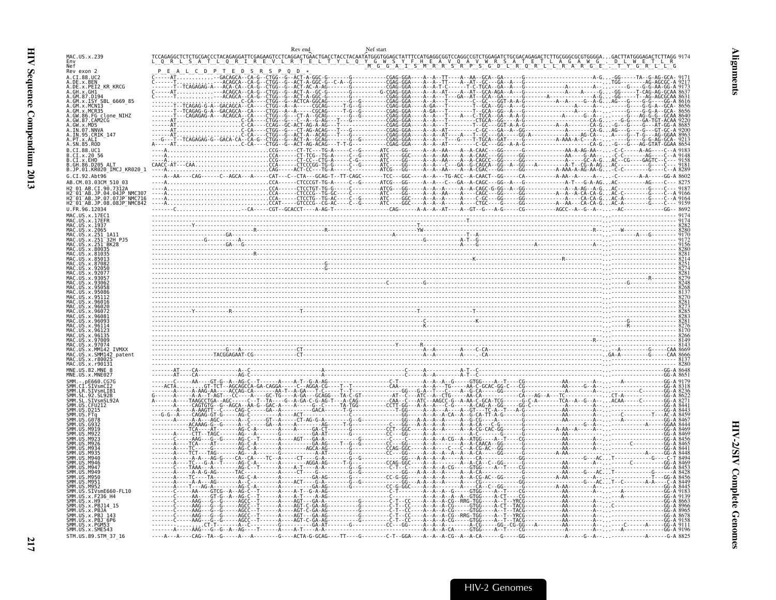<span id="page-62-0"></span>

|                                                                                      | Rev end                                                                                                                                                                                                                                                                                                                                                                                                                          | Nef start |  |
|--------------------------------------------------------------------------------------|----------------------------------------------------------------------------------------------------------------------------------------------------------------------------------------------------------------------------------------------------------------------------------------------------------------------------------------------------------------------------------------------------------------------------------|-----------|--|
| MAC. US. x. 239                                                                      |                                                                                                                                                                                                                                                                                                                                                                                                                                  |           |  |
| Rev exon 2                                                                           |                                                                                                                                                                                                                                                                                                                                                                                                                                  |           |  |
| A.CI.88.UC2                                                                          | $\begin{bmatrix} \textbf{1} & \textbf{1} & \textbf{1} & \textbf{1} & \textbf{1} & \textbf{1} & \textbf{1} & \textbf{1} & \textbf{1} & \textbf{1} & \textbf{1} & \textbf{1} & \textbf{1} & \textbf{1} & \textbf{1} & \textbf{1} & \textbf{1} & \textbf{1} & \textbf{1} & \textbf{1} & \textbf{1} & \textbf{1} & \textbf{1} & \textbf{1} & \textbf{1} & \textbf{1} & \textbf{1} & \textbf{1} & \textbf{1} & \textbf{1} & \textbf{$ |           |  |
| A.DE.x.BEN<br>A.DE.x.PEI2 KR KRCG                                                    |                                                                                                                                                                                                                                                                                                                                                                                                                                  |           |  |
|                                                                                      |                                                                                                                                                                                                                                                                                                                                                                                                                                  |           |  |
| SBL 6669 85<br>GM.x.MCNI3                                                            |                                                                                                                                                                                                                                                                                                                                                                                                                                  |           |  |
| MCR35                                                                                |                                                                                                                                                                                                                                                                                                                                                                                                                                  |           |  |
| .GW.86.FG clone_NIHZ<br>.GW.87.CAM2CG                                                |                                                                                                                                                                                                                                                                                                                                                                                                                                  |           |  |
| MDS                                                                                  |                                                                                                                                                                                                                                                                                                                                                                                                                                  |           |  |
| 95.CRIK 147                                                                          |                                                                                                                                                                                                                                                                                                                                                                                                                                  |           |  |
| SN.85.ROD                                                                            |                                                                                                                                                                                                                                                                                                                                                                                                                                  |           |  |
| .CI.88.UC1                                                                           |                                                                                                                                                                                                                                                                                                                                                                                                                                  |           |  |
| .CI.x.20 56                                                                          |                                                                                                                                                                                                                                                                                                                                                                                                                                  |           |  |
| GH 86 D205 ALT<br>.JP.01.KR020_IMCJ_KR020_1                                          |                                                                                                                                                                                                                                                                                                                                                                                                                                  |           |  |
| G.CI.92.Abt96                                                                        |                                                                                                                                                                                                                                                                                                                                                                                                                                  |           |  |
|                                                                                      |                                                                                                                                                                                                                                                                                                                                                                                                                                  |           |  |
|                                                                                      |                                                                                                                                                                                                                                                                                                                                                                                                                                  |           |  |
| 12=01=AB.JP.04.04JP NMC307<br>2=01=AB.JP.07.07JP NMC716<br>2=01=AB.JP.08.08JP_NMC842 |                                                                                                                                                                                                                                                                                                                                                                                                                                  |           |  |
| IL FR. 96. 12034                                                                     |                                                                                                                                                                                                                                                                                                                                                                                                                                  |           |  |
|                                                                                      |                                                                                                                                                                                                                                                                                                                                                                                                                                  |           |  |
|                                                                                      |                                                                                                                                                                                                                                                                                                                                                                                                                                  |           |  |
|                                                                                      |                                                                                                                                                                                                                                                                                                                                                                                                                                  |           |  |
|                                                                                      |                                                                                                                                                                                                                                                                                                                                                                                                                                  |           |  |
|                                                                                      |                                                                                                                                                                                                                                                                                                                                                                                                                                  |           |  |
|                                                                                      |                                                                                                                                                                                                                                                                                                                                                                                                                                  |           |  |
|                                                                                      |                                                                                                                                                                                                                                                                                                                                                                                                                                  |           |  |
|                                                                                      |                                                                                                                                                                                                                                                                                                                                                                                                                                  |           |  |
|                                                                                      | $\frac{64.46}{64.46}$                                                                                                                                                                                                                                                                                                                                                                                                            |           |  |
|                                                                                      |                                                                                                                                                                                                                                                                                                                                                                                                                                  |           |  |
|                                                                                      |                                                                                                                                                                                                                                                                                                                                                                                                                                  |           |  |
|                                                                                      |                                                                                                                                                                                                                                                                                                                                                                                                                                  |           |  |
|                                                                                      |                                                                                                                                                                                                                                                                                                                                                                                                                                  |           |  |
|                                                                                      |                                                                                                                                                                                                                                                                                                                                                                                                                                  |           |  |
|                                                                                      |                                                                                                                                                                                                                                                                                                                                                                                                                                  |           |  |
|                                                                                      |                                                                                                                                                                                                                                                                                                                                                                                                                                  |           |  |
| MM142 TVMXX<br>SMM142 patent                                                         |                                                                                                                                                                                                                                                                                                                                                                                                                                  |           |  |
| IIS Y r800                                                                           |                                                                                                                                                                                                                                                                                                                                                                                                                                  |           |  |
|                                                                                      |                                                                                                                                                                                                                                                                                                                                                                                                                                  |           |  |
|                                                                                      |                                                                                                                                                                                                                                                                                                                                                                                                                                  |           |  |
|                                                                                      |                                                                                                                                                                                                                                                                                                                                                                                                                                  |           |  |
|                                                                                      |                                                                                                                                                                                                                                                                                                                                                                                                                                  |           |  |
|                                                                                      |                                                                                                                                                                                                                                                                                                                                                                                                                                  |           |  |
|                                                                                      |                                                                                                                                                                                                                                                                                                                                                                                                                                  |           |  |
|                                                                                      |                                                                                                                                                                                                                                                                                                                                                                                                                                  |           |  |
|                                                                                      |                                                                                                                                                                                                                                                                                                                                                                                                                                  |           |  |
|                                                                                      |                                                                                                                                                                                                                                                                                                                                                                                                                                  |           |  |
|                                                                                      |                                                                                                                                                                                                                                                                                                                                                                                                                                  |           |  |
|                                                                                      |                                                                                                                                                                                                                                                                                                                                                                                                                                  |           |  |
|                                                                                      |                                                                                                                                                                                                                                                                                                                                                                                                                                  |           |  |
|                                                                                      |                                                                                                                                                                                                                                                                                                                                                                                                                                  |           |  |
|                                                                                      |                                                                                                                                                                                                                                                                                                                                                                                                                                  |           |  |
|                                                                                      |                                                                                                                                                                                                                                                                                                                                                                                                                                  |           |  |
|                                                                                      |                                                                                                                                                                                                                                                                                                                                                                                                                                  |           |  |
| SIVsmE660-FL10.                                                                      |                                                                                                                                                                                                                                                                                                                                                                                                                                  |           |  |
| x.F236 H4                                                                            |                                                                                                                                                                                                                                                                                                                                                                                                                                  |           |  |
|                                                                                      |                                                                                                                                                                                                                                                                                                                                                                                                                                  |           |  |
|                                                                                      |                                                                                                                                                                                                                                                                                                                                                                                                                                  |           |  |
| SMM.US.x.SME543                                                                      |                                                                                                                                                                                                                                                                                                                                                                                                                                  |           |  |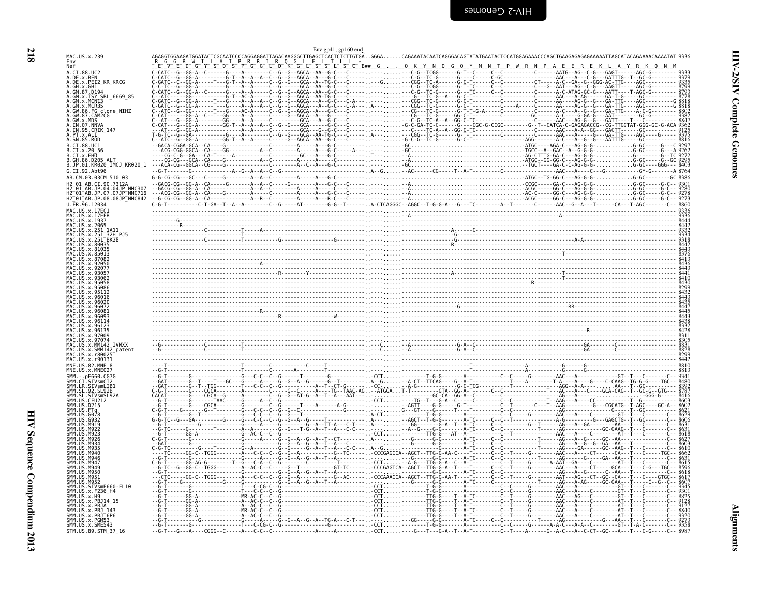<span id="page-63-0"></span>

|                                                                                                                                                                                                                                                                                                                                                                                                                                                                                               | Env gp41, gp160 end |  |
|-----------------------------------------------------------------------------------------------------------------------------------------------------------------------------------------------------------------------------------------------------------------------------------------------------------------------------------------------------------------------------------------------------------------------------------------------------------------------------------------------|---------------------|--|
| MAC.US.x.239<br>Env<br>Nef                                                                                                                                                                                                                                                                                                                                                                                                                                                                    |                     |  |
| A.CI.88.UC2<br>A.DE.X.BEN<br>A.DE.X.PEI2_KR_KRCG<br>A.GH.x.GH1<br>A.GM.87.D194<br>A.GM.x.ISY SBL 6669 85<br>A.GM.x.MCNI3<br>GM.x.MCR35<br>A.GW.86.FG_clone_NIHZ<br>A.GW.87.CAM2CG<br>A.GW.x.MDS<br>A.IN.07.NNVA<br>A.IN.95.CRIK 147<br>A.PT.x.ALI<br>A.SN.85.ROD<br>B.CT.88.UC1<br>.CI.x.20 56<br>B.CI.x.EHO<br>B.JP.01.KR020 IMCJ KR020 1<br>G.CI.92.Abt96<br>AB.CM.03.03CM 510 03<br>AR CT 90.7312A<br>H2 01 AB.JP.04.04JP NMC307<br>01 AB.JP.07.07JP NMC716"<br>H2_01_AB.JP.08.08JP_NMC842 |                     |  |
| U.FR.96.12034<br>MAC.US.x.17EFR<br>MAC US x 1937<br>US.x.2065<br>US.x.251 1A11<br>US.x.251 32H<br><b>32H P15</b><br><b>TVMXX</b><br>SMM142 patent                                                                                                                                                                                                                                                                                                                                             |                     |  |
| MAC.US.x.r90131                                                                                                                                                                                                                                                                                                                                                                                                                                                                               |                     |  |
| MNE.US.82.MNE 8<br><b>M950</b><br>$STV$ sm $E660$ - $FL10$<br>SMM IIS<br>.x.F236 H4<br>SMM.US.x.H9<br>.x.PBJ14 15<br>SMM.US<br>ŠMM. US<br>.x.PBJA <sup>–</sup><br>.x.PBJ 143<br>SMM.US.x.PBJ <sup>-</sup> 6P6<br>MM.US.x.PGM53<br>SMM.US.x.SME543<br>STM.US.89.STM 37 16                                                                                                                                                                                                                      |                     |  |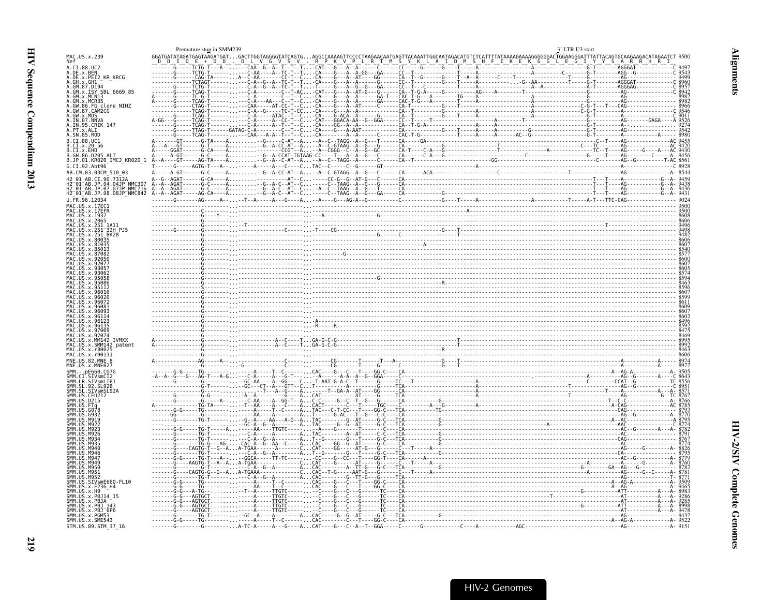<span id="page-64-0"></span>

| :AAATTGGCAATAGACATGTCTCATTTTATAAAAGAAAGGGGGGACTGGAAGGGATTTATTACAGTGCAAGAAGACATAGAATCT 950<br>KLAIDM SHFIKEKGGLEGIYYYSARRHRHRI<br>$\begin{array}{cccccccccc} \texttt{GGATGATATAGATGAGTAGGATAAGGATA} & \texttt{GATTGGTAGGGGTATCAGG} & \texttt{.} & \texttt{.} & \texttt{.} & \texttt{.} & \texttt{.} & \texttt{.} & \texttt{.} & \texttt{.} & \texttt{.} & \texttt{.} & \texttt{.} & \texttt{.} & \texttt{.} & \texttt{.} & \texttt{.} & \texttt{.} & \texttt{.} & \texttt{.} & \texttt{.} & \texttt{.} & \texttt{.} & \texttt{.} & \texttt{.} & \texttt{.} & \$<br>MAC.US.x.239<br>A.CT.88.UC2<br>A.DE.X.BEN<br>A.DE.X.PEI2_KR_KRCG<br>A.GM.x.ISY SBL 6669 85<br>A.GM.x.MCNI3<br>GM.x.MCR35<br>IN.07.NNVA<br>A.IN.95.CRIK 147<br>. SN.85.ROD<br>B.CI.88.UC1<br>B.CI.x.20 56<br>B.CI.X.EHO<br>GH.86.D205 ALT<br>B.JP.01.KR020 IMCJ KR020 1<br>G.CI.92.Abt96<br>AB.CM.03.03CM 510 03<br>2 <sup>-</sup> 01 <sup>-</sup> AB.JP.07.07JP <sup>-</sup> NMC716<br>2 <sup>-</sup> 01 <sup>-</sup> AB.JP.08.08JP <sup>-</sup> NMC842<br>U.FR.96.12034<br>MAC.US.x.17EC1<br>MAC.US.x.17EFR<br>MAC.US.x.2065<br>SMM142 patent<br>M94<br>M94C<br>M950<br>M951<br>M95.<br>.SIVsmE660-FL10<br>MM.US.x.F236_H4<br>MM.US.x.PBJ14 15<br>SMM.US.x.PBJ 143<br>SMM.US.x.PBJ <sup>-</sup> 6P6<br>SMM.US.x.PGM53<br>SMM.US.x.SME543<br>STM.US.89.STM 37 16 |  | Premature stop in SMM239 |  |  |  |  | 3' LTR U3 start |  |  |
|------------------------------------------------------------------------------------------------------------------------------------------------------------------------------------------------------------------------------------------------------------------------------------------------------------------------------------------------------------------------------------------------------------------------------------------------------------------------------------------------------------------------------------------------------------------------------------------------------------------------------------------------------------------------------------------------------------------------------------------------------------------------------------------------------------------------------------------------------------------------------------------------------------------------------------------------------------------------------------------------------------------------------------------------------------------------------------------------------------------------------------------------------------------------------------------------------------------------------------------------------------------------------------------------------------------------------------|--|--------------------------|--|--|--|--|-----------------|--|--|
|                                                                                                                                                                                                                                                                                                                                                                                                                                                                                                                                                                                                                                                                                                                                                                                                                                                                                                                                                                                                                                                                                                                                                                                                                                                                                                                                    |  |                          |  |  |  |  |                 |  |  |
|                                                                                                                                                                                                                                                                                                                                                                                                                                                                                                                                                                                                                                                                                                                                                                                                                                                                                                                                                                                                                                                                                                                                                                                                                                                                                                                                    |  |                          |  |  |  |  |                 |  |  |
|                                                                                                                                                                                                                                                                                                                                                                                                                                                                                                                                                                                                                                                                                                                                                                                                                                                                                                                                                                                                                                                                                                                                                                                                                                                                                                                                    |  |                          |  |  |  |  |                 |  |  |
|                                                                                                                                                                                                                                                                                                                                                                                                                                                                                                                                                                                                                                                                                                                                                                                                                                                                                                                                                                                                                                                                                                                                                                                                                                                                                                                                    |  |                          |  |  |  |  |                 |  |  |
|                                                                                                                                                                                                                                                                                                                                                                                                                                                                                                                                                                                                                                                                                                                                                                                                                                                                                                                                                                                                                                                                                                                                                                                                                                                                                                                                    |  |                          |  |  |  |  |                 |  |  |
|                                                                                                                                                                                                                                                                                                                                                                                                                                                                                                                                                                                                                                                                                                                                                                                                                                                                                                                                                                                                                                                                                                                                                                                                                                                                                                                                    |  |                          |  |  |  |  |                 |  |  |
|                                                                                                                                                                                                                                                                                                                                                                                                                                                                                                                                                                                                                                                                                                                                                                                                                                                                                                                                                                                                                                                                                                                                                                                                                                                                                                                                    |  |                          |  |  |  |  |                 |  |  |
|                                                                                                                                                                                                                                                                                                                                                                                                                                                                                                                                                                                                                                                                                                                                                                                                                                                                                                                                                                                                                                                                                                                                                                                                                                                                                                                                    |  |                          |  |  |  |  |                 |  |  |
|                                                                                                                                                                                                                                                                                                                                                                                                                                                                                                                                                                                                                                                                                                                                                                                                                                                                                                                                                                                                                                                                                                                                                                                                                                                                                                                                    |  |                          |  |  |  |  |                 |  |  |
|                                                                                                                                                                                                                                                                                                                                                                                                                                                                                                                                                                                                                                                                                                                                                                                                                                                                                                                                                                                                                                                                                                                                                                                                                                                                                                                                    |  |                          |  |  |  |  |                 |  |  |
|                                                                                                                                                                                                                                                                                                                                                                                                                                                                                                                                                                                                                                                                                                                                                                                                                                                                                                                                                                                                                                                                                                                                                                                                                                                                                                                                    |  |                          |  |  |  |  |                 |  |  |
|                                                                                                                                                                                                                                                                                                                                                                                                                                                                                                                                                                                                                                                                                                                                                                                                                                                                                                                                                                                                                                                                                                                                                                                                                                                                                                                                    |  |                          |  |  |  |  |                 |  |  |
|                                                                                                                                                                                                                                                                                                                                                                                                                                                                                                                                                                                                                                                                                                                                                                                                                                                                                                                                                                                                                                                                                                                                                                                                                                                                                                                                    |  |                          |  |  |  |  |                 |  |  |
|                                                                                                                                                                                                                                                                                                                                                                                                                                                                                                                                                                                                                                                                                                                                                                                                                                                                                                                                                                                                                                                                                                                                                                                                                                                                                                                                    |  |                          |  |  |  |  |                 |  |  |
|                                                                                                                                                                                                                                                                                                                                                                                                                                                                                                                                                                                                                                                                                                                                                                                                                                                                                                                                                                                                                                                                                                                                                                                                                                                                                                                                    |  |                          |  |  |  |  |                 |  |  |
|                                                                                                                                                                                                                                                                                                                                                                                                                                                                                                                                                                                                                                                                                                                                                                                                                                                                                                                                                                                                                                                                                                                                                                                                                                                                                                                                    |  |                          |  |  |  |  |                 |  |  |
|                                                                                                                                                                                                                                                                                                                                                                                                                                                                                                                                                                                                                                                                                                                                                                                                                                                                                                                                                                                                                                                                                                                                                                                                                                                                                                                                    |  |                          |  |  |  |  |                 |  |  |
|                                                                                                                                                                                                                                                                                                                                                                                                                                                                                                                                                                                                                                                                                                                                                                                                                                                                                                                                                                                                                                                                                                                                                                                                                                                                                                                                    |  |                          |  |  |  |  |                 |  |  |
|                                                                                                                                                                                                                                                                                                                                                                                                                                                                                                                                                                                                                                                                                                                                                                                                                                                                                                                                                                                                                                                                                                                                                                                                                                                                                                                                    |  |                          |  |  |  |  |                 |  |  |
|                                                                                                                                                                                                                                                                                                                                                                                                                                                                                                                                                                                                                                                                                                                                                                                                                                                                                                                                                                                                                                                                                                                                                                                                                                                                                                                                    |  |                          |  |  |  |  |                 |  |  |
|                                                                                                                                                                                                                                                                                                                                                                                                                                                                                                                                                                                                                                                                                                                                                                                                                                                                                                                                                                                                                                                                                                                                                                                                                                                                                                                                    |  |                          |  |  |  |  |                 |  |  |
|                                                                                                                                                                                                                                                                                                                                                                                                                                                                                                                                                                                                                                                                                                                                                                                                                                                                                                                                                                                                                                                                                                                                                                                                                                                                                                                                    |  |                          |  |  |  |  |                 |  |  |
|                                                                                                                                                                                                                                                                                                                                                                                                                                                                                                                                                                                                                                                                                                                                                                                                                                                                                                                                                                                                                                                                                                                                                                                                                                                                                                                                    |  |                          |  |  |  |  |                 |  |  |
|                                                                                                                                                                                                                                                                                                                                                                                                                                                                                                                                                                                                                                                                                                                                                                                                                                                                                                                                                                                                                                                                                                                                                                                                                                                                                                                                    |  |                          |  |  |  |  |                 |  |  |
|                                                                                                                                                                                                                                                                                                                                                                                                                                                                                                                                                                                                                                                                                                                                                                                                                                                                                                                                                                                                                                                                                                                                                                                                                                                                                                                                    |  |                          |  |  |  |  |                 |  |  |
|                                                                                                                                                                                                                                                                                                                                                                                                                                                                                                                                                                                                                                                                                                                                                                                                                                                                                                                                                                                                                                                                                                                                                                                                                                                                                                                                    |  |                          |  |  |  |  |                 |  |  |
|                                                                                                                                                                                                                                                                                                                                                                                                                                                                                                                                                                                                                                                                                                                                                                                                                                                                                                                                                                                                                                                                                                                                                                                                                                                                                                                                    |  |                          |  |  |  |  |                 |  |  |
|                                                                                                                                                                                                                                                                                                                                                                                                                                                                                                                                                                                                                                                                                                                                                                                                                                                                                                                                                                                                                                                                                                                                                                                                                                                                                                                                    |  |                          |  |  |  |  |                 |  |  |
|                                                                                                                                                                                                                                                                                                                                                                                                                                                                                                                                                                                                                                                                                                                                                                                                                                                                                                                                                                                                                                                                                                                                                                                                                                                                                                                                    |  |                          |  |  |  |  |                 |  |  |
|                                                                                                                                                                                                                                                                                                                                                                                                                                                                                                                                                                                                                                                                                                                                                                                                                                                                                                                                                                                                                                                                                                                                                                                                                                                                                                                                    |  |                          |  |  |  |  |                 |  |  |
|                                                                                                                                                                                                                                                                                                                                                                                                                                                                                                                                                                                                                                                                                                                                                                                                                                                                                                                                                                                                                                                                                                                                                                                                                                                                                                                                    |  |                          |  |  |  |  |                 |  |  |
|                                                                                                                                                                                                                                                                                                                                                                                                                                                                                                                                                                                                                                                                                                                                                                                                                                                                                                                                                                                                                                                                                                                                                                                                                                                                                                                                    |  |                          |  |  |  |  |                 |  |  |
|                                                                                                                                                                                                                                                                                                                                                                                                                                                                                                                                                                                                                                                                                                                                                                                                                                                                                                                                                                                                                                                                                                                                                                                                                                                                                                                                    |  |                          |  |  |  |  |                 |  |  |
|                                                                                                                                                                                                                                                                                                                                                                                                                                                                                                                                                                                                                                                                                                                                                                                                                                                                                                                                                                                                                                                                                                                                                                                                                                                                                                                                    |  |                          |  |  |  |  |                 |  |  |
|                                                                                                                                                                                                                                                                                                                                                                                                                                                                                                                                                                                                                                                                                                                                                                                                                                                                                                                                                                                                                                                                                                                                                                                                                                                                                                                                    |  |                          |  |  |  |  |                 |  |  |
|                                                                                                                                                                                                                                                                                                                                                                                                                                                                                                                                                                                                                                                                                                                                                                                                                                                                                                                                                                                                                                                                                                                                                                                                                                                                                                                                    |  |                          |  |  |  |  |                 |  |  |
|                                                                                                                                                                                                                                                                                                                                                                                                                                                                                                                                                                                                                                                                                                                                                                                                                                                                                                                                                                                                                                                                                                                                                                                                                                                                                                                                    |  |                          |  |  |  |  |                 |  |  |
|                                                                                                                                                                                                                                                                                                                                                                                                                                                                                                                                                                                                                                                                                                                                                                                                                                                                                                                                                                                                                                                                                                                                                                                                                                                                                                                                    |  |                          |  |  |  |  |                 |  |  |
|                                                                                                                                                                                                                                                                                                                                                                                                                                                                                                                                                                                                                                                                                                                                                                                                                                                                                                                                                                                                                                                                                                                                                                                                                                                                                                                                    |  |                          |  |  |  |  |                 |  |  |
|                                                                                                                                                                                                                                                                                                                                                                                                                                                                                                                                                                                                                                                                                                                                                                                                                                                                                                                                                                                                                                                                                                                                                                                                                                                                                                                                    |  |                          |  |  |  |  |                 |  |  |
|                                                                                                                                                                                                                                                                                                                                                                                                                                                                                                                                                                                                                                                                                                                                                                                                                                                                                                                                                                                                                                                                                                                                                                                                                                                                                                                                    |  |                          |  |  |  |  |                 |  |  |
|                                                                                                                                                                                                                                                                                                                                                                                                                                                                                                                                                                                                                                                                                                                                                                                                                                                                                                                                                                                                                                                                                                                                                                                                                                                                                                                                    |  |                          |  |  |  |  |                 |  |  |
|                                                                                                                                                                                                                                                                                                                                                                                                                                                                                                                                                                                                                                                                                                                                                                                                                                                                                                                                                                                                                                                                                                                                                                                                                                                                                                                                    |  |                          |  |  |  |  |                 |  |  |
|                                                                                                                                                                                                                                                                                                                                                                                                                                                                                                                                                                                                                                                                                                                                                                                                                                                                                                                                                                                                                                                                                                                                                                                                                                                                                                                                    |  |                          |  |  |  |  |                 |  |  |
|                                                                                                                                                                                                                                                                                                                                                                                                                                                                                                                                                                                                                                                                                                                                                                                                                                                                                                                                                                                                                                                                                                                                                                                                                                                                                                                                    |  |                          |  |  |  |  |                 |  |  |
|                                                                                                                                                                                                                                                                                                                                                                                                                                                                                                                                                                                                                                                                                                                                                                                                                                                                                                                                                                                                                                                                                                                                                                                                                                                                                                                                    |  |                          |  |  |  |  |                 |  |  |
|                                                                                                                                                                                                                                                                                                                                                                                                                                                                                                                                                                                                                                                                                                                                                                                                                                                                                                                                                                                                                                                                                                                                                                                                                                                                                                                                    |  |                          |  |  |  |  |                 |  |  |
|                                                                                                                                                                                                                                                                                                                                                                                                                                                                                                                                                                                                                                                                                                                                                                                                                                                                                                                                                                                                                                                                                                                                                                                                                                                                                                                                    |  |                          |  |  |  |  |                 |  |  |
|                                                                                                                                                                                                                                                                                                                                                                                                                                                                                                                                                                                                                                                                                                                                                                                                                                                                                                                                                                                                                                                                                                                                                                                                                                                                                                                                    |  |                          |  |  |  |  |                 |  |  |
|                                                                                                                                                                                                                                                                                                                                                                                                                                                                                                                                                                                                                                                                                                                                                                                                                                                                                                                                                                                                                                                                                                                                                                                                                                                                                                                                    |  |                          |  |  |  |  |                 |  |  |
|                                                                                                                                                                                                                                                                                                                                                                                                                                                                                                                                                                                                                                                                                                                                                                                                                                                                                                                                                                                                                                                                                                                                                                                                                                                                                                                                    |  |                          |  |  |  |  |                 |  |  |
|                                                                                                                                                                                                                                                                                                                                                                                                                                                                                                                                                                                                                                                                                                                                                                                                                                                                                                                                                                                                                                                                                                                                                                                                                                                                                                                                    |  |                          |  |  |  |  |                 |  |  |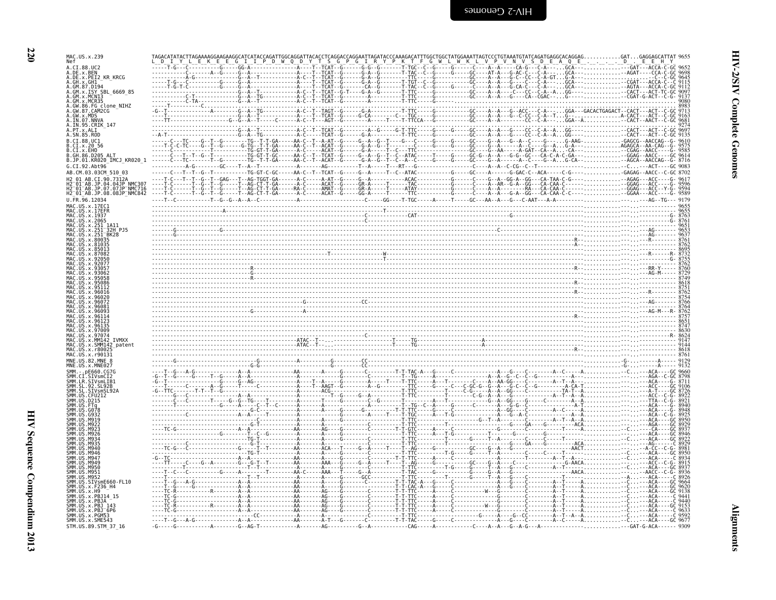| MAC.US.x.239                                               |                                                                                                                                                                                                                                                                                                                                                                                                                                                  |  |  |  |  |                                                                           |  |
|------------------------------------------------------------|--------------------------------------------------------------------------------------------------------------------------------------------------------------------------------------------------------------------------------------------------------------------------------------------------------------------------------------------------------------------------------------------------------------------------------------------------|--|--|--|--|---------------------------------------------------------------------------|--|
| A.CT.88.UC2<br>DE.x.BEN                                    |                                                                                                                                                                                                                                                                                                                                                                                                                                                  |  |  |  |  |                                                                           |  |
| SBL 6669 85                                                |                                                                                                                                                                                                                                                                                                                                                                                                                                                  |  |  |  |  |                                                                           |  |
| GW.86.FG clone NIHZ<br>GW.87.CAM2CG                        |                                                                                                                                                                                                                                                                                                                                                                                                                                                  |  |  |  |  | . GGA---GACACTGAGACT--CACT---ACT-<br>-G---------------------A-CACT---ACT- |  |
|                                                            |                                                                                                                                                                                                                                                                                                                                                                                                                                                  |  |  |  |  |                                                                           |  |
| .CI.x.EHO<br>R GH 86 D205<br>B.JP.01.KR020 IMCJ KR020 1    |                                                                                                                                                                                                                                                                                                                                                                                                                                                  |  |  |  |  |                                                                           |  |
| G. CT. 92. Aht96<br>AB.CM.03.03CM 510 03<br>AR CT 90.7312A |                                                                                                                                                                                                                                                                                                                                                                                                                                                  |  |  |  |  |                                                                           |  |
| .JP.07.07JP NMC716<br>.JP.08.08JP <sup>-</sup> NMC842      |                                                                                                                                                                                                                                                                                                                                                                                                                                                  |  |  |  |  |                                                                           |  |
|                                                            |                                                                                                                                                                                                                                                                                                                                                                                                                                                  |  |  |  |  |                                                                           |  |
|                                                            |                                                                                                                                                                                                                                                                                                                                                                                                                                                  |  |  |  |  |                                                                           |  |
|                                                            |                                                                                                                                                                                                                                                                                                                                                                                                                                                  |  |  |  |  |                                                                           |  |
|                                                            |                                                                                                                                                                                                                                                                                                                                                                                                                                                  |  |  |  |  |                                                                           |  |
|                                                            |                                                                                                                                                                                                                                                                                                                                                                                                                                                  |  |  |  |  |                                                                           |  |
|                                                            |                                                                                                                                                                                                                                                                                                                                                                                                                                                  |  |  |  |  |                                                                           |  |
|                                                            | $\begin{minipage}{0.5\textwidth} \begin{tabular}{ c c c } \hline & \multicolumn{1}{ c }{0.5\textwidth} \begin{tabular}{ c c c } \hline & \multicolumn{1}{ c }{0.5\textwidth} \begin{tabular}{ c c c } \hline \multicolumn{1}{ c }{0.5\textwidth} \begin{tabular}{ c c c } \hline \multicolumn{1}{ c }{0.5\textwidth} \begin{tabular}{ c c c } \hline \multicolumn{1}{ c }{0.5\textwidth} \begin{tabular}{ c c } \hline \multicolumn{1}{ c }{0.5$ |  |  |  |  |                                                                           |  |
|                                                            |                                                                                                                                                                                                                                                                                                                                                                                                                                                  |  |  |  |  |                                                                           |  |
| MNE.US.82.MNE                                              |                                                                                                                                                                                                                                                                                                                                                                                                                                                  |  |  |  |  |                                                                           |  |
| <b>IR STVsmlTR1</b>                                        |                                                                                                                                                                                                                                                                                                                                                                                                                                                  |  |  |  |  |                                                                           |  |
|                                                            |                                                                                                                                                                                                                                                                                                                                                                                                                                                  |  |  |  |  |                                                                           |  |
|                                                            |                                                                                                                                                                                                                                                                                                                                                                                                                                                  |  |  |  |  |                                                                           |  |
|                                                            |                                                                                                                                                                                                                                                                                                                                                                                                                                                  |  |  |  |  |                                                                           |  |
|                                                            |                                                                                                                                                                                                                                                                                                                                                                                                                                                  |  |  |  |  |                                                                           |  |
| IVsmE660-FL10                                              |                                                                                                                                                                                                                                                                                                                                                                                                                                                  |  |  |  |  |                                                                           |  |
|                                                            |                                                                                                                                                                                                                                                                                                                                                                                                                                                  |  |  |  |  |                                                                           |  |
| MM.US.x.SME543<br>STM.US.89.STM 37 16                      |                                                                                                                                                                                                                                                                                                                                                                                                                                                  |  |  |  |  |                                                                           |  |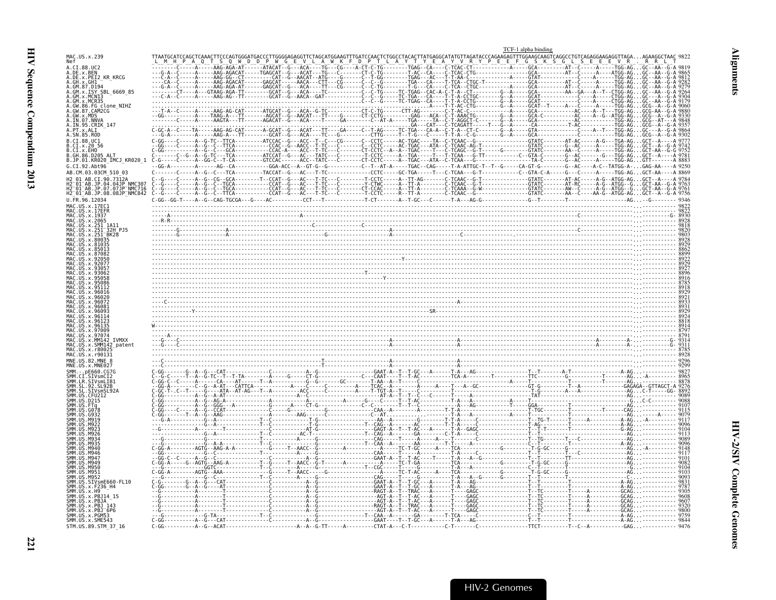<span id="page-66-0"></span>

|                                                                   |                                                                                                                                                                                                                                                                                                                                                                                                                                                | TCF-1 alpha binding |                                                   |  |
|-------------------------------------------------------------------|------------------------------------------------------------------------------------------------------------------------------------------------------------------------------------------------------------------------------------------------------------------------------------------------------------------------------------------------------------------------------------------------------------------------------------------------|---------------------|---------------------------------------------------|--|
| MAC.US.x.239<br>Nef                                               |                                                                                                                                                                                                                                                                                                                                                                                                                                                |                     | AGATACCCAGAAGAGTTTGGAAGCAAGTCAGGCCTGTCAGAGGAAGAGG |  |
| A.CT.88.UC2                                                       |                                                                                                                                                                                                                                                                                                                                                                                                                                                |                     |                                                   |  |
| A.DE.x.BEN<br>A.DE.x.PEI2_KR_KRCG                                 |                                                                                                                                                                                                                                                                                                                                                                                                                                                |                     |                                                   |  |
| A.GH.x.GH1<br>A.GM.87.D194<br>A.GM.x.ISY SBL 6669 85              |                                                                                                                                                                                                                                                                                                                                                                                                                                                |                     |                                                   |  |
| A.GM.x.MCNI3<br>GM.x.MCR35                                        |                                                                                                                                                                                                                                                                                                                                                                                                                                                |                     |                                                   |  |
| 86.FG_clone_NIHZ<br>.GW.87.CAM2CG                                 |                                                                                                                                                                                                                                                                                                                                                                                                                                                |                     |                                                   |  |
|                                                                   |                                                                                                                                                                                                                                                                                                                                                                                                                                                |                     |                                                   |  |
| A.PT.x.ALI                                                        |                                                                                                                                                                                                                                                                                                                                                                                                                                                |                     |                                                   |  |
| \.SN.85.ROD<br>B.CT.88.UC1                                        |                                                                                                                                                                                                                                                                                                                                                                                                                                                |                     |                                                   |  |
| .CI.x.20 56<br>.CI.x.EHO                                          |                                                                                                                                                                                                                                                                                                                                                                                                                                                |                     |                                                   |  |
| GH.86.D205 ALT<br>B.JP.01.KR020_IMCJ_KR020 1                      |                                                                                                                                                                                                                                                                                                                                                                                                                                                |                     |                                                   |  |
| G.CI.92.Abt96<br>AB.CM.03.03CM 510 03                             | $\begin{array}{cccccccccccccccc} \textbf{G.A}\cdot & \textbf{G.A} & \textbf{G.A} & \textbf{G.A} & \textbf{G.A} & \textbf{G.A} & \textbf{G.A} & \textbf{G.A} & \textbf{G.A} & \textbf{G.A} & \textbf{G.A} & \textbf{G.A} & \textbf{G.A} & \textbf{G.A} & \textbf{G.A} & \textbf{G.A} & \textbf{G.A} & \textbf{G.A} & \textbf{G.A} & \textbf{G.A} & \textbf{G.A} & \textbf{G.A} & \textbf{G.A} & \textbf{G.A} & \textbf{G.A} & \textbf{G.A} & \$ |                     |                                                   |  |
|                                                                   |                                                                                                                                                                                                                                                                                                                                                                                                                                                |                     |                                                   |  |
| H2 <sup>-</sup> 01 <sup>-</sup> AB.JP.08.08JP <sup>-</sup> NMC842 |                                                                                                                                                                                                                                                                                                                                                                                                                                                |                     |                                                   |  |
| U.FR.96.12034                                                     |                                                                                                                                                                                                                                                                                                                                                                                                                                                |                     |                                                   |  |
| MAC.US.x.17EC1<br>.US.x.17EFR                                     |                                                                                                                                                                                                                                                                                                                                                                                                                                                |                     |                                                   |  |
| MAC.US.x.1937<br>MAC.US.x.2065                                    |                                                                                                                                                                                                                                                                                                                                                                                                                                                |                     |                                                   |  |
| 32H P.15                                                          |                                                                                                                                                                                                                                                                                                                                                                                                                                                |                     |                                                   |  |
|                                                                   |                                                                                                                                                                                                                                                                                                                                                                                                                                                |                     |                                                   |  |
|                                                                   |                                                                                                                                                                                                                                                                                                                                                                                                                                                |                     |                                                   |  |
|                                                                   |                                                                                                                                                                                                                                                                                                                                                                                                                                                |                     |                                                   |  |
|                                                                   |                                                                                                                                                                                                                                                                                                                                                                                                                                                |                     |                                                   |  |
|                                                                   |                                                                                                                                                                                                                                                                                                                                                                                                                                                |                     |                                                   |  |
|                                                                   |                                                                                                                                                                                                                                                                                                                                                                                                                                                |                     |                                                   |  |
|                                                                   |                                                                                                                                                                                                                                                                                                                                                                                                                                                |                     |                                                   |  |
|                                                                   |                                                                                                                                                                                                                                                                                                                                                                                                                                                |                     |                                                   |  |
|                                                                   |                                                                                                                                                                                                                                                                                                                                                                                                                                                |                     |                                                   |  |
|                                                                   |                                                                                                                                                                                                                                                                                                                                                                                                                                                |                     |                                                   |  |
| SMM147                                                            |                                                                                                                                                                                                                                                                                                                                                                                                                                                |                     |                                                   |  |
| .x.r8002'<br>MAC.US.x.r90131                                      |                                                                                                                                                                                                                                                                                                                                                                                                                                                |                     |                                                   |  |
| MNF. US. 82. MNF. 8                                               |                                                                                                                                                                                                                                                                                                                                                                                                                                                |                     |                                                   |  |
|                                                                   |                                                                                                                                                                                                                                                                                                                                                                                                                                                |                     |                                                   |  |
|                                                                   |                                                                                                                                                                                                                                                                                                                                                                                                                                                |                     |                                                   |  |
|                                                                   |                                                                                                                                                                                                                                                                                                                                                                                                                                                |                     |                                                   |  |
|                                                                   |                                                                                                                                                                                                                                                                                                                                                                                                                                                |                     |                                                   |  |
|                                                                   |                                                                                                                                                                                                                                                                                                                                                                                                                                                |                     |                                                   |  |
|                                                                   |                                                                                                                                                                                                                                                                                                                                                                                                                                                |                     |                                                   |  |
|                                                                   |                                                                                                                                                                                                                                                                                                                                                                                                                                                |                     |                                                   |  |
|                                                                   |                                                                                                                                                                                                                                                                                                                                                                                                                                                |                     |                                                   |  |
|                                                                   |                                                                                                                                                                                                                                                                                                                                                                                                                                                |                     |                                                   |  |
|                                                                   |                                                                                                                                                                                                                                                                                                                                                                                                                                                |                     |                                                   |  |
|                                                                   |                                                                                                                                                                                                                                                                                                                                                                                                                                                |                     |                                                   |  |
|                                                                   |                                                                                                                                                                                                                                                                                                                                                                                                                                                |                     |                                                   |  |
| .x.PBJ14 15                                                       |                                                                                                                                                                                                                                                                                                                                                                                                                                                |                     |                                                   |  |
| SMM.US.x.PBJA                                                     |                                                                                                                                                                                                                                                                                                                                                                                                                                                |                     |                                                   |  |
| ŠMM.UŠ.x.PBJ 143<br>SMM.US.x.PBJ 6P6<br>SMM.US.x.PGM53            |                                                                                                                                                                                                                                                                                                                                                                                                                                                |                     |                                                   |  |
| SMM.US.x.SME543<br>STM.US.89.STM_37_16                            |                                                                                                                                                                                                                                                                                                                                                                                                                                                |                     |                                                   |  |
|                                                                   |                                                                                                                                                                                                                                                                                                                                                                                                                                                |                     |                                                   |  |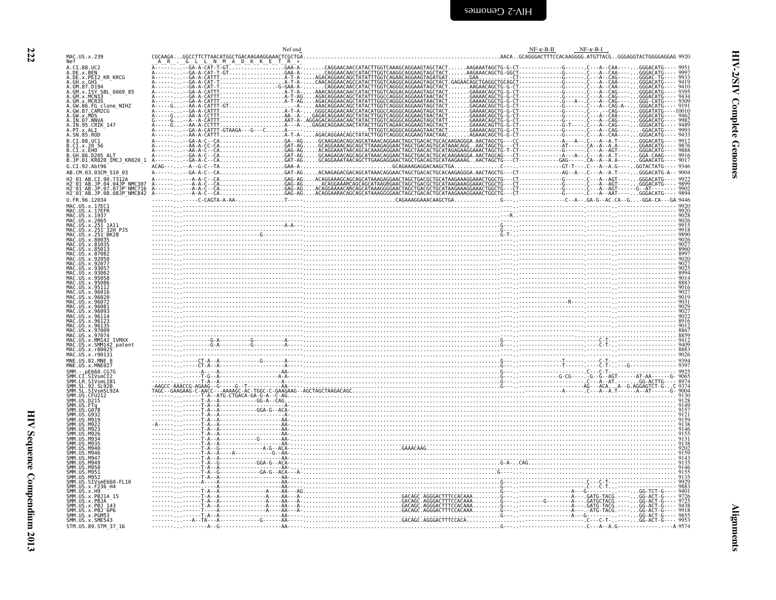<span id="page-67-0"></span>

|                                                                                                                 |                                                | Nef end |                                                                                                                                                                                                                                                                                                                                     | $NF - \kappa - B - \Pi$ | $NF-K-B-I$                                                 |
|-----------------------------------------------------------------------------------------------------------------|------------------------------------------------|---------|-------------------------------------------------------------------------------------------------------------------------------------------------------------------------------------------------------------------------------------------------------------------------------------------------------------------------------------|-------------------------|------------------------------------------------------------|
| MAC.US.x.239<br>Nef                                                                                             | CGCAAGAGCCTTCTTAACATGGCTGACAAGAAGGAAACTCGCTGA. |         |                                                                                                                                                                                                                                                                                                                                     |                         | AACAGCAGGGACTTTCCACAAGGGG.ATGTTACGGGGAGGTACTGGGGAGGAG 9920 |
| A.CI.88.UC2<br>A.DE.x.BEN                                                                                       |                                                |         | AAGAAATAGCTG-G-CT-<br>$\begin{bmatrix} 0.71 & -0.71 & -0.71 & -0.71 & -0.71 & -0.71 & -0.71 & -0.71 & -0.71 & -0.71 & -0.71 & -0.71 & -0.71 & -0.71 & -0.71 & -0.71 & -0.71 & -0.71 & -0.71 & -0.71 & -0.71 & -0.71 & -0.71 & -0.71 & -0.71 & -0.71 & -0.71 & -0.71 & -0.71 & -0.71 & -0.71 & -0.71 & -0.71 & -0.71 & -0.71 & -0.7$ |                         |                                                            |
| A.DE.x.PEI2 KR KRCG<br>A.GH.x.GH1                                                                               |                                                |         |                                                                                                                                                                                                                                                                                                                                     |                         |                                                            |
| A.GM.87.D194<br>A.GM.x.ISY SBL 6669 85                                                                          |                                                |         |                                                                                                                                                                                                                                                                                                                                     |                         |                                                            |
| A.GM.x.MCN13<br>A.GM.x.MCR35                                                                                    |                                                |         |                                                                                                                                                                                                                                                                                                                                     |                         |                                                            |
|                                                                                                                 |                                                |         |                                                                                                                                                                                                                                                                                                                                     |                         |                                                            |
| A.GW.86.FG clone_NIHZ<br>A.GW.87.CAM2CG -<br>A.GW.x.MDS<br>A.IN.07.NNVA<br>A.IN.95.CRIK_147<br>A.IN.95.CRIK_147 |                                                |         |                                                                                                                                                                                                                                                                                                                                     |                         |                                                            |
| A. PT. x. ALI<br>A. SN. 85. ROD                                                                                 |                                                |         |                                                                                                                                                                                                                                                                                                                                     |                         |                                                            |
| B.CI.88.UC1<br>B.CI.x.20 56                                                                                     |                                                |         |                                                                                                                                                                                                                                                                                                                                     |                         |                                                            |
| B.CI.x.EHO<br>86.D205 ALT                                                                                       |                                                |         |                                                                                                                                                                                                                                                                                                                                     |                         |                                                            |
| B.JP.01.KR020_IMCJ_KR020_1<br>G.CI.92.Abt96                                                                     |                                                |         |                                                                                                                                                                                                                                                                                                                                     |                         |                                                            |
| AB.CM.03.03CM_510_03<br>AB.CT.90.7312A                                                                          |                                                |         |                                                                                                                                                                                                                                                                                                                                     |                         |                                                            |
| H2-01-AB.JP.04.04JP<br>H2-01-AB.JP.07.07JP-NMC716<br>H2-01-AB.JP.08.08JP-NMC842                                 |                                                |         |                                                                                                                                                                                                                                                                                                                                     |                         |                                                            |
| U.FR.96.12034                                                                                                   |                                                |         |                                                                                                                                                                                                                                                                                                                                     |                         |                                                            |
| MAC.US.x.17EC1                                                                                                  |                                                |         |                                                                                                                                                                                                                                                                                                                                     |                         |                                                            |
| MAC.US.x.1937<br>MAC.US.x.2065                                                                                  |                                                |         |                                                                                                                                                                                                                                                                                                                                     |                         |                                                            |
| MAC.US.x.251_1A11<br>MAC.US.x.251 <sup>-</sup> 32H<br>x.251 32H PJ5                                             |                                                |         |                                                                                                                                                                                                                                                                                                                                     |                         |                                                            |
| .US.x.251 BK28<br>x.80035                                                                                       |                                                |         |                                                                                                                                                                                                                                                                                                                                     |                         |                                                            |
| 81035                                                                                                           |                                                |         |                                                                                                                                                                                                                                                                                                                                     |                         |                                                            |
| US x 87082                                                                                                      |                                                |         |                                                                                                                                                                                                                                                                                                                                     |                         |                                                            |
|                                                                                                                 |                                                |         |                                                                                                                                                                                                                                                                                                                                     |                         |                                                            |
| MAC                                                                                                             |                                                |         |                                                                                                                                                                                                                                                                                                                                     |                         |                                                            |
| MAC<br>95112<br>MAC<br>96016                                                                                    |                                                |         |                                                                                                                                                                                                                                                                                                                                     |                         |                                                            |
| 96026                                                                                                           |                                                |         |                                                                                                                                                                                                                                                                                                                                     |                         |                                                            |
|                                                                                                                 |                                                |         |                                                                                                                                                                                                                                                                                                                                     |                         |                                                            |
|                                                                                                                 |                                                |         |                                                                                                                                                                                                                                                                                                                                     |                         |                                                            |
|                                                                                                                 |                                                |         |                                                                                                                                                                                                                                                                                                                                     |                         |                                                            |
| MAC<br>MM142<br><b>TVMXX</b><br>MAC<br>x.SMM142_patent                                                          |                                                |         |                                                                                                                                                                                                                                                                                                                                     |                         |                                                            |
| MAC.US.x.r80025<br>MAC.US.x.r90131                                                                              |                                                |         |                                                                                                                                                                                                                                                                                                                                     |                         |                                                            |
| MNE.US.82.MNE 8<br>MNE.US.x.MNE027                                                                              |                                                |         |                                                                                                                                                                                                                                                                                                                                     |                         |                                                            |
| SMM.CI.SIVsmCI2<br>SMM.LR.SIVsmLIB1                                                                             |                                                |         |                                                                                                                                                                                                                                                                                                                                     |                         |                                                            |
| .92.5L92B                                                                                                       |                                                |         |                                                                                                                                                                                                                                                                                                                                     |                         |                                                            |
| CF11212                                                                                                         |                                                |         |                                                                                                                                                                                                                                                                                                                                     |                         |                                                            |
| G078                                                                                                            |                                                |         |                                                                                                                                                                                                                                                                                                                                     |                         |                                                            |
|                                                                                                                 |                                                |         |                                                                                                                                                                                                                                                                                                                                     |                         |                                                            |
|                                                                                                                 | لتتبيني                                        |         |                                                                                                                                                                                                                                                                                                                                     |                         |                                                            |
|                                                                                                                 |                                                |         |                                                                                                                                                                                                                                                                                                                                     |                         |                                                            |
|                                                                                                                 |                                                |         |                                                                                                                                                                                                                                                                                                                                     |                         |                                                            |
| SMM<br>SMM<br>SMM<br>M949                                                                                       |                                                |         |                                                                                                                                                                                                                                                                                                                                     |                         |                                                            |
| SMM. US. M950<br>SMM. US. M951                                                                                  |                                                |         |                                                                                                                                                                                                                                                                                                                                     |                         |                                                            |
| SMM. US. M951<br>SMM. US. M952<br>SMM. US. SIVsmE660-FL10<br>SMM. US. x. F236_H4<br>SMM. US. x. H9              |                                                |         |                                                                                                                                                                                                                                                                                                                                     |                         |                                                            |
| SMM.US.x.PBJ14 15                                                                                               |                                                |         |                                                                                                                                                                                                                                                                                                                                     |                         | 9401                                                       |
| SMM.US.x.PBJA<br>US.x.PBJ 143                                                                                   |                                                |         |                                                                                                                                                                                                                                                                                                                                     |                         | 9438                                                       |
| US.x.PBJ <sup>6P6</sup><br>SMM.US.x.PGM53                                                                       |                                                |         |                                                                                                                                                                                                                                                                                                                                     |                         | ---- 9918<br>---- 9855<br>---- 9953                        |
| SMM.US.x.SME543<br>STM.US.89.STM 37 16                                                                          |                                                |         |                                                                                                                                                                                                                                                                                                                                     |                         |                                                            |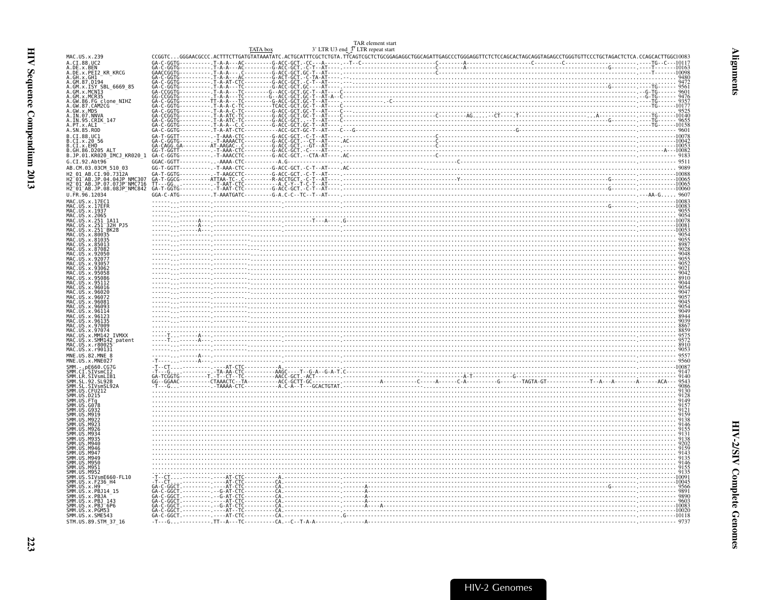<span id="page-68-0"></span>

| MAC.US.x.239                                                                                                                                                   |  | TAR element start<br>3' LTR U3 end $3^{\circ}$ LTR repeat start<br>TATA box | $\begin{tabular}{ c c c c c c c c} \multicolumn{3}{ c c c c} \multicolumn{3}{ c c c} \multicolumn{3}{ c c c} \multicolumn{3}{ c c c} \multicolumn{3}{ c c c} \multicolumn{3}{ c c c} \multicolumn{3}{ c c c} \multicolumn{3}{ c c c} \multicolumn{3}{ c c c} \multicolumn{3}{ c c c} \multicolumn{3}{ c c c} \multicolumn{3}{ c c c} \multicolumn{3}{ c c c} \multicolumn{3}{ c c c$ |  |
|----------------------------------------------------------------------------------------------------------------------------------------------------------------|--|-----------------------------------------------------------------------------|--------------------------------------------------------------------------------------------------------------------------------------------------------------------------------------------------------------------------------------------------------------------------------------------------------------------------------------------------------------------------------------|--|
| A.CI.88.UC2                                                                                                                                                    |  |                                                                             |                                                                                                                                                                                                                                                                                                                                                                                      |  |
| A.DE.x.BEN                                                                                                                                                     |  |                                                                             |                                                                                                                                                                                                                                                                                                                                                                                      |  |
| <br>A.GH.x.GH1<br>A.GH.x.GH1<br>A.GM.87.D194                                                                                                                   |  |                                                                             |                                                                                                                                                                                                                                                                                                                                                                                      |  |
|                                                                                                                                                                |  |                                                                             |                                                                                                                                                                                                                                                                                                                                                                                      |  |
| GM.x.MCR35                                                                                                                                                     |  |                                                                             |                                                                                                                                                                                                                                                                                                                                                                                      |  |
| .GW.86.FG clone NIHZ<br>.GW.87.CAM2CG                                                                                                                          |  |                                                                             |                                                                                                                                                                                                                                                                                                                                                                                      |  |
| GW.x.MDS                                                                                                                                                       |  |                                                                             |                                                                                                                                                                                                                                                                                                                                                                                      |  |
| .IN.07.NNVA<br>A.IN.95.CRIK 147                                                                                                                                |  |                                                                             |                                                                                                                                                                                                                                                                                                                                                                                      |  |
| A.PT.x.ALI<br>A.SN.85.ROD                                                                                                                                      |  |                                                                             |                                                                                                                                                                                                                                                                                                                                                                                      |  |
| B.CI.88.UC1<br>B.CI.x.20 56                                                                                                                                    |  |                                                                             |                                                                                                                                                                                                                                                                                                                                                                                      |  |
|                                                                                                                                                                |  |                                                                             |                                                                                                                                                                                                                                                                                                                                                                                      |  |
| B.CI.x.EHO<br>B.CI.x.EHO<br>B.GH.86.D205 ALT                                                                                                                   |  |                                                                             |                                                                                                                                                                                                                                                                                                                                                                                      |  |
| B.JP.01.KR020 IMCJ KR020 1                                                                                                                                     |  |                                                                             |                                                                                                                                                                                                                                                                                                                                                                                      |  |
| G.CI.92.Abt96<br>AB.CM.03.03CM 510 03                                                                                                                          |  |                                                                             |                                                                                                                                                                                                                                                                                                                                                                                      |  |
| H2 01 AB.CI.90.7312A                                                                                                                                           |  |                                                                             |                                                                                                                                                                                                                                                                                                                                                                                      |  |
| H2=01=AB.JP.04.04JP^NMC307<br>H2=01=AB.JP.07.07JP=NMC716<br>H2_01_AB.JP.08.08JP_NMC842                                                                         |  |                                                                             |                                                                                                                                                                                                                                                                                                                                                                                      |  |
|                                                                                                                                                                |  |                                                                             |                                                                                                                                                                                                                                                                                                                                                                                      |  |
| U.FR.96.12034                                                                                                                                                  |  |                                                                             |                                                                                                                                                                                                                                                                                                                                                                                      |  |
| MAC.US.x.17EC1<br>MAC.US.x.17EFR                                                                                                                               |  |                                                                             |                                                                                                                                                                                                                                                                                                                                                                                      |  |
| MAC.US.x.1937                                                                                                                                                  |  |                                                                             |                                                                                                                                                                                                                                                                                                                                                                                      |  |
| MAC.US.x.2065<br>MAC.US.x.251 1A11                                                                                                                             |  |                                                                             |                                                                                                                                                                                                                                                                                                                                                                                      |  |
| .US.x.251-32H PJ5<br>.US.x.251-BK28                                                                                                                            |  |                                                                             |                                                                                                                                                                                                                                                                                                                                                                                      |  |
| MAC.US.x.80035                                                                                                                                                 |  |                                                                             |                                                                                                                                                                                                                                                                                                                                                                                      |  |
| MAC.US.x.81035<br>MAC.US.x.85013                                                                                                                               |  |                                                                             |                                                                                                                                                                                                                                                                                                                                                                                      |  |
| MAC.US.x.87082                                                                                                                                                 |  |                                                                             |                                                                                                                                                                                                                                                                                                                                                                                      |  |
|                                                                                                                                                                |  |                                                                             |                                                                                                                                                                                                                                                                                                                                                                                      |  |
|                                                                                                                                                                |  |                                                                             |                                                                                                                                                                                                                                                                                                                                                                                      |  |
| US x 95058                                                                                                                                                     |  |                                                                             |                                                                                                                                                                                                                                                                                                                                                                                      |  |
|                                                                                                                                                                |  |                                                                             |                                                                                                                                                                                                                                                                                                                                                                                      |  |
|                                                                                                                                                                |  |                                                                             |                                                                                                                                                                                                                                                                                                                                                                                      |  |
| MAC.US.x.96072                                                                                                                                                 |  |                                                                             |                                                                                                                                                                                                                                                                                                                                                                                      |  |
|                                                                                                                                                                |  |                                                                             |                                                                                                                                                                                                                                                                                                                                                                                      |  |
| MAC.US.x.96093<br>MAC.US.x.9611                                                                                                                                |  |                                                                             |                                                                                                                                                                                                                                                                                                                                                                                      |  |
| MAC.US.x.9612<br>MAC.US.x.96135                                                                                                                                |  |                                                                             |                                                                                                                                                                                                                                                                                                                                                                                      |  |
| MAC.US.x.97009                                                                                                                                                 |  |                                                                             |                                                                                                                                                                                                                                                                                                                                                                                      |  |
| MAC.US.x.97074<br>MAČ.ŪS.x.MM142 IVMXX                                                                                                                         |  |                                                                             |                                                                                                                                                                                                                                                                                                                                                                                      |  |
| MAC.US.x.SMM142_patent                                                                                                                                         |  |                                                                             |                                                                                                                                                                                                                                                                                                                                                                                      |  |
| US.x.r80025<br>MAC.US.x.r90131                                                                                                                                 |  |                                                                             |                                                                                                                                                                                                                                                                                                                                                                                      |  |
| MNE.US.82.MNE 8                                                                                                                                                |  |                                                                             |                                                                                                                                                                                                                                                                                                                                                                                      |  |
| MNE.US.x.MNE027<br>SMM. - . pE660.CG7G                                                                                                                         |  |                                                                             |                                                                                                                                                                                                                                                                                                                                                                                      |  |
| SMM. - DEBOOU.CU7G<br>SMM.CI.SIVSmLIB1<br>SMM.SL.92.SL92B<br>SMM.SL.92.SL92B<br>SMM.US.CFU212<br>SMM.US.CFU212<br>SMM.US.D215                                  |  |                                                                             |                                                                                                                                                                                                                                                                                                                                                                                      |  |
|                                                                                                                                                                |  |                                                                             |                                                                                                                                                                                                                                                                                                                                                                                      |  |
|                                                                                                                                                                |  |                                                                             |                                                                                                                                                                                                                                                                                                                                                                                      |  |
|                                                                                                                                                                |  |                                                                             |                                                                                                                                                                                                                                                                                                                                                                                      |  |
| US.FTg<br>US.G078                                                                                                                                              |  |                                                                             |                                                                                                                                                                                                                                                                                                                                                                                      |  |
|                                                                                                                                                                |  |                                                                             |                                                                                                                                                                                                                                                                                                                                                                                      |  |
|                                                                                                                                                                |  |                                                                             |                                                                                                                                                                                                                                                                                                                                                                                      |  |
| MQ <sub>23</sub><br><b>MQ</b> 26                                                                                                                               |  |                                                                             | $\frac{1}{213}$ $\frac{1}{213}$ $\frac{1}{213}$ $\frac{1}{213}$ $\frac{1}{213}$ $\frac{1}{213}$ $\frac{1}{213}$ $\frac{1}{213}$ $\frac{1}{213}$ $\frac{1}{213}$ $\frac{1}{213}$ $\frac{1}{213}$ $\frac{1}{213}$ $\frac{1}{213}$ $\frac{1}{213}$ $\frac{1}{213}$ $\frac{1}{213}$ $\frac{1}{213}$ $\frac{1$                                                                            |  |
| M934                                                                                                                                                           |  |                                                                             |                                                                                                                                                                                                                                                                                                                                                                                      |  |
|                                                                                                                                                                |  |                                                                             |                                                                                                                                                                                                                                                                                                                                                                                      |  |
|                                                                                                                                                                |  |                                                                             |                                                                                                                                                                                                                                                                                                                                                                                      |  |
|                                                                                                                                                                |  |                                                                             |                                                                                                                                                                                                                                                                                                                                                                                      |  |
|                                                                                                                                                                |  |                                                                             |                                                                                                                                                                                                                                                                                                                                                                                      |  |
|                                                                                                                                                                |  |                                                                             |                                                                                                                                                                                                                                                                                                                                                                                      |  |
|                                                                                                                                                                |  |                                                                             |                                                                                                                                                                                                                                                                                                                                                                                      |  |
|                                                                                                                                                                |  |                                                                             |                                                                                                                                                                                                                                                                                                                                                                                      |  |
|                                                                                                                                                                |  |                                                                             |                                                                                                                                                                                                                                                                                                                                                                                      |  |
|                                                                                                                                                                |  |                                                                             |                                                                                                                                                                                                                                                                                                                                                                                      |  |
| M940<br>M946<br>M947<br>M94C<br>M950<br>US.M951<br>SMM.US.SIVsmE660-FL10<br>SMM.US.x.H9<br>SMM.US.x.PBJ14_15<br>SMM.US.x.PBJA <sup>–</sup><br>SMM.US.x.PBJ_143 |  |                                                                             |                                                                                                                                                                                                                                                                                                                                                                                      |  |
| SMM.US.x.PBJ-6P6<br>SMM.US.x.PBJ-6P6<br>SMM.US.x.PGM53<br>SMM.US.x.SME543                                                                                      |  |                                                                             |                                                                                                                                                                                                                                                                                                                                                                                      |  |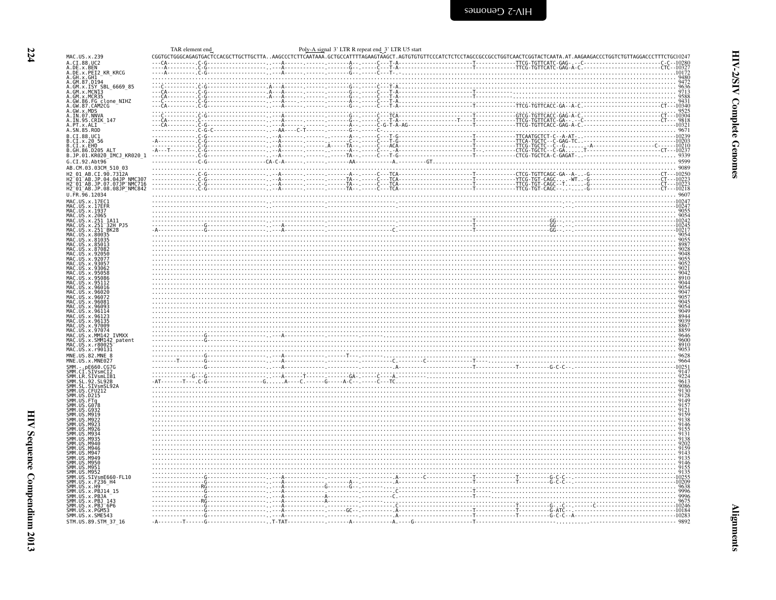<span id="page-69-0"></span>

| MAC.US.x.239<br>A.CI.88.UC2                                                                                                                                                                                                                                           |  |                                                                                                                                                                                                                                                                                                                                                                                                                                                            |                             |
|-----------------------------------------------------------------------------------------------------------------------------------------------------------------------------------------------------------------------------------------------------------------------|--|------------------------------------------------------------------------------------------------------------------------------------------------------------------------------------------------------------------------------------------------------------------------------------------------------------------------------------------------------------------------------------------------------------------------------------------------------------|-----------------------------|
| A.DE.x.BEN                                                                                                                                                                                                                                                            |  |                                                                                                                                                                                                                                                                                                                                                                                                                                                            |                             |
| A.DE.x.PEI2 KR KRCG                                                                                                                                                                                                                                                   |  |                                                                                                                                                                                                                                                                                                                                                                                                                                                            |                             |
| A. DE. X. OH<br>A. GH. X. GH1<br>A. GM. 87. D194<br>A. GM. X. ISY SBL<br>A. GM. X. ISY SBL<br>A. GM. X. MCR35<br>A. GM. 86. FG. CLORE<br>A. GM. 87. CAM2CG<br>A. GM. 87. CAM2CG<br>A. GM. X. MDS<br>A. GM. 87. DNNA                                                   |  |                                                                                                                                                                                                                                                                                                                                                                                                                                                            |                             |
|                                                                                                                                                                                                                                                                       |  |                                                                                                                                                                                                                                                                                                                                                                                                                                                            |                             |
|                                                                                                                                                                                                                                                                       |  |                                                                                                                                                                                                                                                                                                                                                                                                                                                            |                             |
|                                                                                                                                                                                                                                                                       |  |                                                                                                                                                                                                                                                                                                                                                                                                                                                            | $-CT - -10340$              |
|                                                                                                                                                                                                                                                                       |  |                                                                                                                                                                                                                                                                                                                                                                                                                                                            |                             |
| A.IN.07.NNVA<br>A.IN.07.NNVA<br>A.IN.95.CRIK 147                                                                                                                                                                                                                      |  |                                                                                                                                                                                                                                                                                                                                                                                                                                                            |                             |
| A. PT. x. ALI<br>A. SN. 85. ROD                                                                                                                                                                                                                                       |  | $\begin{bmatrix}\nC_0 \\ \vdots \\ C_{10} \\ \vdots \\ C_{11} \\ \vdots \\ C_{12} \\ \vdots \\ C_{13} \\ \vdots \\ C_{14} \\ \vdots \\ C_{15} \\ \vdots \\ C_{16} \\ \vdots \\ C_{17} \\ \vdots \\ C_{18} \\ \vdots \\ C_{19} \\ \vdots \\ C_{10} \\ \vdots \\ C_{10} \\ \vdots \\ C_{10} \\ \vdots \\ C_{10} \\ \vdots \\ C_{10} \\ \vdots \\ C_{10} \\ \vdots \\ C_{10} \\ \vdots \\ C_{10} \\ \vdots \\ C_{10} \\ \vdots \\ C_{10} \\ \vdots \\ C_{10}$ |                             |
|                                                                                                                                                                                                                                                                       |  |                                                                                                                                                                                                                                                                                                                                                                                                                                                            |                             |
| <b>B.CI.88.UC1<br/>B.CI.x.20 56<br/>B.CI.x.20 56<br/>B.CI.x.EHO<br/>B.GH.86.D205_ALT</b>                                                                                                                                                                              |  |                                                                                                                                                                                                                                                                                                                                                                                                                                                            |                             |
|                                                                                                                                                                                                                                                                       |  |                                                                                                                                                                                                                                                                                                                                                                                                                                                            |                             |
| B.JP.01.KR020_IMCJ_KR020_1                                                                                                                                                                                                                                            |  |                                                                                                                                                                                                                                                                                                                                                                                                                                                            |                             |
| G.CI.92.Abt96                                                                                                                                                                                                                                                         |  |                                                                                                                                                                                                                                                                                                                                                                                                                                                            |                             |
| AB.CM.03.03CM 510 03                                                                                                                                                                                                                                                  |  |                                                                                                                                                                                                                                                                                                                                                                                                                                                            |                             |
| H2 01 AB.CI.90.7312A                                                                                                                                                                                                                                                  |  |                                                                                                                                                                                                                                                                                                                                                                                                                                                            |                             |
| H2-01-AB.JP.04.04JP NMC307<br>H2-01-AB.JP.07.07JP NMC716<br>H2_01_AB.JP.08.08JP NMC842                                                                                                                                                                                |  |                                                                                                                                                                                                                                                                                                                                                                                                                                                            |                             |
| U.FR.96.12034                                                                                                                                                                                                                                                         |  |                                                                                                                                                                                                                                                                                                                                                                                                                                                            |                             |
|                                                                                                                                                                                                                                                                       |  |                                                                                                                                                                                                                                                                                                                                                                                                                                                            |                             |
|                                                                                                                                                                                                                                                                       |  |                                                                                                                                                                                                                                                                                                                                                                                                                                                            |                             |
| MAC.US.x.17EC1<br>MAC.US.x.17EC1<br>MAC.US.x.1937<br>MAC.US.x.2065<br>MAC.US.x.251-1A11.                                                                                                                                                                              |  |                                                                                                                                                                                                                                                                                                                                                                                                                                                            |                             |
|                                                                                                                                                                                                                                                                       |  | $\frac{1024}{0024}$                                                                                                                                                                                                                                                                                                                                                                                                                                        |                             |
|                                                                                                                                                                                                                                                                       |  |                                                                                                                                                                                                                                                                                                                                                                                                                                                            |                             |
| MAC. US . x. 251 - 1411<br>MAC. US . x. 251 - 32H PJ5<br>MAC. US . x. 251 - BK28<br>MAC. US . x. 80035<br>MAC. US . x. 85003<br>MAC. US . x. 87082                                                                                                                    |  |                                                                                                                                                                                                                                                                                                                                                                                                                                                            |                             |
|                                                                                                                                                                                                                                                                       |  |                                                                                                                                                                                                                                                                                                                                                                                                                                                            |                             |
|                                                                                                                                                                                                                                                                       |  |                                                                                                                                                                                                                                                                                                                                                                                                                                                            |                             |
| MAC.US.X.<br>MAC.US.X.<br>. US. x. 92056                                                                                                                                                                                                                              |  |                                                                                                                                                                                                                                                                                                                                                                                                                                                            |                             |
| MAC.US.x.9305                                                                                                                                                                                                                                                         |  |                                                                                                                                                                                                                                                                                                                                                                                                                                                            |                             |
| MAC.US.x.93062<br>MAC.US.x.950                                                                                                                                                                                                                                        |  |                                                                                                                                                                                                                                                                                                                                                                                                                                                            |                             |
|                                                                                                                                                                                                                                                                       |  |                                                                                                                                                                                                                                                                                                                                                                                                                                                            |                             |
|                                                                                                                                                                                                                                                                       |  |                                                                                                                                                                                                                                                                                                                                                                                                                                                            |                             |
| MAC.US.x.96016<br>MAC.US.x.96020<br>MAC.US.x.96072<br>MAC.US.x.96081                                                                                                                                                                                                  |  |                                                                                                                                                                                                                                                                                                                                                                                                                                                            |                             |
|                                                                                                                                                                                                                                                                       |  |                                                                                                                                                                                                                                                                                                                                                                                                                                                            |                             |
| MAC. US. x. 96093<br>MAC. US. x. 96114                                                                                                                                                                                                                                |  |                                                                                                                                                                                                                                                                                                                                                                                                                                                            |                             |
| MAC.US.X.96123<br>MAC.US.x.96135                                                                                                                                                                                                                                      |  |                                                                                                                                                                                                                                                                                                                                                                                                                                                            |                             |
| MAC.US.x.97009                                                                                                                                                                                                                                                        |  |                                                                                                                                                                                                                                                                                                                                                                                                                                                            |                             |
| MAC.US.x.97074<br>MAC.US.x.MM142                                                                                                                                                                                                                                      |  |                                                                                                                                                                                                                                                                                                                                                                                                                                                            |                             |
| .US.x.MM142 IVMXX                                                                                                                                                                                                                                                     |  | <u>Alternative and the second contract of the second contract of the second contract of the second contract of the second contract of the second contract of the second contract of the second contract of the second contract o</u>                                                                                                                                                                                                                       |                             |
| MAC.US.x.SMM142_patent<br>MAC.US.x.r80025                                                                                                                                                                                                                             |  |                                                                                                                                                                                                                                                                                                                                                                                                                                                            |                             |
| MAC.US.x.r90131<br>MNE.US.82.MNE 8                                                                                                                                                                                                                                    |  |                                                                                                                                                                                                                                                                                                                                                                                                                                                            |                             |
| MNE.US.x.MNE027                                                                                                                                                                                                                                                       |  |                                                                                                                                                                                                                                                                                                                                                                                                                                                            |                             |
|                                                                                                                                                                                                                                                                       |  |                                                                                                                                                                                                                                                                                                                                                                                                                                                            |                             |
|                                                                                                                                                                                                                                                                       |  |                                                                                                                                                                                                                                                                                                                                                                                                                                                            |                             |
|                                                                                                                                                                                                                                                                       |  |                                                                                                                                                                                                                                                                                                                                                                                                                                                            |                             |
|                                                                                                                                                                                                                                                                       |  |                                                                                                                                                                                                                                                                                                                                                                                                                                                            |                             |
|                                                                                                                                                                                                                                                                       |  |                                                                                                                                                                                                                                                                                                                                                                                                                                                            |                             |
|                                                                                                                                                                                                                                                                       |  |                                                                                                                                                                                                                                                                                                                                                                                                                                                            |                             |
|                                                                                                                                                                                                                                                                       |  |                                                                                                                                                                                                                                                                                                                                                                                                                                                            |                             |
| SMM. US. M922                                                                                                                                                                                                                                                         |  |                                                                                                                                                                                                                                                                                                                                                                                                                                                            |                             |
| M92                                                                                                                                                                                                                                                                   |  |                                                                                                                                                                                                                                                                                                                                                                                                                                                            |                             |
|                                                                                                                                                                                                                                                                       |  |                                                                                                                                                                                                                                                                                                                                                                                                                                                            |                             |
| .M935<br>.M946                                                                                                                                                                                                                                                        |  |                                                                                                                                                                                                                                                                                                                                                                                                                                                            |                             |
|                                                                                                                                                                                                                                                                       |  |                                                                                                                                                                                                                                                                                                                                                                                                                                                            |                             |
|                                                                                                                                                                                                                                                                       |  |                                                                                                                                                                                                                                                                                                                                                                                                                                                            |                             |
| SMM. US. M946<br>SMM. US. M947<br>SMM. US. M949<br>SMM. US. M950                                                                                                                                                                                                      |  |                                                                                                                                                                                                                                                                                                                                                                                                                                                            |                             |
|                                                                                                                                                                                                                                                                       |  |                                                                                                                                                                                                                                                                                                                                                                                                                                                            |                             |
|                                                                                                                                                                                                                                                                       |  |                                                                                                                                                                                                                                                                                                                                                                                                                                                            |                             |
|                                                                                                                                                                                                                                                                       |  |                                                                                                                                                                                                                                                                                                                                                                                                                                                            |                             |
|                                                                                                                                                                                                                                                                       |  |                                                                                                                                                                                                                                                                                                                                                                                                                                                            |                             |
|                                                                                                                                                                                                                                                                       |  |                                                                                                                                                                                                                                                                                                                                                                                                                                                            |                             |
| SMM: US. M950<br>SMM: US. M951<br>SMM: US. SD252<br>SMM: US. SIV<br>SMM: US. SIV<br>SMM: US. SIV<br>SMM: US. X. H9<br>SMM: US. X. PB314<br>SMM: US. X. PB314<br>SMM: US. X. PB314<br>SMM: US. X. PB3143<br>SMM: US. X. PB3143<br>SMM: US. X. PB3143<br>SMM: US. X. PB |  |                                                                                                                                                                                                                                                                                                                                                                                                                                                            |                             |
| SMM. US. x. SME543                                                                                                                                                                                                                                                    |  |                                                                                                                                                                                                                                                                                                                                                                                                                                                            |                             |
|                                                                                                                                                                                                                                                                       |  |                                                                                                                                                                                                                                                                                                                                                                                                                                                            | ---------------------- 9892 |